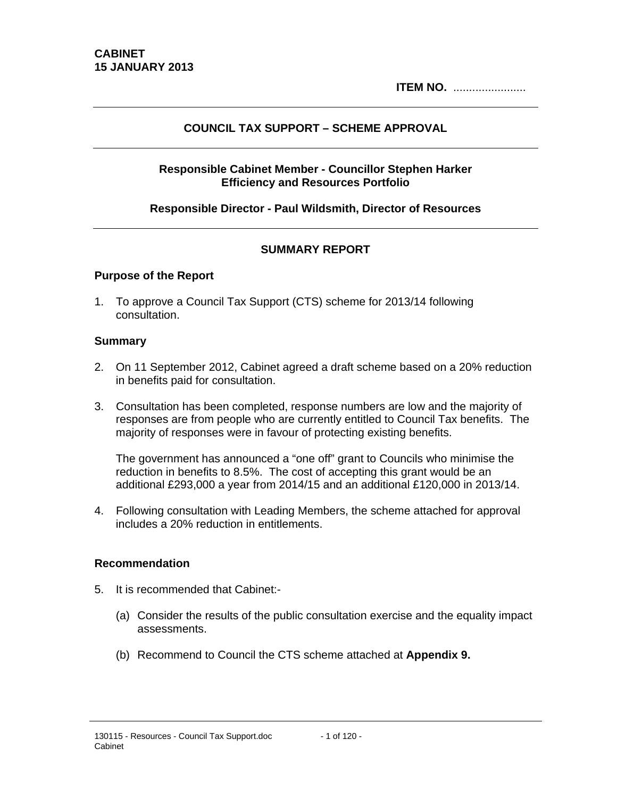**ITEM NO.** .......................

### **COUNCIL TAX SUPPORT – SCHEME APPROVAL**

### **Responsible Cabinet Member - Councillor Stephen Harker Efficiency and Resources Portfolio**

### **Responsible Director - Paul Wildsmith, Director of Resources**

### **SUMMARY REPORT**

#### **Purpose of the Report**

1. To approve a Council Tax Support (CTS) scheme for 2013/14 following consultation.

#### **Summary**

- 2. On 11 September 2012, Cabinet agreed a draft scheme based on a 20% reduction in benefits paid for consultation.
- 3. Consultation has been completed, response numbers are low and the majority of responses are from people who are currently entitled to Council Tax benefits. The majority of responses were in favour of protecting existing benefits.

The government has announced a "one off" grant to Councils who minimise the reduction in benefits to 8.5%. The cost of accepting this grant would be an additional £293,000 a year from 2014/15 and an additional £120,000 in 2013/14.

4. Following consultation with Leading Members, the scheme attached for approval includes a 20% reduction in entitlements.

#### **Recommendation**

- 5. It is recommended that Cabinet:-
	- (a) Consider the results of the public consultation exercise and the equality impact assessments.
	- (b) Recommend to Council the CTS scheme attached at **Appendix 9.**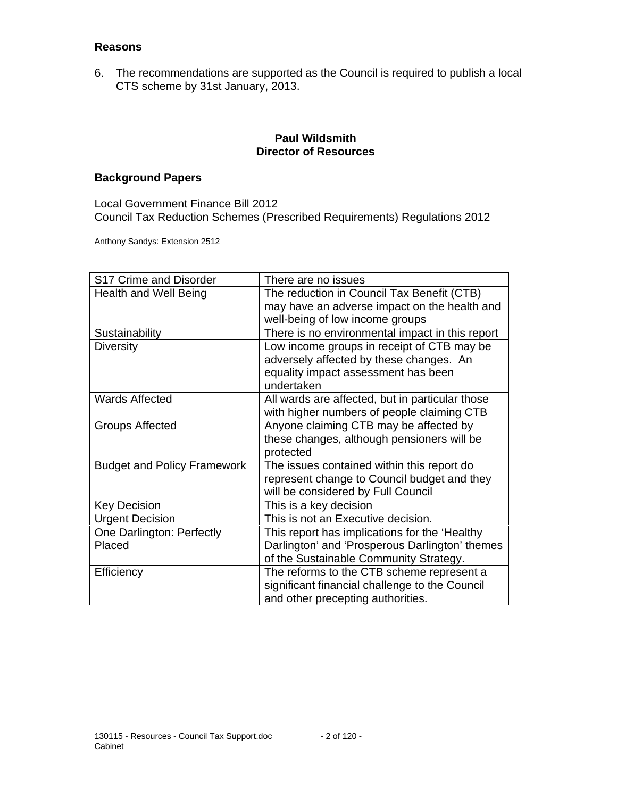#### **Reasons**

6. The recommendations are supported as the Council is required to publish a local CTS scheme by 31st January, 2013.

### **Paul Wildsmith Director of Resources**

### **Background Papers**

Local Government Finance Bill 2012 Council Tax Reduction Schemes (Prescribed Requirements) Regulations 2012

Anthony Sandys: Extension 2512

| S17 Crime and Disorder             | There are no issues                             |
|------------------------------------|-------------------------------------------------|
| <b>Health and Well Being</b>       | The reduction in Council Tax Benefit (CTB)      |
|                                    | may have an adverse impact on the health and    |
|                                    | well-being of low income groups                 |
| Sustainability                     | There is no environmental impact in this report |
| Diversity                          | Low income groups in receipt of CTB may be      |
|                                    | adversely affected by these changes. An         |
|                                    | equality impact assessment has been             |
|                                    | undertaken                                      |
| <b>Wards Affected</b>              | All wards are affected, but in particular those |
|                                    | with higher numbers of people claiming CTB      |
| <b>Groups Affected</b>             | Anyone claiming CTB may be affected by          |
|                                    | these changes, although pensioners will be      |
|                                    | protected                                       |
| <b>Budget and Policy Framework</b> | The issues contained within this report do      |
|                                    | represent change to Council budget and they     |
|                                    | will be considered by Full Council              |
| <b>Key Decision</b>                | This is a key decision                          |
| <b>Urgent Decision</b>             | This is not an Executive decision.              |
| One Darlington: Perfectly          | This report has implications for the 'Healthy   |
| Placed                             | Darlington' and 'Prosperous Darlington' themes  |
|                                    | of the Sustainable Community Strategy.          |
| Efficiency                         | The reforms to the CTB scheme represent a       |
|                                    | significant financial challenge to the Council  |
|                                    | and other precepting authorities.               |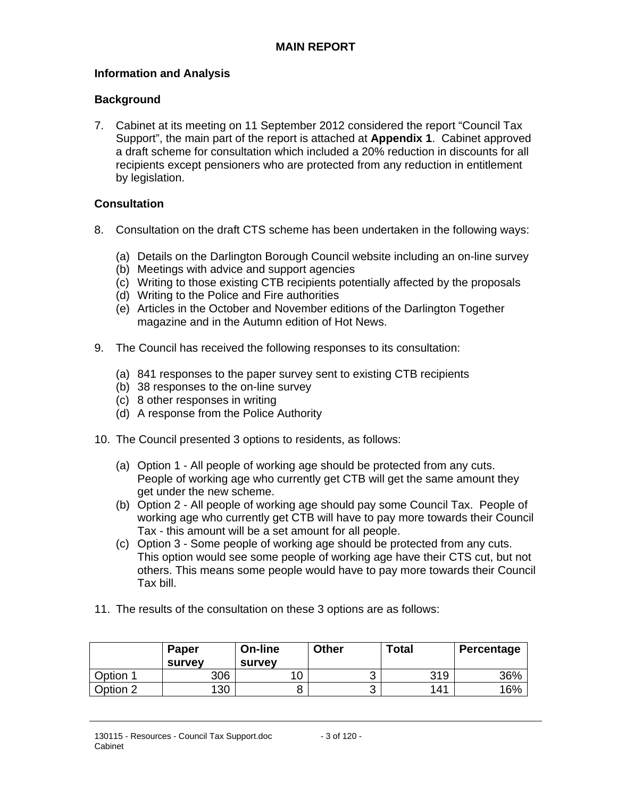### **Information and Analysis**

#### **Background**

7. Cabinet at its meeting on 11 September 2012 considered the report "Council Tax Support", the main part of the report is attached at **Appendix 1**. Cabinet approved a draft scheme for consultation which included a 20% reduction in discounts for all recipients except pensioners who are protected from any reduction in entitlement by legislation.

#### **Consultation**

- 8. Consultation on the draft CTS scheme has been undertaken in the following ways:
	- (a) Details on the Darlington Borough Council website including an on-line survey
	- (b) Meetings with advice and support agencies
	- (c) Writing to those existing CTB recipients potentially affected by the proposals
	- (d) Writing to the Police and Fire authorities
	- (e) Articles in the October and November editions of the Darlington Together magazine and in the Autumn edition of Hot News.
- 9. The Council has received the following responses to its consultation:
	- (a) 841 responses to the paper survey sent to existing CTB recipients
	- (b) 38 responses to the on-line survey
	- (c) 8 other responses in writing
	- (d) A response from the Police Authority
- 10. The Council presented 3 options to residents, as follows:
	- (a) Option 1 All people of working age should be protected from any cuts. People of working age who currently get CTB will get the same amount they get under the new scheme.
	- (b) Option 2 All people of working age should pay some Council Tax. People of working age who currently get CTB will have to pay more towards their Council Tax - this amount will be a set amount for all people.
	- (c) Option 3 Some people of working age should be protected from any cuts. This option would see some people of working age have their CTS cut, but not others. This means some people would have to pay more towards their Council Tax bill.
- 11. The results of the consultation on these 3 options are as follows:

|          | <b>Paper</b><br>survev | On-line<br><b>survey</b> | <b>Other</b> | <b>Total</b> | Percentage |
|----------|------------------------|--------------------------|--------------|--------------|------------|
| Option 1 | 306                    |                          | ົ<br>ັ       | 319          | 36%        |
| Option 2 | 130                    |                          | ⌒<br>ັ       | 141          | 16%        |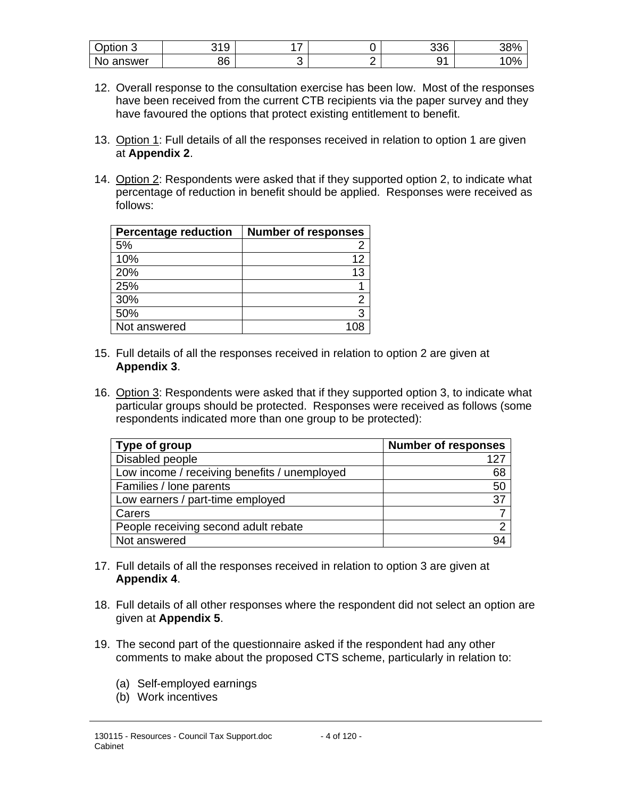| $\sim$<br>Option 3 | 240<br>ັ | - |   | 336         | 200/<br>၁ဝ |
|--------------------|----------|---|---|-------------|------------|
| No<br>answer       | 86       |   | _ | $\sim$<br>ັ | 0%<br>טי   |

- 12. Overall response to the consultation exercise has been low. Most of the responses have been received from the current CTB recipients via the paper survey and they have favoured the options that protect existing entitlement to benefit.
- 13. Option 1: Full details of all the responses received in relation to option 1 are given at **Appendix 2**.
- 14. Option 2: Respondents were asked that if they supported option 2, to indicate what percentage of reduction in benefit should be applied. Responses were received as follows:

| <b>Percentage reduction</b> | <b>Number of responses</b> |
|-----------------------------|----------------------------|
| 5%                          |                            |
| 10%                         | 12                         |
| 20%                         | 13                         |
| 25%                         |                            |
| 30%                         | 2                          |
| 50%                         | 3                          |
| Not answered                |                            |

- 15. Full details of all the responses received in relation to option 2 are given at **Appendix 3**.
- 16. Option 3: Respondents were asked that if they supported option 3, to indicate what particular groups should be protected. Responses were received as follows (some respondents indicated more than one group to be protected):

| Type of group                                | <b>Number of responses</b> |
|----------------------------------------------|----------------------------|
| Disabled people                              | 127                        |
| Low income / receiving benefits / unemployed | 68                         |
| Families / lone parents                      | 50                         |
| Low earners / part-time employed             | 37                         |
| Carers                                       |                            |
| People receiving second adult rebate         | ◠                          |
| Not answered                                 | 94                         |

- 17. Full details of all the responses received in relation to option 3 are given at **Appendix 4**.
- 18. Full details of all other responses where the respondent did not select an option are given at **Appendix 5**.
- 19. The second part of the questionnaire asked if the respondent had any other comments to make about the proposed CTS scheme, particularly in relation to:
	- (a) Self-employed earnings
	- (b) Work incentives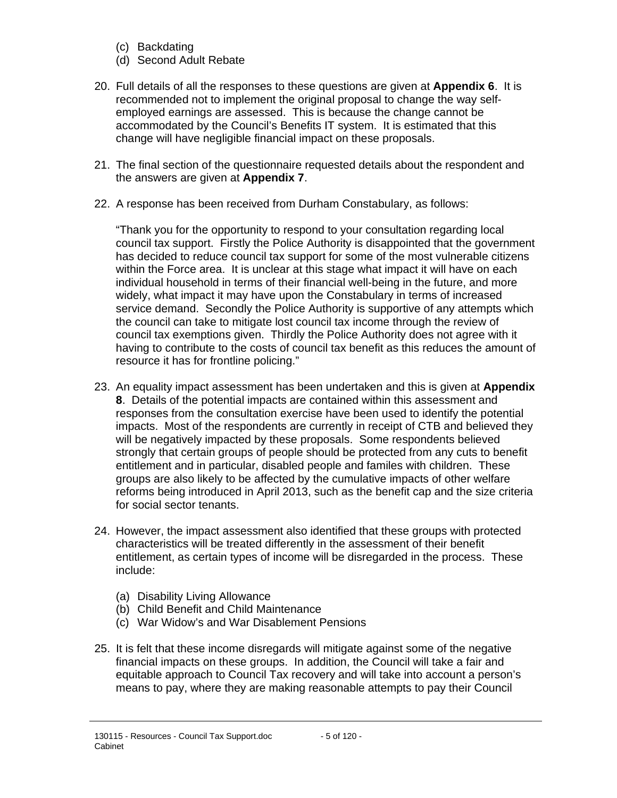- (c) Backdating
- (d) Second Adult Rebate
- 20. Full details of all the responses to these questions are given at **Appendix 6**. It is recommended not to implement the original proposal to change the way selfemployed earnings are assessed. This is because the change cannot be accommodated by the Council's Benefits IT system. It is estimated that this change will have negligible financial impact on these proposals.
- 21. The final section of the questionnaire requested details about the respondent and the answers are given at **Appendix 7**.
- 22. A response has been received from Durham Constabulary, as follows:

"Thank you for the opportunity to respond to your consultation regarding local council tax support. Firstly the Police Authority is disappointed that the government has decided to reduce council tax support for some of the most vulnerable citizens within the Force area. It is unclear at this stage what impact it will have on each individual household in terms of their financial well-being in the future, and more widely, what impact it may have upon the Constabulary in terms of increased service demand. Secondly the Police Authority is supportive of any attempts which the council can take to mitigate lost council tax income through the review of council tax exemptions given. Thirdly the Police Authority does not agree with it having to contribute to the costs of council tax benefit as this reduces the amount of resource it has for frontline policing."

- 23. An equality impact assessment has been undertaken and this is given at **Appendix 8**. Details of the potential impacts are contained within this assessment and responses from the consultation exercise have been used to identify the potential impacts. Most of the respondents are currently in receipt of CTB and believed they will be negatively impacted by these proposals. Some respondents believed strongly that certain groups of people should be protected from any cuts to benefit entitlement and in particular, disabled people and familes with children. These groups are also likely to be affected by the cumulative impacts of other welfare reforms being introduced in April 2013, such as the benefit cap and the size criteria for social sector tenants.
- 24. However, the impact assessment also identified that these groups with protected characteristics will be treated differently in the assessment of their benefit entitlement, as certain types of income will be disregarded in the process. These include:
	- (a) Disability Living Allowance
	- (b) Child Benefit and Child Maintenance
	- (c) War Widow's and War Disablement Pensions
- 25. It is felt that these income disregards will mitigate against some of the negative financial impacts on these groups. In addition, the Council will take a fair and equitable approach to Council Tax recovery and will take into account a person's means to pay, where they are making reasonable attempts to pay their Council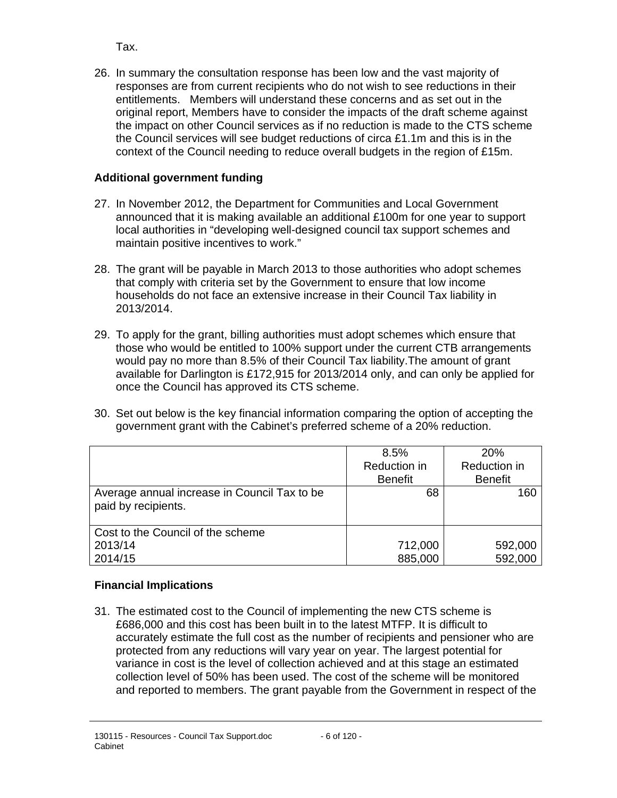Tax.

26. In summary the consultation response has been low and the vast majority of responses are from current recipients who do not wish to see reductions in their entitlements. Members will understand these concerns and as set out in the original report, Members have to consider the impacts of the draft scheme against the impact on other Council services as if no reduction is made to the CTS scheme the Council services will see budget reductions of circa £1.1m and this is in the context of the Council needing to reduce overall budgets in the region of £15m.

# **Additional government funding**

- 27. In November 2012, the Department for Communities and Local Government announced that it is making available an additional £100m for one year to support local authorities in "developing well-designed council tax support schemes and maintain positive incentives to work."
- 28. The grant will be payable in March 2013 to those authorities who adopt schemes that comply with criteria set by the Government to ensure that low income households do not face an extensive increase in their Council Tax liability in 2013/2014.
- 29. To apply for the grant, billing authorities must adopt schemes which ensure that those who would be entitled to 100% support under the current CTB arrangements would pay no more than 8.5% of their Council Tax liability.The amount of grant available for Darlington is £172,915 for 2013/2014 only, and can only be applied for once the Council has approved its CTS scheme.
- 30. Set out below is the key financial information comparing the option of accepting the government grant with the Cabinet's preferred scheme of a 20% reduction.

|                                                                     | 8.5%           | <b>20%</b>     |
|---------------------------------------------------------------------|----------------|----------------|
|                                                                     | Reduction in   | Reduction in   |
|                                                                     | <b>Benefit</b> | <b>Benefit</b> |
| Average annual increase in Council Tax to be<br>paid by recipients. | 68             | 160            |
| Cost to the Council of the scheme                                   |                |                |
| 2013/14                                                             | 712,000        | 592,000        |
| 2014/15                                                             | 885,000        | 592,000        |

# **Financial Implications**

31. The estimated cost to the Council of implementing the new CTS scheme is £686,000 and this cost has been built in to the latest MTFP. It is difficult to accurately estimate the full cost as the number of recipients and pensioner who are protected from any reductions will vary year on year. The largest potential for variance in cost is the level of collection achieved and at this stage an estimated collection level of 50% has been used. The cost of the scheme will be monitored and reported to members. The grant payable from the Government in respect of the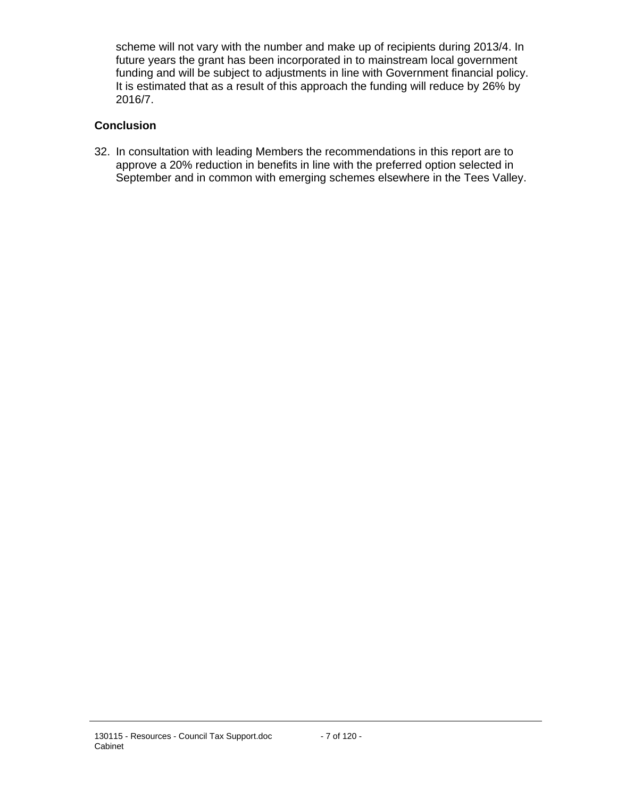scheme will not vary with the number and make up of recipients during 2013/4. In future years the grant has been incorporated in to mainstream local government funding and will be subject to adjustments in line with Government financial policy. It is estimated that as a result of this approach the funding will reduce by 26% by 2016/7.

### **Conclusion**

32. In consultation with leading Members the recommendations in this report are to approve a 20% reduction in benefits in line with the preferred option selected in September and in common with emerging schemes elsewhere in the Tees Valley.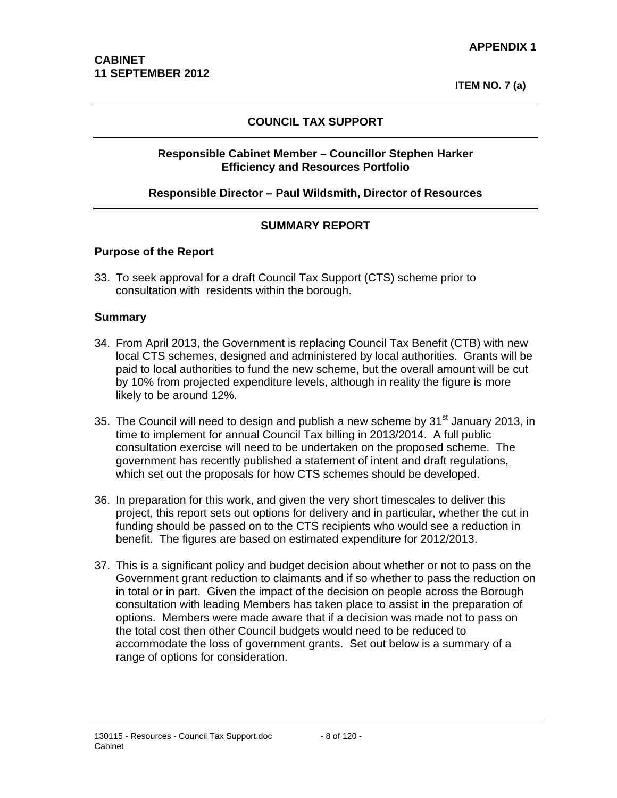**ITEM NO. 7 (a)**

### **COUNCIL TAX SUPPORT**

#### **Responsible Cabinet Member – Councillor Stephen Harker Efficiency and Resources Portfolio**

#### **Responsible Director – Paul Wildsmith, Director of Resources**

#### **SUMMARY REPORT**

#### **Purpose of the Report**

33. To seek approval for a draft Council Tax Support (CTS) scheme prior to consultation with residents within the borough.

#### **Summary**

- 34. From April 2013, the Government is replacing Council Tax Benefit (CTB) with new local CTS schemes, designed and administered by local authorities. Grants will be paid to local authorities to fund the new scheme, but the overall amount will be cut by 10% from projected expenditure levels, although in reality the figure is more likely to be around 12%.
- 35. The Council will need to design and publish a new scheme by  $31<sup>st</sup>$  January 2013, in time to implement for annual Council Tax billing in 2013/2014. A full public consultation exercise will need to be undertaken on the proposed scheme. The government has recently published a statement of intent and draft regulations, which set out the proposals for how CTS schemes should be developed.
- 36. In preparation for this work, and given the very short timescales to deliver this project, this report sets out options for delivery and in particular, whether the cut in funding should be passed on to the CTS recipients who would see a reduction in benefit. The figures are based on estimated expenditure for 2012/2013.
- 37. This is a significant policy and budget decision about whether or not to pass on the Government grant reduction to claimants and if so whether to pass the reduction on in total or in part. Given the impact of the decision on people across the Borough consultation with leading Members has taken place to assist in the preparation of options. Members were made aware that if a decision was made not to pass on the total cost then other Council budgets would need to be reduced to accommodate the loss of government grants. Set out below is a summary of a range of options for consideration.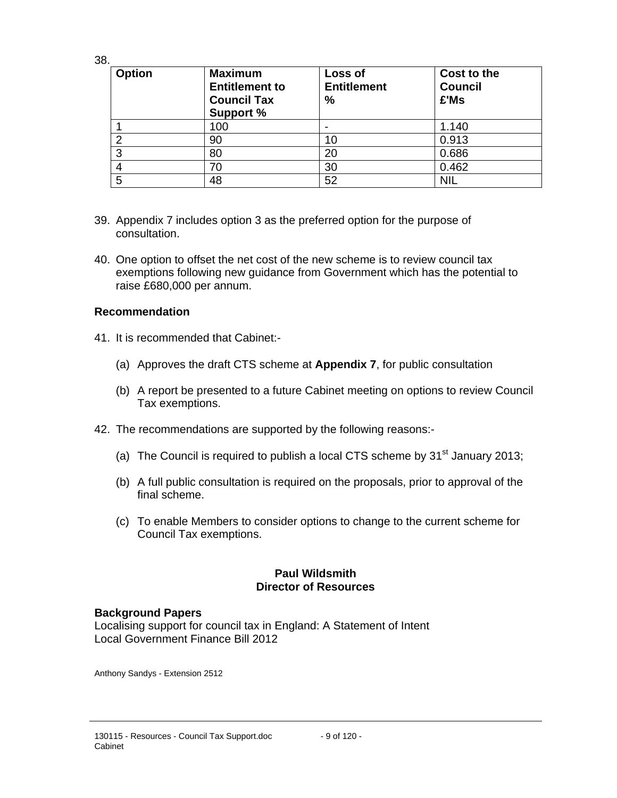38.

| <b>Option</b> | <b>Maximum</b><br><b>Entitlement to</b><br><b>Council Tax</b><br><b>Support %</b> | Loss of<br><b>Entitlement</b><br>% | Cost to the<br><b>Council</b><br>£'Ms |
|---------------|-----------------------------------------------------------------------------------|------------------------------------|---------------------------------------|
|               | 100                                                                               | -                                  | 1.140                                 |
| ◠             | 90                                                                                | 10                                 | 0.913                                 |
| 3             | 80                                                                                | 20                                 | 0.686                                 |
|               | 70                                                                                | 30                                 | 0.462                                 |
| 5             | 48                                                                                | 52                                 | <b>NIL</b>                            |

- 39. Appendix 7 includes option 3 as the preferred option for the purpose of consultation.
- 40. One option to offset the net cost of the new scheme is to review council tax exemptions following new guidance from Government which has the potential to raise £680,000 per annum.

### **Recommendation**

- 41. It is recommended that Cabinet:-
	- (a) Approves the draft CTS scheme at **Appendix 7**, for public consultation
	- (b) A report be presented to a future Cabinet meeting on options to review Council Tax exemptions.
- 42. The recommendations are supported by the following reasons:-
	- (a) The Council is required to publish a local CTS scheme by  $31<sup>st</sup>$  January 2013;
	- (b) A full public consultation is required on the proposals, prior to approval of the final scheme.
	- (c) To enable Members to consider options to change to the current scheme for Council Tax exemptions.

### **Paul Wildsmith Director of Resources**

#### **Background Papers**

Localising support for council tax in England: A Statement of Intent Local Government Finance Bill 2012

Anthony Sandys - Extension 2512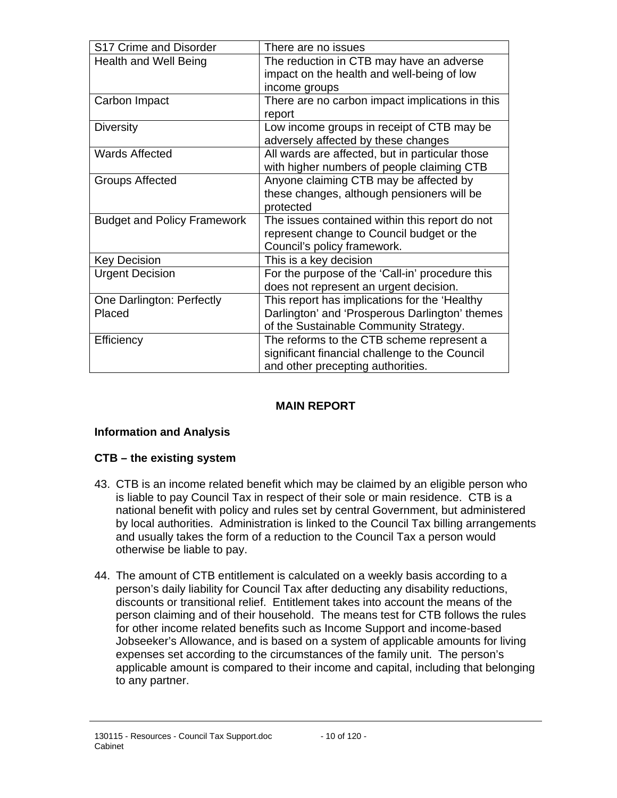| S17 Crime and Disorder             | There are no issues                             |
|------------------------------------|-------------------------------------------------|
| <b>Health and Well Being</b>       | The reduction in CTB may have an adverse        |
|                                    | impact on the health and well-being of low      |
|                                    | income groups                                   |
| Carbon Impact                      | There are no carbon impact implications in this |
|                                    | report                                          |
| <b>Diversity</b>                   | Low income groups in receipt of CTB may be      |
|                                    | adversely affected by these changes             |
| <b>Wards Affected</b>              | All wards are affected, but in particular those |
|                                    | with higher numbers of people claiming CTB      |
| <b>Groups Affected</b>             | Anyone claiming CTB may be affected by          |
|                                    | these changes, although pensioners will be      |
|                                    | protected                                       |
| <b>Budget and Policy Framework</b> | The issues contained within this report do not  |
|                                    | represent change to Council budget or the       |
|                                    | Council's policy framework.                     |
| <b>Key Decision</b>                | This is a key decision                          |
| <b>Urgent Decision</b>             | For the purpose of the 'Call-in' procedure this |
|                                    | does not represent an urgent decision.          |
| One Darlington: Perfectly          | This report has implications for the 'Healthy   |
| Placed                             | Darlington' and 'Prosperous Darlington' themes  |
|                                    | of the Sustainable Community Strategy.          |
| Efficiency                         | The reforms to the CTB scheme represent a       |
|                                    | significant financial challenge to the Council  |
|                                    | and other precepting authorities.               |

### **MAIN REPORT**

### **Information and Analysis**

### **CTB – the existing system**

- 43. CTB is an income related benefit which may be claimed by an eligible person who is liable to pay Council Tax in respect of their sole or main residence. CTB is a national benefit with policy and rules set by central Government, but administered by local authorities. Administration is linked to the Council Tax billing arrangements and usually takes the form of a reduction to the Council Tax a person would otherwise be liable to pay.
- 44. The amount of CTB entitlement is calculated on a weekly basis according to a person's daily liability for Council Tax after deducting any disability reductions, discounts or transitional relief. Entitlement takes into account the means of the person claiming and of their household. The means test for CTB follows the rules for other income related benefits such as Income Support and income-based Jobseeker's Allowance, and is based on a system of applicable amounts for living expenses set according to the circumstances of the family unit. The person's applicable amount is compared to their income and capital, including that belonging to any partner.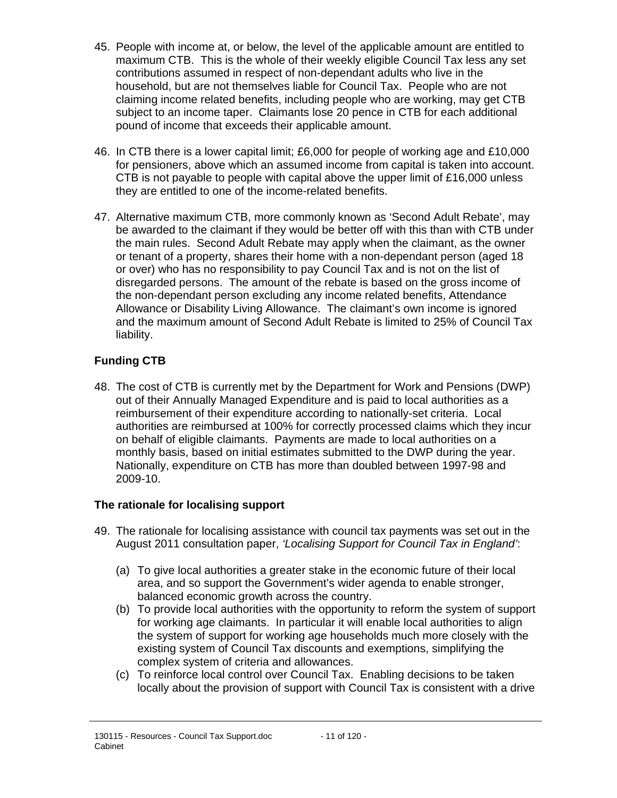- 45. People with income at, or below, the level of the applicable amount are entitled to maximum CTB. This is the whole of their weekly eligible Council Tax less any set contributions assumed in respect of non-dependant adults who live in the household, but are not themselves liable for Council Tax. People who are not claiming income related benefits, including people who are working, may get CTB subject to an income taper. Claimants lose 20 pence in CTB for each additional pound of income that exceeds their applicable amount.
- 46. In CTB there is a lower capital limit; £6,000 for people of working age and £10,000 for pensioners, above which an assumed income from capital is taken into account. CTB is not payable to people with capital above the upper limit of £16,000 unless they are entitled to one of the income-related benefits.
- 47. Alternative maximum CTB, more commonly known as 'Second Adult Rebate', may be awarded to the claimant if they would be better off with this than with CTB under the main rules. Second Adult Rebate may apply when the claimant, as the owner or tenant of a property, shares their home with a non-dependant person (aged 18 or over) who has no responsibility to pay Council Tax and is not on the list of disregarded persons. The amount of the rebate is based on the gross income of the non-dependant person excluding any income related benefits, Attendance Allowance or Disability Living Allowance. The claimant's own income is ignored and the maximum amount of Second Adult Rebate is limited to 25% of Council Tax liability.

# **Funding CTB**

48. The cost of CTB is currently met by the Department for Work and Pensions (DWP) out of their Annually Managed Expenditure and is paid to local authorities as a reimbursement of their expenditure according to nationally-set criteria. Local authorities are reimbursed at 100% for correctly processed claims which they incur on behalf of eligible claimants. Payments are made to local authorities on a monthly basis, based on initial estimates submitted to the DWP during the year. Nationally, expenditure on CTB has more than doubled between 1997-98 and 2009-10.

## **The rationale for localising support**

- 49. The rationale for localising assistance with council tax payments was set out in the August 2011 consultation paper, *'Localising Support for Council Tax in England'*:
	- (a) To give local authorities a greater stake in the economic future of their local area, and so support the Government's wider agenda to enable stronger, balanced economic growth across the country.
	- (b) To provide local authorities with the opportunity to reform the system of support for working age claimants. In particular it will enable local authorities to align the system of support for working age households much more closely with the existing system of Council Tax discounts and exemptions, simplifying the complex system of criteria and allowances.
	- (c) To reinforce local control over Council Tax. Enabling decisions to be taken locally about the provision of support with Council Tax is consistent with a drive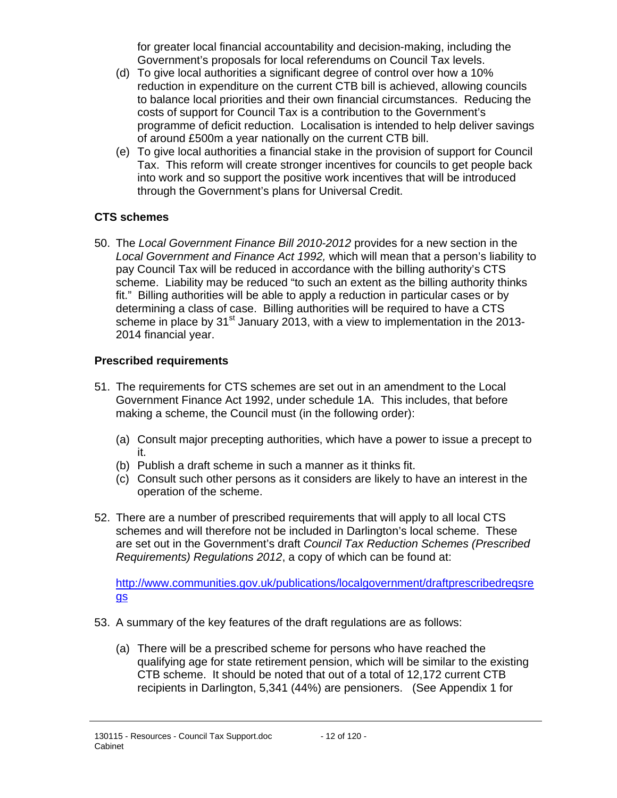for greater local financial accountability and decision-making, including the Government's proposals for local referendums on Council Tax levels.

- (d) To give local authorities a significant degree of control over how a 10% reduction in expenditure on the current CTB bill is achieved, allowing councils to balance local priorities and their own financial circumstances. Reducing the costs of support for Council Tax is a contribution to the Government's programme of deficit reduction. Localisation is intended to help deliver savings of around £500m a year nationally on the current CTB bill.
- (e) To give local authorities a financial stake in the provision of support for Council Tax. This reform will create stronger incentives for councils to get people back into work and so support the positive work incentives that will be introduced through the Government's plans for Universal Credit.

### **CTS schemes**

50. The *Local Government Finance Bill 2010-2012* provides for a new section in the *Local Government and Finance Act 1992,* which will mean that a person's liability to pay Council Tax will be reduced in accordance with the billing authority's CTS scheme. Liability may be reduced "to such an extent as the billing authority thinks fit." Billing authorities will be able to apply a reduction in particular cases or by determining a class of case. Billing authorities will be required to have a CTS scheme in place by  $31<sup>st</sup>$  January 2013, with a view to implementation in the 2013-2014 financial year.

### **Prescribed requirements**

- 51. The requirements for CTS schemes are set out in an amendment to the Local Government Finance Act 1992, under schedule 1A. This includes, that before making a scheme, the Council must (in the following order):
	- (a) Consult major precepting authorities, which have a power to issue a precept to it.
	- (b) Publish a draft scheme in such a manner as it thinks fit.
	- (c) Consult such other persons as it considers are likely to have an interest in the operation of the scheme.
- 52. There are a number of prescribed requirements that will apply to all local CTS schemes and will therefore not be included in Darlington's local scheme. These are set out in the Government's draft *Council Tax Reduction Schemes (Prescribed Requirements) Regulations 2012*, a copy of which can be found at:

http://www.communities.gov.uk/publications/localgovernment/draftprescribedreqsre gs

- 53. A summary of the key features of the draft regulations are as follows:
	- (a) There will be a prescribed scheme for persons who have reached the qualifying age for state retirement pension, which will be similar to the existing CTB scheme. It should be noted that out of a total of 12,172 current CTB recipients in Darlington, 5,341 (44%) are pensioners. (See Appendix 1 for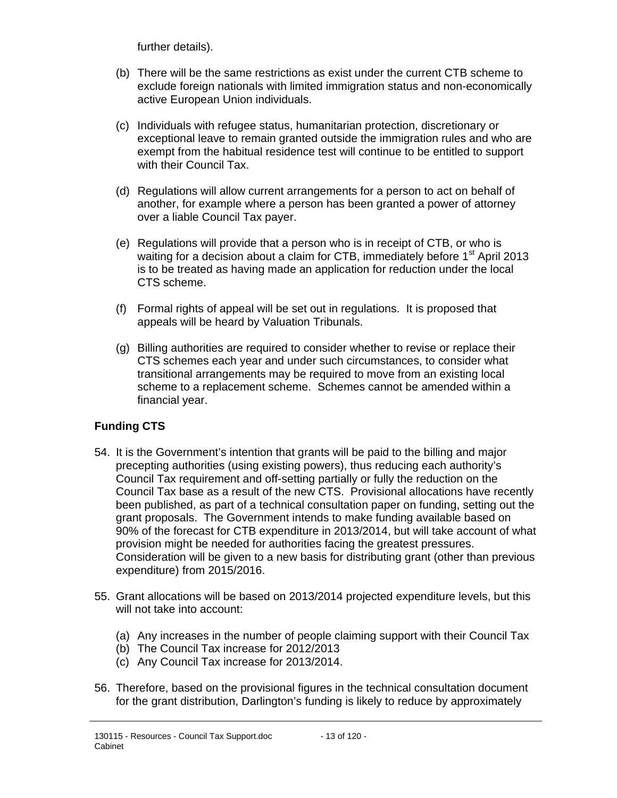further details).

- (b) There will be the same restrictions as exist under the current CTB scheme to exclude foreign nationals with limited immigration status and non-economically active European Union individuals.
- (c) Individuals with refugee status, humanitarian protection, discretionary or exceptional leave to remain granted outside the immigration rules and who are exempt from the habitual residence test will continue to be entitled to support with their Council Tax.
- (d) Regulations will allow current arrangements for a person to act on behalf of another, for example where a person has been granted a power of attorney over a liable Council Tax payer.
- (e) Regulations will provide that a person who is in receipt of CTB, or who is waiting for a decision about a claim for CTB, immediately before  $1<sup>st</sup>$  April 2013 is to be treated as having made an application for reduction under the local CTS scheme.
- (f) Formal rights of appeal will be set out in regulations. It is proposed that appeals will be heard by Valuation Tribunals.
- (g) Billing authorities are required to consider whether to revise or replace their CTS schemes each year and under such circumstances, to consider what transitional arrangements may be required to move from an existing local scheme to a replacement scheme. Schemes cannot be amended within a financial year.

## **Funding CTS**

- 54. It is the Government's intention that grants will be paid to the billing and major precepting authorities (using existing powers), thus reducing each authority's Council Tax requirement and off-setting partially or fully the reduction on the Council Tax base as a result of the new CTS. Provisional allocations have recently been published, as part of a technical consultation paper on funding, setting out the grant proposals. The Government intends to make funding available based on 90% of the forecast for CTB expenditure in 2013/2014, but will take account of what provision might be needed for authorities facing the greatest pressures. Consideration will be given to a new basis for distributing grant (other than previous expenditure) from 2015/2016.
- 55. Grant allocations will be based on 2013/2014 projected expenditure levels, but this will not take into account:
	- (a) Any increases in the number of people claiming support with their Council Tax
	- (b) The Council Tax increase for 2012/2013
	- (c) Any Council Tax increase for 2013/2014.
- 56. Therefore, based on the provisional figures in the technical consultation document for the grant distribution, Darlington's funding is likely to reduce by approximately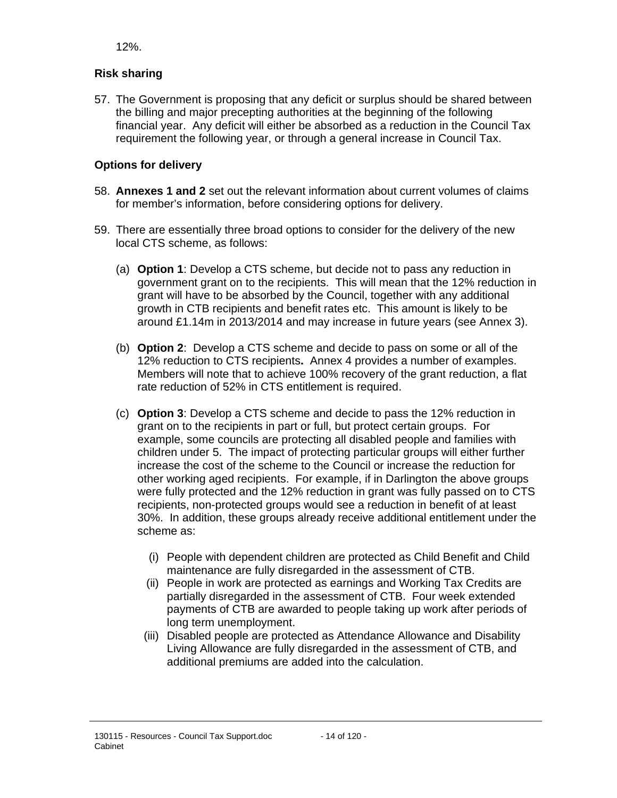12%.

# **Risk sharing**

57. The Government is proposing that any deficit or surplus should be shared between the billing and major precepting authorities at the beginning of the following financial year. Any deficit will either be absorbed as a reduction in the Council Tax requirement the following year, or through a general increase in Council Tax.

# **Options for delivery**

- 58. **Annexes 1 and 2** set out the relevant information about current volumes of claims for member's information, before considering options for delivery.
- 59. There are essentially three broad options to consider for the delivery of the new local CTS scheme, as follows:
	- (a) **Option 1**: Develop a CTS scheme, but decide not to pass any reduction in government grant on to the recipients. This will mean that the 12% reduction in grant will have to be absorbed by the Council, together with any additional growth in CTB recipients and benefit rates etc. This amount is likely to be around £1.14m in 2013/2014 and may increase in future years (see Annex 3).
	- (b) **Option 2**: Develop a CTS scheme and decide to pass on some or all of the 12% reduction to CTS recipients**.** Annex 4 provides a number of examples. Members will note that to achieve 100% recovery of the grant reduction, a flat rate reduction of 52% in CTS entitlement is required.
	- (c) **Option 3**: Develop a CTS scheme and decide to pass the 12% reduction in grant on to the recipients in part or full, but protect certain groups. For example, some councils are protecting all disabled people and families with children under 5. The impact of protecting particular groups will either further increase the cost of the scheme to the Council or increase the reduction for other working aged recipients. For example, if in Darlington the above groups were fully protected and the 12% reduction in grant was fully passed on to CTS recipients, non-protected groups would see a reduction in benefit of at least 30%. In addition, these groups already receive additional entitlement under the scheme as:
		- (i) People with dependent children are protected as Child Benefit and Child maintenance are fully disregarded in the assessment of CTB.
		- (ii) People in work are protected as earnings and Working Tax Credits are partially disregarded in the assessment of CTB. Four week extended payments of CTB are awarded to people taking up work after periods of long term unemployment.
		- (iii) Disabled people are protected as Attendance Allowance and Disability Living Allowance are fully disregarded in the assessment of CTB, and additional premiums are added into the calculation.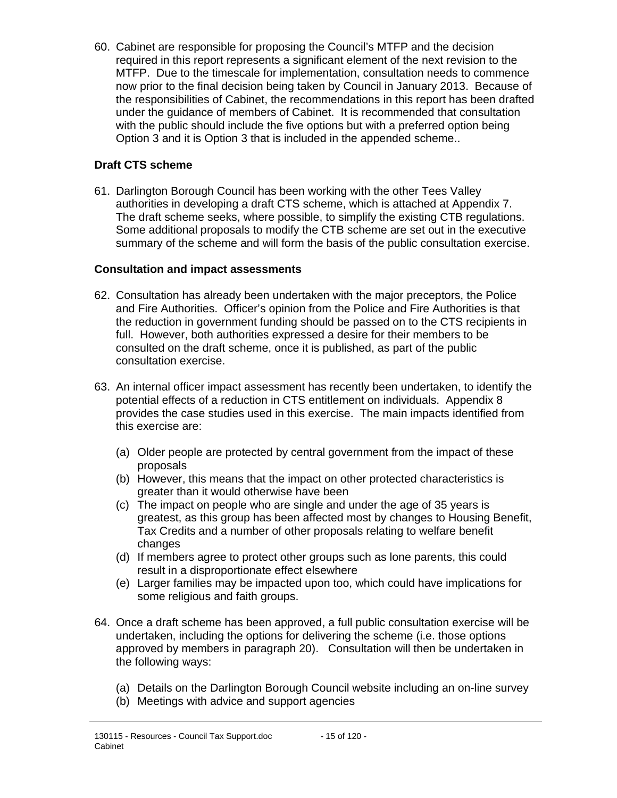60. Cabinet are responsible for proposing the Council's MTFP and the decision required in this report represents a significant element of the next revision to the MTFP. Due to the timescale for implementation, consultation needs to commence now prior to the final decision being taken by Council in January 2013. Because of the responsibilities of Cabinet, the recommendations in this report has been drafted under the guidance of members of Cabinet. It is recommended that consultation with the public should include the five options but with a preferred option being Option 3 and it is Option 3 that is included in the appended scheme..

### **Draft CTS scheme**

61. Darlington Borough Council has been working with the other Tees Valley authorities in developing a draft CTS scheme, which is attached at Appendix 7. The draft scheme seeks, where possible, to simplify the existing CTB regulations. Some additional proposals to modify the CTB scheme are set out in the executive summary of the scheme and will form the basis of the public consultation exercise.

### **Consultation and impact assessments**

- 62. Consultation has already been undertaken with the major preceptors, the Police and Fire Authorities. Officer's opinion from the Police and Fire Authorities is that the reduction in government funding should be passed on to the CTS recipients in full. However, both authorities expressed a desire for their members to be consulted on the draft scheme, once it is published, as part of the public consultation exercise.
- 63. An internal officer impact assessment has recently been undertaken, to identify the potential effects of a reduction in CTS entitlement on individuals. Appendix 8 provides the case studies used in this exercise. The main impacts identified from this exercise are:
	- (a) Older people are protected by central government from the impact of these proposals
	- (b) However, this means that the impact on other protected characteristics is greater than it would otherwise have been
	- (c) The impact on people who are single and under the age of 35 years is greatest, as this group has been affected most by changes to Housing Benefit, Tax Credits and a number of other proposals relating to welfare benefit changes
	- (d) If members agree to protect other groups such as lone parents, this could result in a disproportionate effect elsewhere
	- (e) Larger families may be impacted upon too, which could have implications for some religious and faith groups.
- 64. Once a draft scheme has been approved, a full public consultation exercise will be undertaken, including the options for delivering the scheme (i.e. those options approved by members in paragraph 20). Consultation will then be undertaken in the following ways:
	- (a) Details on the Darlington Borough Council website including an on-line survey
	- (b) Meetings with advice and support agencies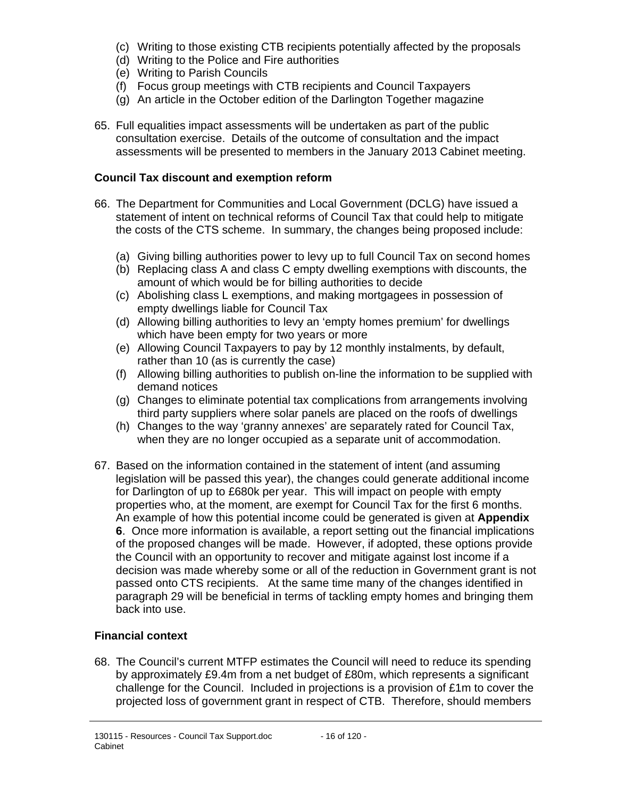- (c) Writing to those existing CTB recipients potentially affected by the proposals
- (d) Writing to the Police and Fire authorities
- (e) Writing to Parish Councils
- (f) Focus group meetings with CTB recipients and Council Taxpayers
- (g) An article in the October edition of the Darlington Together magazine
- 65. Full equalities impact assessments will be undertaken as part of the public consultation exercise. Details of the outcome of consultation and the impact assessments will be presented to members in the January 2013 Cabinet meeting.

# **Council Tax discount and exemption reform**

- 66. The Department for Communities and Local Government (DCLG) have issued a statement of intent on technical reforms of Council Tax that could help to mitigate the costs of the CTS scheme. In summary, the changes being proposed include:
	- (a) Giving billing authorities power to levy up to full Council Tax on second homes
	- (b) Replacing class A and class C empty dwelling exemptions with discounts, the amount of which would be for billing authorities to decide
	- (c) Abolishing class L exemptions, and making mortgagees in possession of empty dwellings liable for Council Tax
	- (d) Allowing billing authorities to levy an 'empty homes premium' for dwellings which have been empty for two years or more
	- (e) Allowing Council Taxpayers to pay by 12 monthly instalments, by default, rather than 10 (as is currently the case)
	- (f) Allowing billing authorities to publish on-line the information to be supplied with demand notices
	- (g) Changes to eliminate potential tax complications from arrangements involving third party suppliers where solar panels are placed on the roofs of dwellings
	- (h) Changes to the way 'granny annexes' are separately rated for Council Tax, when they are no longer occupied as a separate unit of accommodation.
- 67. Based on the information contained in the statement of intent (and assuming legislation will be passed this year), the changes could generate additional income for Darlington of up to £680k per year. This will impact on people with empty properties who, at the moment, are exempt for Council Tax for the first 6 months. An example of how this potential income could be generated is given at **Appendix 6**. Once more information is available, a report setting out the financial implications of the proposed changes will be made. However, if adopted, these options provide the Council with an opportunity to recover and mitigate against lost income if a decision was made whereby some or all of the reduction in Government grant is not passed onto CTS recipients. At the same time many of the changes identified in paragraph 29 will be beneficial in terms of tackling empty homes and bringing them back into use.

# **Financial context**

68. The Council's current MTFP estimates the Council will need to reduce its spending by approximately £9.4m from a net budget of £80m, which represents a significant challenge for the Council. Included in projections is a provision of £1m to cover the projected loss of government grant in respect of CTB. Therefore, should members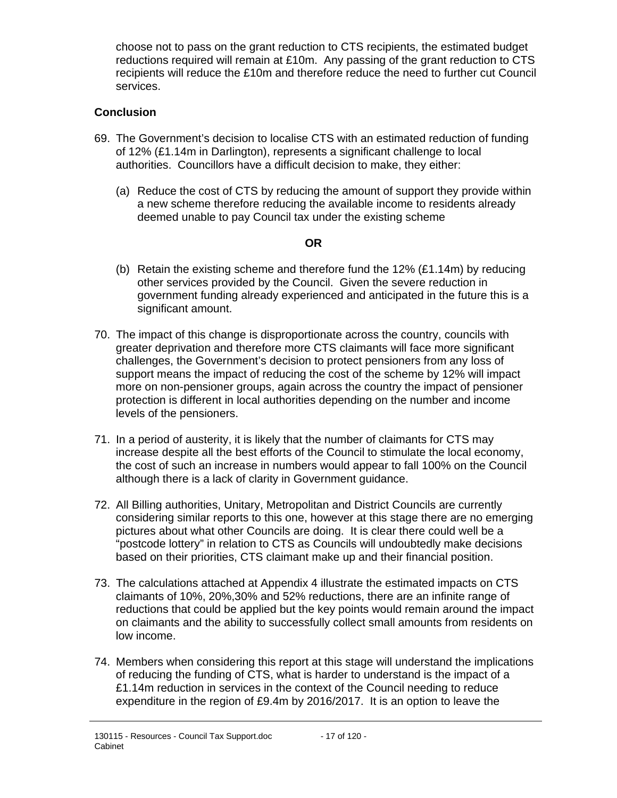choose not to pass on the grant reduction to CTS recipients, the estimated budget reductions required will remain at £10m. Any passing of the grant reduction to CTS recipients will reduce the £10m and therefore reduce the need to further cut Council services.

### **Conclusion**

- 69. The Government's decision to localise CTS with an estimated reduction of funding of 12% (£1.14m in Darlington), represents a significant challenge to local authorities. Councillors have a difficult decision to make, they either:
	- (a) Reduce the cost of CTS by reducing the amount of support they provide within a new scheme therefore reducing the available income to residents already deemed unable to pay Council tax under the existing scheme

### **OR**

- (b) Retain the existing scheme and therefore fund the 12% (£1.14m) by reducing other services provided by the Council. Given the severe reduction in government funding already experienced and anticipated in the future this is a significant amount.
- 70. The impact of this change is disproportionate across the country, councils with greater deprivation and therefore more CTS claimants will face more significant challenges, the Government's decision to protect pensioners from any loss of support means the impact of reducing the cost of the scheme by 12% will impact more on non-pensioner groups, again across the country the impact of pensioner protection is different in local authorities depending on the number and income levels of the pensioners.
- 71. In a period of austerity, it is likely that the number of claimants for CTS may increase despite all the best efforts of the Council to stimulate the local economy, the cost of such an increase in numbers would appear to fall 100% on the Council although there is a lack of clarity in Government guidance.
- 72. All Billing authorities, Unitary, Metropolitan and District Councils are currently considering similar reports to this one, however at this stage there are no emerging pictures about what other Councils are doing. It is clear there could well be a "postcode lottery" in relation to CTS as Councils will undoubtedly make decisions based on their priorities, CTS claimant make up and their financial position.
- 73. The calculations attached at Appendix 4 illustrate the estimated impacts on CTS claimants of 10%, 20%,30% and 52% reductions, there are an infinite range of reductions that could be applied but the key points would remain around the impact on claimants and the ability to successfully collect small amounts from residents on low income.
- 74. Members when considering this report at this stage will understand the implications of reducing the funding of CTS, what is harder to understand is the impact of a £1.14m reduction in services in the context of the Council needing to reduce expenditure in the region of £9.4m by 2016/2017. It is an option to leave the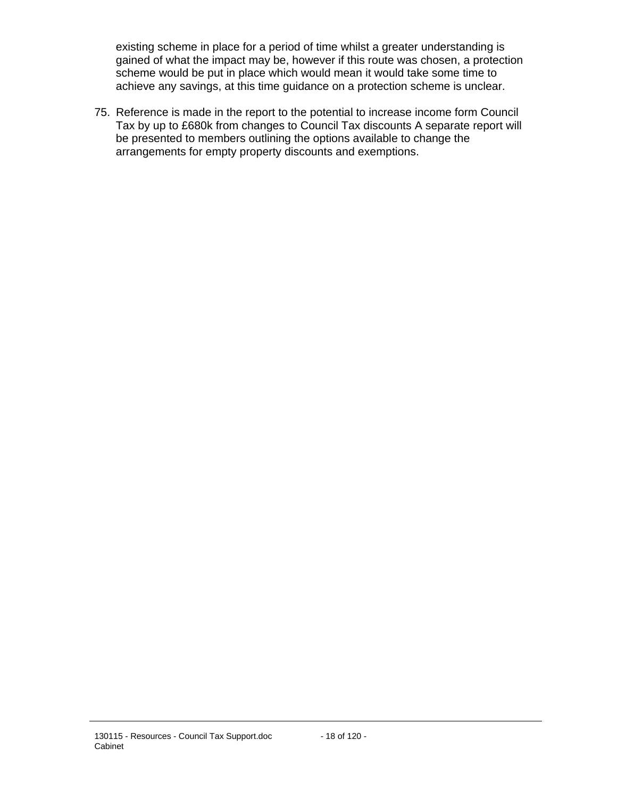existing scheme in place for a period of time whilst a greater understanding is gained of what the impact may be, however if this route was chosen, a protection scheme would be put in place which would mean it would take some time to achieve any savings, at this time guidance on a protection scheme is unclear.

75. Reference is made in the report to the potential to increase income form Council Tax by up to £680k from changes to Council Tax discounts A separate report will be presented to members outlining the options available to change the arrangements for empty property discounts and exemptions.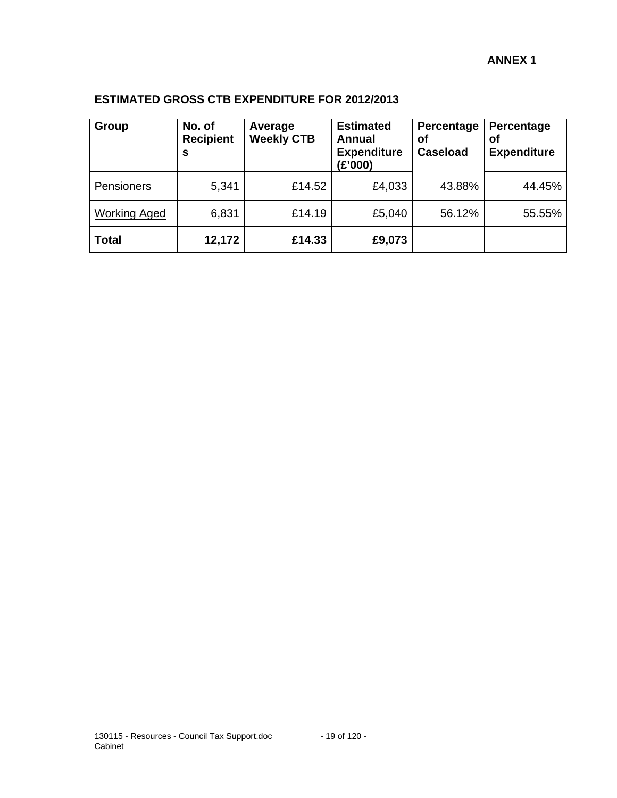## **ESTIMATED GROSS CTB EXPENDITURE FOR 2012/2013**

| Group               | No. of<br><b>Recipient</b><br>s | Average<br><b>Weekly CTB</b> | <b>Estimated</b><br>Annual<br><b>Expenditure</b><br>(E'000) | Percentage<br>оf<br><b>Caseload</b> | Percentage<br>οf<br><b>Expenditure</b> |
|---------------------|---------------------------------|------------------------------|-------------------------------------------------------------|-------------------------------------|----------------------------------------|
| Pensioners          | 5,341                           | £14.52                       | £4,033                                                      | 43.88%                              | 44.45%                                 |
| <b>Working Aged</b> | 6,831                           | £14.19                       | £5,040                                                      | 56.12%                              | 55.55%                                 |
| <b>Total</b>        | 12,172                          | £14.33                       | £9,073                                                      |                                     |                                        |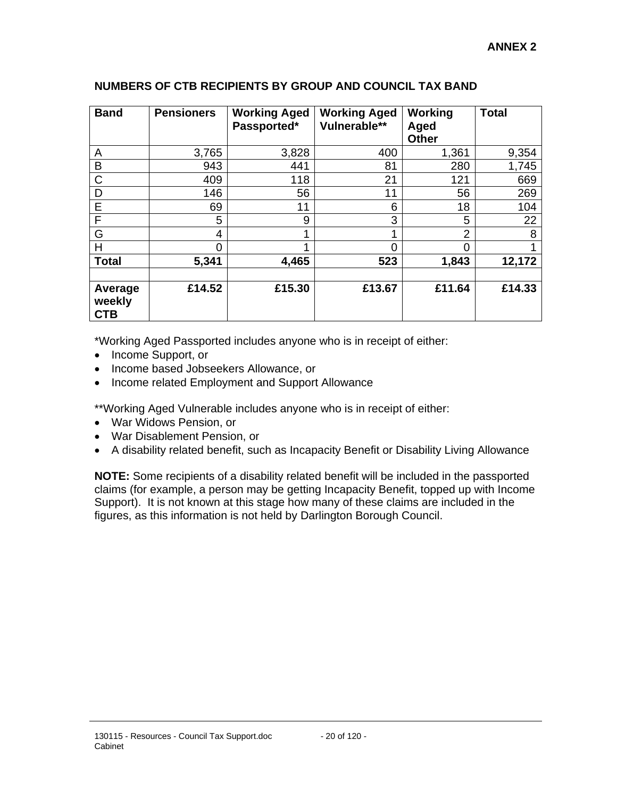| <b>Band</b>                     | <b>Pensioners</b> | <b>Working Aged</b><br>Passported* | <b>Working Aged</b><br>Vulnerable** | Working<br>Aged<br><b>Other</b> | <b>Total</b> |
|---------------------------------|-------------------|------------------------------------|-------------------------------------|---------------------------------|--------------|
| A                               | 3,765             | 3,828                              | 400                                 | 1,361                           | 9,354        |
| B                               | 943               | 441                                | 81                                  | 280                             | 1,745        |
| C                               | 409               | 118                                | 21                                  | 121                             | 669          |
| D                               | 146               | 56                                 | 11                                  | 56                              | 269          |
| E                               | 69                | 11                                 | 6                                   | 18                              | 104          |
| F                               | 5                 | 9                                  | 3                                   | 5                               | 22           |
| G                               | 4                 |                                    | 1                                   | $\overline{2}$                  | 8            |
| H                               | 0                 |                                    | 0                                   | 0                               |              |
| <b>Total</b>                    | 5,341             | 4,465                              | 523                                 | 1,843                           | 12,172       |
|                                 |                   |                                    |                                     |                                 |              |
| Average<br>weekly<br><b>CTB</b> | £14.52            | £15.30                             | £13.67                              | £11.64                          | £14.33       |

### **NUMBERS OF CTB RECIPIENTS BY GROUP AND COUNCIL TAX BAND**

\*Working Aged Passported includes anyone who is in receipt of either:

- Income Support, or
- Income based Jobseekers Allowance, or
- Income related Employment and Support Allowance

\*\*Working Aged Vulnerable includes anyone who is in receipt of either:

- War Widows Pension, or
- War Disablement Pension, or
- A disability related benefit, such as Incapacity Benefit or Disability Living Allowance

**NOTE:** Some recipients of a disability related benefit will be included in the passported claims (for example, a person may be getting Incapacity Benefit, topped up with Income Support). It is not known at this stage how many of these claims are included in the figures, as this information is not held by Darlington Borough Council.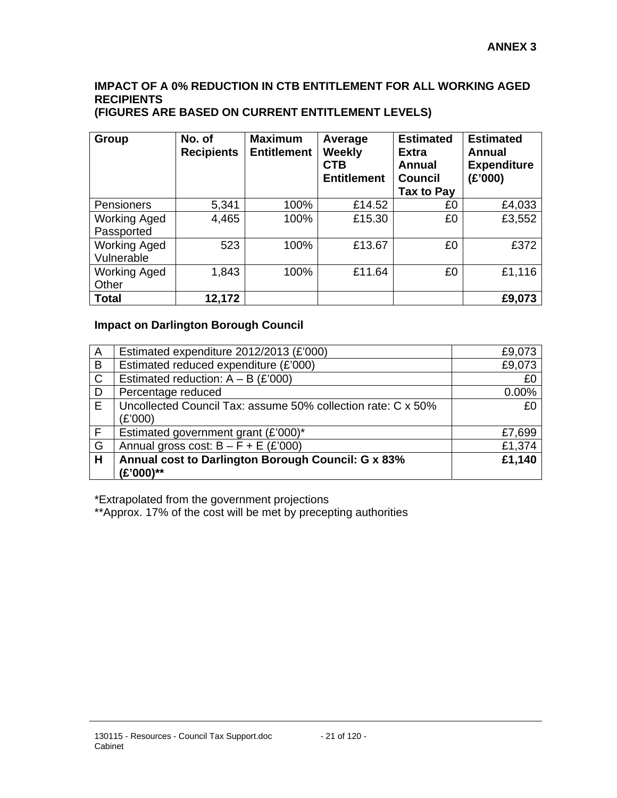# **IMPACT OF A 0% REDUCTION IN CTB ENTITLEMENT FOR ALL WORKING AGED RECIPIENTS**

| (FIGURES ARE BASED ON CURRENT ENTITLEMENT LEVELS) |  |
|---------------------------------------------------|--|
|---------------------------------------------------|--|

| Group                             | No. of<br><b>Recipients</b> | <b>Maximum</b><br><b>Entitlement</b> | Average<br>Weekly<br><b>CTB</b><br><b>Entitlement</b> | <b>Estimated</b><br><b>Extra</b><br><b>Annual</b><br><b>Council</b><br>Tax to Pay | <b>Estimated</b><br>Annual<br><b>Expenditure</b><br>(E'000) |
|-----------------------------------|-----------------------------|--------------------------------------|-------------------------------------------------------|-----------------------------------------------------------------------------------|-------------------------------------------------------------|
| Pensioners                        | 5,341                       | 100%                                 | £14.52                                                | £0                                                                                | £4,033                                                      |
| <b>Working Aged</b><br>Passported | 4,465                       | 100%                                 | £15.30                                                | £0                                                                                | £3,552                                                      |
| <b>Working Aged</b><br>Vulnerable | 523                         | 100%                                 | £13.67                                                | £0                                                                                | £372                                                        |
| <b>Working Aged</b><br>Other      | 1,843                       | 100%                                 | £11.64                                                | £0                                                                                | £1,116                                                      |
| <b>Total</b>                      | 12,172                      |                                      |                                                       |                                                                                   | £9,073                                                      |

### **Impact on Darlington Borough Council**

| A            | Estimated expenditure 2012/2013 (£'000)                      | £9,073 |
|--------------|--------------------------------------------------------------|--------|
| B            | Estimated reduced expenditure (£'000)                        | £9,073 |
| $\mathsf{C}$ | Estimated reduction: $A - B$ (£'000)                         | £0     |
| D            | Percentage reduced                                           | 0.00%  |
| E            | Uncollected Council Tax: assume 50% collection rate: C x 50% | £0     |
|              | (£'000)                                                      |        |
| F.           | Estimated government grant (£'000)*                          | £7,699 |
| G            | Annual gross cost: $B - F + E$ (£'000)                       | £1,374 |
| H            | Annual cost to Darlington Borough Council: G x 83%           | £1,140 |
|              | (£'000)**                                                    |        |

\*Extrapolated from the government projections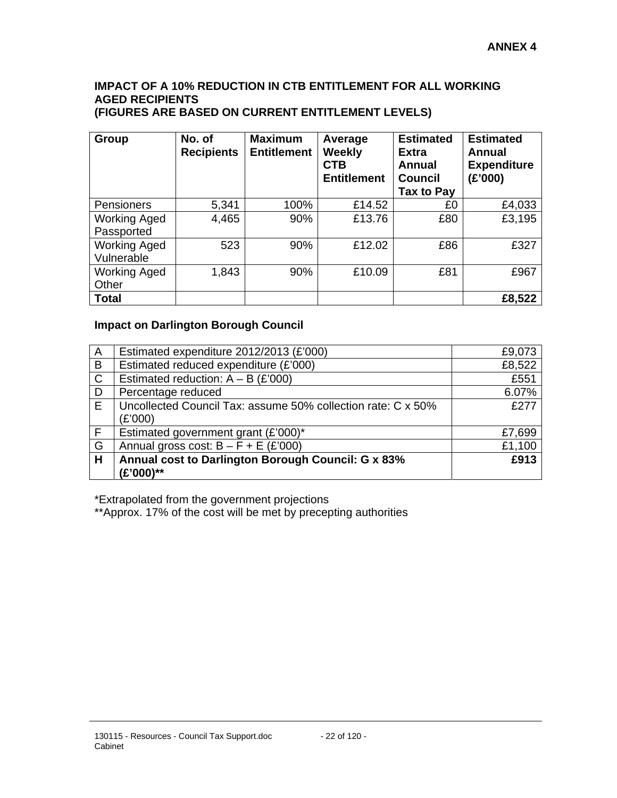#### **IMPACT OF A 10% REDUCTION IN CTB ENTITLEMENT FOR ALL WORKING AGED RECIPIENTS (FIGURES ARE BASED ON CURRENT ENTITLEMENT LEVELS)**

| Group                             | No. of<br><b>Recipients</b> | <b>Maximum</b><br><b>Entitlement</b> | Average<br>Weekly<br><b>CTB</b><br><b>Entitlement</b> | <b>Estimated</b><br><b>Extra</b><br><b>Annual</b><br><b>Council</b><br>Tax to Pay | <b>Estimated</b><br>Annual<br><b>Expenditure</b><br>(E'000) |
|-----------------------------------|-----------------------------|--------------------------------------|-------------------------------------------------------|-----------------------------------------------------------------------------------|-------------------------------------------------------------|
| <b>Pensioners</b>                 | 5,341                       | 100%                                 | £14.52                                                | £0                                                                                | £4,033                                                      |
| <b>Working Aged</b><br>Passported | 4,465                       | 90%                                  | £13.76                                                | £80                                                                               | £3,195                                                      |
| <b>Working Aged</b><br>Vulnerable | 523                         | 90%                                  | £12.02                                                | £86                                                                               | £327                                                        |
| <b>Working Aged</b><br>Other      | 1,843                       | 90%                                  | £10.09                                                | £81                                                                               | £967                                                        |
| <b>Total</b>                      |                             |                                      |                                                       |                                                                                   | £8,522                                                      |

### **Impact on Darlington Borough Council**

| A            | Estimated expenditure 2012/2013 (£'000)                      | £9,073 |
|--------------|--------------------------------------------------------------|--------|
| B            | Estimated reduced expenditure (£'000)                        | £8,522 |
| $\mathsf{C}$ | Estimated reduction: $A - B$ (£'000)                         | £551   |
| D            | Percentage reduced                                           | 6.07%  |
| E            | Uncollected Council Tax: assume 50% collection rate: C x 50% | £277   |
|              | (E'000)                                                      |        |
| F.           | Estimated government grant (£'000)*                          | £7,699 |
| G            | Annual gross cost: $B - F + E$ (£'000)                       | £1,100 |
| H            | Annual cost to Darlington Borough Council: G x 83%           | £913   |
|              | (£'000)**                                                    |        |

\*Extrapolated from the government projections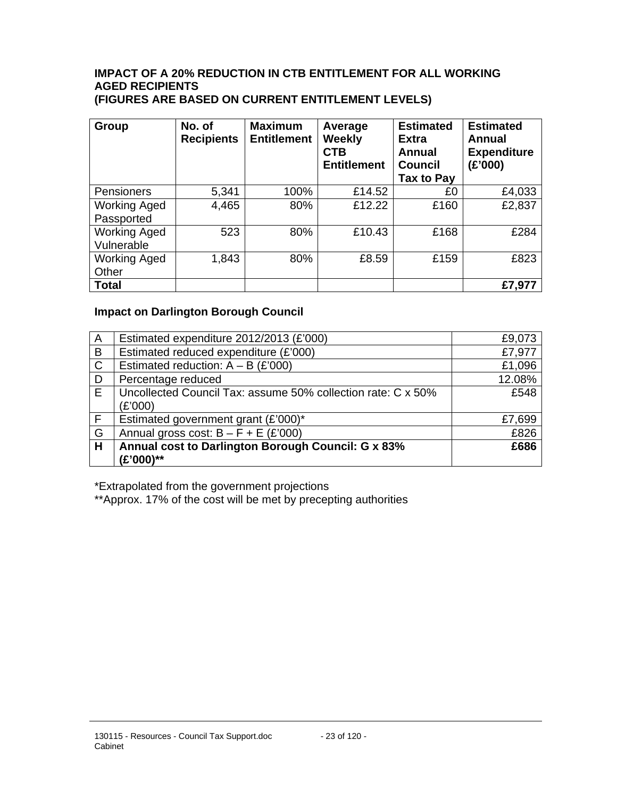# **IMPACT OF A 20% REDUCTION IN CTB ENTITLEMENT FOR ALL WORKING AGED RECIPIENTS**

**(FIGURES ARE BASED ON CURRENT ENTITLEMENT LEVELS)** 

| Group                             | No. of<br><b>Recipients</b> | <b>Maximum</b><br><b>Entitlement</b> | Average<br>Weekly<br><b>CTB</b><br><b>Entitlement</b> | <b>Estimated</b><br><b>Extra</b><br><b>Annual</b><br><b>Council</b><br>Tax to Pay | <b>Estimated</b><br>Annual<br><b>Expenditure</b><br>(£'000) |
|-----------------------------------|-----------------------------|--------------------------------------|-------------------------------------------------------|-----------------------------------------------------------------------------------|-------------------------------------------------------------|
| Pensioners                        | 5,341                       | 100%                                 | £14.52                                                | £0                                                                                | £4,033                                                      |
| <b>Working Aged</b><br>Passported | 4,465                       | 80%                                  | £12.22                                                | £160                                                                              | £2,837                                                      |
| <b>Working Aged</b><br>Vulnerable | 523                         | 80%                                  | £10.43                                                | £168                                                                              | £284                                                        |
| <b>Working Aged</b><br>Other      | 1,843                       | 80%                                  | £8.59                                                 | £159                                                                              | £823                                                        |
| <b>Total</b>                      |                             |                                      |                                                       |                                                                                   | £7,977                                                      |

# **Impact on Darlington Borough Council**

| $\overline{A}$ | Estimated expenditure 2012/2013 (£'000)                      | £9,073 |
|----------------|--------------------------------------------------------------|--------|
| B              | Estimated reduced expenditure (£'000)                        | £7,977 |
| $\mathsf{C}$   | Estimated reduction: $A - B$ (£'000)                         | £1,096 |
| D              | Percentage reduced                                           | 12.08% |
| E              | Uncollected Council Tax: assume 50% collection rate: C x 50% | £548   |
|                | (£'000)                                                      |        |
| F.             | Estimated government grant (£'000)*                          | £7,699 |
| G              | Annual gross cost: $B - F + E$ (£'000)                       | £826   |
| H              | Annual cost to Darlington Borough Council: G x 83%           | £686   |
|                | (£'000)**                                                    |        |

\*Extrapolated from the government projections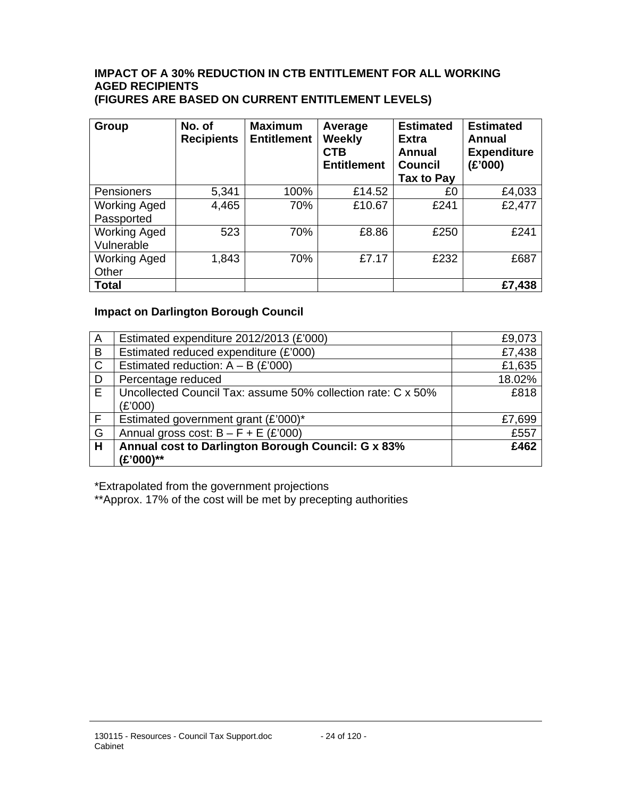# **IMPACT OF A 30% REDUCTION IN CTB ENTITLEMENT FOR ALL WORKING AGED RECIPIENTS**

**(FIGURES ARE BASED ON CURRENT ENTITLEMENT LEVELS)** 

| Group                             | No. of<br><b>Recipients</b> | <b>Maximum</b><br><b>Entitlement</b> | Average<br>Weekly<br><b>CTB</b><br><b>Entitlement</b> | <b>Estimated</b><br><b>Extra</b><br><b>Annual</b><br><b>Council</b><br>Tax to Pay | <b>Estimated</b><br>Annual<br><b>Expenditure</b><br>(£'000) |
|-----------------------------------|-----------------------------|--------------------------------------|-------------------------------------------------------|-----------------------------------------------------------------------------------|-------------------------------------------------------------|
| Pensioners                        | 5,341                       | 100%                                 | £14.52                                                | £0                                                                                | £4,033                                                      |
| <b>Working Aged</b><br>Passported | 4,465                       | 70%                                  | £10.67                                                | £241                                                                              | £2,477                                                      |
| <b>Working Aged</b><br>Vulnerable | 523                         | 70%                                  | £8.86                                                 | £250                                                                              | £241                                                        |
| <b>Working Aged</b><br>Other      | 1,843                       | 70%                                  | £7.17                                                 | £232                                                                              | £687                                                        |
| <b>Total</b>                      |                             |                                      |                                                       |                                                                                   | £7,438                                                      |

# **Impact on Darlington Borough Council**

| A            | Estimated expenditure 2012/2013 (£'000)                      | £9,073 |
|--------------|--------------------------------------------------------------|--------|
| $\mathsf B$  | Estimated reduced expenditure (£'000)                        | £7,438 |
| $\mathsf{C}$ | Estimated reduction: $A - B$ (£'000)                         | £1,635 |
| D            | Percentage reduced                                           | 18.02% |
| E            | Uncollected Council Tax: assume 50% collection rate: C x 50% | £818   |
|              | (£'000)                                                      |        |
| F.           | Estimated government grant (£'000)*                          | £7,699 |
| G            | Annual gross cost: $B - F + E$ (£'000)                       | £557   |
| H            | Annual cost to Darlington Borough Council: G x 83%           | £462   |
|              | (£'000)**                                                    |        |

\*Extrapolated from the government projections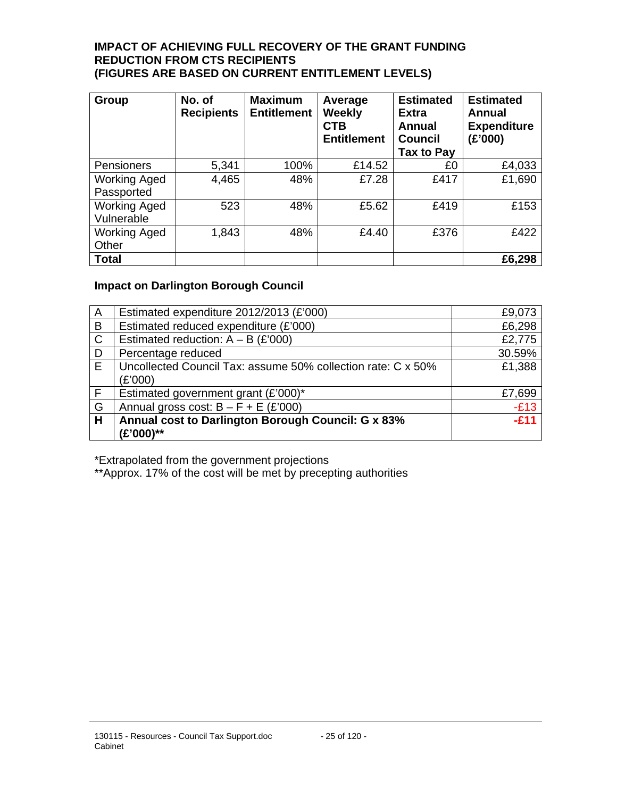#### **IMPACT OF ACHIEVING FULL RECOVERY OF THE GRANT FUNDING REDUCTION FROM CTS RECIPIENTS (FIGURES ARE BASED ON CURRENT ENTITLEMENT LEVELS)**

| <b>Group</b>                      | No. of<br><b>Recipients</b> | <b>Maximum</b><br><b>Entitlement</b> | Average<br><b>Weekly</b><br><b>CTB</b><br><b>Entitlement</b> | <b>Estimated</b><br><b>Extra</b><br>Annual<br><b>Council</b><br>Tax to Pay | <b>Estimated</b><br>Annual<br><b>Expenditure</b><br>(£'000) |
|-----------------------------------|-----------------------------|--------------------------------------|--------------------------------------------------------------|----------------------------------------------------------------------------|-------------------------------------------------------------|
| Pensioners                        | 5,341                       | 100%                                 | £14.52                                                       | £0                                                                         | £4,033                                                      |
| <b>Working Aged</b><br>Passported | 4,465                       | 48%                                  | £7.28                                                        | £417                                                                       | £1,690                                                      |
| <b>Working Aged</b><br>Vulnerable | 523                         | 48%                                  | £5.62                                                        | £419                                                                       | £153                                                        |
| <b>Working Aged</b><br>Other      | 1,843                       | 48%                                  | £4.40                                                        | £376                                                                       | £422                                                        |
| <b>Total</b>                      |                             |                                      |                                                              |                                                                            | £6,298                                                      |

### **Impact on Darlington Borough Council**

| A              | Estimated expenditure 2012/2013 (£'000)                      | £9,073 |
|----------------|--------------------------------------------------------------|--------|
| B              | Estimated reduced expenditure (£'000)                        | £6,298 |
| $\overline{c}$ | Estimated reduction: $A - B$ (£'000)                         | £2,775 |
| D              | Percentage reduced                                           | 30.59% |
| E              | Uncollected Council Tax: assume 50% collection rate: C x 50% | £1,388 |
|                | (£'000)                                                      |        |
| F.             | Estimated government grant (£'000)*                          | £7,699 |
| G              | Annual gross cost: $B - F + E$ (£'000)                       | $-E13$ |
| Н              | Annual cost to Darlington Borough Council: G x 83%           | $-E11$ |
|                | (£'000)**                                                    |        |

\*Extrapolated from the government projections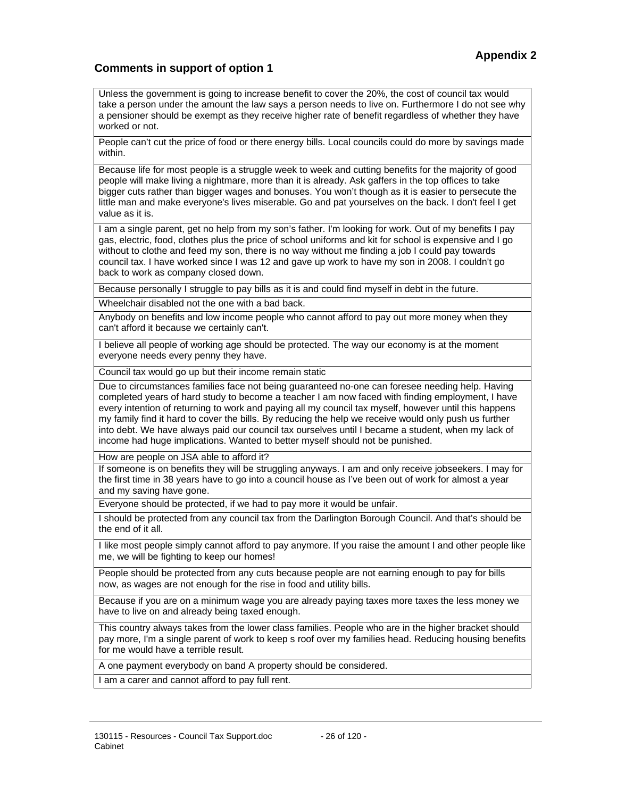### **Comments in support of option 1**

Unless the government is going to increase benefit to cover the 20%, the cost of council tax would take a person under the amount the law says a person needs to live on. Furthermore I do not see why a pensioner should be exempt as they receive higher rate of benefit regardless of whether they have worked or not.

People can't cut the price of food or there energy bills. Local councils could do more by savings made within.

Because life for most people is a struggle week to week and cutting benefits for the majority of good people will make living a nightmare, more than it is already. Ask gaffers in the top offices to take bigger cuts rather than bigger wages and bonuses. You won't though as it is easier to persecute the little man and make everyone's lives miserable. Go and pat yourselves on the back. I don't feel I get value as it is.

I am a single parent, get no help from my son's father. I'm looking for work. Out of my benefits I pay gas, electric, food, clothes plus the price of school uniforms and kit for school is expensive and I go without to clothe and feed my son, there is no way without me finding a job I could pay towards council tax. I have worked since I was 12 and gave up work to have my son in 2008. I couldn't go back to work as company closed down.

Because personally I struggle to pay bills as it is and could find myself in debt in the future.

Wheelchair disabled not the one with a bad back.

Anybody on benefits and low income people who cannot afford to pay out more money when they can't afford it because we certainly can't.

I believe all people of working age should be protected. The way our economy is at the moment everyone needs every penny they have.

Council tax would go up but their income remain static

Due to circumstances families face not being guaranteed no-one can foresee needing help. Having completed years of hard study to become a teacher I am now faced with finding employment, I have every intention of returning to work and paying all my council tax myself, however until this happens my family find it hard to cover the bills. By reducing the help we receive would only push us further into debt. We have always paid our council tax ourselves until I became a student, when my lack of income had huge implications. Wanted to better myself should not be punished.

How are people on JSA able to afford it?

If someone is on benefits they will be struggling anyways. I am and only receive jobseekers. I may for the first time in 38 years have to go into a council house as I've been out of work for almost a year and my saving have gone.

Everyone should be protected, if we had to pay more it would be unfair.

I should be protected from any council tax from the Darlington Borough Council. And that's should be the end of it all.

I like most people simply cannot afford to pay anymore. If you raise the amount I and other people like me, we will be fighting to keep our homes!

People should be protected from any cuts because people are not earning enough to pay for bills now, as wages are not enough for the rise in food and utility bills.

Because if you are on a minimum wage you are already paying taxes more taxes the less money we have to live on and already being taxed enough.

This country always takes from the lower class families. People who are in the higher bracket should pay more, I'm a single parent of work to keep s roof over my families head. Reducing housing benefits for me would have a terrible result.

A one payment everybody on band A property should be considered.

I am a carer and cannot afford to pay full rent.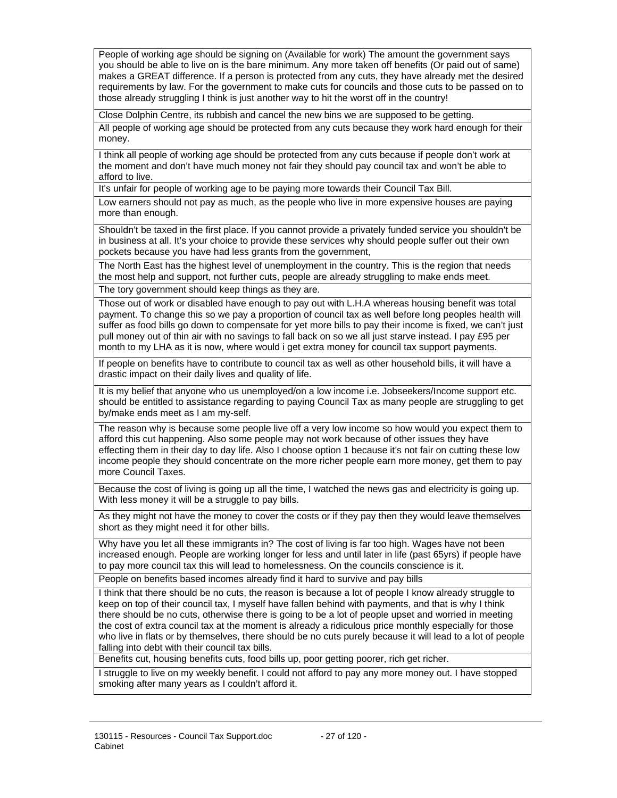People of working age should be signing on (Available for work) The amount the government says you should be able to live on is the bare minimum. Any more taken off benefits (Or paid out of same) makes a GREAT difference. If a person is protected from any cuts, they have already met the desired requirements by law. For the government to make cuts for councils and those cuts to be passed on to those already struggling I think is just another way to hit the worst off in the country!

Close Dolphin Centre, its rubbish and cancel the new bins we are supposed to be getting.

All people of working age should be protected from any cuts because they work hard enough for their money.

I think all people of working age should be protected from any cuts because if people don't work at the moment and don't have much money not fair they should pay council tax and won't be able to afford to live.

It's unfair for people of working age to be paying more towards their Council Tax Bill.

Low earners should not pay as much, as the people who live in more expensive houses are paying more than enough.

Shouldn't be taxed in the first place. If you cannot provide a privately funded service you shouldn't be in business at all. It's your choice to provide these services why should people suffer out their own pockets because you have had less grants from the government,

The North East has the highest level of unemployment in the country. This is the region that needs the most help and support, not further cuts, people are already struggling to make ends meet.

The tory government should keep things as they are.

Those out of work or disabled have enough to pay out with L.H.A whereas housing benefit was total payment. To change this so we pay a proportion of council tax as well before long peoples health will suffer as food bills go down to compensate for yet more bills to pay their income is fixed, we can't just pull money out of thin air with no savings to fall back on so we all just starve instead. I pay £95 per month to my LHA as it is now, where would i get extra money for council tax support payments.

If people on benefits have to contribute to council tax as well as other household bills, it will have a drastic impact on their daily lives and quality of life.

It is my belief that anyone who us unemployed/on a low income i.e. Jobseekers/Income support etc. should be entitled to assistance regarding to paying Council Tax as many people are struggling to get by/make ends meet as I am my-self.

The reason why is because some people live off a very low income so how would you expect them to afford this cut happening. Also some people may not work because of other issues they have effecting them in their day to day life. Also I choose option 1 because it's not fair on cutting these low income people they should concentrate on the more richer people earn more money, get them to pay more Council Taxes.

Because the cost of living is going up all the time, I watched the news gas and electricity is going up. With less money it will be a struggle to pay bills.

As they might not have the money to cover the costs or if they pay then they would leave themselves short as they might need it for other bills.

Why have you let all these immigrants in? The cost of living is far too high. Wages have not been increased enough. People are working longer for less and until later in life (past 65yrs) if people have to pay more council tax this will lead to homelessness. On the councils conscience is it.

People on benefits based incomes already find it hard to survive and pay bills

I think that there should be no cuts, the reason is because a lot of people I know already struggle to keep on top of their council tax, I myself have fallen behind with payments, and that is why I think there should be no cuts, otherwise there is going to be a lot of people upset and worried in meeting the cost of extra council tax at the moment is already a ridiculous price monthly especially for those who live in flats or by themselves, there should be no cuts purely because it will lead to a lot of people falling into debt with their council tax bills.

Benefits cut, housing benefits cuts, food bills up, poor getting poorer, rich get richer.

I struggle to live on my weekly benefit. I could not afford to pay any more money out. I have stopped smoking after many years as I couldn't afford it.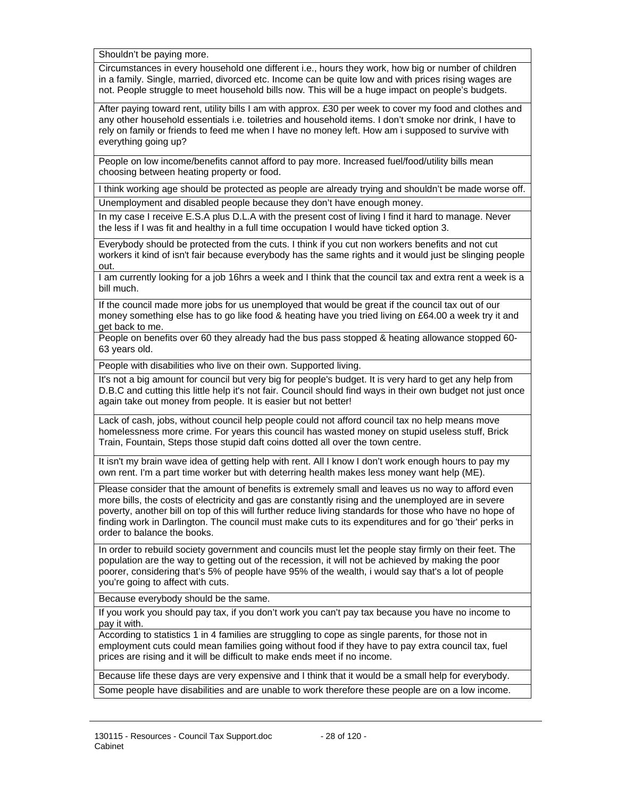Shouldn't be paying more.

Circumstances in every household one different i.e., hours they work, how big or number of children in a family. Single, married, divorced etc. Income can be quite low and with prices rising wages are not. People struggle to meet household bills now. This will be a huge impact on people's budgets.

After paying toward rent, utility bills I am with approx. £30 per week to cover my food and clothes and any other household essentials i.e. toiletries and household items. I don't smoke nor drink, I have to rely on family or friends to feed me when I have no money left. How am i supposed to survive with everything going up?

People on low income/benefits cannot afford to pay more. Increased fuel/food/utility bills mean choosing between heating property or food.

I think working age should be protected as people are already trying and shouldn't be made worse off. Unemployment and disabled people because they don't have enough money.

In my case I receive E.S.A plus D.L.A with the present cost of living I find it hard to manage. Never the less if I was fit and healthy in a full time occupation I would have ticked option 3.

Everybody should be protected from the cuts. I think if you cut non workers benefits and not cut workers it kind of isn't fair because everybody has the same rights and it would just be slinging people out.

I am currently looking for a job 16hrs a week and I think that the council tax and extra rent a week is a bill much.

If the council made more jobs for us unemployed that would be great if the council tax out of our money something else has to go like food & heating have you tried living on £64.00 a week try it and get back to me.

People on benefits over 60 they already had the bus pass stopped & heating allowance stopped 60- 63 years old.

People with disabilities who live on their own. Supported living.

It's not a big amount for council but very big for people's budget. It is very hard to get any help from D.B.C and cutting this little help it's not fair. Council should find ways in their own budget not just once again take out money from people. It is easier but not better!

Lack of cash, jobs, without council help people could not afford council tax no help means move homelessness more crime. For years this council has wasted money on stupid useless stuff, Brick Train, Fountain, Steps those stupid daft coins dotted all over the town centre.

It isn't my brain wave idea of getting help with rent. All I know I don't work enough hours to pay my own rent. I'm a part time worker but with deterring health makes less money want help (ME).

Please consider that the amount of benefits is extremely small and leaves us no way to afford even more bills, the costs of electricity and gas are constantly rising and the unemployed are in severe poverty, another bill on top of this will further reduce living standards for those who have no hope of finding work in Darlington. The council must make cuts to its expenditures and for go 'their' perks in order to balance the books.

In order to rebuild society government and councils must let the people stay firmly on their feet. The population are the way to getting out of the recession, it will not be achieved by making the poor poorer, considering that's 5% of people have 95% of the wealth, i would say that's a lot of people you're going to affect with cuts.

Because everybody should be the same.

If you work you should pay tax, if you don't work you can't pay tax because you have no income to pay it with.

According to statistics 1 in 4 families are struggling to cope as single parents, for those not in employment cuts could mean families going without food if they have to pay extra council tax, fuel prices are rising and it will be difficult to make ends meet if no income.

Because life these days are very expensive and I think that it would be a small help for everybody. Some people have disabilities and are unable to work therefore these people are on a low income.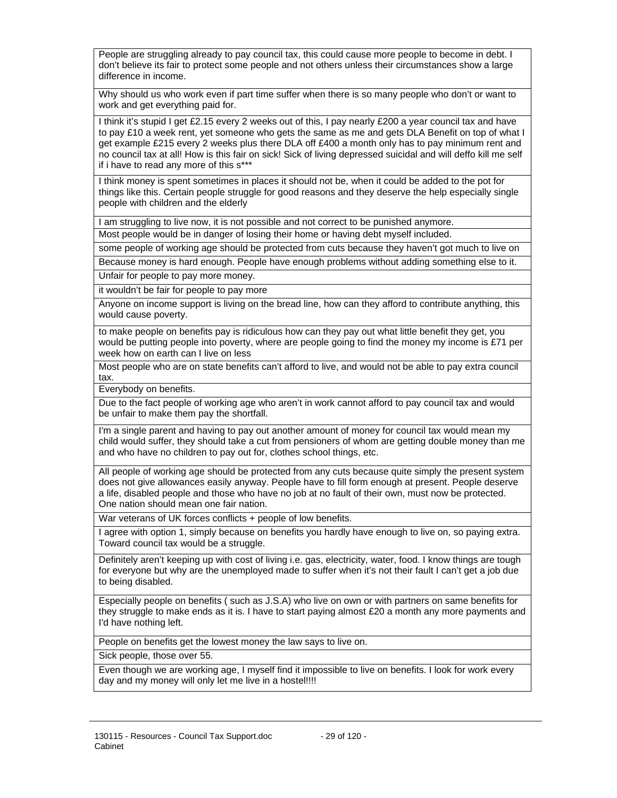People are struggling already to pay council tax, this could cause more people to become in debt. I don't believe its fair to protect some people and not others unless their circumstances show a large difference in income.

Why should us who work even if part time suffer when there is so many people who don't or want to work and get everything paid for.

I think it's stupid I get £2.15 every 2 weeks out of this, I pay nearly £200 a year council tax and have to pay £10 a week rent, yet someone who gets the same as me and gets DLA Benefit on top of what I get example £215 every 2 weeks plus there DLA off £400 a month only has to pay minimum rent and no council tax at all! How is this fair on sick! Sick of living depressed suicidal and will deffo kill me self if i have to read any more of this s\*\*\*

I think money is spent sometimes in places it should not be, when it could be added to the pot for things like this. Certain people struggle for good reasons and they deserve the help especially single people with children and the elderly

I am struggling to live now, it is not possible and not correct to be punished anymore.

Most people would be in danger of losing their home or having debt myself included.

some people of working age should be protected from cuts because they haven't got much to live on

Because money is hard enough. People have enough problems without adding something else to it. Unfair for people to pay more money.

it wouldn't be fair for people to pay more

Anyone on income support is living on the bread line, how can they afford to contribute anything, this would cause poverty.

to make people on benefits pay is ridiculous how can they pay out what little benefit they get, you would be putting people into poverty, where are people going to find the money my income is £71 per week how on earth can I live on less

Most people who are on state benefits can't afford to live, and would not be able to pay extra council tax.

Everybody on benefits.

Due to the fact people of working age who aren't in work cannot afford to pay council tax and would be unfair to make them pay the shortfall.

I'm a single parent and having to pay out another amount of money for council tax would mean my child would suffer, they should take a cut from pensioners of whom are getting double money than me and who have no children to pay out for, clothes school things, etc.

All people of working age should be protected from any cuts because quite simply the present system does not give allowances easily anyway. People have to fill form enough at present. People deserve a life, disabled people and those who have no job at no fault of their own, must now be protected. One nation should mean one fair nation.

War veterans of UK forces conflicts + people of low benefits.

I agree with option 1, simply because on benefits you hardly have enough to live on, so paying extra. Toward council tax would be a struggle.

Definitely aren't keeping up with cost of living i.e. gas, electricity, water, food. I know things are tough for everyone but why are the unemployed made to suffer when it's not their fault I can't get a job due to being disabled.

Especially people on benefits ( such as J.S.A) who live on own or with partners on same benefits for they struggle to make ends as it is. I have to start paying almost £20 a month any more payments and I'd have nothing left.

People on benefits get the lowest money the law says to live on.

Sick people, those over 55.

Even though we are working age, I myself find it impossible to live on benefits. I look for work every day and my money will only let me live in a hostel!!!!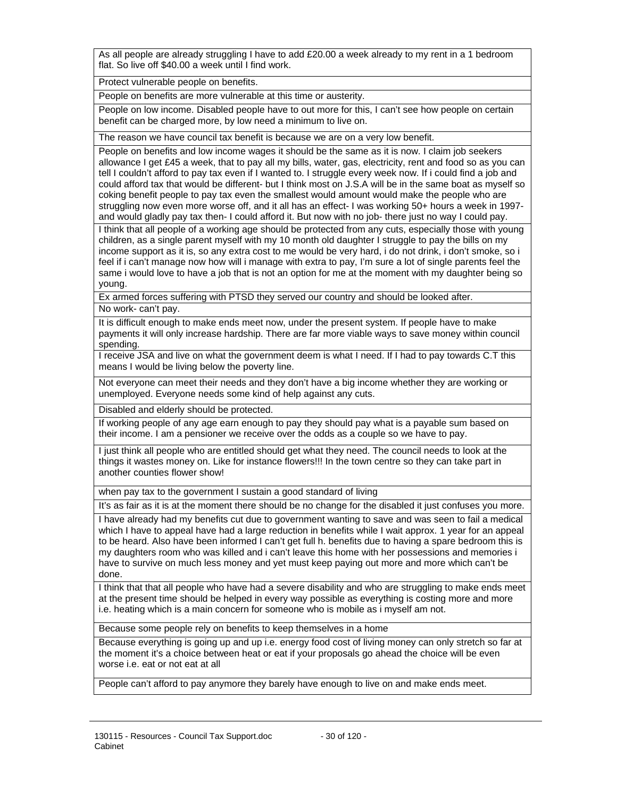As all people are already struggling I have to add £20.00 a week already to my rent in a 1 bedroom flat. So live off \$40.00 a week until I find work.

Protect vulnerable people on benefits.

People on benefits are more vulnerable at this time or austerity.

People on low income. Disabled people have to out more for this, I can't see how people on certain benefit can be charged more, by low need a minimum to live on.

The reason we have council tax benefit is because we are on a very low benefit.

People on benefits and low income wages it should be the same as it is now. I claim job seekers allowance I get £45 a week, that to pay all my bills, water, gas, electricity, rent and food so as you can tell I couldn't afford to pay tax even if I wanted to. I struggle every week now. If i could find a job and could afford tax that would be different- but I think most on J.S.A will be in the same boat as myself so coking benefit people to pay tax even the smallest would amount would make the people who are struggling now even more worse off, and it all has an effect- I was working 50+ hours a week in 1997 and would gladly pay tax then- I could afford it. But now with no job- there just no way I could pay.

I think that all people of a working age should be protected from any cuts, especially those with young children, as a single parent myself with my 10 month old daughter I struggle to pay the bills on my income support as it is, so any extra cost to me would be very hard, i do not drink, i don't smoke, so i feel if i can't manage now how will i manage with extra to pay, I'm sure a lot of single parents feel the same i would love to have a job that is not an option for me at the moment with my daughter being so young.

Ex armed forces suffering with PTSD they served our country and should be looked after. No work- can't pay.

It is difficult enough to make ends meet now, under the present system. If people have to make payments it will only increase hardship. There are far more viable ways to save money within council spending.

I receive JSA and live on what the government deem is what I need. If I had to pay towards C.T this means I would be living below the poverty line.

Not everyone can meet their needs and they don't have a big income whether they are working or unemployed. Everyone needs some kind of help against any cuts.

Disabled and elderly should be protected.

If working people of any age earn enough to pay they should pay what is a payable sum based on their income. I am a pensioner we receive over the odds as a couple so we have to pay.

I just think all people who are entitled should get what they need. The council needs to look at the things it wastes money on. Like for instance flowers!!! In the town centre so they can take part in another counties flower show!

when pay tax to the government I sustain a good standard of living

It's as fair as it is at the moment there should be no change for the disabled it just confuses you more.

I have already had my benefits cut due to government wanting to save and was seen to fail a medical which I have to appeal have had a large reduction in benefits while I wait approx. 1 year for an appeal to be heard. Also have been informed I can't get full h. benefits due to having a spare bedroom this is my daughters room who was killed and i can't leave this home with her possessions and memories i have to survive on much less money and yet must keep paying out more and more which can't be done.

I think that that all people who have had a severe disability and who are struggling to make ends meet at the present time should be helped in every way possible as everything is costing more and more i.e. heating which is a main concern for someone who is mobile as i myself am not.

Because some people rely on benefits to keep themselves in a home

Because everything is going up and up i.e. energy food cost of living money can only stretch so far at the moment it's a choice between heat or eat if your proposals go ahead the choice will be even worse i.e. eat or not eat at all

People can't afford to pay anymore they barely have enough to live on and make ends meet.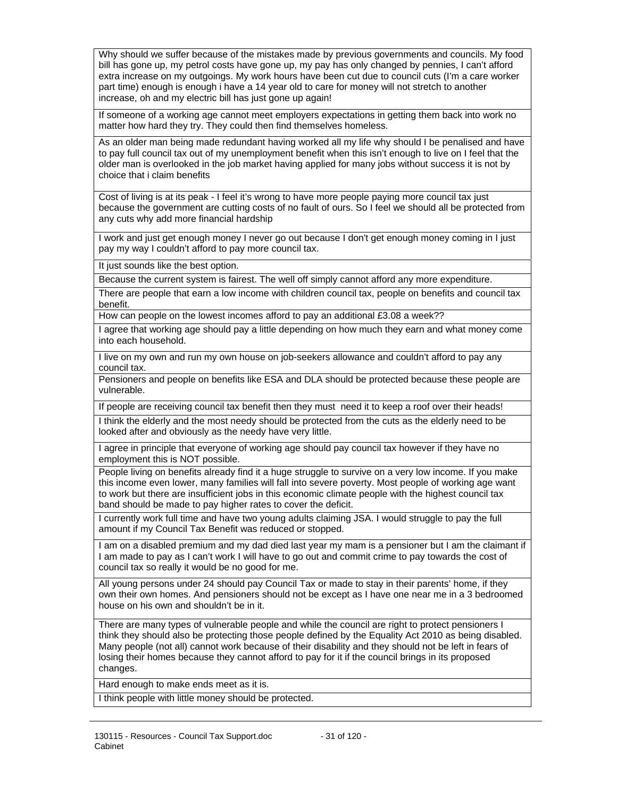Why should we suffer because of the mistakes made by previous governments and councils. My food bill has gone up, my petrol costs have gone up, my pay has only changed by pennies, I can't afford extra increase on my outgoings. My work hours have been cut due to council cuts (I'm a care worker part time) enough is enough i have a 14 year old to care for money will not stretch to another increase, oh and my electric bill has just gone up again!

If someone of a working age cannot meet employers expectations in getting them back into work no matter how hard they try. They could then find themselves homeless.

As an older man being made redundant having worked all my life why should I be penalised and have to pay full council tax out of my unemployment benefit when this isn't enough to live on I feel that the older man is overlooked in the job market having applied for many jobs without success it is not by choice that i claim benefits

Cost of living is at its peak - I feel it's wrong to have more people paying more council tax just because the government are cutting costs of no fault of ours. So I feel we should all be protected from any cuts why add more financial hardship

I work and just get enough money I never go out because I don't get enough money coming in I just pay my way I couldn't afford to pay more council tax.

It just sounds like the best option.

Because the current system is fairest. The well off simply cannot afford any more expenditure.

There are people that earn a low income with children council tax, people on benefits and council tax benefit.

How can people on the lowest incomes afford to pay an additional £3.08 a week??

I agree that working age should pay a little depending on how much they earn and what money come into each household.

I live on my own and run my own house on job-seekers allowance and couldn't afford to pay any council tax.

Pensioners and people on benefits like ESA and DLA should be protected because these people are vulnerable.

If people are receiving council tax benefit then they must need it to keep a roof over their heads! I think the elderly and the most needy should be protected from the cuts as the elderly need to be looked after and obviously as the needy have very little.

I agree in principle that everyone of working age should pay council tax however if they have no employment this is NOT possible.

People living on benefits already find it a huge struggle to survive on a very low income. If you make this income even lower, many families will fall into severe poverty. Most people of working age want to work but there are insufficient jobs in this economic climate people with the highest council tax band should be made to pay higher rates to cover the deficit.

I currently work full time and have two young adults claiming JSA. I would struggle to pay the full amount if my Council Tax Benefit was reduced or stopped.

I am on a disabled premium and my dad died last year my mam is a pensioner but I am the claimant if I am made to pay as I can't work I will have to go out and commit crime to pay towards the cost of council tax so really it would be no good for me.

All young persons under 24 should pay Council Tax or made to stay in their parents' home, if they own their own homes. And pensioners should not be except as I have one near me in a 3 bedroomed house on his own and shouldn't be in it.

There are many types of vulnerable people and while the council are right to protect pensioners I think they should also be protecting those people defined by the Equality Act 2010 as being disabled. Many people (not all) cannot work because of their disability and they should not be left in fears of losing their homes because they cannot afford to pay for it if the council brings in its proposed changes.

Hard enough to make ends meet as it is.

I think people with little money should be protected.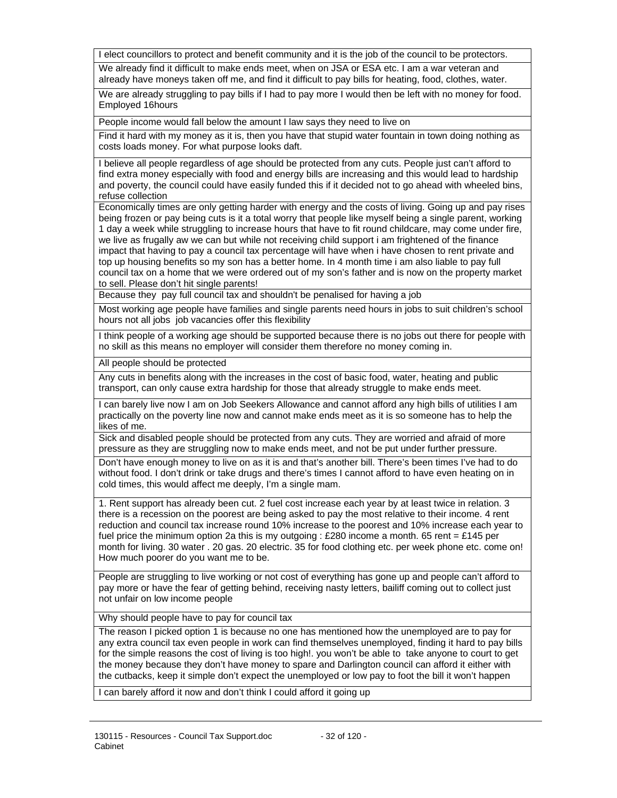I elect councillors to protect and benefit community and it is the job of the council to be protectors.

We already find it difficult to make ends meet, when on JSA or ESA etc. I am a war veteran and already have moneys taken off me, and find it difficult to pay bills for heating, food, clothes, water.

We are already struggling to pay bills if I had to pay more I would then be left with no money for food. Employed 16hours

People income would fall below the amount I law says they need to live on

Find it hard with my money as it is, then you have that stupid water fountain in town doing nothing as costs loads money. For what purpose looks daft.

I believe all people regardless of age should be protected from any cuts. People just can't afford to find extra money especially with food and energy bills are increasing and this would lead to hardship and poverty, the council could have easily funded this if it decided not to go ahead with wheeled bins, refuse collection

Economically times are only getting harder with energy and the costs of living. Going up and pay rises being frozen or pay being cuts is it a total worry that people like myself being a single parent, working 1 day a week while struggling to increase hours that have to fit round childcare, may come under fire, we live as frugally aw we can but while not receiving child support i am frightened of the finance impact that having to pay a council tax percentage will have when i have chosen to rent private and top up housing benefits so my son has a better home. In 4 month time i am also liable to pay full council tax on a home that we were ordered out of my son's father and is now on the property market to sell. Please don't hit single parents!

Because they pay full council tax and shouldn't be penalised for having a job

Most working age people have families and single parents need hours in jobs to suit children's school hours not all jobs job vacancies offer this flexibility

I think people of a working age should be supported because there is no jobs out there for people with no skill as this means no employer will consider them therefore no money coming in.

All people should be protected

Any cuts in benefits along with the increases in the cost of basic food, water, heating and public transport, can only cause extra hardship for those that already struggle to make ends meet.

I can barely live now I am on Job Seekers Allowance and cannot afford any high bills of utilities I am practically on the poverty line now and cannot make ends meet as it is so someone has to help the likes of me.

Sick and disabled people should be protected from any cuts. They are worried and afraid of more pressure as they are struggling now to make ends meet, and not be put under further pressure.

Don't have enough money to live on as it is and that's another bill. There's been times I've had to do without food. I don't drink or take drugs and there's times I cannot afford to have even heating on in cold times, this would affect me deeply, I'm a single mam.

1. Rent support has already been cut. 2 fuel cost increase each year by at least twice in relation. 3 there is a recession on the poorest are being asked to pay the most relative to their income. 4 rent reduction and council tax increase round 10% increase to the poorest and 10% increase each year to fuel price the minimum option 2a this is my outgoing : £280 income a month. 65 rent = £145 per month for living. 30 water . 20 gas. 20 electric. 35 for food clothing etc. per week phone etc. come on! How much poorer do you want me to be.

People are struggling to live working or not cost of everything has gone up and people can't afford to pay more or have the fear of getting behind, receiving nasty letters, bailiff coming out to collect just not unfair on low income people

Why should people have to pay for council tax

The reason I picked option 1 is because no one has mentioned how the unemployed are to pay for any extra council tax even people in work can find themselves unemployed, finding it hard to pay bills for the simple reasons the cost of living is too high!. you won't be able to take anyone to court to get the money because they don't have money to spare and Darlington council can afford it either with the cutbacks, keep it simple don't expect the unemployed or low pay to foot the bill it won't happen

I can barely afford it now and don't think I could afford it going up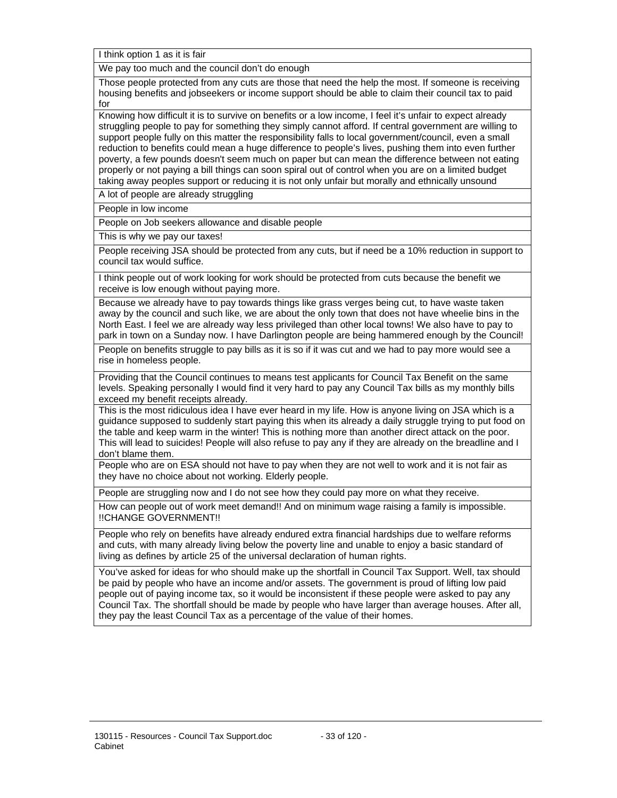I think option 1 as it is fair

We pay too much and the council don't do enough

Those people protected from any cuts are those that need the help the most. If someone is receiving housing benefits and jobseekers or income support should be able to claim their council tax to paid for

Knowing how difficult it is to survive on benefits or a low income, I feel it's unfair to expect already struggling people to pay for something they simply cannot afford. If central government are willing to support people fully on this matter the responsibility falls to local government/council, even a small reduction to benefits could mean a huge difference to people's lives, pushing them into even further poverty, a few pounds doesn't seem much on paper but can mean the difference between not eating properly or not paying a bill things can soon spiral out of control when you are on a limited budget taking away peoples support or reducing it is not only unfair but morally and ethnically unsound

A lot of people are already struggling

People in low income

People on Job seekers allowance and disable people

This is why we pay our taxes!

People receiving JSA should be protected from any cuts, but if need be a 10% reduction in support to council tax would suffice.

I think people out of work looking for work should be protected from cuts because the benefit we receive is low enough without paying more.

Because we already have to pay towards things like grass verges being cut, to have waste taken away by the council and such like, we are about the only town that does not have wheelie bins in the North East. I feel we are already way less privileged than other local towns! We also have to pay to park in town on a Sunday now. I have Darlington people are being hammered enough by the Council!

People on benefits struggle to pay bills as it is so if it was cut and we had to pay more would see a rise in homeless people.

Providing that the Council continues to means test applicants for Council Tax Benefit on the same levels. Speaking personally I would find it very hard to pay any Council Tax bills as my monthly bills exceed my benefit receipts already.

This is the most ridiculous idea I have ever heard in my life. How is anyone living on JSA which is a guidance supposed to suddenly start paying this when its already a daily struggle trying to put food on the table and keep warm in the winter! This is nothing more than another direct attack on the poor. This will lead to suicides! People will also refuse to pay any if they are already on the breadline and I don't blame them.

People who are on ESA should not have to pay when they are not well to work and it is not fair as they have no choice about not working. Elderly people.

People are struggling now and I do not see how they could pay more on what they receive.

How can people out of work meet demand!! And on minimum wage raising a family is impossible. !!CHANGE GOVERNMENT!!

People who rely on benefits have already endured extra financial hardships due to welfare reforms and cuts, with many already living below the poverty line and unable to enjoy a basic standard of living as defines by article 25 of the universal declaration of human rights.

You've asked for ideas for who should make up the shortfall in Council Tax Support. Well, tax should be paid by people who have an income and/or assets. The government is proud of lifting low paid people out of paying income tax, so it would be inconsistent if these people were asked to pay any Council Tax. The shortfall should be made by people who have larger than average houses. After all, they pay the least Council Tax as a percentage of the value of their homes.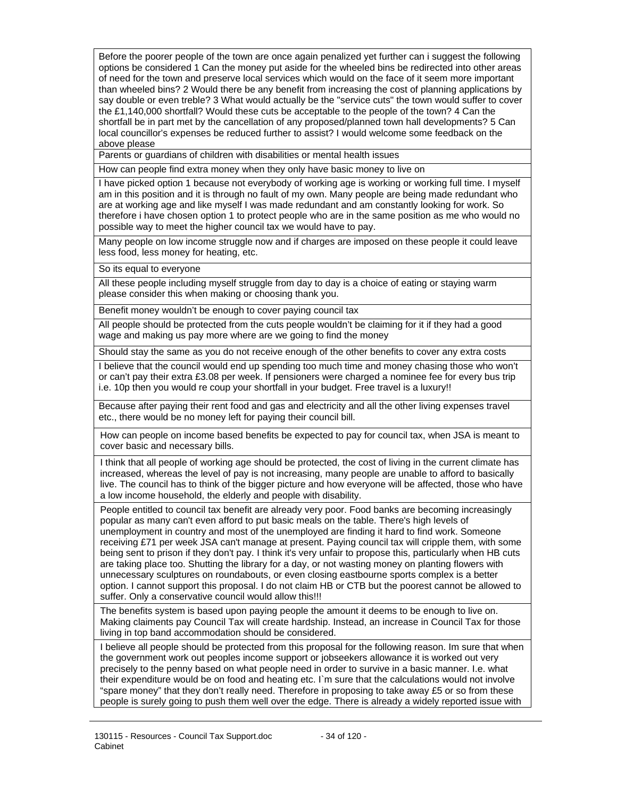Before the poorer people of the town are once again penalized yet further can i suggest the following options be considered 1 Can the money put aside for the wheeled bins be redirected into other areas of need for the town and preserve local services which would on the face of it seem more important than wheeled bins? 2 Would there be any benefit from increasing the cost of planning applications by say double or even treble? 3 What would actually be the "service cuts" the town would suffer to cover the £1,140,000 shortfall? Would these cuts be acceptable to the people of the town? 4 Can the shortfall be in part met by the cancellation of any proposed/planned town hall developments? 5 Can local councillor's expenses be reduced further to assist? I would welcome some feedback on the above please

Parents or guardians of children with disabilities or mental health issues

How can people find extra money when they only have basic money to live on

I have picked option 1 because not everybody of working age is working or working full time. I myself am in this position and it is through no fault of my own. Many people are being made redundant who are at working age and like myself I was made redundant and am constantly looking for work. So therefore i have chosen option 1 to protect people who are in the same position as me who would no possible way to meet the higher council tax we would have to pay.

Many people on low income struggle now and if charges are imposed on these people it could leave less food, less money for heating, etc.

So its equal to everyone

All these people including myself struggle from day to day is a choice of eating or staying warm please consider this when making or choosing thank you.

Benefit money wouldn't be enough to cover paying council tax

All people should be protected from the cuts people wouldn't be claiming for it if they had a good wage and making us pay more where are we going to find the money

Should stay the same as you do not receive enough of the other benefits to cover any extra costs

I believe that the council would end up spending too much time and money chasing those who won't or can't pay their extra £3.08 per week. If pensioners were charged a nominee fee for every bus trip i.e. 10p then you would re coup your shortfall in your budget. Free travel is a luxury!!

Because after paying their rent food and gas and electricity and all the other living expenses travel etc., there would be no money left for paying their council bill.

How can people on income based benefits be expected to pay for council tax, when JSA is meant to cover basic and necessary bills.

I think that all people of working age should be protected, the cost of living in the current climate has increased, whereas the level of pay is not increasing, many people are unable to afford to basically live. The council has to think of the bigger picture and how everyone will be affected, those who have a low income household, the elderly and people with disability.

People entitled to council tax benefit are already very poor. Food banks are becoming increasingly popular as many can't even afford to put basic meals on the table. There's high levels of unemployment in country and most of the unemployed are finding it hard to find work. Someone receiving £71 per week JSA can't manage at present. Paying council tax will cripple them, with some being sent to prison if they don't pay. I think it's very unfair to propose this, particularly when HB cuts are taking place too. Shutting the library for a day, or not wasting money on planting flowers with unnecessary sculptures on roundabouts, or even closing eastbourne sports complex is a better option. I cannot support this proposal. I do not claim HB or CTB but the poorest cannot be allowed to suffer. Only a conservative council would allow this!!!

The benefits system is based upon paying people the amount it deems to be enough to live on. Making claiments pay Council Tax will create hardship. Instead, an increase in Council Tax for those living in top band accommodation should be considered.

I believe all people should be protected from this proposal for the following reason. Im sure that when the government work out peoples income support or jobseekers allowance it is worked out very precisely to the penny based on what people need in order to survive in a basic manner. I.e. what their expenditure would be on food and heating etc. I`m sure that the calculations would not involve "spare money" that they don't really need. Therefore in proposing to take away £5 or so from these people is surely going to push them well over the edge. There is already a widely reported issue with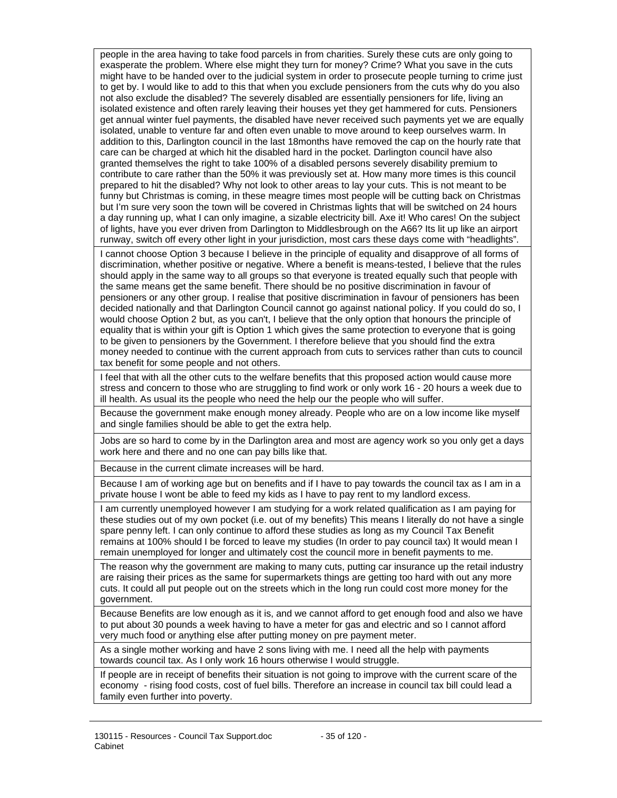people in the area having to take food parcels in from charities. Surely these cuts are only going to exasperate the problem. Where else might they turn for money? Crime? What you save in the cuts might have to be handed over to the judicial system in order to prosecute people turning to crime just to get by. I would like to add to this that when you exclude pensioners from the cuts why do you also not also exclude the disabled? The severely disabled are essentially pensioners for life, living an isolated existence and often rarely leaving their houses yet they get hammered for cuts. Pensioners get annual winter fuel payments, the disabled have never received such payments yet we are equally isolated, unable to venture far and often even unable to move around to keep ourselves warm. In addition to this, Darlington council in the last 18months have removed the cap on the hourly rate that care can be charged at which hit the disabled hard in the pocket. Darlington council have also granted themselves the right to take 100% of a disabled persons severely disability premium to contribute to care rather than the 50% it was previously set at. How many more times is this council prepared to hit the disabled? Why not look to other areas to lay your cuts. This is not meant to be funny but Christmas is coming, in these meagre times most people will be cutting back on Christmas but I'm sure very soon the town will be covered in Christmas lights that will be switched on 24 hours a day running up, what I can only imagine, a sizable electricity bill. Axe it! Who cares! On the subject of lights, have you ever driven from Darlington to Middlesbrough on the A66? Its lit up like an airport runway, switch off every other light in your jurisdiction, most cars these days come with "headlights".

I cannot choose Option 3 because I believe in the principle of equality and disapprove of all forms of discrimination, whether positive or negative. Where a benefit is means-tested, I believe that the rules should apply in the same way to all groups so that everyone is treated equally such that people with the same means get the same benefit. There should be no positive discrimination in favour of pensioners or any other group. I realise that positive discrimination in favour of pensioners has been decided nationally and that Darlington Council cannot go against national policy. If you could do so, I would choose Option 2 but, as you can't, I believe that the only option that honours the principle of equality that is within your gift is Option 1 which gives the same protection to everyone that is going to be given to pensioners by the Government. I therefore believe that you should find the extra money needed to continue with the current approach from cuts to services rather than cuts to council tax benefit for some people and not others.

I feel that with all the other cuts to the welfare benefits that this proposed action would cause more stress and concern to those who are struggling to find work or only work 16 - 20 hours a week due to ill health. As usual its the people who need the help our the people who will suffer.

Because the government make enough money already. People who are on a low income like myself and single families should be able to get the extra help.

Jobs are so hard to come by in the Darlington area and most are agency work so you only get a days work here and there and no one can pay bills like that.

Because in the current climate increases will be hard.

Because I am of working age but on benefits and if I have to pay towards the council tax as I am in a private house I wont be able to feed my kids as I have to pay rent to my landlord excess.

I am currently unemployed however I am studying for a work related qualification as I am paying for these studies out of my own pocket (i.e. out of my benefits) This means I literally do not have a single spare penny left. I can only continue to afford these studies as long as my Council Tax Benefit remains at 100% should I be forced to leave my studies (In order to pay council tax) It would mean I remain unemployed for longer and ultimately cost the council more in benefit payments to me.

The reason why the government are making to many cuts, putting car insurance up the retail industry are raising their prices as the same for supermarkets things are getting too hard with out any more cuts. It could all put people out on the streets which in the long run could cost more money for the government.

Because Benefits are low enough as it is, and we cannot afford to get enough food and also we have to put about 30 pounds a week having to have a meter for gas and electric and so I cannot afford very much food or anything else after putting money on pre payment meter.

As a single mother working and have 2 sons living with me. I need all the help with payments towards council tax. As I only work 16 hours otherwise I would struggle.

If people are in receipt of benefits their situation is not going to improve with the current scare of the economy - rising food costs, cost of fuel bills. Therefore an increase in council tax bill could lead a family even further into poverty.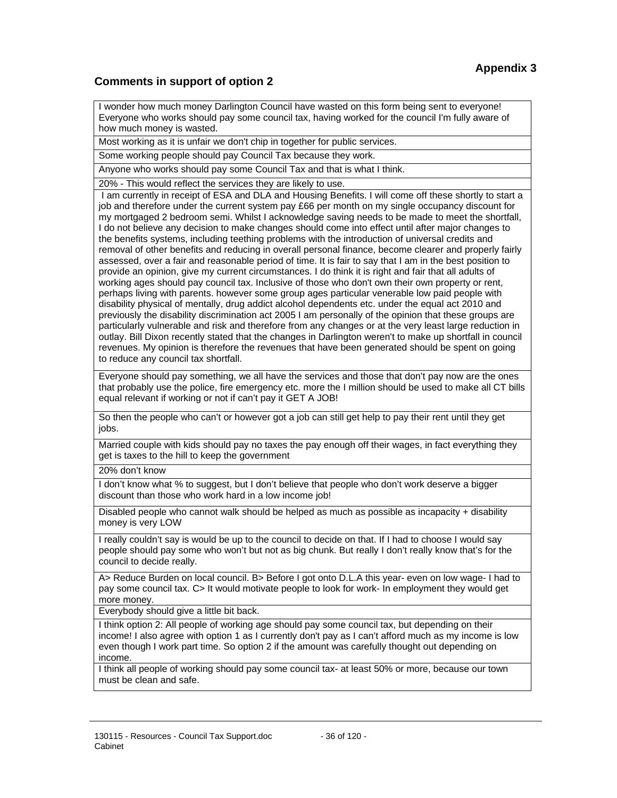### **Comments in support of option 2**

I wonder how much money Darlington Council have wasted on this form being sent to everyone! Everyone who works should pay some council tax, having worked for the council I'm fully aware of how much money is wasted.

Most working as it is unfair we don't chip in together for public services.

Some working people should pay Council Tax because they work.

Anyone who works should pay some Council Tax and that is what I think.

20% - This would reflect the services they are likely to use.

 I am currently in receipt of ESA and DLA and Housing Benefits. I will come off these shortly to start a job and therefore under the current system pay £66 per month on my single occupancy discount for my mortgaged 2 bedroom semi. Whilst I acknowledge saving needs to be made to meet the shortfall, I do not believe any decision to make changes should come into effect until after major changes to the benefits systems, including teething problems with the introduction of universal credits and removal of other benefits and reducing in overall personal finance, become clearer and properly fairly assessed, over a fair and reasonable period of time. It is fair to say that I am in the best position to provide an opinion, give my current circumstances. I do think it is right and fair that all adults of working ages should pay council tax. Inclusive of those who don't own their own property or rent, perhaps living with parents. however some group ages particular venerable low paid people with disability physical of mentally, drug addict alcohol dependents etc. under the equal act 2010 and previously the disability discrimination act 2005 I am personally of the opinion that these groups are particularly vulnerable and risk and therefore from any changes or at the very least large reduction in outlay. Bill Dixon recently stated that the changes in Darlington weren't to make up shortfall in council revenues. My opinion is therefore the revenues that have been generated should be spent on going to reduce any council tax shortfall.

Everyone should pay something, we all have the services and those that don't pay now are the ones that probably use the police, fire emergency etc. more the I million should be used to make all CT bills equal relevant if working or not if can't pay it GET A JOB!

So then the people who can't or however got a job can still get help to pay their rent until they get jobs.

Married couple with kids should pay no taxes the pay enough off their wages, in fact everything they get is taxes to the hill to keep the government

20% don't know

I don't know what % to suggest, but I don't believe that people who don't work deserve a bigger discount than those who work hard in a low income job!

Disabled people who cannot walk should be helped as much as possible as incapacity + disability money is very LOW

I really couldn't say is would be up to the council to decide on that. If I had to choose I would say people should pay some who won't but not as big chunk. But really I don't really know that's for the council to decide really.

A> Reduce Burden on local council. B> Before I got onto D.L.A this year- even on low wage- I had to pay some council tax. C> It would motivate people to look for work- In employment they would get more money.

Everybody should give a little bit back.

I think option 2: All people of working age should pay some council tax, but depending on their income! I also agree with option 1 as I currently don't pay as I can't afford much as my income is low even though I work part time. So option 2 if the amount was carefully thought out depending on income.

I think all people of working should pay some council tax- at least 50% or more, because our town must be clean and safe.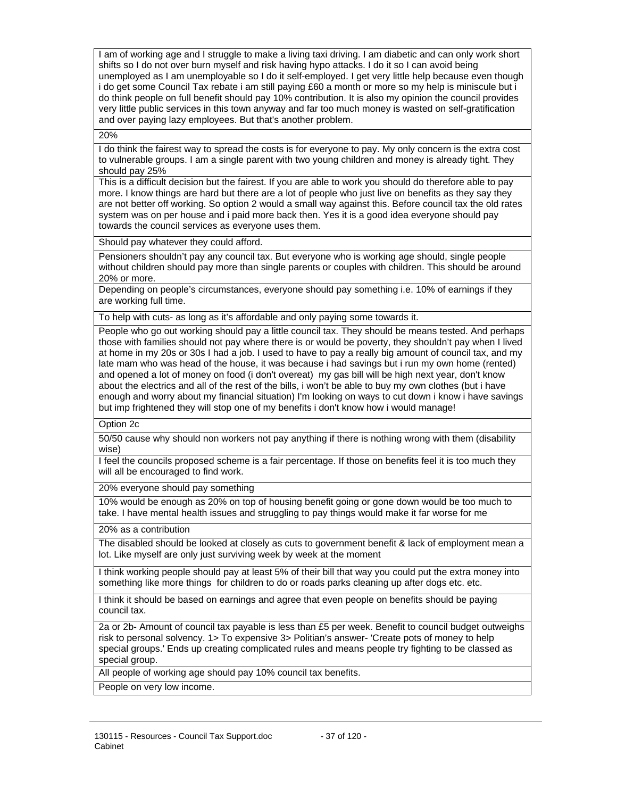I am of working age and I struggle to make a living taxi driving. I am diabetic and can only work short shifts so I do not over burn myself and risk having hypo attacks. I do it so I can avoid being unemployed as I am unemployable so I do it self-employed. I get very little help because even though i do get some Council Tax rebate i am still paying £60 a month or more so my help is miniscule but i do think people on full benefit should pay 10% contribution. It is also my opinion the council provides very little public services in this town anyway and far too much money is wasted on self-gratification and over paying lazy employees. But that's another problem.

20%

I do think the fairest way to spread the costs is for everyone to pay. My only concern is the extra cost to vulnerable groups. I am a single parent with two young children and money is already tight. They should pay 25%

This is a difficult decision but the fairest. If you are able to work you should do therefore able to pay more. I know things are hard but there are a lot of people who just live on benefits as they say they are not better off working. So option 2 would a small way against this. Before council tax the old rates system was on per house and i paid more back then. Yes it is a good idea everyone should pay towards the council services as everyone uses them.

Should pay whatever they could afford.

Pensioners shouldn't pay any council tax. But everyone who is working age should, single people without children should pay more than single parents or couples with children. This should be around 20% or more.

Depending on people's circumstances, everyone should pay something i.e. 10% of earnings if they are working full time.

To help with cuts- as long as it's affordable and only paying some towards it.

People who go out working should pay a little council tax. They should be means tested. And perhaps those with families should not pay where there is or would be poverty, they shouldn't pay when I lived at home in my 20s or 30s I had a job. I used to have to pay a really big amount of council tax, and my late mam who was head of the house, it was because i had savings but i run my own home (rented) and opened a lot of money on food (i don't overeat) my gas bill will be high next year, don't know about the electrics and all of the rest of the bills, i won't be able to buy my own clothes (but i have enough and worry about my financial situation) I'm looking on ways to cut down i know i have savings but imp frightened they will stop one of my benefits i don't know how i would manage!

Option 2c

50/50 cause why should non workers not pay anything if there is nothing wrong with them (disability wise)

I feel the councils proposed scheme is a fair percentage. If those on benefits feel it is too much they will all be encouraged to find work.

20% everyone should pay something

10% would be enough as 20% on top of housing benefit going or gone down would be too much to take. I have mental health issues and struggling to pay things would make it far worse for me

20% as a contribution

The disabled should be looked at closely as cuts to government benefit & lack of employment mean a lot. Like myself are only just surviving week by week at the moment

I think working people should pay at least 5% of their bill that way you could put the extra money into something like more things for children to do or roads parks cleaning up after dogs etc. etc.

I think it should be based on earnings and agree that even people on benefits should be paying council tax.

2a or 2b- Amount of council tax payable is less than £5 per week. Benefit to council budget outweighs risk to personal solvency. 1> To expensive 3> Politian's answer- 'Create pots of money to help special groups.' Ends up creating complicated rules and means people try fighting to be classed as special group.

All people of working age should pay 10% council tax benefits.

People on very low income.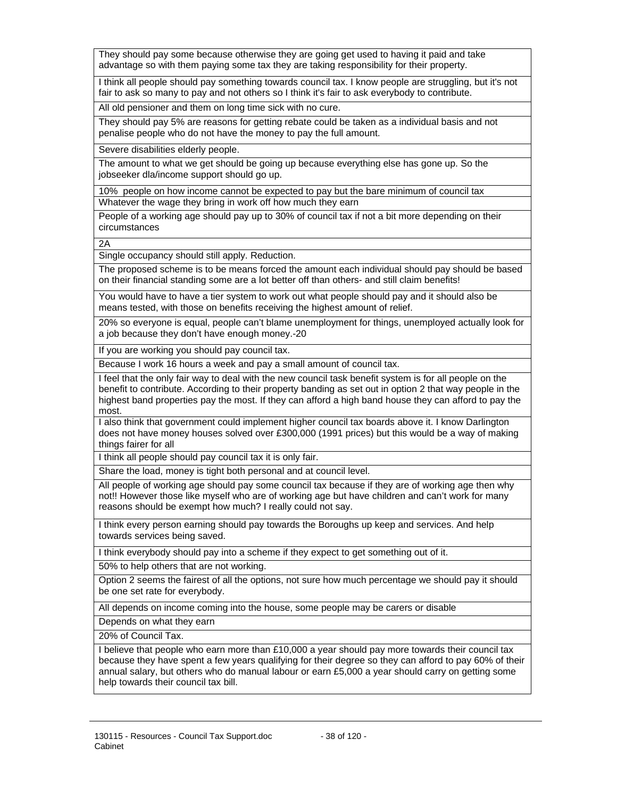They should pay some because otherwise they are going get used to having it paid and take advantage so with them paying some tax they are taking responsibility for their property.

I think all people should pay something towards council tax. I know people are struggling, but it's not fair to ask so many to pay and not others so I think it's fair to ask everybody to contribute.

All old pensioner and them on long time sick with no cure.

They should pay 5% are reasons for getting rebate could be taken as a individual basis and not penalise people who do not have the money to pay the full amount.

Severe disabilities elderly people.

The amount to what we get should be going up because everything else has gone up. So the jobseeker dla/income support should go up.

10% people on how income cannot be expected to pay but the bare minimum of council tax Whatever the wage they bring in work off how much they earn

People of a working age should pay up to 30% of council tax if not a bit more depending on their circumstances

 $\overline{2A}$ 

Single occupancy should still apply. Reduction.

The proposed scheme is to be means forced the amount each individual should pay should be based on their financial standing some are a lot better off than others- and still claim benefits!

You would have to have a tier system to work out what people should pay and it should also be means tested, with those on benefits receiving the highest amount of relief.

20% so everyone is equal, people can't blame unemployment for things, unemployed actually look for a job because they don't have enough money.-20

If you are working you should pay council tax.

Because I work 16 hours a week and pay a small amount of council tax.

I feel that the only fair way to deal with the new council task benefit system is for all people on the benefit to contribute. According to their property banding as set out in option 2 that way people in the highest band properties pay the most. If they can afford a high band house they can afford to pay the most.

I also think that government could implement higher council tax boards above it. I know Darlington does not have money houses solved over £300,000 (1991 prices) but this would be a way of making things fairer for all

I think all people should pay council tax it is only fair.

Share the load, money is tight both personal and at council level.

All people of working age should pay some council tax because if they are of working age then why not!! However those like myself who are of working age but have children and can't work for many reasons should be exempt how much? I really could not say.

I think every person earning should pay towards the Boroughs up keep and services. And help towards services being saved.

I think everybody should pay into a scheme if they expect to get something out of it.

50% to help others that are not working.

Option 2 seems the fairest of all the options, not sure how much percentage we should pay it should be one set rate for everybody.

All depends on income coming into the house, some people may be carers or disable

Depends on what they earn

20% of Council Tax.

I believe that people who earn more than £10,000 a year should pay more towards their council tax because they have spent a few years qualifying for their degree so they can afford to pay 60% of their annual salary, but others who do manual labour or earn £5,000 a year should carry on getting some help towards their council tax bill.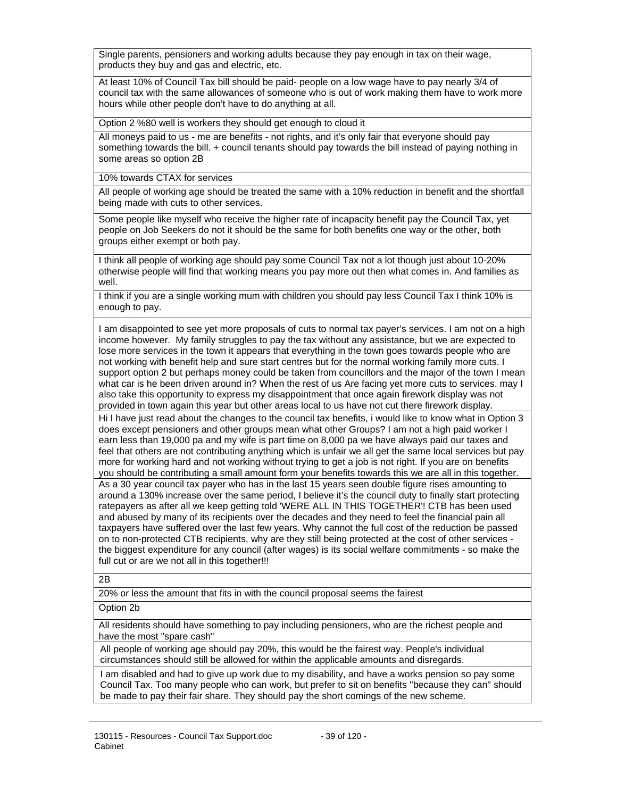Single parents, pensioners and working adults because they pay enough in tax on their wage, products they buy and gas and electric, etc.

At least 10% of Council Tax bill should be paid- people on a low wage have to pay nearly 3/4 of council tax with the same allowances of someone who is out of work making them have to work more hours while other people don't have to do anything at all.

Option 2 %80 well is workers they should get enough to cloud it

All moneys paid to us - me are benefits - not rights, and it's only fair that everyone should pay something towards the bill. + council tenants should pay towards the bill instead of paying nothing in some areas so option 2B

10% towards CTAX for services

All people of working age should be treated the same with a 10% reduction in benefit and the shortfall being made with cuts to other services.

Some people like myself who receive the higher rate of incapacity benefit pay the Council Tax, yet people on Job Seekers do not it should be the same for both benefits one way or the other, both groups either exempt or both pay.

I think all people of working age should pay some Council Tax not a lot though just about 10-20% otherwise people will find that working means you pay more out then what comes in. And families as well.

I think if you are a single working mum with children you should pay less Council Tax I think 10% is enough to pay.

I am disappointed to see yet more proposals of cuts to normal tax payer's services. I am not on a high income however. My family struggles to pay the tax without any assistance, but we are expected to lose more services in the town it appears that everything in the town goes towards people who are not working with benefit help and sure start centres but for the normal working family more cuts. I support option 2 but perhaps money could be taken from councillors and the major of the town I mean what car is he been driven around in? When the rest of us Are facing yet more cuts to services. may I also take this opportunity to express my disappointment that once again firework display was not provided in town again this year but other areas local to us have not cut there firework display.

Hi I have just read about the changes to the council tax benefits, i would like to know what in Option 3 does except pensioners and other groups mean what other Groups? I am not a high paid worker I earn less than 19,000 pa and my wife is part time on 8,000 pa we have always paid our taxes and feel that others are not contributing anything which is unfair we all get the same local services but pay more for working hard and not working without trying to get a job is not right. If you are on benefits you should be contributing a small amount form your benefits towards this we are all in this together. As a 30 year council tax payer who has in the last 15 years seen double figure rises amounting to around a 130% increase over the same period, I believe it's the council duty to finally start protecting ratepayers as after all we keep getting told 'WERE ALL IN THIS TOGETHER'! CTB has been used and abused by many of its recipients over the decades and they need to feel the financial pain all taxpayers have suffered over the last few years. Why cannot the full cost of the reduction be passed on to non-protected CTB recipients, why are they still being protected at the cost of other services the biggest expenditure for any council (after wages) is its social welfare commitments - so make the full cut or are we not all in this together!!!

 $\overline{2B}$ 

20% or less the amount that fits in with the council proposal seems the fairest

Option 2b

All residents should have something to pay including pensioners, who are the richest people and have the most "spare cash"

All people of working age should pay 20%, this would be the fairest way. People's individual circumstances should still be allowed for within the applicable amounts and disregards.

I am disabled and had to give up work due to my disability, and have a works pension so pay some Council Tax. Too many people who can work, but prefer to sit on benefits ''because they can'' should be made to pay their fair share. They should pay the short comings of the new scheme.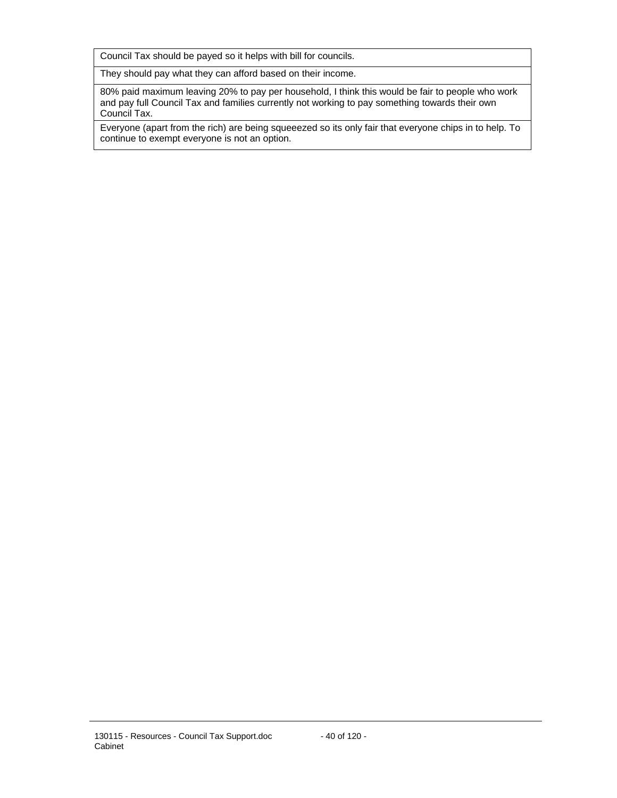Council Tax should be payed so it helps with bill for councils.

They should pay what they can afford based on their income.

80% paid maximum leaving 20% to pay per household, I think this would be fair to people who work and pay full Council Tax and families currently not working to pay something towards their own Council Tax.

Everyone (apart from the rich) are being squeeezed so its only fair that everyone chips in to help. To continue to exempt everyone is not an option.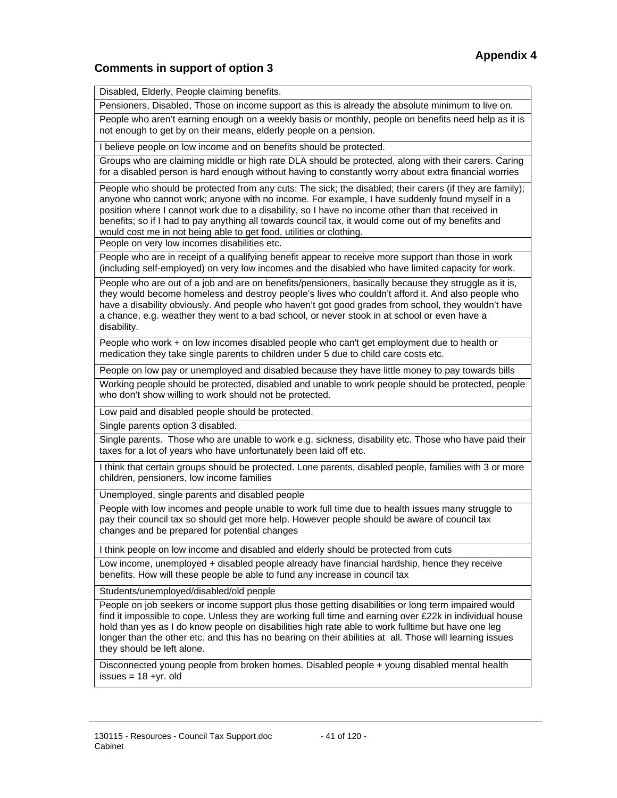#### **Comments in support of option 3**

Disabled, Elderly, People claiming benefits.

Pensioners, Disabled, Those on income support as this is already the absolute minimum to live on.

People who aren't earning enough on a weekly basis or monthly, people on benefits need help as it is not enough to get by on their means, elderly people on a pension.

I believe people on low income and on benefits should be protected.

Groups who are claiming middle or high rate DLA should be protected, along with their carers. Caring for a disabled person is hard enough without having to constantly worry about extra financial worries

People who should be protected from any cuts: The sick; the disabled; their carers (if they are family); anyone who cannot work; anyone with no income. For example, I have suddenly found myself in a position where I cannot work due to a disability, so I have no income other than that received in benefits; so if I had to pay anything all towards council tax, it would come out of my benefits and would cost me in not being able to get food, utilities or clothing.

People on very low incomes disabilities etc.

People who are in receipt of a qualifying benefit appear to receive more support than those in work (including self-employed) on very low incomes and the disabled who have limited capacity for work.

People who are out of a job and are on benefits/pensioners, basically because they struggle as it is, they would become homeless and destroy people's lives who couldn't afford it. And also people who have a disability obviously. And people who haven't got good grades from school, they wouldn't have a chance, e.g. weather they went to a bad school, or never stook in at school or even have a disability.

People who work + on low incomes disabled people who can't get employment due to health or medication they take single parents to children under 5 due to child care costs etc.

People on low pay or unemployed and disabled because they have little money to pay towards bills

Working people should be protected, disabled and unable to work people should be protected, people who don't show willing to work should not be protected.

Low paid and disabled people should be protected.

Single parents option 3 disabled.

Single parents. Those who are unable to work e.g. sickness, disability etc. Those who have paid their taxes for a lot of years who have unfortunately been laid off etc.

I think that certain groups should be protected. Lone parents, disabled people, families with 3 or more children, pensioners, low income families

Unemployed, single parents and disabled people

People with low incomes and people unable to work full time due to health issues many struggle to pay their council tax so should get more help. However people should be aware of council tax changes and be prepared for potential changes

I think people on low income and disabled and elderly should be protected from cuts

Low income, unemployed + disabled people already have financial hardship, hence they receive benefits. How will these people be able to fund any increase in council tax

Students/unemployed/disabled/old people

People on job seekers or income support plus those getting disabilities or long term impaired would find it impossible to cope. Unless they are working full time and earning over £22k in individual house hold than yes as I do know people on disabilities high rate able to work fulltime but have one leg longer than the other etc. and this has no bearing on their abilities at all. Those will learning issues they should be left alone.

Disconnected young people from broken homes. Disabled people + young disabled mental health issues =  $18 + yr$ . old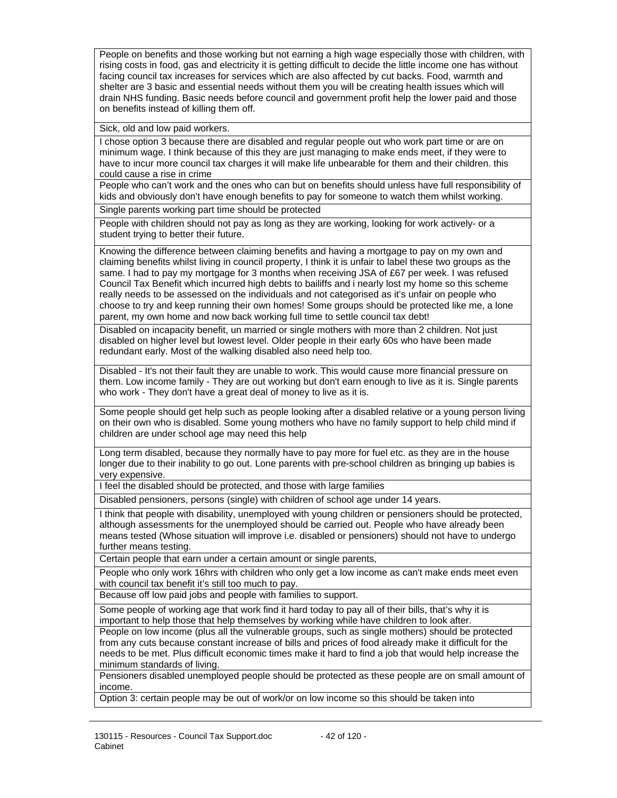People on benefits and those working but not earning a high wage especially those with children, with rising costs in food, gas and electricity it is getting difficult to decide the little income one has without facing council tax increases for services which are also affected by cut backs. Food, warmth and shelter are 3 basic and essential needs without them you will be creating health issues which will drain NHS funding. Basic needs before council and government profit help the lower paid and those on benefits instead of killing them off.

Sick, old and low paid workers.

I chose option 3 because there are disabled and regular people out who work part time or are on minimum wage. I think because of this they are just managing to make ends meet, if they were to have to incur more council tax charges it will make life unbearable for them and their children. this could cause a rise in crime

People who can't work and the ones who can but on benefits should unless have full responsibility of kids and obviously don't have enough benefits to pay for someone to watch them whilst working.

Single parents working part time should be protected

People with children should not pay as long as they are working, looking for work actively- or a student trying to better their future.

Knowing the difference between claiming benefits and having a mortgage to pay on my own and claiming benefits whilst living in council property, I think it is unfair to label these two groups as the same. I had to pay my mortgage for 3 months when receiving JSA of £67 per week. I was refused Council Tax Benefit which incurred high debts to bailiffs and i nearly lost my home so this scheme really needs to be assessed on the individuals and not categorised as it's unfair on people who choose to try and keep running their own homes! Some groups should be protected like me, a lone parent, my own home and now back working full time to settle council tax debt!

Disabled on incapacity benefit, un married or single mothers with more than 2 children. Not just disabled on higher level but lowest level. Older people in their early 60s who have been made redundant early. Most of the walking disabled also need help too.

Disabled - It's not their fault they are unable to work. This would cause more financial pressure on them. Low income family - They are out working but don't earn enough to live as it is. Single parents who work - They don't have a great deal of money to live as it is.

Some people should get help such as people looking after a disabled relative or a young person living on their own who is disabled. Some young mothers who have no family support to help child mind if children are under school age may need this help

Long term disabled, because they normally have to pay more for fuel etc. as they are in the house longer due to their inability to go out. Lone parents with pre-school children as bringing up babies is very expensive.

I feel the disabled should be protected, and those with large families

Disabled pensioners, persons (single) with children of school age under 14 years.

I think that people with disability, unemployed with young children or pensioners should be protected, although assessments for the unemployed should be carried out. People who have already been means tested (Whose situation will improve i.e. disabled or pensioners) should not have to undergo further means testing.

Certain people that earn under a certain amount or single parents,

People who only work 16hrs with children who only get a low income as can't make ends meet even with council tax benefit it's still too much to pay.

Because off low paid jobs and people with families to support.

Some people of working age that work find it hard today to pay all of their bills, that's why it is important to help those that help themselves by working while have children to look after.

People on low income (plus all the vulnerable groups, such as single mothers) should be protected from any cuts because constant increase of bills and prices of food already make it difficult for the needs to be met. Plus difficult economic times make it hard to find a job that would help increase the minimum standards of living.

Pensioners disabled unemployed people should be protected as these people are on small amount of income.

Option 3: certain people may be out of work/or on low income so this should be taken into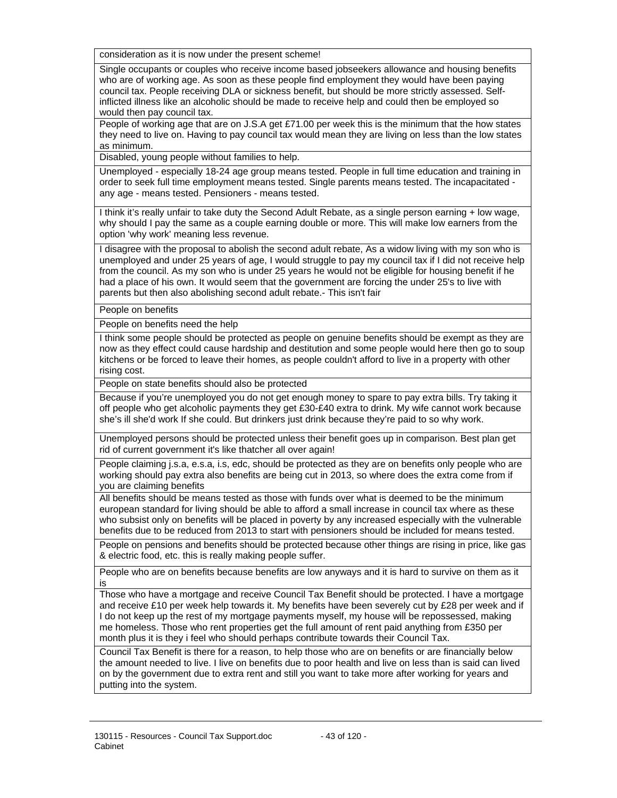consideration as it is now under the present scheme!

Single occupants or couples who receive income based jobseekers allowance and housing benefits who are of working age. As soon as these people find employment they would have been paying council tax. People receiving DLA or sickness benefit, but should be more strictly assessed. Selfinflicted illness like an alcoholic should be made to receive help and could then be employed so would then pay council tax.

People of working age that are on J.S.A get £71.00 per week this is the minimum that the how states they need to live on. Having to pay council tax would mean they are living on less than the low states as minimum.

Disabled, young people without families to help.

Unemployed - especially 18-24 age group means tested. People in full time education and training in order to seek full time employment means tested. Single parents means tested. The incapacitated any age - means tested. Pensioners - means tested.

I think it's really unfair to take duty the Second Adult Rebate, as a single person earning + low wage, why should I pay the same as a couple earning double or more. This will make low earners from the option 'why work' meaning less revenue.

I disagree with the proposal to abolish the second adult rebate, As a widow living with my son who is unemployed and under 25 years of age, I would struggle to pay my council tax if I did not receive help from the council. As my son who is under 25 years he would not be eligible for housing benefit if he had a place of his own. It would seem that the government are forcing the under 25's to live with parents but then also abolishing second adult rebate.- This isn't fair

People on benefits

People on benefits need the help

I think some people should be protected as people on genuine benefits should be exempt as they are now as they effect could cause hardship and destitution and some people would here then go to soup kitchens or be forced to leave their homes, as people couldn't afford to live in a property with other rising cost.

People on state benefits should also be protected

Because if you're unemployed you do not get enough money to spare to pay extra bills. Try taking it off people who get alcoholic payments they get £30-£40 extra to drink. My wife cannot work because she's ill she'd work If she could. But drinkers just drink because they're paid to so why work.

Unemployed persons should be protected unless their benefit goes up in comparison. Best plan get rid of current government it's like thatcher all over again!

People claiming j.s.a, e.s.a, i.s, edc, should be protected as they are on benefits only people who are working should pay extra also benefits are being cut in 2013, so where does the extra come from if you are claiming benefits

All benefits should be means tested as those with funds over what is deemed to be the minimum european standard for living should be able to afford a small increase in council tax where as these who subsist only on benefits will be placed in poverty by any increased especially with the vulnerable benefits due to be reduced from 2013 to start with pensioners should be included for means tested.

People on pensions and benefits should be protected because other things are rising in price, like gas & electric food, etc. this is really making people suffer.

People who are on benefits because benefits are low anyways and it is hard to survive on them as it is

Those who have a mortgage and receive Council Tax Benefit should be protected. I have a mortgage and receive £10 per week help towards it. My benefits have been severely cut by £28 per week and if I do not keep up the rest of my mortgage payments myself, my house will be repossessed, making me homeless. Those who rent properties get the full amount of rent paid anything from £350 per month plus it is they i feel who should perhaps contribute towards their Council Tax.

Council Tax Benefit is there for a reason, to help those who are on benefits or are financially below the amount needed to live. I live on benefits due to poor health and live on less than is said can lived on by the government due to extra rent and still you want to take more after working for years and putting into the system.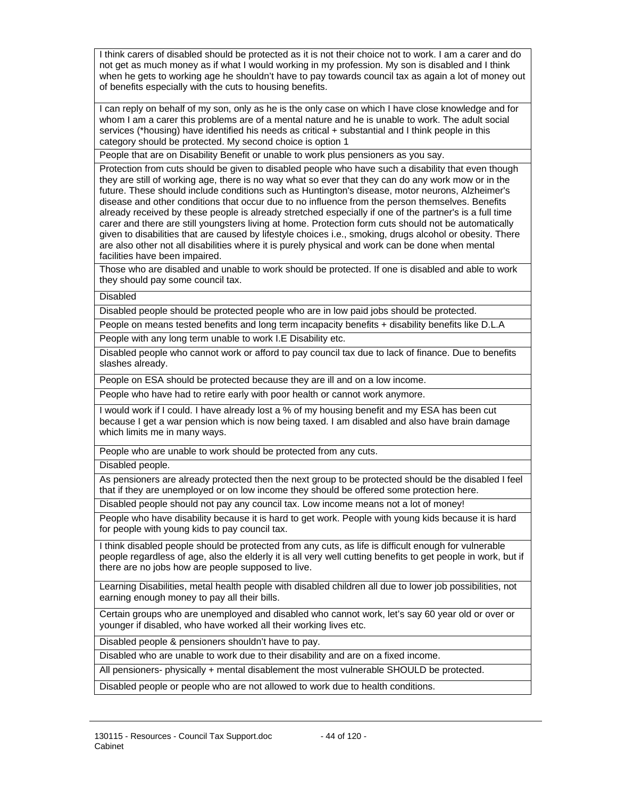I think carers of disabled should be protected as it is not their choice not to work. I am a carer and do not get as much money as if what I would working in my profession. My son is disabled and I think when he gets to working age he shouldn't have to pay towards council tax as again a lot of money out of benefits especially with the cuts to housing benefits.

I can reply on behalf of my son, only as he is the only case on which I have close knowledge and for whom I am a carer this problems are of a mental nature and he is unable to work. The adult social services (\*housing) have identified his needs as critical + substantial and I think people in this category should be protected. My second choice is option 1

People that are on Disability Benefit or unable to work plus pensioners as you say.

Protection from cuts should be given to disabled people who have such a disability that even though they are still of working age, there is no way what so ever that they can do any work mow or in the future. These should include conditions such as Huntington's disease, motor neurons, Alzheimer's disease and other conditions that occur due to no influence from the person themselves. Benefits already received by these people is already stretched especially if one of the partner's is a full time carer and there are still youngsters living at home. Protection form cuts should not be automatically given to disabilities that are caused by lifestyle choices i.e., smoking, drugs alcohol or obesity. There are also other not all disabilities where it is purely physical and work can be done when mental facilities have been impaired.

Those who are disabled and unable to work should be protected. If one is disabled and able to work they should pay some council tax.

Disabled

Disabled people should be protected people who are in low paid jobs should be protected.

People on means tested benefits and long term incapacity benefits + disability benefits like D.L.A

People with any long term unable to work I.E Disability etc.

Disabled people who cannot work or afford to pay council tax due to lack of finance. Due to benefits slashes already.

People on ESA should be protected because they are ill and on a low income.

People who have had to retire early with poor health or cannot work anymore.

I would work if I could. I have already lost a % of my housing benefit and my ESA has been cut because I get a war pension which is now being taxed. I am disabled and also have brain damage which limits me in many ways.

People who are unable to work should be protected from any cuts.

Disabled people.

As pensioners are already protected then the next group to be protected should be the disabled I feel that if they are unemployed or on low income they should be offered some protection here.

Disabled people should not pay any council tax. Low income means not a lot of money!

People who have disability because it is hard to get work. People with young kids because it is hard for people with young kids to pay council tax.

I think disabled people should be protected from any cuts, as life is difficult enough for vulnerable people regardless of age, also the elderly it is all very well cutting benefits to get people in work, but if there are no jobs how are people supposed to live.

Learning Disabilities, metal health people with disabled children all due to lower job possibilities, not earning enough money to pay all their bills.

Certain groups who are unemployed and disabled who cannot work, let's say 60 year old or over or younger if disabled, who have worked all their working lives etc.

Disabled people & pensioners shouldn't have to pay.

Disabled who are unable to work due to their disability and are on a fixed income.

All pensioners- physically + mental disablement the most vulnerable SHOULD be protected.

Disabled people or people who are not allowed to work due to health conditions.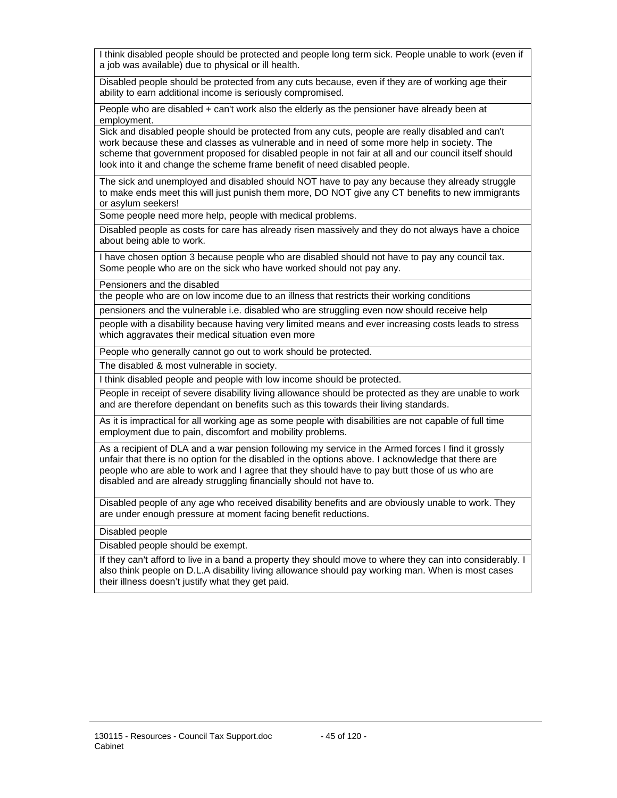I think disabled people should be protected and people long term sick. People unable to work (even if a job was available) due to physical or ill health.

Disabled people should be protected from any cuts because, even if they are of working age their ability to earn additional income is seriously compromised.

People who are disabled + can't work also the elderly as the pensioner have already been at employment.

Sick and disabled people should be protected from any cuts, people are really disabled and can't work because these and classes as vulnerable and in need of some more help in society. The scheme that government proposed for disabled people in not fair at all and our council itself should look into it and change the scheme frame benefit of need disabled people.

The sick and unemployed and disabled should NOT have to pay any because they already struggle to make ends meet this will just punish them more, DO NOT give any CT benefits to new immigrants or asylum seekers!

Some people need more help, people with medical problems.

Disabled people as costs for care has already risen massively and they do not always have a choice about being able to work.

I have chosen option 3 because people who are disabled should not have to pay any council tax. Some people who are on the sick who have worked should not pay any.

Pensioners and the disabled

the people who are on low income due to an illness that restricts their working conditions

pensioners and the vulnerable i.e. disabled who are struggling even now should receive help

people with a disability because having very limited means and ever increasing costs leads to stress which aggravates their medical situation even more

People who generally cannot go out to work should be protected.

The disabled & most vulnerable in society.

I think disabled people and people with low income should be protected.

People in receipt of severe disability living allowance should be protected as they are unable to work and are therefore dependant on benefits such as this towards their living standards.

As it is impractical for all working age as some people with disabilities are not capable of full time employment due to pain, discomfort and mobility problems.

As a recipient of DLA and a war pension following my service in the Armed forces I find it grossly unfair that there is no option for the disabled in the options above. I acknowledge that there are people who are able to work and I agree that they should have to pay butt those of us who are disabled and are already struggling financially should not have to.

Disabled people of any age who received disability benefits and are obviously unable to work. They are under enough pressure at moment facing benefit reductions.

Disabled people

Disabled people should be exempt.

If they can't afford to live in a band a property they should move to where they can into considerably. I also think people on D.L.A disability living allowance should pay working man. When is most cases their illness doesn't justify what they get paid.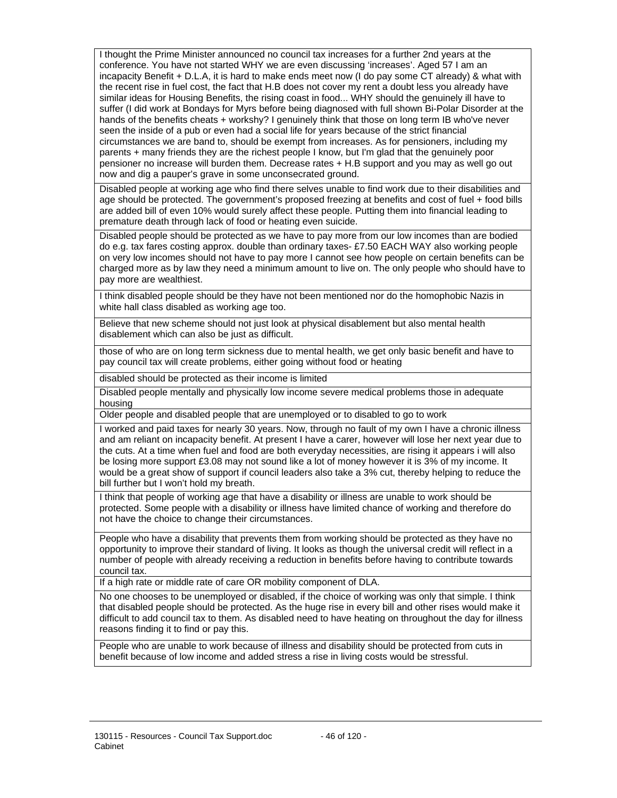I thought the Prime Minister announced no council tax increases for a further 2nd years at the conference. You have not started WHY we are even discussing 'increases'. Aged 57 I am an incapacity Benefit + D.L.A, it is hard to make ends meet now (I do pay some CT already) & what with the recent rise in fuel cost, the fact that H.B does not cover my rent a doubt less you already have similar ideas for Housing Benefits, the rising coast in food... WHY should the genuinely ill have to suffer (I did work at Bondays for Myrs before being diagnosed with full shown Bi-Polar Disorder at the hands of the benefits cheats + workshy? I genuinely think that those on long term IB who've never seen the inside of a pub or even had a social life for years because of the strict financial circumstances we are band to, should be exempt from increases. As for pensioners, including my parents + many friends they are the richest people I know, but I'm glad that the genuinely poor pensioner no increase will burden them. Decrease rates + H.B support and you may as well go out now and dig a pauper's grave in some unconsecrated ground.

Disabled people at working age who find there selves unable to find work due to their disabilities and age should be protected. The government's proposed freezing at benefits and cost of fuel + food bills are added bill of even 10% would surely affect these people. Putting them into financial leading to premature death through lack of food or heating even suicide.

Disabled people should be protected as we have to pay more from our low incomes than are bodied do e.g. tax fares costing approx. double than ordinary taxes- £7.50 EACH WAY also working people on very low incomes should not have to pay more I cannot see how people on certain benefits can be charged more as by law they need a minimum amount to live on. The only people who should have to pay more are wealthiest.

I think disabled people should be they have not been mentioned nor do the homophobic Nazis in white hall class disabled as working age too.

Believe that new scheme should not just look at physical disablement but also mental health disablement which can also be just as difficult.

those of who are on long term sickness due to mental health, we get only basic benefit and have to pay council tax will create problems, either going without food or heating

disabled should be protected as their income is limited

Disabled people mentally and physically low income severe medical problems those in adequate housing

Older people and disabled people that are unemployed or to disabled to go to work

I worked and paid taxes for nearly 30 years. Now, through no fault of my own I have a chronic illness and am reliant on incapacity benefit. At present I have a carer, however will lose her next year due to the cuts. At a time when fuel and food are both everyday necessities, are rising it appears i will also be losing more support £3.08 may not sound like a lot of money however it is 3% of my income. It would be a great show of support if council leaders also take a 3% cut, thereby helping to reduce the bill further but I won't hold my breath.

I think that people of working age that have a disability or illness are unable to work should be protected. Some people with a disability or illness have limited chance of working and therefore do not have the choice to change their circumstances.

People who have a disability that prevents them from working should be protected as they have no opportunity to improve their standard of living. It looks as though the universal credit will reflect in a number of people with already receiving a reduction in benefits before having to contribute towards council tax.

If a high rate or middle rate of care OR mobility component of DLA.

No one chooses to be unemployed or disabled, if the choice of working was only that simple. I think that disabled people should be protected. As the huge rise in every bill and other rises would make it difficult to add council tax to them. As disabled need to have heating on throughout the day for illness reasons finding it to find or pay this.

People who are unable to work because of illness and disability should be protected from cuts in benefit because of low income and added stress a rise in living costs would be stressful.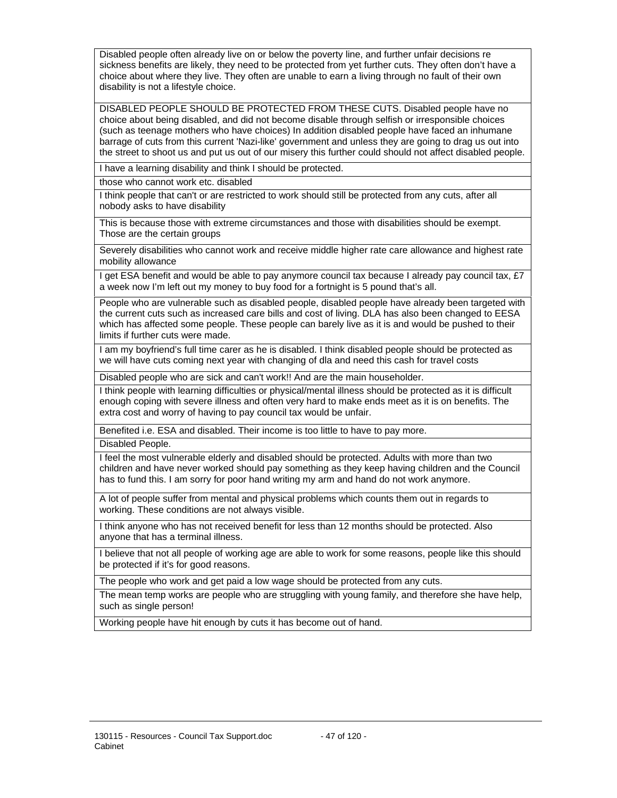Disabled people often already live on or below the poverty line, and further unfair decisions re sickness benefits are likely, they need to be protected from yet further cuts. They often don't have a choice about where they live. They often are unable to earn a living through no fault of their own disability is not a lifestyle choice.

DISABLED PEOPLE SHOULD BE PROTECTED FROM THESE CUTS. Disabled people have no choice about being disabled, and did not become disable through selfish or irresponsible choices (such as teenage mothers who have choices) In addition disabled people have faced an inhumane barrage of cuts from this current 'Nazi-like' government and unless they are going to drag us out into the street to shoot us and put us out of our misery this further could should not affect disabled people.

I have a learning disability and think I should be protected.

those who cannot work etc. disabled

I think people that can't or are restricted to work should still be protected from any cuts, after all nobody asks to have disability

This is because those with extreme circumstances and those with disabilities should be exempt. Those are the certain groups

Severely disabilities who cannot work and receive middle higher rate care allowance and highest rate mobility allowance

I get ESA benefit and would be able to pay anymore council tax because I already pay council tax, £7 a week now I'm left out my money to buy food for a fortnight is 5 pound that's all.

People who are vulnerable such as disabled people, disabled people have already been targeted with the current cuts such as increased care bills and cost of living. DLA has also been changed to EESA which has affected some people. These people can barely live as it is and would be pushed to their limits if further cuts were made.

I am my boyfriend's full time carer as he is disabled. I think disabled people should be protected as we will have cuts coming next year with changing of dla and need this cash for travel costs

Disabled people who are sick and can't work!! And are the main householder.

I think people with learning difficulties or physical/mental illness should be protected as it is difficult enough coping with severe illness and often very hard to make ends meet as it is on benefits. The extra cost and worry of having to pay council tax would be unfair.

Benefited i.e. ESA and disabled. Their income is too little to have to pay more.

Disabled People.

I feel the most vulnerable elderly and disabled should be protected. Adults with more than two children and have never worked should pay something as they keep having children and the Council has to fund this. I am sorry for poor hand writing my arm and hand do not work anymore.

A lot of people suffer from mental and physical problems which counts them out in regards to working. These conditions are not always visible.

I think anyone who has not received benefit for less than 12 months should be protected. Also anyone that has a terminal illness.

I believe that not all people of working age are able to work for some reasons, people like this should be protected if it's for good reasons.

The people who work and get paid a low wage should be protected from any cuts.

The mean temp works are people who are struggling with young family, and therefore she have help, such as single person!

Working people have hit enough by cuts it has become out of hand.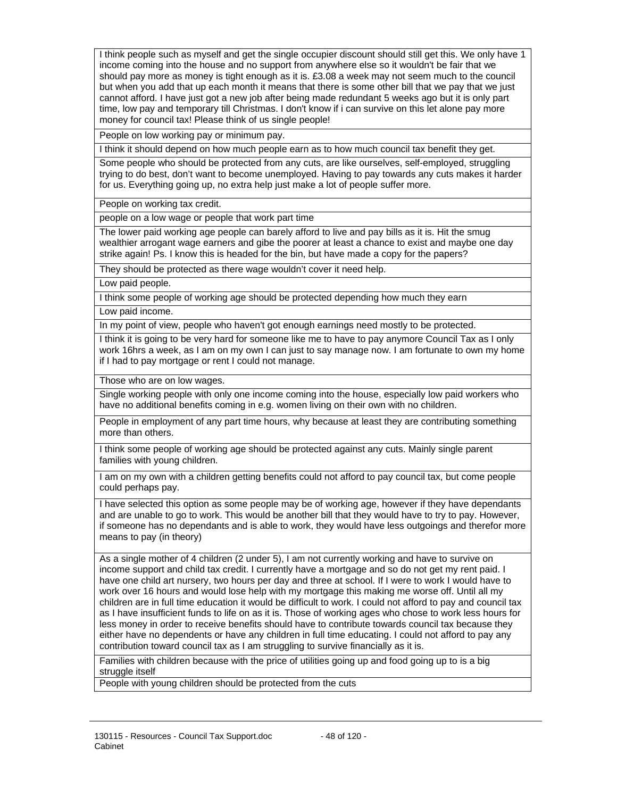I think people such as myself and get the single occupier discount should still get this. We only have 1 income coming into the house and no support from anywhere else so it wouldn't be fair that we should pay more as money is tight enough as it is. £3.08 a week may not seem much to the council but when you add that up each month it means that there is some other bill that we pay that we just cannot afford. I have just got a new job after being made redundant 5 weeks ago but it is only part time, low pay and temporary till Christmas. I don't know if i can survive on this let alone pay more money for council tax! Please think of us single people!

People on low working pay or minimum pay.

I think it should depend on how much people earn as to how much council tax benefit they get. Some people who should be protected from any cuts, are like ourselves, self-employed, struggling trying to do best, don't want to become unemployed. Having to pay towards any cuts makes it harder for us. Everything going up, no extra help just make a lot of people suffer more.

People on working tax credit.

people on a low wage or people that work part time

The lower paid working age people can barely afford to live and pay bills as it is. Hit the smug wealthier arrogant wage earners and gibe the poorer at least a chance to exist and maybe one day strike again! Ps. I know this is headed for the bin, but have made a copy for the papers?

They should be protected as there wage wouldn't cover it need help.

Low paid people.

I think some people of working age should be protected depending how much they earn

Low paid income.

In my point of view, people who haven't got enough earnings need mostly to be protected.

I think it is going to be very hard for someone like me to have to pay anymore Council Tax as I only work 16hrs a week, as I am on my own I can just to say manage now. I am fortunate to own my home if I had to pay mortgage or rent I could not manage.

Those who are on low wages.

Single working people with only one income coming into the house, especially low paid workers who have no additional benefits coming in e.g. women living on their own with no children.

People in employment of any part time hours, why because at least they are contributing something more than others.

I think some people of working age should be protected against any cuts. Mainly single parent families with young children.

I am on my own with a children getting benefits could not afford to pay council tax, but come people could perhaps pay.

I have selected this option as some people may be of working age, however if they have dependants and are unable to go to work. This would be another bill that they would have to try to pay. However, if someone has no dependants and is able to work, they would have less outgoings and therefor more means to pay (in theory)

As a single mother of 4 children (2 under 5), I am not currently working and have to survive on income support and child tax credit. I currently have a mortgage and so do not get my rent paid. I have one child art nursery, two hours per day and three at school. If I were to work I would have to work over 16 hours and would lose help with my mortgage this making me worse off. Until all my children are in full time education it would be difficult to work. I could not afford to pay and council tax as I have insufficient funds to life on as it is. Those of working ages who chose to work less hours for less money in order to receive benefits should have to contribute towards council tax because they either have no dependents or have any children in full time educating. I could not afford to pay any contribution toward council tax as I am struggling to survive financially as it is.

Families with children because with the price of utilities going up and food going up to is a big struggle itself

People with young children should be protected from the cuts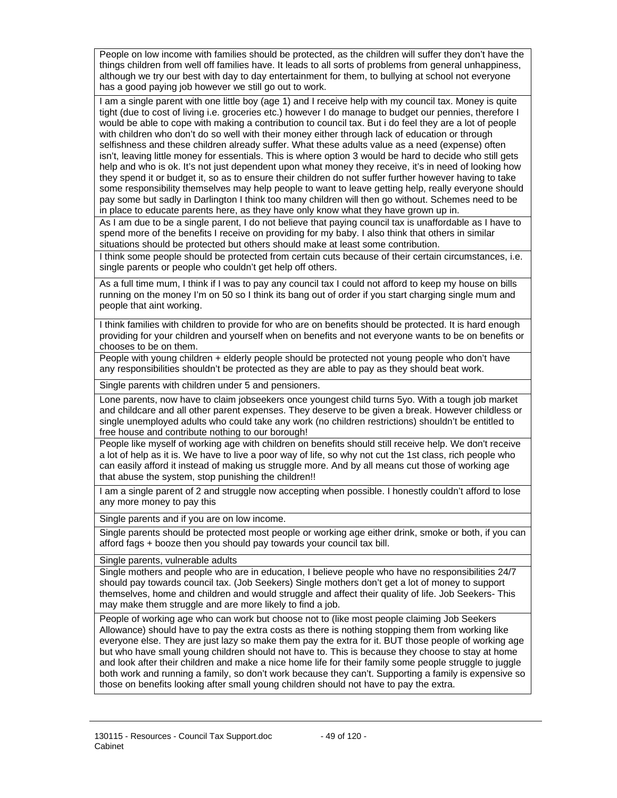People on low income with families should be protected, as the children will suffer they don't have the things children from well off families have. It leads to all sorts of problems from general unhappiness, although we try our best with day to day entertainment for them, to bullying at school not everyone has a good paying job however we still go out to work.

I am a single parent with one little boy (age 1) and I receive help with my council tax. Money is quite tight (due to cost of living i.e. groceries etc.) however I do manage to budget our pennies, therefore I would be able to cope with making a contribution to council tax. But i do feel they are a lot of people with children who don't do so well with their money either through lack of education or through selfishness and these children already suffer. What these adults value as a need (expense) often isn't, leaving little money for essentials. This is where option 3 would be hard to decide who still gets help and who is ok. It's not just dependent upon what money they receive, it's in need of looking how they spend it or budget it, so as to ensure their children do not suffer further however having to take some responsibility themselves may help people to want to leave getting help, really everyone should pay some but sadly in Darlington I think too many children will then go without. Schemes need to be in place to educate parents here, as they have only know what they have grown up in.

As I am due to be a single parent, I do not believe that paying council tax is unaffordable as I have to spend more of the benefits I receive on providing for my baby. I also think that others in similar situations should be protected but others should make at least some contribution.

I think some people should be protected from certain cuts because of their certain circumstances, i.e. single parents or people who couldn't get help off others.

As a full time mum, I think if I was to pay any council tax I could not afford to keep my house on bills running on the money I'm on 50 so I think its bang out of order if you start charging single mum and people that aint working.

I think families with children to provide for who are on benefits should be protected. It is hard enough providing for your children and yourself when on benefits and not everyone wants to be on benefits or chooses to be on them.

People with young children + elderly people should be protected not young people who don't have any responsibilities shouldn't be protected as they are able to pay as they should beat work.

Single parents with children under 5 and pensioners.

Lone parents, now have to claim jobseekers once youngest child turns 5yo. With a tough job market and childcare and all other parent expenses. They deserve to be given a break. However childless or single unemployed adults who could take any work (no children restrictions) shouldn't be entitled to free house and contribute nothing to our borough!

People like myself of working age with children on benefits should still receive help. We don't receive a lot of help as it is. We have to live a poor way of life, so why not cut the 1st class, rich people who can easily afford it instead of making us struggle more. And by all means cut those of working age that abuse the system, stop punishing the children!!

I am a single parent of 2 and struggle now accepting when possible. I honestly couldn't afford to lose any more money to pay this

Single parents and if you are on low income.

Single parents should be protected most people or working age either drink, smoke or both, if you can afford fags + booze then you should pay towards your council tax bill.

Single parents, vulnerable adults

Single mothers and people who are in education, I believe people who have no responsibilities 24/7 should pay towards council tax. (Job Seekers) Single mothers don't get a lot of money to support themselves, home and children and would struggle and affect their quality of life. Job Seekers- This may make them struggle and are more likely to find a job.

People of working age who can work but choose not to (like most people claiming Job Seekers Allowance) should have to pay the extra costs as there is nothing stopping them from working like everyone else. They are just lazy so make them pay the extra for it. BUT those people of working age but who have small young children should not have to. This is because they choose to stay at home and look after their children and make a nice home life for their family some people struggle to juggle both work and running a family, so don't work because they can't. Supporting a family is expensive so those on benefits looking after small young children should not have to pay the extra.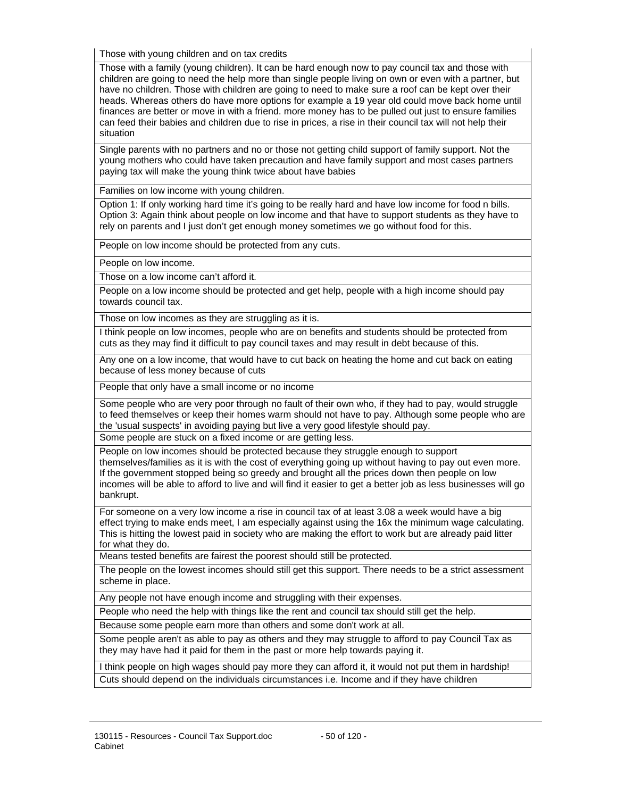Those with young children and on tax credits

Those with a family (young children). It can be hard enough now to pay council tax and those with children are going to need the help more than single people living on own or even with a partner, but have no children. Those with children are going to need to make sure a roof can be kept over their heads. Whereas others do have more options for example a 19 year old could move back home until finances are better or move in with a friend. more money has to be pulled out just to ensure families can feed their babies and children due to rise in prices, a rise in their council tax will not help their situation

Single parents with no partners and no or those not getting child support of family support. Not the young mothers who could have taken precaution and have family support and most cases partners paying tax will make the young think twice about have babies

Families on low income with young children.

Option 1: If only working hard time it's going to be really hard and have low income for food n bills. Option 3: Again think about people on low income and that have to support students as they have to rely on parents and I just don't get enough money sometimes we go without food for this.

People on low income should be protected from any cuts.

People on low income.

Those on a low income can't afford it.

People on a low income should be protected and get help, people with a high income should pay towards council tax.

Those on low incomes as they are struggling as it is.

I think people on low incomes, people who are on benefits and students should be protected from cuts as they may find it difficult to pay council taxes and may result in debt because of this.

Any one on a low income, that would have to cut back on heating the home and cut back on eating because of less money because of cuts

People that only have a small income or no income

Some people who are very poor through no fault of their own who, if they had to pay, would struggle to feed themselves or keep their homes warm should not have to pay. Although some people who are the 'usual suspects' in avoiding paying but live a very good lifestyle should pay.

Some people are stuck on a fixed income or are getting less.

People on low incomes should be protected because they struggle enough to support themselves/families as it is with the cost of everything going up without having to pay out even more. If the government stopped being so greedy and brought all the prices down then people on low incomes will be able to afford to live and will find it easier to get a better job as less businesses will go bankrupt.

For someone on a very low income a rise in council tax of at least 3.08 a week would have a big effect trying to make ends meet, I am especially against using the 16x the minimum wage calculating. This is hitting the lowest paid in society who are making the effort to work but are already paid litter for what they do.

Means tested benefits are fairest the poorest should still be protected.

The people on the lowest incomes should still get this support. There needs to be a strict assessment scheme in place.

Any people not have enough income and struggling with their expenses.

People who need the help with things like the rent and council tax should still get the help.

Because some people earn more than others and some don't work at all.

Some people aren't as able to pay as others and they may struggle to afford to pay Council Tax as they may have had it paid for them in the past or more help towards paying it.

I think people on high wages should pay more they can afford it, it would not put them in hardship! Cuts should depend on the individuals circumstances i.e. Income and if they have children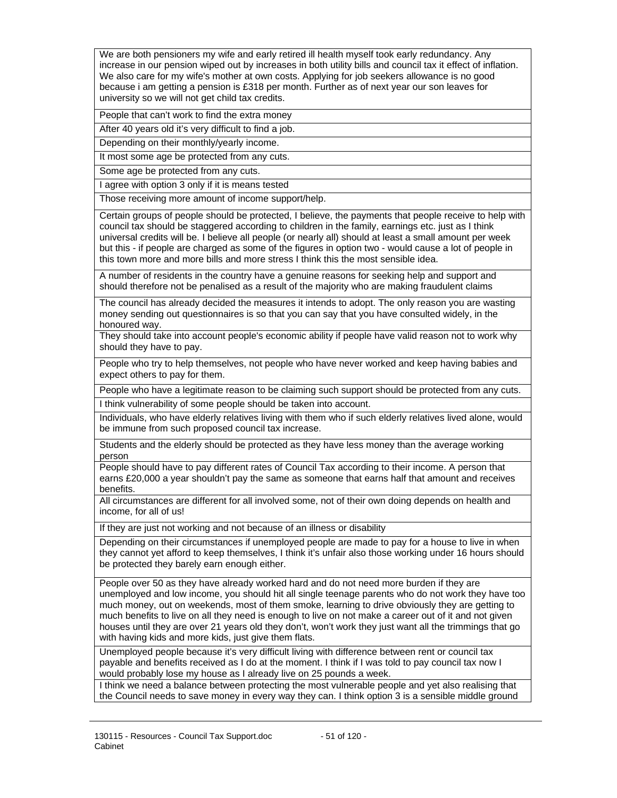We are both pensioners my wife and early retired ill health myself took early redundancy. Any increase in our pension wiped out by increases in both utility bills and council tax it effect of inflation. We also care for my wife's mother at own costs. Applying for job seekers allowance is no good because i am getting a pension is £318 per month. Further as of next year our son leaves for university so we will not get child tax credits.

People that can't work to find the extra money

After 40 years old it's very difficult to find a job.

Depending on their monthly/yearly income.

It most some age be protected from any cuts.

Some age be protected from any cuts.

I agree with option 3 only if it is means tested

Those receiving more amount of income support/help.

Certain groups of people should be protected, I believe, the payments that people receive to help with council tax should be staggered according to children in the family, earnings etc. just as I think universal credits will be. I believe all people (or nearly all) should at least a small amount per week but this - if people are charged as some of the figures in option two - would cause a lot of people in this town more and more bills and more stress I think this the most sensible idea.

A number of residents in the country have a genuine reasons for seeking help and support and should therefore not be penalised as a result of the majority who are making fraudulent claims

The council has already decided the measures it intends to adopt. The only reason you are wasting money sending out questionnaires is so that you can say that you have consulted widely, in the honoured way.

They should take into account people's economic ability if people have valid reason not to work why should they have to pay.

People who try to help themselves, not people who have never worked and keep having babies and expect others to pay for them.

People who have a legitimate reason to be claiming such support should be protected from any cuts. I think vulnerability of some people should be taken into account.

Individuals, who have elderly relatives living with them who if such elderly relatives lived alone, would be immune from such proposed council tax increase.

Students and the elderly should be protected as they have less money than the average working person

People should have to pay different rates of Council Tax according to their income. A person that earns £20,000 a year shouldn't pay the same as someone that earns half that amount and receives benefits.

All circumstances are different for all involved some, not of their own doing depends on health and income, for all of us!

If they are just not working and not because of an illness or disability

Depending on their circumstances if unemployed people are made to pay for a house to live in when they cannot yet afford to keep themselves, I think it's unfair also those working under 16 hours should be protected they barely earn enough either.

People over 50 as they have already worked hard and do not need more burden if they are unemployed and low income, you should hit all single teenage parents who do not work they have too much money, out on weekends, most of them smoke, learning to drive obviously they are getting to much benefits to live on all they need is enough to live on not make a career out of it and not given houses until they are over 21 years old they don't, won't work they just want all the trimmings that go with having kids and more kids, just give them flats.

Unemployed people because it's very difficult living with difference between rent or council tax payable and benefits received as I do at the moment. I think if I was told to pay council tax now I would probably lose my house as I already live on 25 pounds a week.

I think we need a balance between protecting the most vulnerable people and yet also realising that the Council needs to save money in every way they can. I think option 3 is a sensible middle ground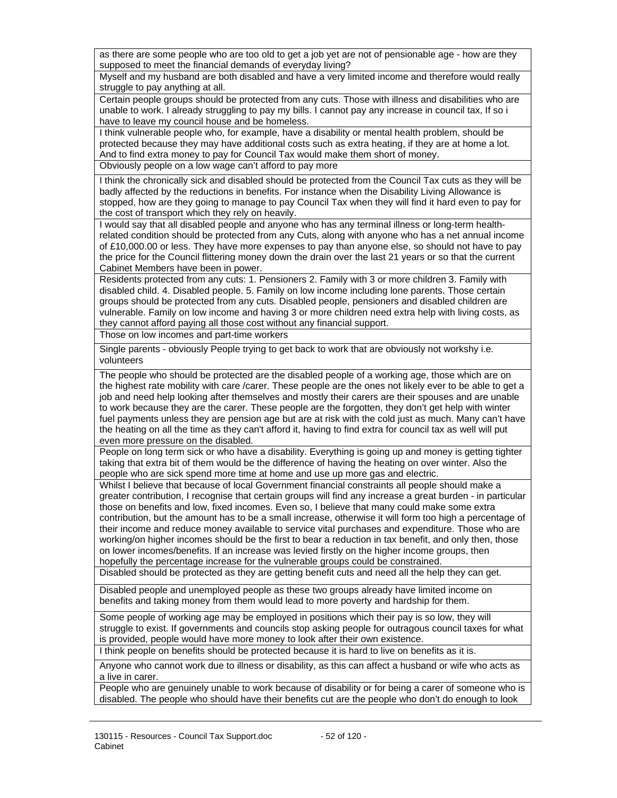as there are some people who are too old to get a job yet are not of pensionable age - how are they supposed to meet the financial demands of everyday living?

Myself and my husband are both disabled and have a very limited income and therefore would really struggle to pay anything at all.

Certain people groups should be protected from any cuts. Those with illness and disabilities who are unable to work. I already struggling to pay my bills. I cannot pay any increase in council tax, If so i have to leave my council house and be homeless.

I think vulnerable people who, for example, have a disability or mental health problem, should be protected because they may have additional costs such as extra heating, if they are at home a lot. And to find extra money to pay for Council Tax would make them short of money.

Obviously people on a low wage can't afford to pay more

I think the chronically sick and disabled should be protected from the Council Tax cuts as they will be badly affected by the reductions in benefits. For instance when the Disability Living Allowance is stopped, how are they going to manage to pay Council Tax when they will find it hard even to pay for the cost of transport which they rely on heavily.

I would say that all disabled people and anyone who has any terminal illness or long-term healthrelated condition should be protected from any Cuts, along with anyone who has a net annual income of £10,000.00 or less. They have more expenses to pay than anyone else, so should not have to pay the price for the Council flittering money down the drain over the last 21 years or so that the current Cabinet Members have been in power.

Residents protected from any cuts: 1. Pensioners 2. Family with 3 or more children 3. Family with disabled child. 4. Disabled people. 5. Family on low income including lone parents. Those certain groups should be protected from any cuts. Disabled people, pensioners and disabled children are vulnerable. Family on low income and having 3 or more children need extra help with living costs, as they cannot afford paying all those cost without any financial support.

Those on low incomes and part-time workers

Single parents - obviously People trying to get back to work that are obviously not workshy i.e. volunteers

The people who should be protected are the disabled people of a working age, those which are on the highest rate mobility with care /carer. These people are the ones not likely ever to be able to get a job and need help looking after themselves and mostly their carers are their spouses and are unable to work because they are the carer. These people are the forgotten, they don't get help with winter fuel payments unless they are pension age but are at risk with the cold just as much. Many can't have the heating on all the time as they can't afford it, having to find extra for council tax as well will put even more pressure on the disabled.

People on long term sick or who have a disability. Everything is going up and money is getting tighter taking that extra bit of them would be the difference of having the heating on over winter. Also the people who are sick spend more time at home and use up more gas and electric.

Whilst I believe that because of local Government financial constraints all people should make a greater contribution, I recognise that certain groups will find any increase a great burden - in particular those on benefits and low, fixed incomes. Even so, I believe that many could make some extra contribution, but the amount has to be a small increase, otherwise it will form too high a percentage of their income and reduce money available to service vital purchases and expenditure. Those who are working/on higher incomes should be the first to bear a reduction in tax benefit, and only then, those on lower incomes/benefits. If an increase was levied firstly on the higher income groups, then hopefully the percentage increase for the vulnerable groups could be constrained.

Disabled should be protected as they are getting benefit cuts and need all the help they can get.

Disabled people and unemployed people as these two groups already have limited income on benefits and taking money from them would lead to more poverty and hardship for them.

Some people of working age may be employed in positions which their pay is so low, they will struggle to exist. If governments and councils stop asking people for outragous council taxes for what is provided, people would have more money to look after their own existence.

I think people on benefits should be protected because it is hard to live on benefits as it is.

Anyone who cannot work due to illness or disability, as this can affect a husband or wife who acts as a live in carer.

People who are genuinely unable to work because of disability or for being a carer of someone who is disabled. The people who should have their benefits cut are the people who don't do enough to look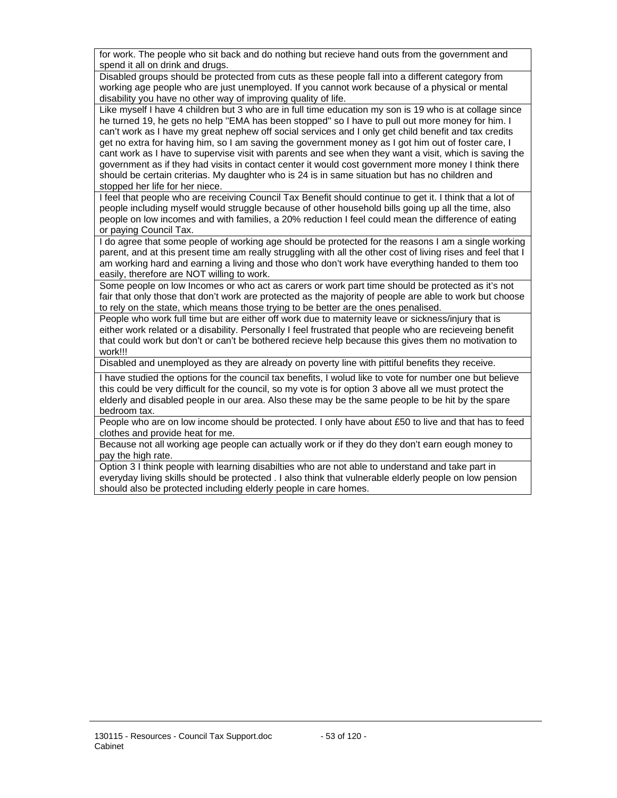for work. The people who sit back and do nothing but recieve hand outs from the government and spend it all on drink and drugs.

Disabled groups should be protected from cuts as these people fall into a different category from working age people who are just unemployed. If you cannot work because of a physical or mental disability you have no other way of improving quality of life.

Like myself I have 4 children but 3 who are in full time education my son is 19 who is at collage since he turned 19, he gets no help ''EMA has been stopped'' so I have to pull out more money for him. I can't work as I have my great nephew off social services and I only get child benefit and tax credits get no extra for having him, so I am saving the government money as I got him out of foster care, I cant work as I have to supervise visit with parents and see when they want a visit, which is saving the government as if they had visits in contact center it would cost government more money I think there should be certain criterias. My daughter who is 24 is in same situation but has no children and stopped her life for her niece.

I feel that people who are receiving Council Tax Benefit should continue to get it. I think that a lot of people including myself would struggle because of other household bills going up all the time, also people on low incomes and with families, a 20% reduction I feel could mean the difference of eating or paying Council Tax.

I do agree that some people of working age should be protected for the reasons I am a single working parent, and at this present time am really struggling with all the other cost of living rises and feel that I am working hard and earning a living and those who don't work have everything handed to them too easily, therefore are NOT willing to work.

Some people on low Incomes or who act as carers or work part time should be protected as it's not fair that only those that don't work are protected as the majority of people are able to work but choose to rely on the state, which means those trying to be better are the ones penalised.

People who work full time but are either off work due to maternity leave or sickness/injury that is either work related or a disability. Personally I feel frustrated that people who are recieveing benefit that could work but don't or can't be bothered recieve help because this gives them no motivation to work!!!

Disabled and unemployed as they are already on poverty line with pittiful benefits they receive.

I have studied the options for the council tax benefits, I wolud like to vote for number one but believe this could be very difficult for the council, so my vote is for option 3 above all we must protect the elderly and disabled people in our area. Also these may be the same people to be hit by the spare bedroom tax.

People who are on low income should be protected. I only have about £50 to live and that has to feed clothes and provide heat for me.

Because not all working age people can actually work or if they do they don't earn eough money to pay the high rate.

Option 3 I think people with learning disabilties who are not able to understand and take part in everyday living skills should be protected . I also think that vulnerable elderly people on low pension should also be protected including elderly people in care homes.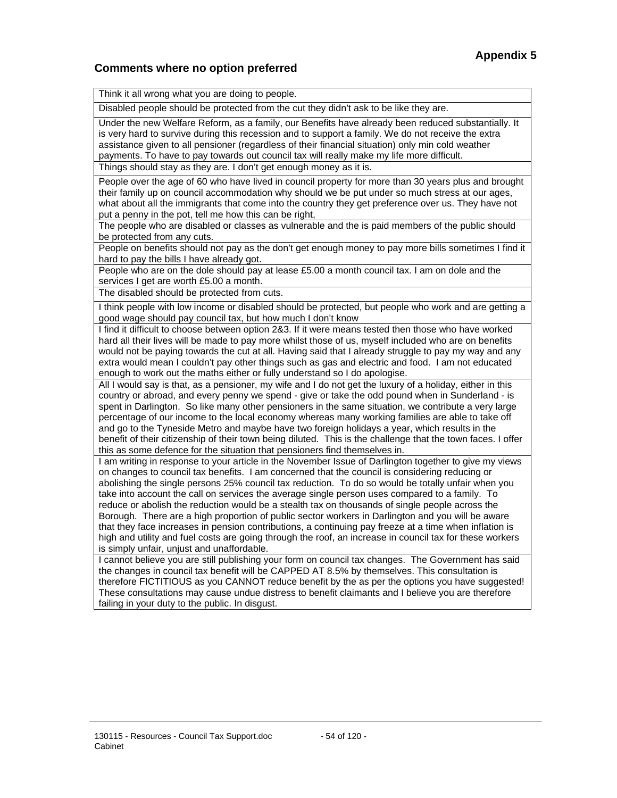## **Comments where no option preferred**

| Think it all wrong what you are doing to people.                                                                                                                                                                                                                                                                                                                                                                                                                                                                                                                                                                                                                                                                                                                                                                                                                                             |
|----------------------------------------------------------------------------------------------------------------------------------------------------------------------------------------------------------------------------------------------------------------------------------------------------------------------------------------------------------------------------------------------------------------------------------------------------------------------------------------------------------------------------------------------------------------------------------------------------------------------------------------------------------------------------------------------------------------------------------------------------------------------------------------------------------------------------------------------------------------------------------------------|
| Disabled people should be protected from the cut they didn't ask to be like they are.                                                                                                                                                                                                                                                                                                                                                                                                                                                                                                                                                                                                                                                                                                                                                                                                        |
| Under the new Welfare Reform, as a family, our Benefits have already been reduced substantially. It<br>is very hard to survive during this recession and to support a family. We do not receive the extra<br>assistance given to all pensioner (regardless of their financial situation) only min cold weather<br>payments. To have to pay towards out council tax will really make my life more difficult.                                                                                                                                                                                                                                                                                                                                                                                                                                                                                  |
| Things should stay as they are. I don't get enough money as it is.                                                                                                                                                                                                                                                                                                                                                                                                                                                                                                                                                                                                                                                                                                                                                                                                                           |
| People over the age of 60 who have lived in council property for more than 30 years plus and brought<br>their family up on council accommodation why should we be put under so much stress at our ages,<br>what about all the immigrants that come into the country they get preference over us. They have not<br>put a penny in the pot, tell me how this can be right,                                                                                                                                                                                                                                                                                                                                                                                                                                                                                                                     |
| The people who are disabled or classes as vulnerable and the is paid members of the public should<br>be protected from any cuts.                                                                                                                                                                                                                                                                                                                                                                                                                                                                                                                                                                                                                                                                                                                                                             |
| People on benefits should not pay as the don't get enough money to pay more bills sometimes I find it<br>hard to pay the bills I have already got.                                                                                                                                                                                                                                                                                                                                                                                                                                                                                                                                                                                                                                                                                                                                           |
| People who are on the dole should pay at lease £5.00 a month council tax. I am on dole and the<br>services I get are worth £5.00 a month.                                                                                                                                                                                                                                                                                                                                                                                                                                                                                                                                                                                                                                                                                                                                                    |
| The disabled should be protected from cuts.                                                                                                                                                                                                                                                                                                                                                                                                                                                                                                                                                                                                                                                                                                                                                                                                                                                  |
| I think people with low income or disabled should be protected, but people who work and are getting a<br>good wage should pay council tax, but how much I don't know                                                                                                                                                                                                                                                                                                                                                                                                                                                                                                                                                                                                                                                                                                                         |
| I find it difficult to choose between option 2&3. If it were means tested then those who have worked<br>hard all their lives will be made to pay more whilst those of us, myself included who are on benefits<br>would not be paying towards the cut at all. Having said that I already struggle to pay my way and any<br>extra would mean I couldn't pay other things such as gas and electric and food. I am not educated<br>enough to work out the maths either or fully understand so I do apologise.                                                                                                                                                                                                                                                                                                                                                                                    |
| All I would say is that, as a pensioner, my wife and I do not get the luxury of a holiday, either in this<br>country or abroad, and every penny we spend - give or take the odd pound when in Sunderland - is<br>spent in Darlington. So like many other pensioners in the same situation, we contribute a very large<br>percentage of our income to the local economy whereas many working families are able to take off<br>and go to the Tyneside Metro and maybe have two foreign holidays a year, which results in the<br>benefit of their citizenship of their town being diluted. This is the challenge that the town faces. I offer<br>this as some defence for the situation that pensioners find themselves in.                                                                                                                                                                     |
| I am writing in response to your article in the November Issue of Darlington together to give my views<br>on changes to council tax benefits. I am concerned that the council is considering reducing or<br>abolishing the single persons 25% council tax reduction. To do so would be totally unfair when you<br>take into account the call on services the average single person uses compared to a family. To<br>reduce or abolish the reduction would be a stealth tax on thousands of single people across the<br>Borough. There are a high proportion of public sector workers in Darlington and you will be aware<br>that they face increases in pension contributions, a continuing pay freeze at a time when inflation is<br>high and utility and fuel costs are going through the roof, an increase in council tax for these workers<br>is simply unfair, unjust and unaffordable. |
| I cannot believe you are still publishing your form on council tax changes. The Government has said<br>the changes in council tax benefit will be CAPPED AT 8.5% by themselves. This consultation is<br>therefore FICTITIOUS as you CANNOT reduce benefit by the as per the options you have suggested!<br>These consultations may cause undue distress to benefit claimants and I believe you are therefore<br>failing in your duty to the public. In disgust.                                                                                                                                                                                                                                                                                                                                                                                                                              |
|                                                                                                                                                                                                                                                                                                                                                                                                                                                                                                                                                                                                                                                                                                                                                                                                                                                                                              |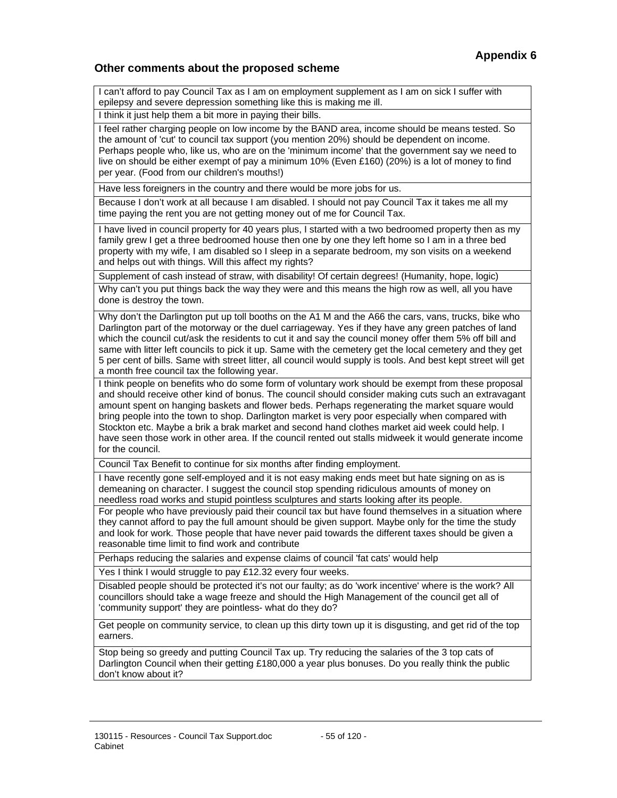#### **Other comments about the proposed scheme**

I can't afford to pay Council Tax as I am on employment supplement as I am on sick I suffer with epilepsy and severe depression something like this is making me ill.

I think it just help them a bit more in paying their bills.

I feel rather charging people on low income by the BAND area, income should be means tested. So the amount of 'cut' to council tax support (you mention 20%) should be dependent on income. Perhaps people who, like us, who are on the 'minimum income' that the government say we need to live on should be either exempt of pay a minimum 10% (Even £160) (20%) is a lot of money to find per year. (Food from our children's mouths!)

Have less foreigners in the country and there would be more jobs for us.

Because I don't work at all because I am disabled. I should not pay Council Tax it takes me all my time paying the rent you are not getting money out of me for Council Tax.

I have lived in council property for 40 years plus, I started with a two bedroomed property then as my family grew I get a three bedroomed house then one by one they left home so I am in a three bed property with my wife, I am disabled so I sleep in a separate bedroom, my son visits on a weekend and helps out with things. Will this affect my rights?

Supplement of cash instead of straw, with disability! Of certain degrees! (Humanity, hope, logic)

Why can't you put things back the way they were and this means the high row as well, all you have done is destroy the town.

Why don't the Darlington put up toll booths on the A1 M and the A66 the cars, vans, trucks, bike who Darlington part of the motorway or the duel carriageway. Yes if they have any green patches of land which the council cut/ask the residents to cut it and say the council money offer them 5% off bill and same with litter left councils to pick it up. Same with the cemetery get the local cemetery and they get 5 per cent of bills. Same with street litter, all council would supply is tools. And best kept street will get a month free council tax the following year.

I think people on benefits who do some form of voluntary work should be exempt from these proposal and should receive other kind of bonus. The council should consider making cuts such an extravagant amount spent on hanging baskets and flower beds. Perhaps regenerating the market square would bring people into the town to shop. Darlington market is very poor especially when compared with Stockton etc. Maybe a brik a brak market and second hand clothes market aid week could help. I have seen those work in other area. If the council rented out stalls midweek it would generate income for the council.

Council Tax Benefit to continue for six months after finding employment.

I have recently gone self-employed and it is not easy making ends meet but hate signing on as is demeaning on character. I suggest the council stop spending ridiculous amounts of money on needless road works and stupid pointless sculptures and starts looking after its people.

For people who have previously paid their council tax but have found themselves in a situation where they cannot afford to pay the full amount should be given support. Maybe only for the time the study and look for work. Those people that have never paid towards the different taxes should be given a reasonable time limit to find work and contribute

Perhaps reducing the salaries and expense claims of council 'fat cats' would help

Yes I think I would struggle to pay £12.32 every four weeks.

Disabled people should be protected it's not our faulty; as do 'work incentive' where is the work? All councillors should take a wage freeze and should the High Management of the council get all of 'community support' they are pointless- what do they do?

Get people on community service, to clean up this dirty town up it is disgusting, and get rid of the top earners.

Stop being so greedy and putting Council Tax up. Try reducing the salaries of the 3 top cats of Darlington Council when their getting £180,000 a year plus bonuses. Do you really think the public don't know about it?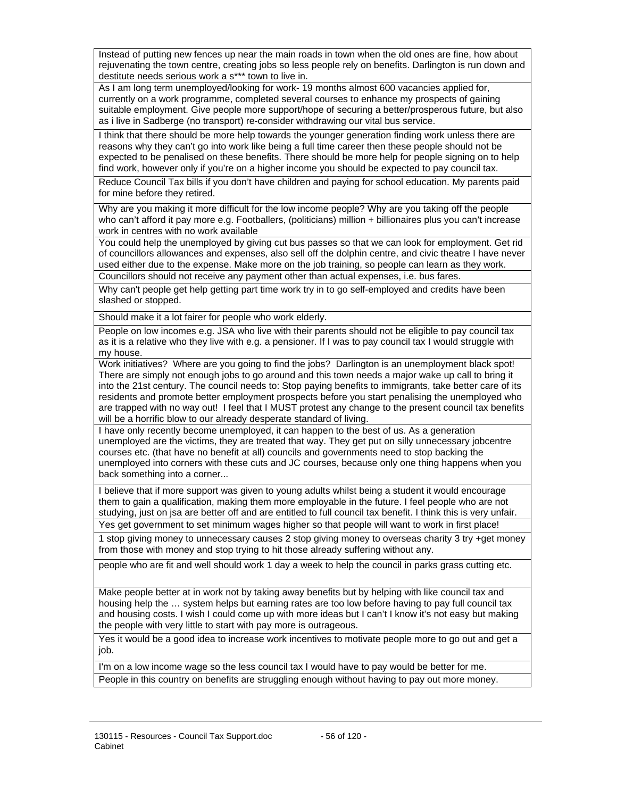Instead of putting new fences up near the main roads in town when the old ones are fine, how about rejuvenating the town centre, creating jobs so less people rely on benefits. Darlington is run down and destitute needs serious work a s\*\*\* town to live in.

As I am long term unemployed/looking for work- 19 months almost 600 vacancies applied for, currently on a work programme, completed several courses to enhance my prospects of gaining suitable employment. Give people more support/hope of securing a better/prosperous future, but also as i live in Sadberge (no transport) re-consider withdrawing our vital bus service.

I think that there should be more help towards the younger generation finding work unless there are reasons why they can't go into work like being a full time career then these people should not be expected to be penalised on these benefits. There should be more help for people signing on to help find work, however only if you're on a higher income you should be expected to pay council tax.

Reduce Council Tax bills if you don't have children and paying for school education. My parents paid for mine before they retired.

Why are you making it more difficult for the low income people? Why are you taking off the people who can't afford it pay more e.g. Footballers, (politicians) million + billionaires plus you can't increase work in centres with no work available

You could help the unemployed by giving cut bus passes so that we can look for employment. Get rid of councillors allowances and expenses, also sell off the dolphin centre, and civic theatre I have never used either due to the expense. Make more on the job training, so people can learn as they work.

Councillors should not receive any payment other than actual expenses, i.e. bus fares.

Why can't people get help getting part time work try in to go self-employed and credits have been slashed or stopped.

Should make it a lot fairer for people who work elderly.

People on low incomes e.g. JSA who live with their parents should not be eligible to pay council tax as it is a relative who they live with e.g. a pensioner. If I was to pay council tax I would struggle with my house.

Work initiatives? Where are you going to find the jobs? Darlington is an unemployment black spot! There are simply not enough jobs to go around and this town needs a major wake up call to bring it into the 21st century. The council needs to: Stop paying benefits to immigrants, take better care of its residents and promote better employment prospects before you start penalising the unemployed who are trapped with no way out! I feel that I MUST protest any change to the present council tax benefits will be a horrific blow to our already desperate standard of living.

I have only recently become unemployed, it can happen to the best of us. As a generation unemployed are the victims, they are treated that way. They get put on silly unnecessary jobcentre courses etc. (that have no benefit at all) councils and governments need to stop backing the unemployed into corners with these cuts and JC courses, because only one thing happens when you back something into a corner...

I believe that if more support was given to young adults whilst being a student it would encourage them to gain a qualification, making them more employable in the future. I feel people who are not studying, just on jsa are better off and are entitled to full council tax benefit. I think this is very unfair. Yes get government to set minimum wages higher so that people will want to work in first place!

1 stop giving money to unnecessary causes 2 stop giving money to overseas charity 3 try +get money from those with money and stop trying to hit those already suffering without any.

people who are fit and well should work 1 day a week to help the council in parks grass cutting etc.

Make people better at in work not by taking away benefits but by helping with like council tax and housing help the … system helps but earning rates are too low before having to pay full council tax and housing costs. I wish I could come up with more ideas but I can't I know it's not easy but making the people with very little to start with pay more is outrageous.

Yes it would be a good idea to increase work incentives to motivate people more to go out and get a job.

I'm on a low income wage so the less council tax I would have to pay would be better for me. People in this country on benefits are struggling enough without having to pay out more money.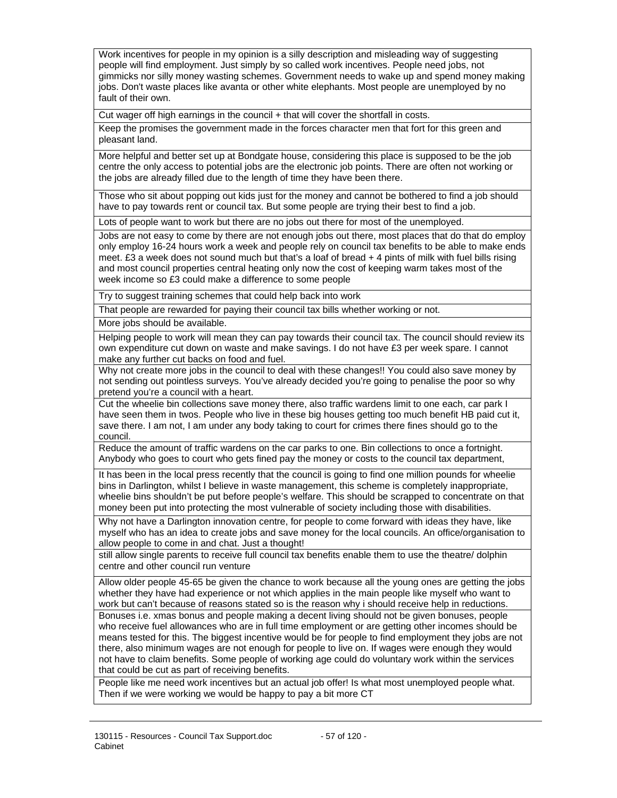Work incentives for people in my opinion is a silly description and misleading way of suggesting people will find employment. Just simply by so called work incentives. People need jobs, not gimmicks nor silly money wasting schemes. Government needs to wake up and spend money making jobs. Don't waste places like avanta or other white elephants. Most people are unemployed by no fault of their own.

Cut wager off high earnings in the council + that will cover the shortfall in costs.

Keep the promises the government made in the forces character men that fort for this green and pleasant land.

More helpful and better set up at Bondgate house, considering this place is supposed to be the job centre the only access to potential jobs are the electronic job points. There are often not working or the jobs are already filled due to the length of time they have been there.

Those who sit about popping out kids just for the money and cannot be bothered to find a job should have to pay towards rent or council tax. But some people are trying their best to find a job.

Lots of people want to work but there are no jobs out there for most of the unemployed.

Jobs are not easy to come by there are not enough jobs out there, most places that do that do employ only employ 16-24 hours work a week and people rely on council tax benefits to be able to make ends meet. £3 a week does not sound much but that's a loaf of bread + 4 pints of milk with fuel bills rising and most council properties central heating only now the cost of keeping warm takes most of the week income so £3 could make a difference to some people

Try to suggest training schemes that could help back into work

That people are rewarded for paying their council tax bills whether working or not.

More jobs should be available.

Helping people to work will mean they can pay towards their council tax. The council should review its own expenditure cut down on waste and make savings. I do not have £3 per week spare. I cannot make any further cut backs on food and fuel.

Why not create more jobs in the council to deal with these changes!! You could also save money by not sending out pointless surveys. You've already decided you're going to penalise the poor so why pretend you're a council with a heart.

Cut the wheelie bin collections save money there, also traffic wardens limit to one each, car park I have seen them in twos. People who live in these big houses getting too much benefit HB paid cut it, save there. I am not, I am under any body taking to court for crimes there fines should go to the council.

Reduce the amount of traffic wardens on the car parks to one. Bin collections to once a fortnight. Anybody who goes to court who gets fined pay the money or costs to the council tax department,

It has been in the local press recently that the council is going to find one million pounds for wheelie bins in Darlington, whilst I believe in waste management, this scheme is completely inappropriate, wheelie bins shouldn't be put before people's welfare. This should be scrapped to concentrate on that money been put into protecting the most vulnerable of society including those with disabilities.

Why not have a Darlington innovation centre, for people to come forward with ideas they have, like myself who has an idea to create jobs and save money for the local councils. An office/organisation to allow people to come in and chat. Just a thought!

still allow single parents to receive full council tax benefits enable them to use the theatre/ dolphin centre and other council run venture

Allow older people 45-65 be given the chance to work because all the young ones are getting the jobs whether they have had experience or not which applies in the main people like myself who want to work but can't because of reasons stated so is the reason why i should receive help in reductions. Bonuses i.e. xmas bonus and people making a decent living should not be given bonuses, people who receive fuel allowances who are in full time employment or are getting other incomes should be means tested for this. The biggest incentive would be for people to find employment they jobs are not there, also minimum wages are not enough for people to live on. If wages were enough they would not have to claim benefits. Some people of working age could do voluntary work within the services that could be cut as part of receiving benefits.

People like me need work incentives but an actual job offer! Is what most unemployed people what. Then if we were working we would be happy to pay a bit more CT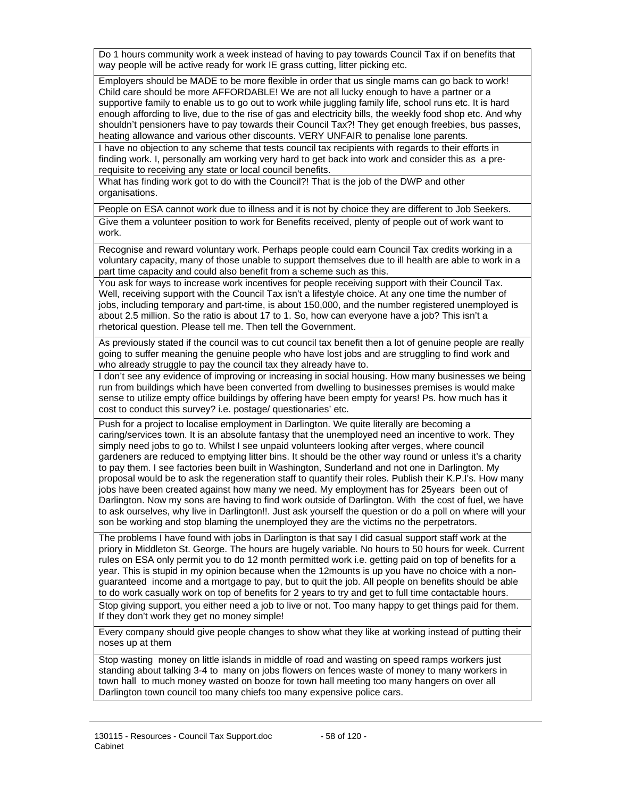Do 1 hours community work a week instead of having to pay towards Council Tax if on benefits that way people will be active ready for work IE grass cutting, litter picking etc.

Employers should be MADE to be more flexible in order that us single mams can go back to work! Child care should be more AFFORDABLE! We are not all lucky enough to have a partner or a supportive family to enable us to go out to work while juggling family life, school runs etc. It is hard enough affording to live, due to the rise of gas and electricity bills, the weekly food shop etc. And why shouldn't pensioners have to pay towards their Council Tax?! They get enough freebies, bus passes, heating allowance and various other discounts. VERY UNFAIR to penalise lone parents.

I have no objection to any scheme that tests council tax recipients with regards to their efforts in finding work. I, personally am working very hard to get back into work and consider this as a prerequisite to receiving any state or local council benefits.

What has finding work got to do with the Council?! That is the job of the DWP and other organisations.

People on ESA cannot work due to illness and it is not by choice they are different to Job Seekers.

Give them a volunteer position to work for Benefits received, plenty of people out of work want to work.

Recognise and reward voluntary work. Perhaps people could earn Council Tax credits working in a voluntary capacity, many of those unable to support themselves due to ill health are able to work in a part time capacity and could also benefit from a scheme such as this.

You ask for ways to increase work incentives for people receiving support with their Council Tax. Well, receiving support with the Council Tax isn't a lifestyle choice. At any one time the number of jobs, including temporary and part-time, is about 150,000, and the number registered unemployed is about 2.5 million. So the ratio is about 17 to 1. So, how can everyone have a job? This isn't a rhetorical question. Please tell me. Then tell the Government.

As previously stated if the council was to cut council tax benefit then a lot of genuine people are really going to suffer meaning the genuine people who have lost jobs and are struggling to find work and who already struggle to pay the council tax they already have to.

I don't see any evidence of improving or increasing in social housing. How many businesses we being run from buildings which have been converted from dwelling to businesses premises is would make sense to utilize empty office buildings by offering have been empty for years! Ps. how much has it cost to conduct this survey? i.e. postage/ questionaries' etc.

Push for a project to localise employment in Darlington. We quite literally are becoming a caring/services town. It is an absolute fantasy that the unemployed need an incentive to work. They simply need jobs to go to. Whilst I see unpaid volunteers looking after verges, where council gardeners are reduced to emptying litter bins. It should be the other way round or unless it's a charity to pay them. I see factories been built in Washington, Sunderland and not one in Darlington. My proposal would be to ask the regeneration staff to quantify their roles. Publish their K.P.I's. How many jobs have been created against how many we need. My employment has for 25years been out of Darlington. Now my sons are having to find work outside of Darlington. With the cost of fuel, we have to ask ourselves, why live in Darlington!!. Just ask yourself the question or do a poll on where will your son be working and stop blaming the unemployed they are the victims no the perpetrators.

The problems I have found with jobs in Darlington is that say I did casual support staff work at the priory in Middleton St. George. The hours are hugely variable. No hours to 50 hours for week. Current rules on ESA only permit you to do 12 month permitted work i.e. getting paid on top of benefits for a year. This is stupid in my opinion because when the 12mounts is up you have no choice with a nonguaranteed income and a mortgage to pay, but to quit the job. All people on benefits should be able to do work casually work on top of benefits for 2 years to try and get to full time contactable hours.

Stop giving support, you either need a job to live or not. Too many happy to get things paid for them. If they don't work they get no money simple!

Every company should give people changes to show what they like at working instead of putting their noses up at them

Stop wasting money on little islands in middle of road and wasting on speed ramps workers just standing about talking 3-4 to many on jobs flowers on fences waste of money to many workers in town hall to much money wasted on booze for town hall meeting too many hangers on over all Darlington town council too many chiefs too many expensive police cars.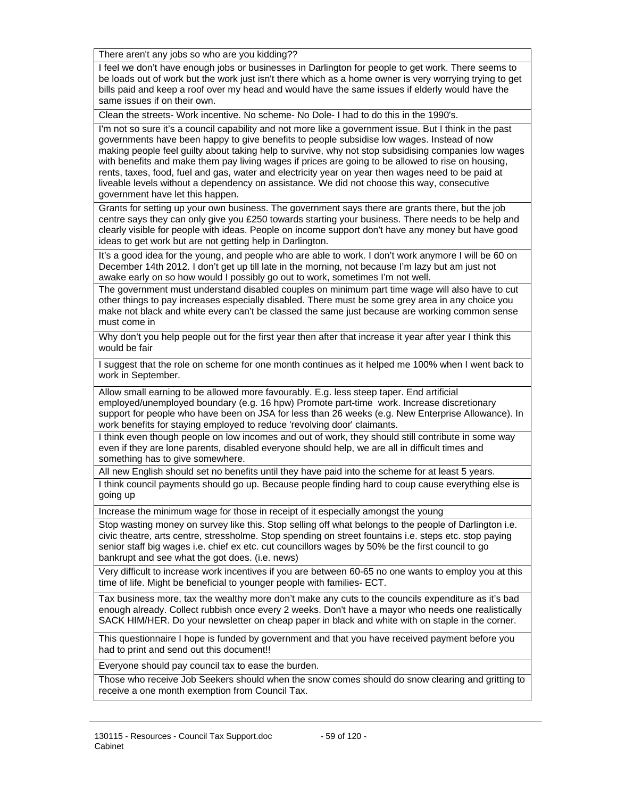There aren't any jobs so who are you kidding??

I feel we don't have enough jobs or businesses in Darlington for people to get work. There seems to be loads out of work but the work just isn't there which as a home owner is very worrying trying to get bills paid and keep a roof over my head and would have the same issues if elderly would have the same issues if on their own.

Clean the streets- Work incentive. No scheme- No Dole- I had to do this in the 1990's.

I'm not so sure it's a council capability and not more like a government issue. But I think in the past governments have been happy to give benefits to people subsidise low wages. Instead of now making people feel guilty about taking help to survive, why not stop subsidising companies low wages with benefits and make them pay living wages if prices are going to be allowed to rise on housing, rents, taxes, food, fuel and gas, water and electricity year on year then wages need to be paid at liveable levels without a dependency on assistance. We did not choose this way, consecutive government have let this happen.

Grants for setting up your own business. The government says there are grants there, but the job centre says they can only give you £250 towards starting your business. There needs to be help and clearly visible for people with ideas. People on income support don't have any money but have good ideas to get work but are not getting help in Darlington.

It's a good idea for the young, and people who are able to work. I don't work anymore I will be 60 on December 14th 2012. I don't get up till late in the morning, not because I'm lazy but am just not awake early on so how would I possibly go out to work, sometimes I'm not well.

The government must understand disabled couples on minimum part time wage will also have to cut other things to pay increases especially disabled. There must be some grey area in any choice you make not black and white every can't be classed the same just because are working common sense must come in

Why don't you help people out for the first year then after that increase it year after year I think this would be fair

I suggest that the role on scheme for one month continues as it helped me 100% when I went back to work in September.

Allow small earning to be allowed more favourably. E.g. less steep taper. End artificial employed/unemployed boundary (e.g. 16 hpw) Promote part-time work. Increase discretionary support for people who have been on JSA for less than 26 weeks (e.g. New Enterprise Allowance). In work benefits for staying employed to reduce 'revolving door' claimants.

I think even though people on low incomes and out of work, they should still contribute in some way even if they are lone parents, disabled everyone should help, we are all in difficult times and something has to give somewhere.

All new English should set no benefits until they have paid into the scheme for at least 5 years.

I think council payments should go up. Because people finding hard to coup cause everything else is going up

Increase the minimum wage for those in receipt of it especially amongst the young

Stop wasting money on survey like this. Stop selling off what belongs to the people of Darlington i.e. civic theatre, arts centre, stressholme. Stop spending on street fountains i.e. steps etc. stop paying senior staff big wages i.e. chief ex etc. cut councillors wages by 50% be the first council to go bankrupt and see what the got does. (i.e. news)

Very difficult to increase work incentives if you are between 60-65 no one wants to employ you at this time of life. Might be beneficial to younger people with families- ECT.

Tax business more, tax the wealthy more don't make any cuts to the councils expenditure as it's bad enough already. Collect rubbish once every 2 weeks. Don't have a mayor who needs one realistically SACK HIM/HER. Do your newsletter on cheap paper in black and white with on staple in the corner.

This questionnaire I hope is funded by government and that you have received payment before you had to print and send out this document!!

Everyone should pay council tax to ease the burden.

Those who receive Job Seekers should when the snow comes should do snow clearing and gritting to receive a one month exemption from Council Tax.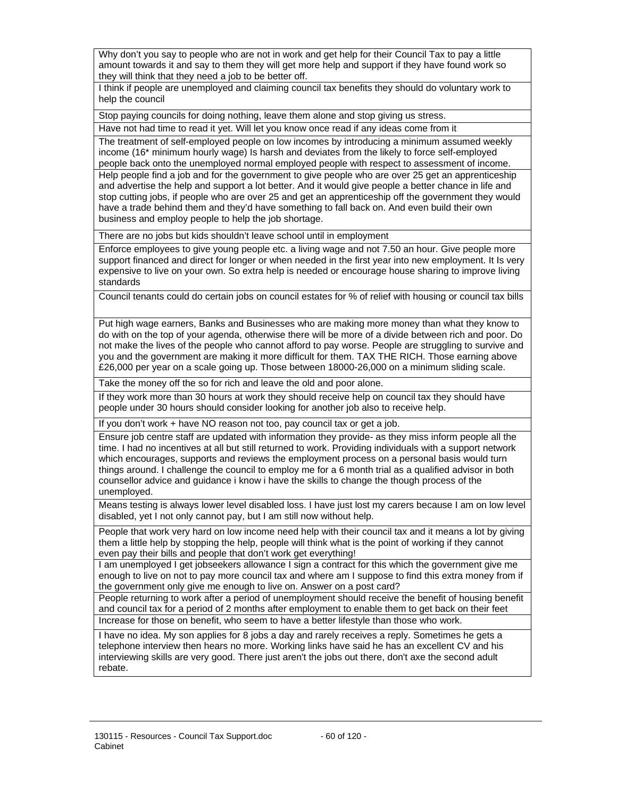Why don't you say to people who are not in work and get help for their Council Tax to pay a little amount towards it and say to them they will get more help and support if they have found work so they will think that they need a job to be better off.

I think if people are unemployed and claiming council tax benefits they should do voluntary work to help the council

Stop paying councils for doing nothing, leave them alone and stop giving us stress.

Have not had time to read it yet. Will let you know once read if any ideas come from it

The treatment of self-employed people on low incomes by introducing a minimum assumed weekly income (16\* minimum hourly wage) Is harsh and deviates from the likely to force self-employed people back onto the unemployed normal employed people with respect to assessment of income. Help people find a job and for the government to give people who are over 25 get an apprenticeship and advertise the help and support a lot better. And it would give people a better chance in life and stop cutting jobs, if people who are over 25 and get an apprenticeship off the government they would have a trade behind them and they'd have something to fall back on. And even build their own business and employ people to help the job shortage.

There are no jobs but kids shouldn't leave school until in employment

Enforce employees to give young people etc. a living wage and not 7.50 an hour. Give people more support financed and direct for longer or when needed in the first year into new employment. It Is very expensive to live on your own. So extra help is needed or encourage house sharing to improve living standards

Council tenants could do certain jobs on council estates for % of relief with housing or council tax bills

Put high wage earners, Banks and Businesses who are making more money than what they know to do with on the top of your agenda, otherwise there will be more of a divide between rich and poor. Do not make the lives of the people who cannot afford to pay worse. People are struggling to survive and you and the government are making it more difficult for them. TAX THE RICH. Those earning above £26,000 per year on a scale going up. Those between 18000-26,000 on a minimum sliding scale.

Take the money off the so for rich and leave the old and poor alone.

If they work more than 30 hours at work they should receive help on council tax they should have people under 30 hours should consider looking for another job also to receive help.

If you don't work + have NO reason not too, pay council tax or get a job.

Ensure job centre staff are updated with information they provide- as they miss inform people all the time. I had no incentives at all but still returned to work. Providing individuals with a support network which encourages, supports and reviews the employment process on a personal basis would turn things around. I challenge the council to employ me for a 6 month trial as a qualified advisor in both counsellor advice and guidance i know i have the skills to change the though process of the unemployed.

Means testing is always lower level disabled loss. I have just lost my carers because I am on low level disabled, yet I not only cannot pay, but I am still now without help.

People that work very hard on low income need help with their council tax and it means a lot by giving them a little help by stopping the help, people will think what is the point of working if they cannot even pay their bills and people that don't work get everything!

I am unemployed I get jobseekers allowance I sign a contract for this which the government give me enough to live on not to pay more council tax and where am I suppose to find this extra money from if the government only give me enough to live on. Answer on a post card?

People returning to work after a period of unemployment should receive the benefit of housing benefit and council tax for a period of 2 months after employment to enable them to get back on their feet Increase for those on benefit, who seem to have a better lifestyle than those who work.

I have no idea. My son applies for 8 jobs a day and rarely receives a reply. Sometimes he gets a telephone interview then hears no more. Working links have said he has an excellent CV and his interviewing skills are very good. There just aren't the jobs out there, don't axe the second adult rebate.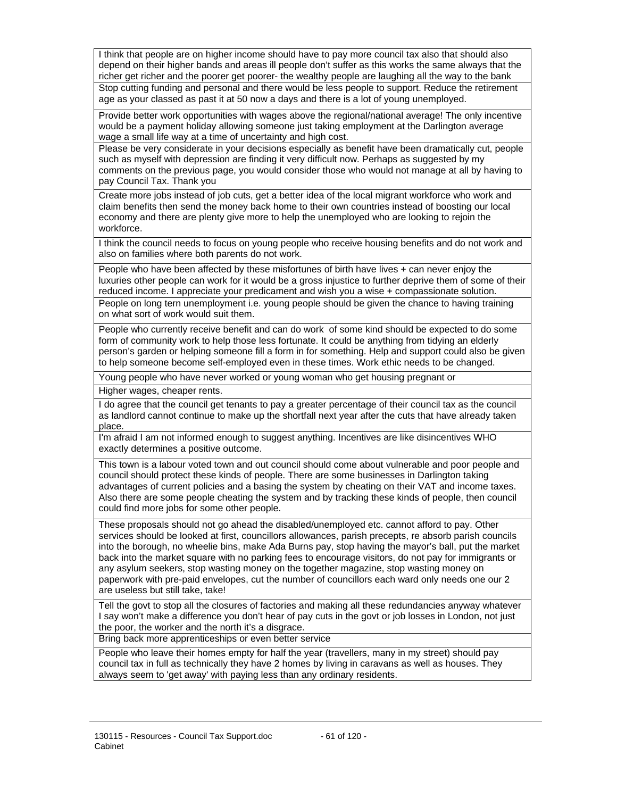I think that people are on higher income should have to pay more council tax also that should also depend on their higher bands and areas ill people don't suffer as this works the same always that the richer get richer and the poorer get poorer- the wealthy people are laughing all the way to the bank Stop cutting funding and personal and there would be less people to support. Reduce the retirement age as your classed as past it at 50 now a days and there is a lot of young unemployed.

Provide better work opportunities with wages above the regional/national average! The only incentive would be a payment holiday allowing someone just taking employment at the Darlington average wage a small life way at a time of uncertainty and high cost.

Please be very considerate in your decisions especially as benefit have been dramatically cut, people such as myself with depression are finding it very difficult now. Perhaps as suggested by my comments on the previous page, you would consider those who would not manage at all by having to pay Council Tax. Thank you

Create more jobs instead of job cuts, get a better idea of the local migrant workforce who work and claim benefits then send the money back home to their own countries instead of boosting our local economy and there are plenty give more to help the unemployed who are looking to rejoin the workforce.

I think the council needs to focus on young people who receive housing benefits and do not work and also on families where both parents do not work.

People who have been affected by these misfortunes of birth have lives + can never enjoy the luxuries other people can work for it would be a gross injustice to further deprive them of some of their reduced income. I appreciate your predicament and wish you a wise + compassionate solution. People on long tern unemployment i.e. young people should be given the chance to having training on what sort of work would suit them.

People who currently receive benefit and can do work of some kind should be expected to do some form of community work to help those less fortunate. It could be anything from tidying an elderly person's garden or helping someone fill a form in for something. Help and support could also be given to help someone become self-employed even in these times. Work ethic needs to be changed.

Young people who have never worked or young woman who get housing pregnant or

Higher wages, cheaper rents.

I do agree that the council get tenants to pay a greater percentage of their council tax as the council as landlord cannot continue to make up the shortfall next year after the cuts that have already taken place.

I'm afraid I am not informed enough to suggest anything. Incentives are like disincentives WHO exactly determines a positive outcome.

This town is a labour voted town and out council should come about vulnerable and poor people and council should protect these kinds of people. There are some businesses in Darlington taking advantages of current policies and a basing the system by cheating on their VAT and income taxes. Also there are some people cheating the system and by tracking these kinds of people, then council could find more jobs for some other people.

These proposals should not go ahead the disabled/unemployed etc. cannot afford to pay. Other services should be looked at first, councillors allowances, parish precepts, re absorb parish councils into the borough, no wheelie bins, make Ada Burns pay, stop having the mayor's ball, put the market back into the market square with no parking fees to encourage visitors, do not pay for immigrants or any asylum seekers, stop wasting money on the together magazine, stop wasting money on paperwork with pre-paid envelopes, cut the number of councillors each ward only needs one our 2 are useless but still take, take!

Tell the govt to stop all the closures of factories and making all these redundancies anyway whatever I say won't make a difference you don't hear of pay cuts in the govt or job losses in London, not just the poor, the worker and the north it's a disgrace.

Bring back more apprenticeships or even better service

People who leave their homes empty for half the year (travellers, many in my street) should pay council tax in full as technically they have 2 homes by living in caravans as well as houses. They always seem to 'get away' with paying less than any ordinary residents.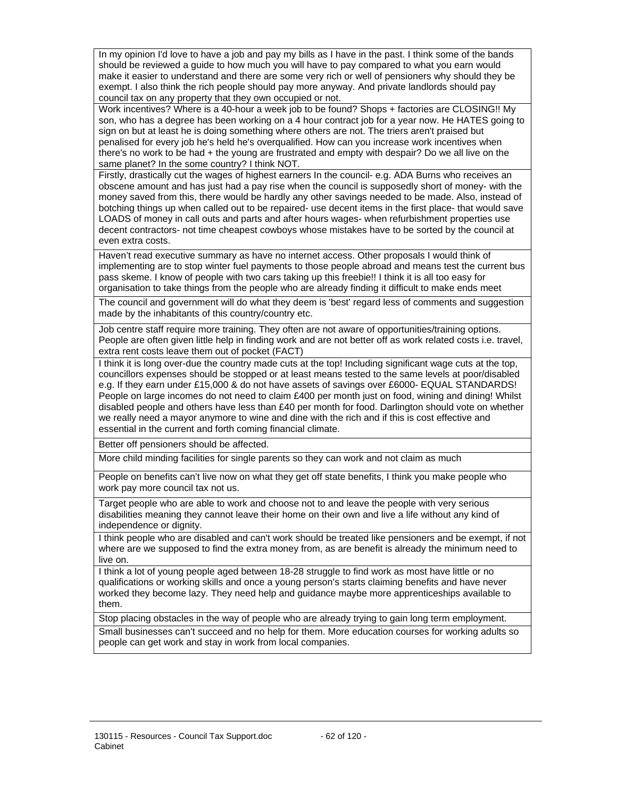In my opinion I'd love to have a job and pay my bills as I have in the past. I think some of the bands should be reviewed a guide to how much you will have to pay compared to what you earn would make it easier to understand and there are some very rich or well of pensioners why should they be exempt. I also think the rich people should pay more anyway. And private landlords should pay council tax on any property that they own occupied or not.

Work incentives? Where is a 40-hour a week job to be found? Shops + factories are CLOSING!! My son, who has a degree has been working on a 4 hour contract job for a year now. He HATES going to sign on but at least he is doing something where others are not. The triers aren't praised but penalised for every job he's held he's overqualified. How can you increase work incentives when there's no work to be had + the young are frustrated and empty with despair? Do we all live on the same planet? In the some country? I think NOT.

Firstly, drastically cut the wages of highest earners In the council- e.g. ADA Burns who receives an obscene amount and has just had a pay rise when the council is supposedly short of money- with the money saved from this, there would be hardly any other savings needed to be made. Also, instead of botching things up when called out to be repaired- use decent items in the first place- that would save LOADS of money in call outs and parts and after hours wages- when refurbishment properties use decent contractors- not time cheapest cowboys whose mistakes have to be sorted by the council at even extra costs.

Haven't read executive summary as have no internet access. Other proposals I would think of implementing are to stop winter fuel payments to those people abroad and means test the current bus pass skeme. I know of people with two cars taking up this freebie!! I think it is all too easy for organisation to take things from the people who are already finding it difficult to make ends meet

The council and government will do what they deem is 'best' regard less of comments and suggestion made by the inhabitants of this country/country etc.

Job centre staff require more training. They often are not aware of opportunities/training options. People are often given little help in finding work and are not better off as work related costs i.e. travel, extra rent costs leave them out of pocket (FACT)

I think it is long over-due the country made cuts at the top! Including significant wage cuts at the top, councillors expenses should be stopped or at least means tested to the same levels at poor/disabled e.g. If they earn under £15,000 & do not have assets of savings over £6000- EQUAL STANDARDS! People on large incomes do not need to claim £400 per month just on food, wining and dining! Whilst disabled people and others have less than £40 per month for food. Darlington should vote on whether we really need a mayor anymore to wine and dine with the rich and if this is cost effective and essential in the current and forth coming financial climate.

Better off pensioners should be affected.

More child minding facilities for single parents so they can work and not claim as much

People on benefits can't live now on what they get off state benefits, I think you make people who work pay more council tax not us.

Target people who are able to work and choose not to and leave the people with very serious disabilities meaning they cannot leave their home on their own and live a life without any kind of independence or dignity.

I think people who are disabled and can't work should be treated like pensioners and be exempt, if not where are we supposed to find the extra money from, as are benefit is already the minimum need to live on.

I think a lot of young people aged between 18-28 struggle to find work as most have little or no qualifications or working skills and once a young person's starts claiming benefits and have never worked they become lazy. They need help and guidance maybe more apprenticeships available to them.

Stop placing obstacles in the way of people who are already trying to gain long term employment.

Small businesses can't succeed and no help for them. More education courses for working adults so people can get work and stay in work from local companies.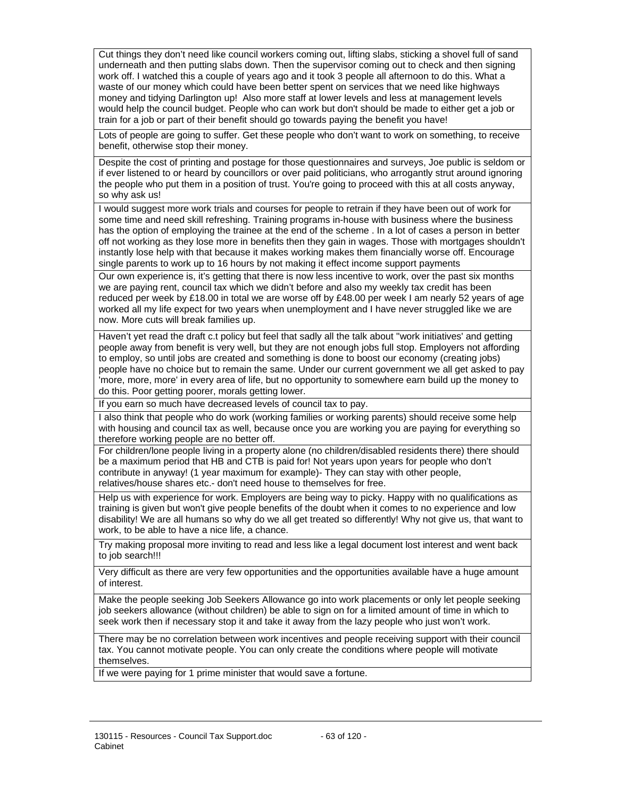Cut things they don't need like council workers coming out, lifting slabs, sticking a shovel full of sand underneath and then putting slabs down. Then the supervisor coming out to check and then signing work off. I watched this a couple of years ago and it took 3 people all afternoon to do this. What a waste of our money which could have been better spent on services that we need like highways money and tidying Darlington up! Also more staff at lower levels and less at management levels would help the council budget. People who can work but don't should be made to either get a job or train for a job or part of their benefit should go towards paying the benefit you have!

Lots of people are going to suffer. Get these people who don't want to work on something, to receive benefit, otherwise stop their money.

Despite the cost of printing and postage for those questionnaires and surveys, Joe public is seldom or if ever listened to or heard by councillors or over paid politicians, who arrogantly strut around ignoring the people who put them in a position of trust. You're going to proceed with this at all costs anyway, so why ask us!

I would suggest more work trials and courses for people to retrain if they have been out of work for some time and need skill refreshing. Training programs in-house with business where the business has the option of employing the trainee at the end of the scheme . In a lot of cases a person in better off not working as they lose more in benefits then they gain in wages. Those with mortgages shouldn't instantly lose help with that because it makes working makes them financially worse off. Encourage single parents to work up to 16 hours by not making it effect income support payments

Our own experience is, it's getting that there is now less incentive to work, over the past six months we are paying rent, council tax which we didn't before and also my weekly tax credit has been reduced per week by £18.00 in total we are worse off by £48.00 per week I am nearly 52 years of age worked all my life expect for two years when unemployment and I have never struggled like we are now. More cuts will break families up.

Haven't yet read the draft c.t policy but feel that sadly all the talk about ''work initiatives' and getting people away from benefit is very well, but they are not enough jobs full stop. Employers not affording to employ, so until jobs are created and something is done to boost our economy (creating jobs) people have no choice but to remain the same. Under our current government we all get asked to pay 'more, more, more' in every area of life, but no opportunity to somewhere earn build up the money to do this. Poor getting poorer, morals getting lower.

If you earn so much have decreased levels of council tax to pay.

I also think that people who do work (working families or working parents) should receive some help with housing and council tax as well, because once you are working you are paying for everything so therefore working people are no better off.

For children/lone people living in a property alone (no children/disabled residents there) there should be a maximum period that HB and CTB is paid for! Not years upon years for people who don't contribute in anyway! (1 year maximum for example)- They can stay with other people, relatives/house shares etc.- don't need house to themselves for free.

Help us with experience for work. Employers are being way to picky. Happy with no qualifications as training is given but won't give people benefits of the doubt when it comes to no experience and low disability! We are all humans so why do we all get treated so differently! Why not give us, that want to work, to be able to have a nice life, a chance.

Try making proposal more inviting to read and less like a legal document lost interest and went back to job search!!!

Very difficult as there are very few opportunities and the opportunities available have a huge amount of interest.

Make the people seeking Job Seekers Allowance go into work placements or only let people seeking job seekers allowance (without children) be able to sign on for a limited amount of time in which to seek work then if necessary stop it and take it away from the lazy people who just won't work.

There may be no correlation between work incentives and people receiving support with their council tax. You cannot motivate people. You can only create the conditions where people will motivate themselves.

If we were paying for 1 prime minister that would save a fortune.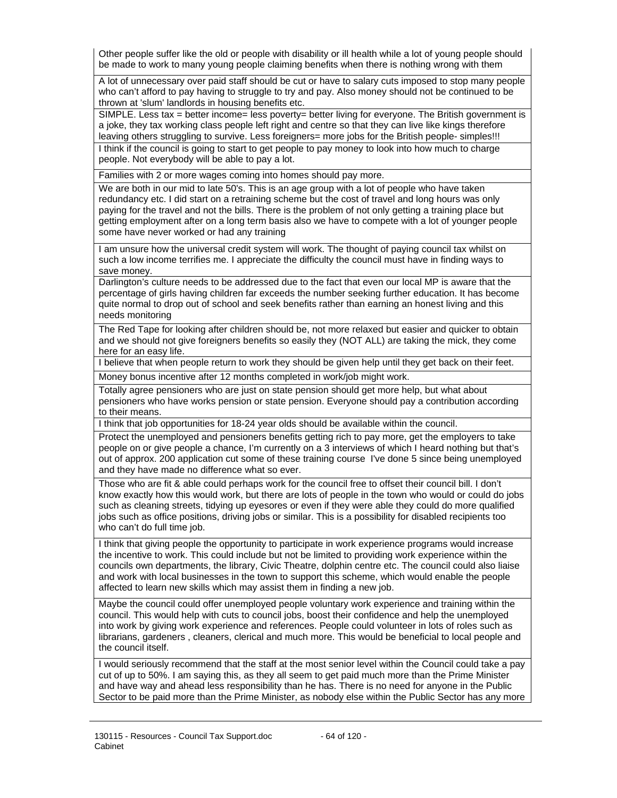Other people suffer like the old or people with disability or ill health while a lot of young people should be made to work to many young people claiming benefits when there is nothing wrong with them

A lot of unnecessary over paid staff should be cut or have to salary cuts imposed to stop many people who can't afford to pay having to struggle to try and pay. Also money should not be continued to be thrown at 'slum' landlords in housing benefits etc.

SIMPLE. Less tax = better income= less poverty= better living for everyone. The British government is a joke, they tax working class people left right and centre so that they can live like kings therefore leaving others struggling to survive. Less foreigners= more jobs for the British people- simples!!! I think if the council is going to start to get people to pay money to look into how much to charge people. Not everybody will be able to pay a lot.

Families with 2 or more wages coming into homes should pay more.

We are both in our mid to late 50's. This is an age group with a lot of people who have taken redundancy etc. I did start on a retraining scheme but the cost of travel and long hours was only paying for the travel and not the bills. There is the problem of not only getting a training place but getting employment after on a long term basis also we have to compete with a lot of younger people some have never worked or had any training

I am unsure how the universal credit system will work. The thought of paying council tax whilst on such a low income terrifies me. I appreciate the difficulty the council must have in finding ways to save money.

Darlington's culture needs to be addressed due to the fact that even our local MP is aware that the percentage of girls having children far exceeds the number seeking further education. It has become quite normal to drop out of school and seek benefits rather than earning an honest living and this needs monitoring

The Red Tape for looking after children should be, not more relaxed but easier and quicker to obtain and we should not give foreigners benefits so easily they (NOT ALL) are taking the mick, they come here for an easy life.

I believe that when people return to work they should be given help until they get back on their feet.

Money bonus incentive after 12 months completed in work/job might work.

Totally agree pensioners who are just on state pension should get more help, but what about pensioners who have works pension or state pension. Everyone should pay a contribution according to their means.

I think that job opportunities for 18-24 year olds should be available within the council.

Protect the unemployed and pensioners benefits getting rich to pay more, get the employers to take people on or give people a chance, I'm currently on a 3 interviews of which I heard nothing but that's out of approx. 200 application cut some of these training course I've done 5 since being unemployed and they have made no difference what so ever.

Those who are fit & able could perhaps work for the council free to offset their council bill. I don't know exactly how this would work, but there are lots of people in the town who would or could do jobs such as cleaning streets, tidying up eyesores or even if they were able they could do more qualified jobs such as office positions, driving jobs or similar. This is a possibility for disabled recipients too who can't do full time job.

I think that giving people the opportunity to participate in work experience programs would increase the incentive to work. This could include but not be limited to providing work experience within the councils own departments, the library, Civic Theatre, dolphin centre etc. The council could also liaise and work with local businesses in the town to support this scheme, which would enable the people affected to learn new skills which may assist them in finding a new job.

Maybe the council could offer unemployed people voluntary work experience and training within the council. This would help with cuts to council jobs, boost their confidence and help the unemployed into work by giving work experience and references. People could volunteer in lots of roles such as librarians, gardeners , cleaners, clerical and much more. This would be beneficial to local people and the council itself.

I would seriously recommend that the staff at the most senior level within the Council could take a pay cut of up to 50%. I am saying this, as they all seem to get paid much more than the Prime Minister and have way and ahead less responsibility than he has. There is no need for anyone in the Public Sector to be paid more than the Prime Minister, as nobody else within the Public Sector has any more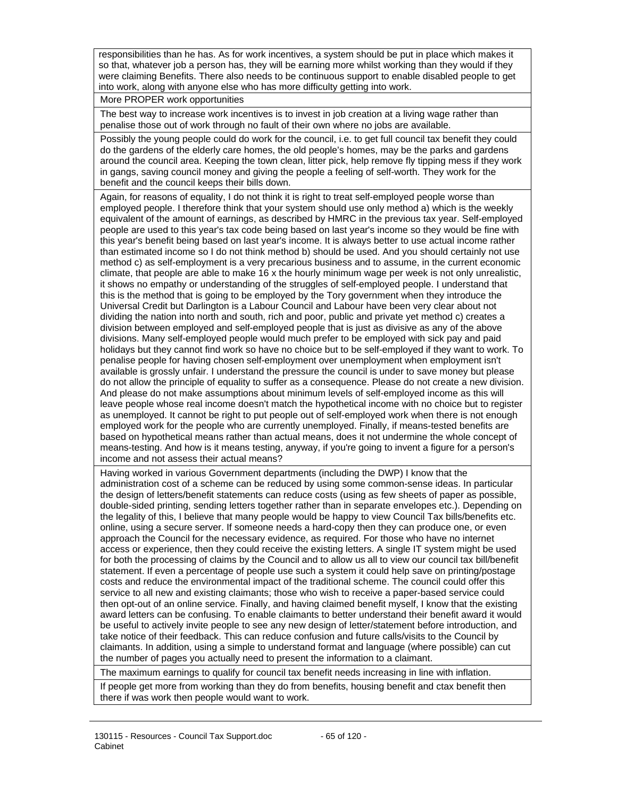responsibilities than he has. As for work incentives, a system should be put in place which makes it so that, whatever job a person has, they will be earning more whilst working than they would if they were claiming Benefits. There also needs to be continuous support to enable disabled people to get into work, along with anyone else who has more difficulty getting into work.

More PROPER work opportunities

The best way to increase work incentives is to invest in job creation at a living wage rather than penalise those out of work through no fault of their own where no jobs are available.

Possibly the young people could do work for the council, i.e. to get full council tax benefit they could do the gardens of the elderly care homes, the old people's homes, may be the parks and gardens around the council area. Keeping the town clean, litter pick, help remove fly tipping mess if they work in gangs, saving council money and giving the people a feeling of self-worth. They work for the benefit and the council keeps their bills down.

Again, for reasons of equality, I do not think it is right to treat self-employed people worse than employed people. I therefore think that your system should use only method a) which is the weekly equivalent of the amount of earnings, as described by HMRC in the previous tax year. Self-employed people are used to this year's tax code being based on last year's income so they would be fine with this year's benefit being based on last year's income. It is always better to use actual income rather than estimated income so I do not think method b) should be used. And you should certainly not use method c) as self-employment is a very precarious business and to assume, in the current economic climate, that people are able to make 16 x the hourly minimum wage per week is not only unrealistic, it shows no empathy or understanding of the struggles of self-employed people. I understand that this is the method that is going to be employed by the Tory government when they introduce the Universal Credit but Darlington is a Labour Council and Labour have been very clear about not dividing the nation into north and south, rich and poor, public and private yet method c) creates a division between employed and self-employed people that is just as divisive as any of the above divisions. Many self-employed people would much prefer to be employed with sick pay and paid holidays but they cannot find work so have no choice but to be self-employed if they want to work. To penalise people for having chosen self-employment over unemployment when employment isn't available is grossly unfair. I understand the pressure the council is under to save money but please do not allow the principle of equality to suffer as a consequence. Please do not create a new division. And please do not make assumptions about minimum levels of self-employed income as this will leave people whose real income doesn't match the hypothetical income with no choice but to register as unemployed. It cannot be right to put people out of self-employed work when there is not enough employed work for the people who are currently unemployed. Finally, if means-tested benefits are based on hypothetical means rather than actual means, does it not undermine the whole concept of means-testing. And how is it means testing, anyway, if you're going to invent a figure for a person's income and not assess their actual means?

Having worked in various Government departments (including the DWP) I know that the administration cost of a scheme can be reduced by using some common-sense ideas. In particular the design of letters/benefit statements can reduce costs (using as few sheets of paper as possible, double-sided printing, sending letters together rather than in separate envelopes etc.). Depending on the legality of this, I believe that many people would be happy to view Council Tax bills/benefits etc. online, using a secure server. If someone needs a hard-copy then they can produce one, or even approach the Council for the necessary evidence, as required. For those who have no internet access or experience, then they could receive the existing letters. A single IT system might be used for both the processing of claims by the Council and to allow us all to view our council tax bill/benefit statement. If even a percentage of people use such a system it could help save on printing/postage costs and reduce the environmental impact of the traditional scheme. The council could offer this service to all new and existing claimants; those who wish to receive a paper-based service could then opt-out of an online service. Finally, and having claimed benefit myself, I know that the existing award letters can be confusing. To enable claimants to better understand their benefit award it would be useful to actively invite people to see any new design of letter/statement before introduction, and take notice of their feedback. This can reduce confusion and future calls/visits to the Council by claimants. In addition, using a simple to understand format and language (where possible) can cut the number of pages you actually need to present the information to a claimant.

The maximum earnings to qualify for council tax benefit needs increasing in line with inflation.

If people get more from working than they do from benefits, housing benefit and ctax benefit then there if was work then people would want to work.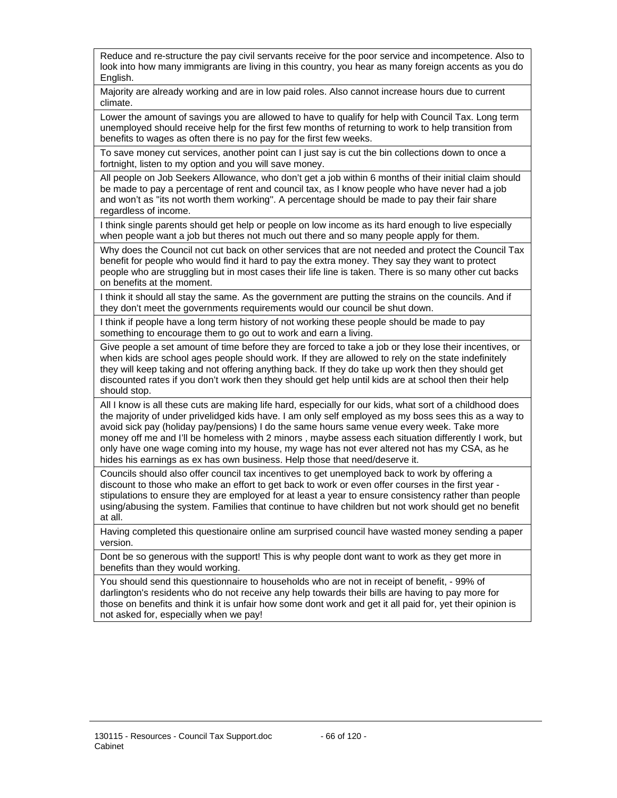Reduce and re-structure the pay civil servants receive for the poor service and incompetence. Also to look into how many immigrants are living in this country, you hear as many foreign accents as you do English.

Majority are already working and are in low paid roles. Also cannot increase hours due to current climate.

Lower the amount of savings you are allowed to have to qualify for help with Council Tax. Long term unemployed should receive help for the first few months of returning to work to help transition from benefits to wages as often there is no pay for the first few weeks.

To save money cut services, another point can I just say is cut the bin collections down to once a fortnight, listen to my option and you will save money.

All people on Job Seekers Allowance, who don't get a job within 6 months of their initial claim should be made to pay a percentage of rent and council tax, as I know people who have never had a job and won't as ''its not worth them working''. A percentage should be made to pay their fair share regardless of income.

I think single parents should get help or people on low income as its hard enough to live especially when people want a job but theres not much out there and so many people apply for them.

Why does the Council not cut back on other services that are not needed and protect the Council Tax benefit for people who would find it hard to pay the extra money. They say they want to protect people who are struggling but in most cases their life line is taken. There is so many other cut backs on benefits at the moment.

I think it should all stay the same. As the government are putting the strains on the councils. And if they don't meet the governments requirements would our council be shut down.

I think if people have a long term history of not working these people should be made to pay something to encourage them to go out to work and earn a living.

Give people a set amount of time before they are forced to take a job or they lose their incentives, or when kids are school ages people should work. If they are allowed to rely on the state indefinitely they will keep taking and not offering anything back. If they do take up work then they should get discounted rates if you don't work then they should get help until kids are at school then their help should stop.

All I know is all these cuts are making life hard, especially for our kids, what sort of a childhood does the majority of under privelidged kids have. I am only self employed as my boss sees this as a way to avoid sick pay (holiday pay/pensions) I do the same hours same venue every week. Take more money off me and I'll be homeless with 2 minors , maybe assess each situation differently I work, but only have one wage coming into my house, my wage has not ever altered not has my CSA, as he hides his earnings as ex has own business. Help those that need/deserve it.

Councils should also offer council tax incentives to get unemployed back to work by offering a discount to those who make an effort to get back to work or even offer courses in the first year stipulations to ensure they are employed for at least a year to ensure consistency rather than people using/abusing the system. Families that continue to have children but not work should get no benefit at all.

Having completed this questionaire online am surprised council have wasted money sending a paper version.

Dont be so generous with the support! This is why people dont want to work as they get more in benefits than they would working.

You should send this questionnaire to households who are not in receipt of benefit, - 99% of darlington's residents who do not receive any help towards their bills are having to pay more for those on benefits and think it is unfair how some dont work and get it all paid for, yet their opinion is not asked for, especially when we pay!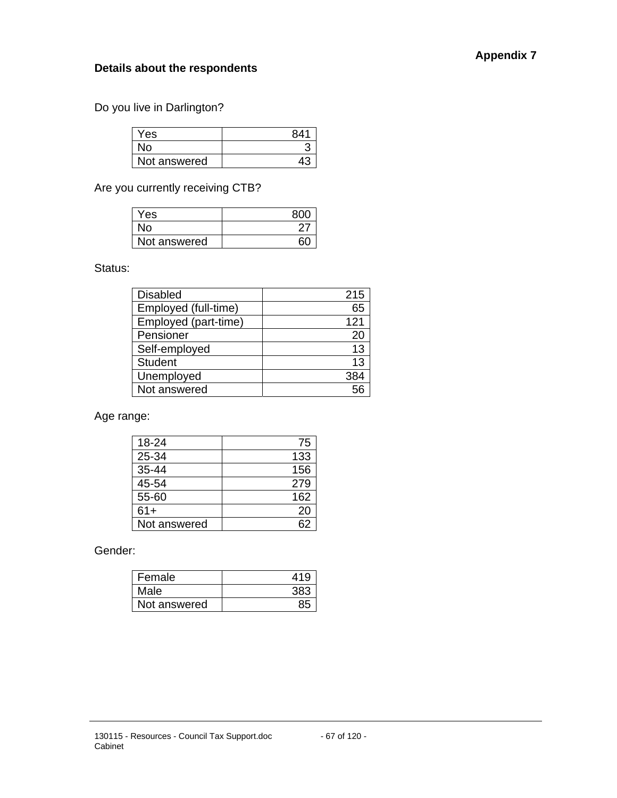## **Details about the respondents**

Do you live in Darlington?

| Yes          | 841 |
|--------------|-----|
| No.          |     |
| Not answered |     |

Are you currently receiving CTB?

| Yes          |  |
|--------------|--|
| No.          |  |
| Not answered |  |

Status:

| <b>Disabled</b>      | 215 |
|----------------------|-----|
| Employed (full-time) | 65  |
| Employed (part-time) | 121 |
| Pensioner            | 20  |
| Self-employed        | 13  |
| <b>Student</b>       | 13  |
| Unemployed           | 384 |
| Not answered         | 56  |

Age range:

| 18-24        | 75  |
|--------------|-----|
| 25-34        | 133 |
| 35-44        | 156 |
| 45-54        | 279 |
| 55-60        | 162 |
| $61+$        | 20  |
| Not answered |     |

Gender:

| Female       | 419 |
|--------------|-----|
| Male         | 383 |
| Not answered |     |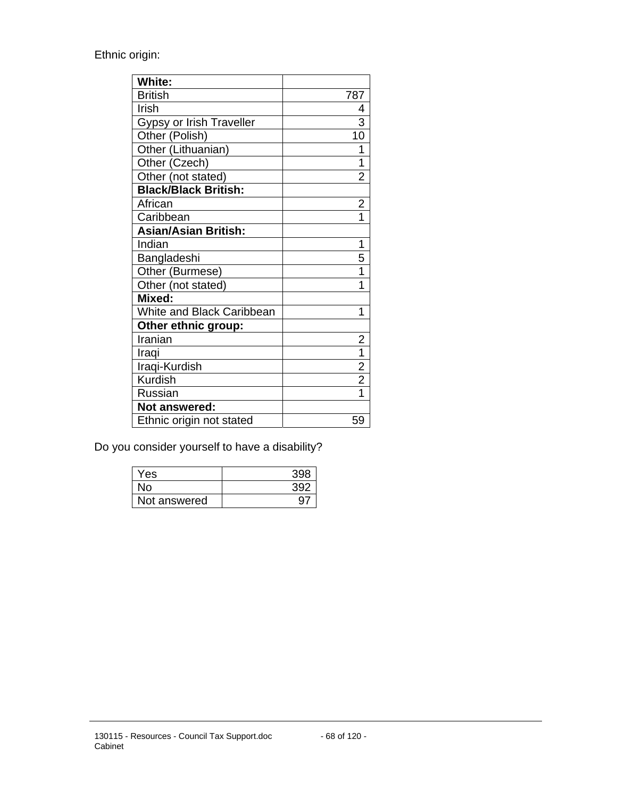Ethnic origin:

| White:                          |                |
|---------------------------------|----------------|
| <b>British</b>                  | 787            |
| Irish                           | 4              |
| <b>Gypsy or Irish Traveller</b> | 3              |
| Other (Polish)                  | 10             |
| Other (Lithuanian)              | 1              |
| Other (Czech)                   | 1              |
| Other (not stated)              | $\overline{2}$ |
| <b>Black/Black British:</b>     |                |
| African                         | $\overline{2}$ |
| Caribbean                       |                |
| <b>Asian/Asian British:</b>     |                |
| Indian                          | 1              |
| Bangladeshi                     | 5              |
| Other (Burmese)                 | 1              |
| Other (not stated)              | 1              |
| Mixed:                          |                |
| White and Black Caribbean       | 1              |
| Other ethnic group:             |                |
| Iranian                         | $\overline{2}$ |
| Iraqi                           | $\overline{1}$ |
| Iraqi-Kurdish                   | $\overline{2}$ |
| Kurdish                         | $\overline{2}$ |
| Russian                         |                |
| Not answered:                   |                |
| Ethnic origin not stated        | 59             |

Do you consider yourself to have a disability?

| Yes          |  |
|--------------|--|
| No.          |  |
| Not answered |  |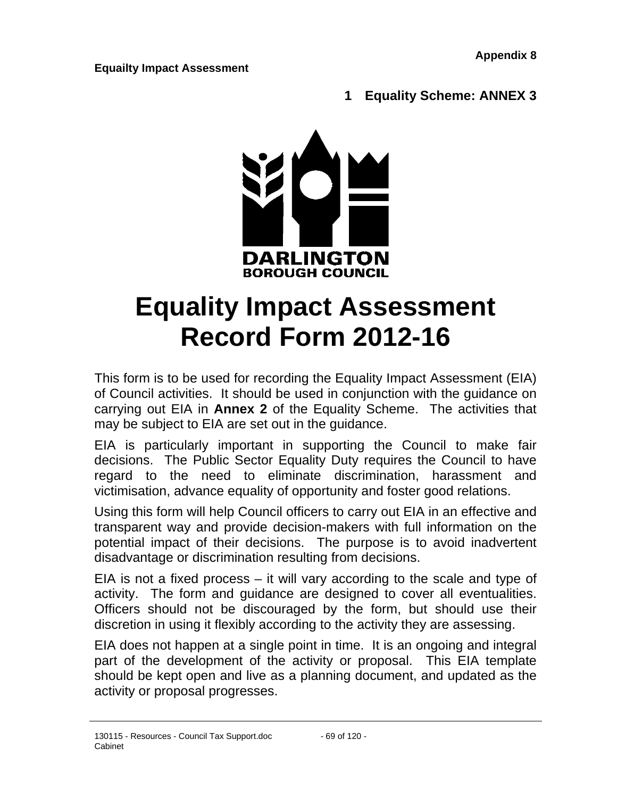## **Equailty Impact Assessment**

## **1 Equality Scheme: ANNEX 3**



# **Equality Impact Assessment Record Form 2012-16**

This form is to be used for recording the Equality Impact Assessment (EIA) of Council activities. It should be used in conjunction with the guidance on carrying out EIA in **Annex 2** of the Equality Scheme. The activities that may be subject to EIA are set out in the guidance.

EIA is particularly important in supporting the Council to make fair decisions. The Public Sector Equality Duty requires the Council to have regard to the need to eliminate discrimination, harassment and victimisation, advance equality of opportunity and foster good relations.

Using this form will help Council officers to carry out EIA in an effective and transparent way and provide decision-makers with full information on the potential impact of their decisions. The purpose is to avoid inadvertent disadvantage or discrimination resulting from decisions.

EIA is not a fixed process – it will vary according to the scale and type of activity. The form and guidance are designed to cover all eventualities. Officers should not be discouraged by the form, but should use their discretion in using it flexibly according to the activity they are assessing.

EIA does not happen at a single point in time. It is an ongoing and integral part of the development of the activity or proposal. This EIA template should be kept open and live as a planning document, and updated as the activity or proposal progresses.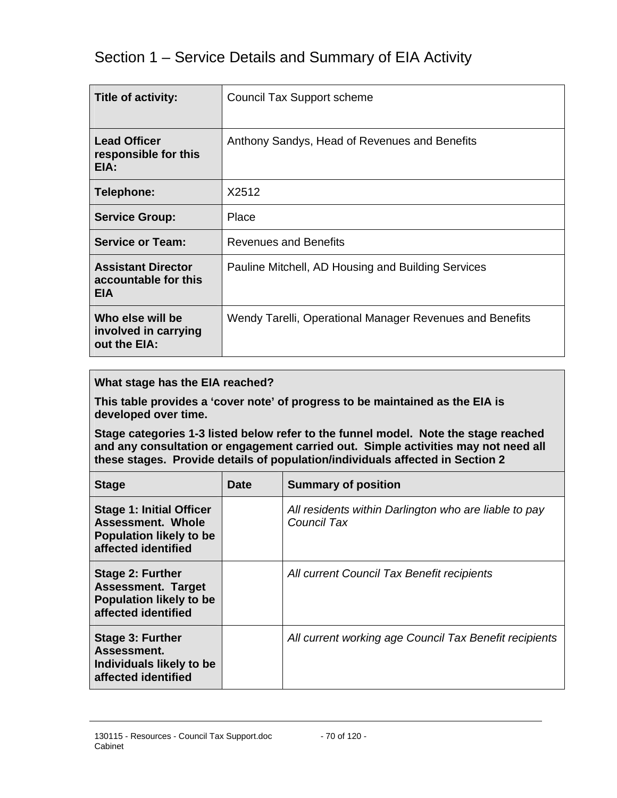# Section 1 – Service Details and Summary of EIA Activity

| <b>Title of activity:</b>                                       | Council Tax Support scheme                               |
|-----------------------------------------------------------------|----------------------------------------------------------|
| <b>Lead Officer</b><br>responsible for this<br>EIA:             | Anthony Sandys, Head of Revenues and Benefits            |
| Telephone:                                                      | X2512                                                    |
| <b>Service Group:</b>                                           | Place                                                    |
| <b>Service or Team:</b>                                         | <b>Revenues and Benefits</b>                             |
| <b>Assistant Director</b><br>accountable for this<br><b>EIA</b> | Pauline Mitchell, AD Housing and Building Services       |
| Who else will be<br>involved in carrying<br>out the EIA:        | Wendy Tarelli, Operational Manager Revenues and Benefits |

#### **What stage has the EIA reached?**

**This table provides a 'cover note' of progress to be maintained as the EIA is developed over time.** 

**Stage categories 1-3 listed below refer to the funnel model. Note the stage reached and any consultation or engagement carried out. Simple activities may not need all these stages. Provide details of population/individuals affected in Section 2** 

| <b>Stage</b>                                                                                                  | <b>Date</b> | <b>Summary of position</b>                                           |
|---------------------------------------------------------------------------------------------------------------|-------------|----------------------------------------------------------------------|
| <b>Stage 1: Initial Officer</b><br>Assessment. Whole<br><b>Population likely to be</b><br>affected identified |             | All residents within Darlington who are liable to pay<br>Council Tax |
| <b>Stage 2: Further</b><br><b>Assessment. Target</b><br><b>Population likely to be</b><br>affected identified |             | All current Council Tax Benefit recipients                           |
| <b>Stage 3: Further</b><br>Assessment.<br>Individuals likely to be<br>affected identified                     |             | All current working age Council Tax Benefit recipients               |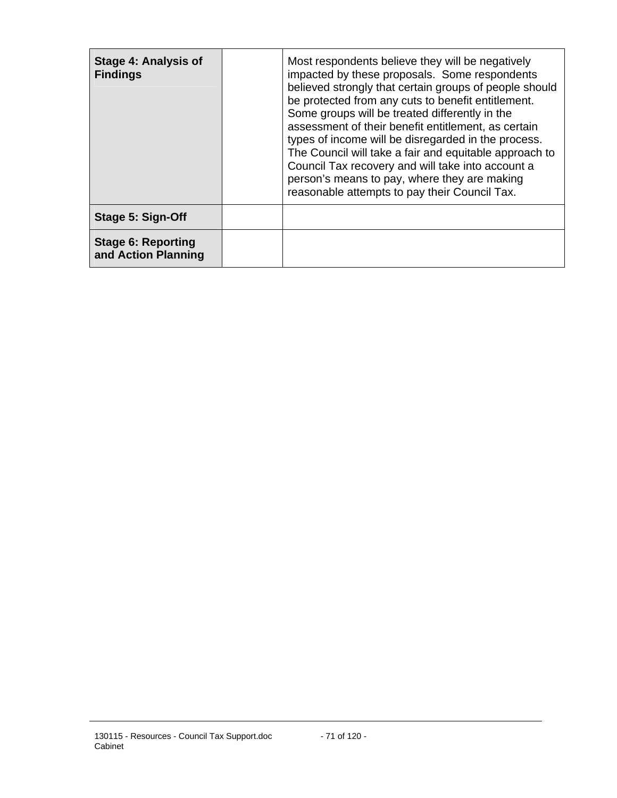| Stage 4: Analysis of<br><b>Findings</b>          | Most respondents believe they will be negatively<br>impacted by these proposals. Some respondents<br>believed strongly that certain groups of people should<br>be protected from any cuts to benefit entitlement.<br>Some groups will be treated differently in the<br>assessment of their benefit entitlement, as certain<br>types of income will be disregarded in the process.<br>The Council will take a fair and equitable approach to<br>Council Tax recovery and will take into account a<br>person's means to pay, where they are making<br>reasonable attempts to pay their Council Tax. |
|--------------------------------------------------|---------------------------------------------------------------------------------------------------------------------------------------------------------------------------------------------------------------------------------------------------------------------------------------------------------------------------------------------------------------------------------------------------------------------------------------------------------------------------------------------------------------------------------------------------------------------------------------------------|
| <b>Stage 5: Sign-Off</b>                         |                                                                                                                                                                                                                                                                                                                                                                                                                                                                                                                                                                                                   |
| <b>Stage 6: Reporting</b><br>and Action Planning |                                                                                                                                                                                                                                                                                                                                                                                                                                                                                                                                                                                                   |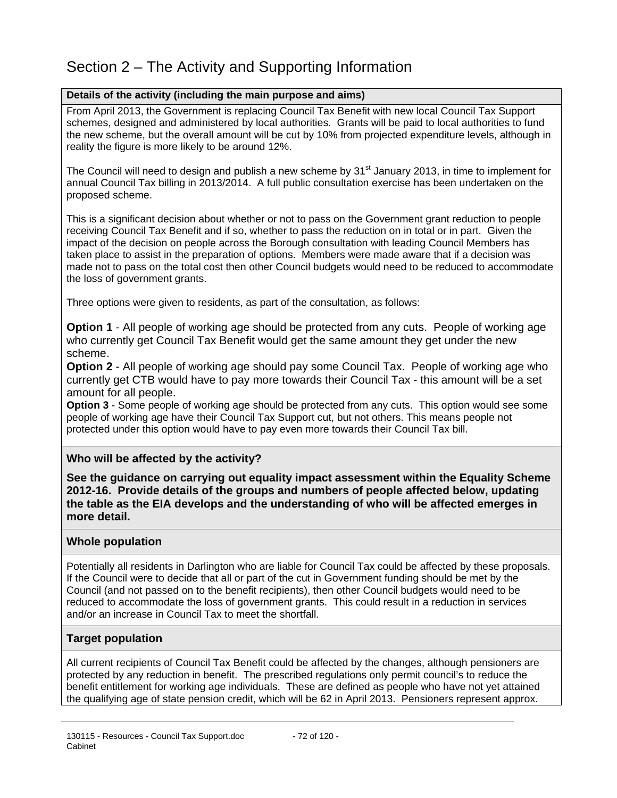# Section 2 – The Activity and Supporting Information

## **Details of the activity (including the main purpose and aims)**

From April 2013, the Government is replacing Council Tax Benefit with new local Council Tax Support schemes, designed and administered by local authorities. Grants will be paid to local authorities to fund the new scheme, but the overall amount will be cut by 10% from projected expenditure levels, although in reality the figure is more likely to be around 12%.

The Council will need to design and publish a new scheme by  $31<sup>st</sup>$  January 2013, in time to implement for annual Council Tax billing in 2013/2014. A full public consultation exercise has been undertaken on the proposed scheme.

This is a significant decision about whether or not to pass on the Government grant reduction to people receiving Council Tax Benefit and if so, whether to pass the reduction on in total or in part. Given the impact of the decision on people across the Borough consultation with leading Council Members has taken place to assist in the preparation of options. Members were made aware that if a decision was made not to pass on the total cost then other Council budgets would need to be reduced to accommodate the loss of government grants.

Three options were given to residents, as part of the consultation, as follows:

**Option 1** - All people of working age should be protected from any cuts. People of working age who currently get Council Tax Benefit would get the same amount they get under the new scheme.

**Option 2** - All people of working age should pay some Council Tax. People of working age who currently get CTB would have to pay more towards their Council Tax - this amount will be a set amount for all people.

**Option 3** - Some people of working age should be protected from any cuts. This option would see some people of working age have their Council Tax Support cut, but not others. This means people not protected under this option would have to pay even more towards their Council Tax bill.

## **Who will be affected by the activity?**

**See the guidance on carrying out equality impact assessment within the Equality Scheme 2012-16. Provide details of the groups and numbers of people affected below, updating the table as the EIA develops and the understanding of who will be affected emerges in more detail.** 

## **Whole population**

Potentially all residents in Darlington who are liable for Council Tax could be affected by these proposals. If the Council were to decide that all or part of the cut in Government funding should be met by the Council (and not passed on to the benefit recipients), then other Council budgets would need to be reduced to accommodate the loss of government grants. This could result in a reduction in services and/or an increase in Council Tax to meet the shortfall.

## **Target population**

All current recipients of Council Tax Benefit could be affected by the changes, although pensioners are protected by any reduction in benefit. The prescribed regulations only permit council's to reduce the benefit entitlement for working age individuals. These are defined as people who have not yet attained the qualifying age of state pension credit, which will be 62 in April 2013. Pensioners represent approx.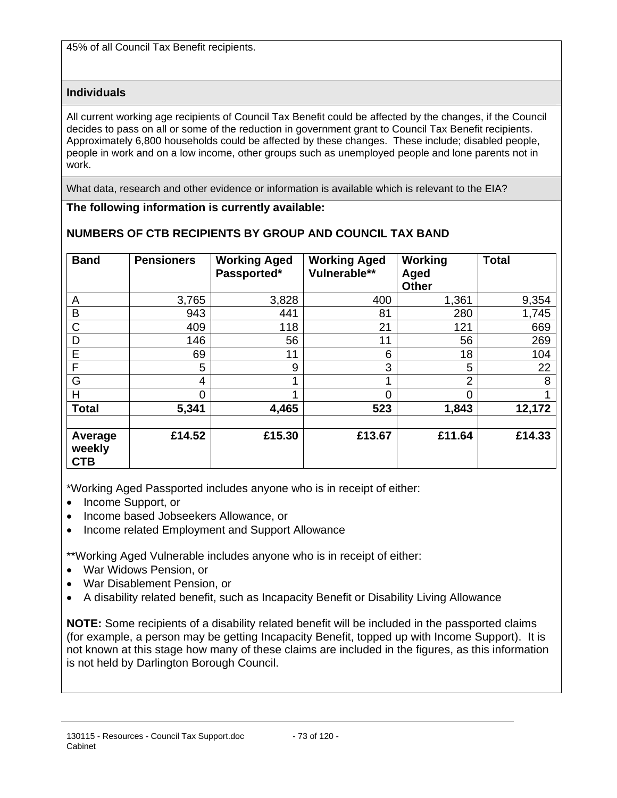45% of all Council Tax Benefit recipients.

## **Individuals**

All current working age recipients of Council Tax Benefit could be affected by the changes, if the Council decides to pass on all or some of the reduction in government grant to Council Tax Benefit recipients. Approximately 6,800 households could be affected by these changes. These include; disabled people, people in work and on a low income, other groups such as unemployed people and lone parents not in work.

What data, research and other evidence or information is available which is relevant to the EIA?

## **The following information is currently available:**

| <b>Band</b>                     | <b>Pensioners</b> | <b>Working Aged</b><br>Passported* | <b>Working Aged</b><br>Vulnerable** | Working<br>Aged<br><b>Other</b> | <b>Total</b> |
|---------------------------------|-------------------|------------------------------------|-------------------------------------|---------------------------------|--------------|
| Α                               | 3,765             | 3,828                              | 400                                 | 1,361                           | 9,354        |
| B                               | 943               | 441                                | 81                                  | 280                             | 1,745        |
| C                               | 409               | 118                                | 21                                  | 121                             | 669          |
| D                               | 146               | 56                                 | 11                                  | 56                              | 269          |
| E                               | 69                | 11                                 | 6                                   | 18                              | 104          |
| F                               | 5                 | 9                                  | 3                                   | 5                               | 22           |
| G                               | 4                 |                                    |                                     | $\overline{2}$                  | 8            |
| Η                               | $\overline{0}$    |                                    | 0                                   | 0                               |              |
| <b>Total</b>                    | 5,341             | 4,465                              | 523                                 | 1,843                           | 12,172       |
| Average<br>weekly<br><b>CTB</b> | £14.52            | £15.30                             | £13.67                              | £11.64                          | £14.33       |

## **NUMBERS OF CTB RECIPIENTS BY GROUP AND COUNCIL TAX BAND**

\*Working Aged Passported includes anyone who is in receipt of either:

- Income Support, or
- Income based Jobseekers Allowance, or
- Income related Employment and Support Allowance

\*\*Working Aged Vulnerable includes anyone who is in receipt of either:

- War Widows Pension, or
- War Disablement Pension, or
- A disability related benefit, such as Incapacity Benefit or Disability Living Allowance

**NOTE:** Some recipients of a disability related benefit will be included in the passported claims (for example, a person may be getting Incapacity Benefit, topped up with Income Support). It is not known at this stage how many of these claims are included in the figures, as this information is not held by Darlington Borough Council.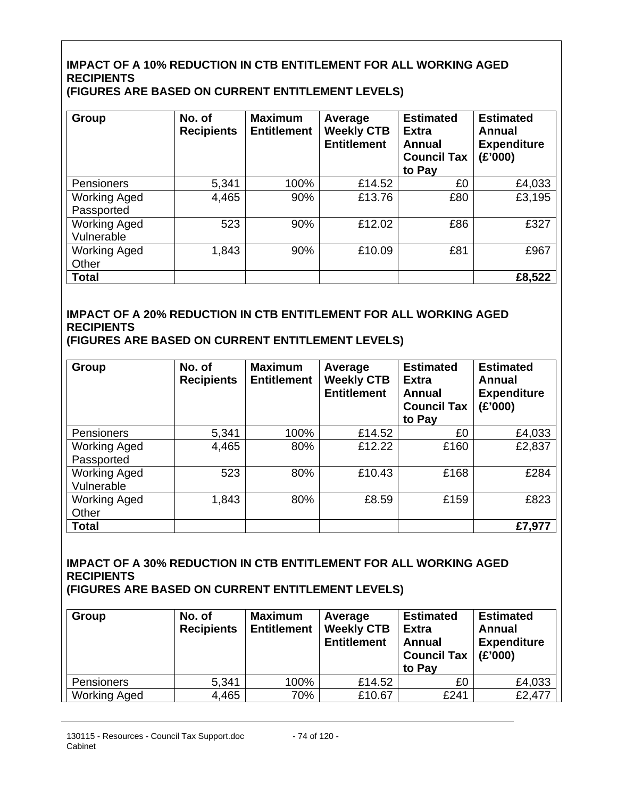## **IMPACT OF A 10% REDUCTION IN CTB ENTITLEMENT FOR ALL WORKING AGED RECIPIENTS (FIGURES ARE BASED ON CURRENT ENTITLEMENT LEVELS)**

| Group                             | No. of<br><b>Recipients</b> | <b>Maximum</b><br><b>Entitlement</b> | Average<br><b>Weekly CTB</b><br><b>Entitlement</b> | <b>Estimated</b><br><b>Extra</b><br><b>Annual</b><br><b>Council Tax</b><br>to Pay | <b>Estimated</b><br>Annual<br><b>Expenditure</b><br>(E'000) |
|-----------------------------------|-----------------------------|--------------------------------------|----------------------------------------------------|-----------------------------------------------------------------------------------|-------------------------------------------------------------|
| Pensioners                        | 5,341                       | 100%                                 | £14.52                                             | £0                                                                                | £4,033                                                      |
| <b>Working Aged</b><br>Passported | 4,465                       | 90%                                  | £13.76                                             | £80                                                                               | £3,195                                                      |
| <b>Working Aged</b><br>Vulnerable | 523                         | 90%                                  | £12.02                                             | £86                                                                               | £327                                                        |
| <b>Working Aged</b><br>Other      | 1,843                       | 90%                                  | £10.09                                             | £81                                                                               | £967                                                        |
| <b>Total</b>                      |                             |                                      |                                                    |                                                                                   | £8,522                                                      |

# **IMPACT OF A 20% REDUCTION IN CTB ENTITLEMENT FOR ALL WORKING AGED RECIPIENTS**

**(FIGURES ARE BASED ON CURRENT ENTITLEMENT LEVELS)** 

| Group                             | No. of<br><b>Recipients</b> | <b>Maximum</b><br><b>Entitlement</b> | Average<br><b>Weekly CTB</b><br><b>Entitlement</b> | <b>Estimated</b><br><b>Extra</b><br><b>Annual</b><br><b>Council Tax</b><br>to Pay | <b>Estimated</b><br>Annual<br><b>Expenditure</b><br>(E'000) |
|-----------------------------------|-----------------------------|--------------------------------------|----------------------------------------------------|-----------------------------------------------------------------------------------|-------------------------------------------------------------|
| Pensioners                        | 5,341                       | 100%                                 | £14.52                                             | £0                                                                                | £4,033                                                      |
| <b>Working Aged</b><br>Passported | 4,465                       | 80%                                  | £12.22                                             | £160                                                                              | £2,837                                                      |
| <b>Working Aged</b><br>Vulnerable | 523                         | 80%                                  | £10.43                                             | £168                                                                              | £284                                                        |
| <b>Working Aged</b><br>Other      | 1,843                       | 80%                                  | £8.59                                              | £159                                                                              | £823                                                        |
| <b>Total</b>                      |                             |                                      |                                                    |                                                                                   | £7,977                                                      |

# **IMPACT OF A 30% REDUCTION IN CTB ENTITLEMENT FOR ALL WORKING AGED RECIPIENTS**

**(FIGURES ARE BASED ON CURRENT ENTITLEMENT LEVELS)** 

| Group               | No. of<br><b>Recipients</b> | <b>Maximum</b><br><b>Entitlement</b> | Average<br><b>Weekly CTB</b><br><b>Entitlement</b> | <b>Estimated</b><br><b>Extra</b><br>Annual<br><b>Council Tax</b><br>to Pay | <b>Estimated</b><br>Annual<br><b>Expenditure</b><br>(E'000) |
|---------------------|-----------------------------|--------------------------------------|----------------------------------------------------|----------------------------------------------------------------------------|-------------------------------------------------------------|
| Pensioners          | 5,341                       | 100%                                 | £14.52                                             | £0                                                                         | £4,033                                                      |
| <b>Working Aged</b> | 4,465                       | 70%                                  | £10.67                                             | £241                                                                       | £2,477                                                      |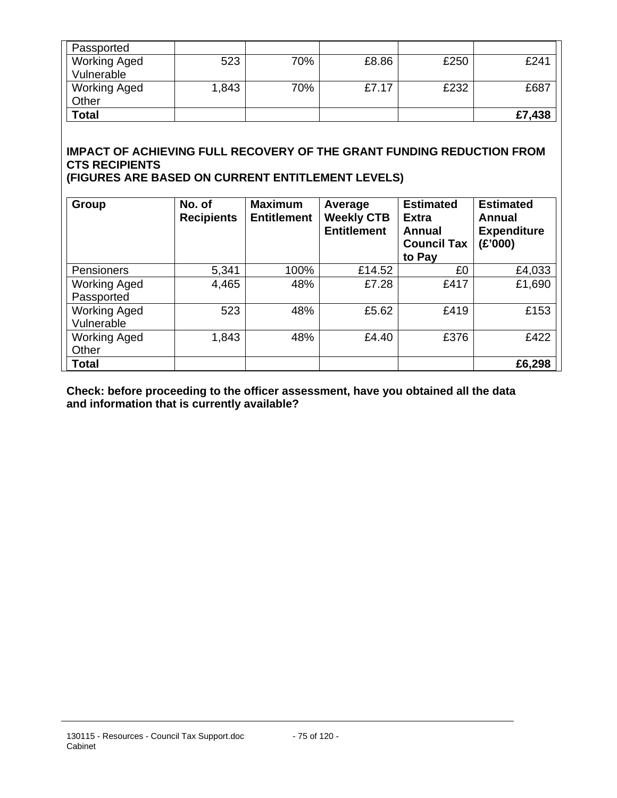| Passported          |       |     |       |      |        |
|---------------------|-------|-----|-------|------|--------|
| <b>Working Aged</b> | 523   | 70% | £8.86 | £250 | £241   |
| Vulnerable          |       |     |       |      |        |
| <b>Working Aged</b> | 1,843 | 70% | £7.17 | £232 | £687   |
| Other               |       |     |       |      |        |
| <b>Total</b>        |       |     |       |      | £7,438 |

# **IMPACT OF ACHIEVING FULL RECOVERY OF THE GRANT FUNDING REDUCTION FROM CTS RECIPIENTS**

**(FIGURES ARE BASED ON CURRENT ENTITLEMENT LEVELS)** 

| Group                             | No. of<br><b>Recipients</b> | <b>Maximum</b><br><b>Entitlement</b> | Average<br><b>Weekly CTB</b><br><b>Entitlement</b> | <b>Estimated</b><br><b>Extra</b><br><b>Annual</b><br><b>Council Tax</b><br>to Pay | <b>Estimated</b><br>Annual<br><b>Expenditure</b><br>(E'000) |
|-----------------------------------|-----------------------------|--------------------------------------|----------------------------------------------------|-----------------------------------------------------------------------------------|-------------------------------------------------------------|
| Pensioners                        | 5,341                       | 100%                                 | £14.52                                             | £0                                                                                | £4,033                                                      |
| <b>Working Aged</b><br>Passported | 4,465                       | 48%                                  | £7.28                                              | £417                                                                              | £1,690                                                      |
| <b>Working Aged</b><br>Vulnerable | 523                         | 48%                                  | £5.62                                              | £419                                                                              | £153                                                        |
| <b>Working Aged</b><br>Other      | 1,843                       | 48%                                  | £4.40                                              | £376                                                                              | £422                                                        |
| <b>Total</b>                      |                             |                                      |                                                    |                                                                                   | £6,298                                                      |

**Check: before proceeding to the officer assessment, have you obtained all the data and information that is currently available?**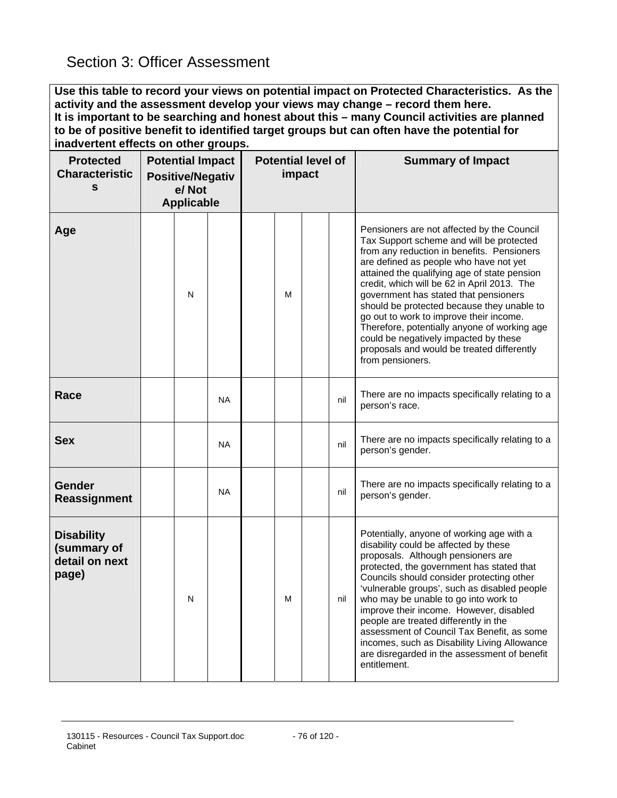**Use this table to record your views on potential impact on Protected Characteristics. As the activity and the assessment develop your views may change – record them here. It is important to be searching and honest about this – many Council activities are planned to be of positive benefit to identified target groups but can often have the potential for inadvertent effects on other groups.** 

| <b>Protected</b><br><b>Characteristic</b><br>s              | <b>Potential Impact</b><br><b>Positive/Negativ</b><br>e/Not<br><b>Applicable</b> |   | <b>Potential level of</b><br>impact |   |  | <b>Summary of Impact</b> |                                                                                                                                                                                                                                                                                                                                                                                                                                                                                                                                                                            |
|-------------------------------------------------------------|----------------------------------------------------------------------------------|---|-------------------------------------|---|--|--------------------------|----------------------------------------------------------------------------------------------------------------------------------------------------------------------------------------------------------------------------------------------------------------------------------------------------------------------------------------------------------------------------------------------------------------------------------------------------------------------------------------------------------------------------------------------------------------------------|
| Age                                                         |                                                                                  | N |                                     | М |  |                          | Pensioners are not affected by the Council<br>Tax Support scheme and will be protected<br>from any reduction in benefits. Pensioners<br>are defined as people who have not yet<br>attained the qualifying age of state pension<br>credit, which will be 62 in April 2013. The<br>government has stated that pensioners<br>should be protected because they unable to<br>go out to work to improve their income.<br>Therefore, potentially anyone of working age<br>could be negatively impacted by these<br>proposals and would be treated differently<br>from pensioners. |
| Race                                                        |                                                                                  |   | <b>NA</b>                           |   |  | nil                      | There are no impacts specifically relating to a<br>person's race.                                                                                                                                                                                                                                                                                                                                                                                                                                                                                                          |
| <b>Sex</b>                                                  |                                                                                  |   | <b>NA</b>                           |   |  | nil                      | There are no impacts specifically relating to a<br>person's gender.                                                                                                                                                                                                                                                                                                                                                                                                                                                                                                        |
| Gender<br>Reassignment                                      |                                                                                  |   | <b>NA</b>                           |   |  | nil                      | There are no impacts specifically relating to a<br>person's gender.                                                                                                                                                                                                                                                                                                                                                                                                                                                                                                        |
| <b>Disability</b><br>(summary of<br>detail on next<br>page) |                                                                                  | N |                                     | м |  | nil                      | Potentially, anyone of working age with a<br>disability could be affected by these<br>proposals. Although pensioners are<br>protected, the government has stated that<br>Councils should consider protecting other<br>'vulnerable groups', such as disabled people<br>who may be unable to go into work to<br>improve their income. However, disabled<br>people are treated differently in the<br>assessment of Council Tax Benefit, as some<br>incomes, such as Disability Living Allowance<br>are disregarded in the assessment of benefit<br>entitlement.               |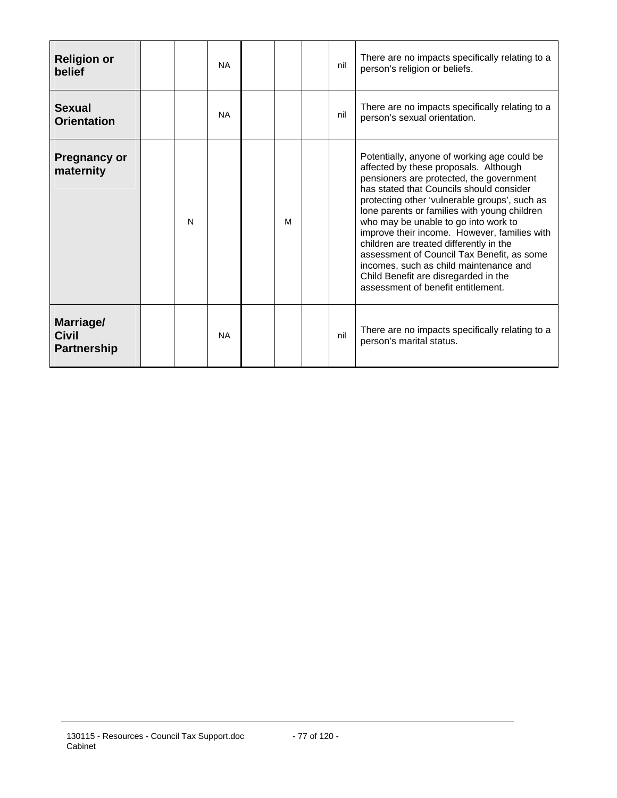| <b>Religion or</b><br>belief                    |   | <b>NA</b> |   | nil | There are no impacts specifically relating to a<br>person's religion or beliefs.                                                                                                                                                                                                                                                                                                                                                                                                                                                                                                       |
|-------------------------------------------------|---|-----------|---|-----|----------------------------------------------------------------------------------------------------------------------------------------------------------------------------------------------------------------------------------------------------------------------------------------------------------------------------------------------------------------------------------------------------------------------------------------------------------------------------------------------------------------------------------------------------------------------------------------|
| <b>Sexual</b><br><b>Orientation</b>             |   | <b>NA</b> |   | nil | There are no impacts specifically relating to a<br>person's sexual orientation.                                                                                                                                                                                                                                                                                                                                                                                                                                                                                                        |
| <b>Pregnancy or</b><br>maternity                | N |           | м |     | Potentially, anyone of working age could be<br>affected by these proposals. Although<br>pensioners are protected, the government<br>has stated that Councils should consider<br>protecting other 'vulnerable groups', such as<br>lone parents or families with young children<br>who may be unable to go into work to<br>improve their income. However, families with<br>children are treated differently in the<br>assessment of Council Tax Benefit, as some<br>incomes, such as child maintenance and<br>Child Benefit are disregarded in the<br>assessment of benefit entitlement. |
| Marriage/<br><b>Civil</b><br><b>Partnership</b> |   | <b>NA</b> |   | nil | There are no impacts specifically relating to a<br>person's marital status.                                                                                                                                                                                                                                                                                                                                                                                                                                                                                                            |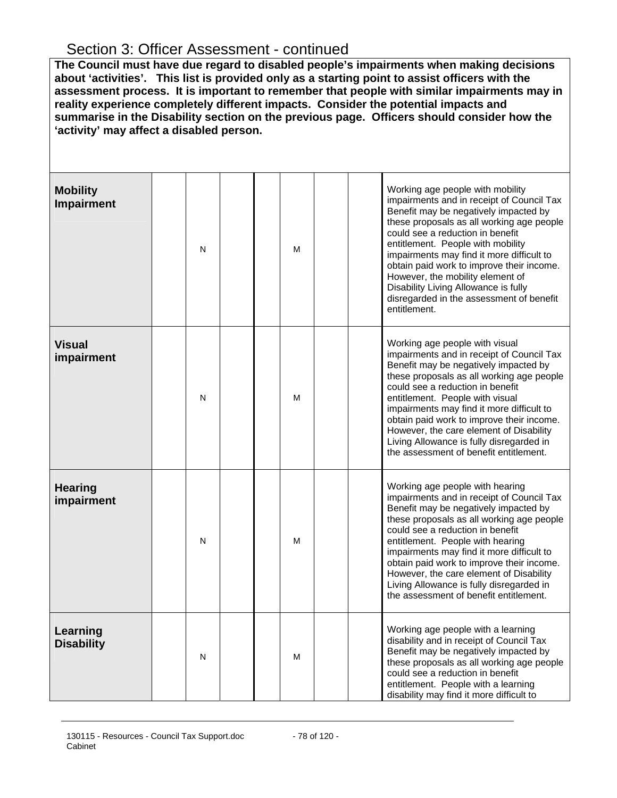# Section 3: Officer Assessment - continued

**The Council must have due regard to disabled people's impairments when making decisions about 'activities'. This list is provided only as a starting point to assist officers with the assessment process. It is important to remember that people with similar impairments may in reality experience completely different impacts. Consider the potential impacts and summarise in the Disability section on the previous page. Officers should consider how the 'activity' may affect a disabled person.**

| <b>Mobility</b><br><b>Impairment</b> | N | M |  | Working age people with mobility<br>impairments and in receipt of Council Tax<br>Benefit may be negatively impacted by<br>these proposals as all working age people<br>could see a reduction in benefit<br>entitlement. People with mobility<br>impairments may find it more difficult to<br>obtain paid work to improve their income.<br>However, the mobility element of<br>Disability Living Allowance is fully<br>disregarded in the assessment of benefit<br>entitlement. |
|--------------------------------------|---|---|--|--------------------------------------------------------------------------------------------------------------------------------------------------------------------------------------------------------------------------------------------------------------------------------------------------------------------------------------------------------------------------------------------------------------------------------------------------------------------------------|
| <b>Visual</b><br>impairment          | N | M |  | Working age people with visual<br>impairments and in receipt of Council Tax<br>Benefit may be negatively impacted by<br>these proposals as all working age people<br>could see a reduction in benefit<br>entitlement. People with visual<br>impairments may find it more difficult to<br>obtain paid work to improve their income.<br>However, the care element of Disability<br>Living Allowance is fully disregarded in<br>the assessment of benefit entitlement.            |
| <b>Hearing</b><br>impairment         | N | M |  | Working age people with hearing<br>impairments and in receipt of Council Tax<br>Benefit may be negatively impacted by<br>these proposals as all working age people<br>could see a reduction in benefit<br>entitlement. People with hearing<br>impairments may find it more difficult to<br>obtain paid work to improve their income.<br>However, the care element of Disability<br>Living Allowance is fully disregarded in<br>the assessment of benefit entitlement.          |
| Learning<br><b>Disability</b>        | N | M |  | Working age people with a learning<br>disability and in receipt of Council Tax<br>Benefit may be negatively impacted by<br>these proposals as all working age people<br>could see a reduction in benefit<br>entitlement. People with a learning<br>disability may find it more difficult to                                                                                                                                                                                    |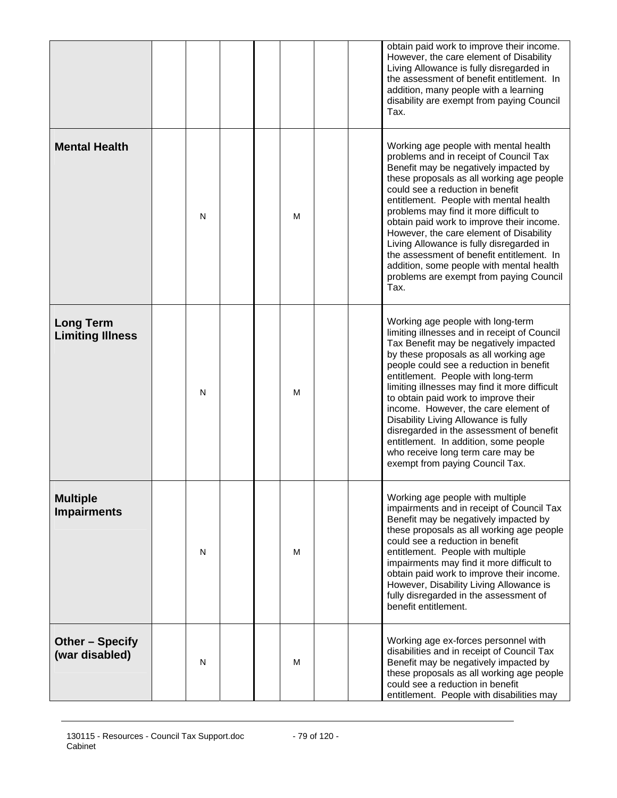|                                             |   |   | obtain paid work to improve their income.<br>However, the care element of Disability<br>Living Allowance is fully disregarded in<br>the assessment of benefit entitlement. In<br>addition, many people with a learning<br>disability are exempt from paying Council<br>Tax.                                                                                                                                                                                                                                                                                                                 |
|---------------------------------------------|---|---|---------------------------------------------------------------------------------------------------------------------------------------------------------------------------------------------------------------------------------------------------------------------------------------------------------------------------------------------------------------------------------------------------------------------------------------------------------------------------------------------------------------------------------------------------------------------------------------------|
| <b>Mental Health</b>                        | N | М | Working age people with mental health<br>problems and in receipt of Council Tax<br>Benefit may be negatively impacted by<br>these proposals as all working age people<br>could see a reduction in benefit<br>entitlement. People with mental health<br>problems may find it more difficult to<br>obtain paid work to improve their income.<br>However, the care element of Disability<br>Living Allowance is fully disregarded in<br>the assessment of benefit entitlement. In<br>addition, some people with mental health<br>problems are exempt from paying Council<br>Tax.               |
| <b>Long Term</b><br><b>Limiting Illness</b> | N | М | Working age people with long-term<br>limiting illnesses and in receipt of Council<br>Tax Benefit may be negatively impacted<br>by these proposals as all working age<br>people could see a reduction in benefit<br>entitlement. People with long-term<br>limiting illnesses may find it more difficult<br>to obtain paid work to improve their<br>income. However, the care element of<br>Disability Living Allowance is fully<br>disregarded in the assessment of benefit<br>entitlement. In addition, some people<br>who receive long term care may be<br>exempt from paying Council Tax. |
| <b>Multiple</b><br><b>Impairments</b>       | N | м | Working age people with multiple<br>impairments and in receipt of Council Tax<br>Benefit may be negatively impacted by<br>these proposals as all working age people<br>could see a reduction in benefit<br>entitlement. People with multiple<br>impairments may find it more difficult to<br>obtain paid work to improve their income.<br>However, Disability Living Allowance is<br>fully disregarded in the assessment of<br>benefit entitlement.                                                                                                                                         |
| Other - Specify<br>(war disabled)           | N | M | Working age ex-forces personnel with<br>disabilities and in receipt of Council Tax<br>Benefit may be negatively impacted by<br>these proposals as all working age people<br>could see a reduction in benefit<br>entitlement. People with disabilities may                                                                                                                                                                                                                                                                                                                                   |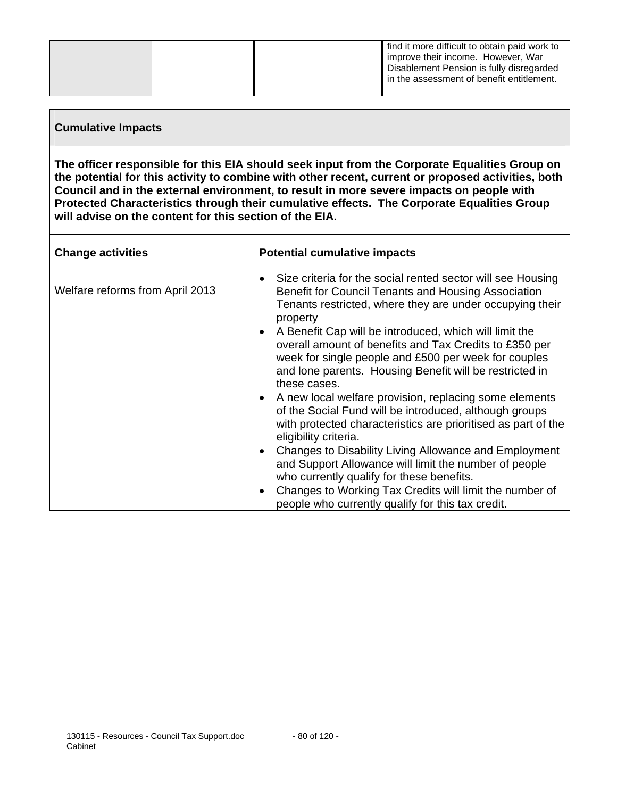|  |  |  |  |  |  |  | find it more difficult to obtain paid work to<br>improve their income. However, War<br>Disablement Pension is fully disregarded<br>in the assessment of benefit entitlement. |
|--|--|--|--|--|--|--|------------------------------------------------------------------------------------------------------------------------------------------------------------------------------|
|--|--|--|--|--|--|--|------------------------------------------------------------------------------------------------------------------------------------------------------------------------------|

## **Cumulative Impacts**

**The officer responsible for this EIA should seek input from the Corporate Equalities Group on the potential for this activity to combine with other recent, current or proposed activities, both Council and in the external environment, to result in more severe impacts on people with Protected Characteristics through their cumulative effects. The Corporate Equalities Group will advise on the content for this section of the EIA.** 

| <b>Change activities</b>        | <b>Potential cumulative impacts</b>                                                                                                                                                                                                                              |
|---------------------------------|------------------------------------------------------------------------------------------------------------------------------------------------------------------------------------------------------------------------------------------------------------------|
| Welfare reforms from April 2013 | Size criteria for the social rented sector will see Housing<br>$\bullet$<br>Benefit for Council Tenants and Housing Association<br>Tenants restricted, where they are under occupying their<br>property                                                          |
|                                 | A Benefit Cap will be introduced, which will limit the<br>$\bullet$<br>overall amount of benefits and Tax Credits to £350 per<br>week for single people and £500 per week for couples<br>and lone parents. Housing Benefit will be restricted in<br>these cases. |
|                                 | A new local welfare provision, replacing some elements<br>$\bullet$<br>of the Social Fund will be introduced, although groups<br>with protected characteristics are prioritised as part of the<br>eligibility criteria.                                          |
|                                 | Changes to Disability Living Allowance and Employment<br>$\bullet$<br>and Support Allowance will limit the number of people<br>who currently qualify for these benefits.                                                                                         |
|                                 | Changes to Working Tax Credits will limit the number of<br>$\bullet$<br>people who currently qualify for this tax credit.                                                                                                                                        |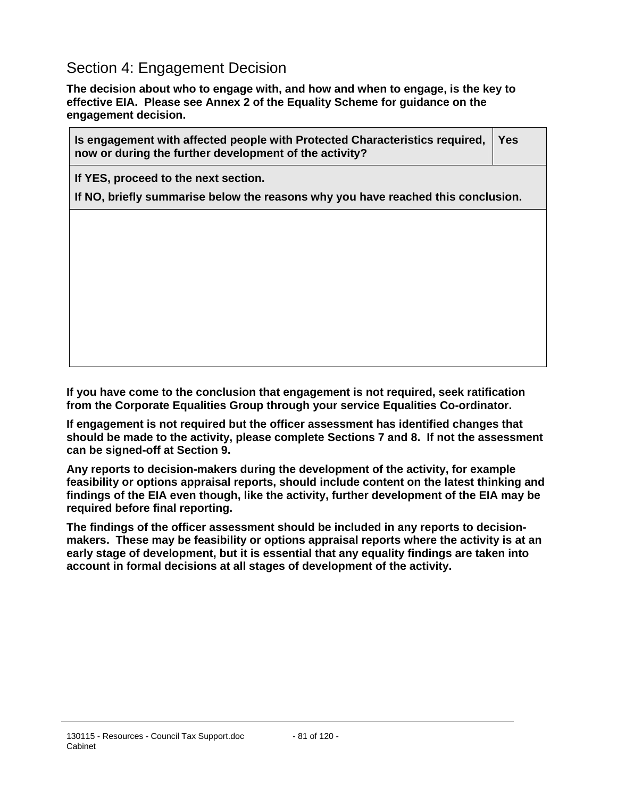# Section 4: Engagement Decision

 $\blacksquare$ 

**The decision about who to engage with, and how and when to engage, is the key to effective EIA. Please see Annex 2 of the Equality Scheme for guidance on the engagement decision.** 

| Is engagement with affected people with Protected Characteristics required,<br>now or during the further development of the activity? |  |  |
|---------------------------------------------------------------------------------------------------------------------------------------|--|--|
| If YES, proceed to the next section.                                                                                                  |  |  |
| If NO, briefly summarise below the reasons why you have reached this conclusion.                                                      |  |  |
|                                                                                                                                       |  |  |
|                                                                                                                                       |  |  |
|                                                                                                                                       |  |  |
|                                                                                                                                       |  |  |
|                                                                                                                                       |  |  |
|                                                                                                                                       |  |  |
|                                                                                                                                       |  |  |
|                                                                                                                                       |  |  |

**If you have come to the conclusion that engagement is not required, seek ratification from the Corporate Equalities Group through your service Equalities Co-ordinator.** 

**If engagement is not required but the officer assessment has identified changes that should be made to the activity, please complete Sections 7 and 8. If not the assessment can be signed-off at Section 9.**

**Any reports to decision-makers during the development of the activity, for example feasibility or options appraisal reports, should include content on the latest thinking and findings of the EIA even though, like the activity, further development of the EIA may be required before final reporting.** 

**The findings of the officer assessment should be included in any reports to decisionmakers. These may be feasibility or options appraisal reports where the activity is at an early stage of development, but it is essential that any equality findings are taken into account in formal decisions at all stages of development of the activity.**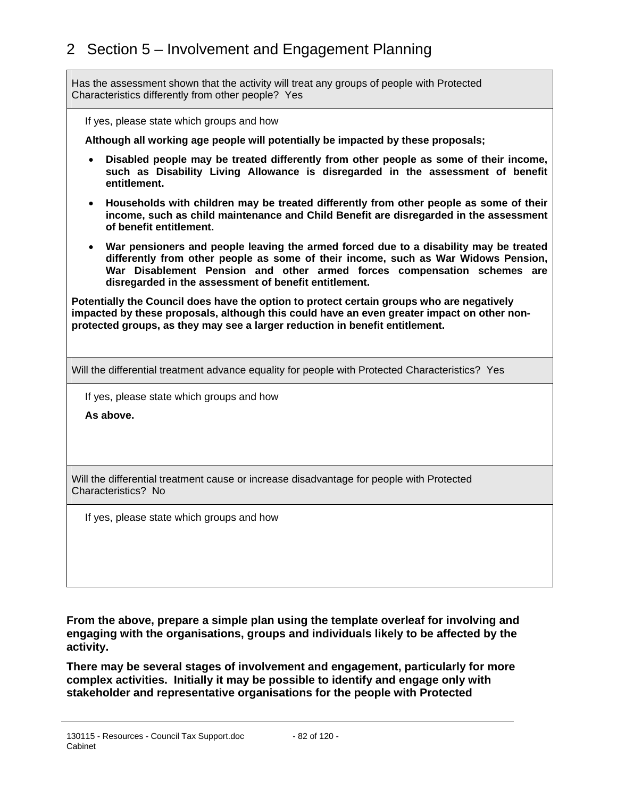Has the assessment shown that the activity will treat any groups of people with Protected Characteristics differently from other people? Yes

If yes, please state which groups and how

**Although all working age people will potentially be impacted by these proposals;** 

- **Disabled people may be treated differently from other people as some of their income, such as Disability Living Allowance is disregarded in the assessment of benefit entitlement.**
- **Households with children may be treated differently from other people as some of their income, such as child maintenance and Child Benefit are disregarded in the assessment of benefit entitlement.**
- **War pensioners and people leaving the armed forced due to a disability may be treated differently from other people as some of their income, such as War Widows Pension, War Disablement Pension and other armed forces compensation schemes are disregarded in the assessment of benefit entitlement.**

**Potentially the Council does have the option to protect certain groups who are negatively impacted by these proposals, although this could have an even greater impact on other nonprotected groups, as they may see a larger reduction in benefit entitlement.** 

Will the differential treatment advance equality for people with Protected Characteristics? Yes

If yes, please state which groups and how

**As above.** 

Will the differential treatment cause or increase disadvantage for people with Protected Characteristics? No

If yes, please state which groups and how

**From the above, prepare a simple plan using the template overleaf for involving and engaging with the organisations, groups and individuals likely to be affected by the activity.** 

**There may be several stages of involvement and engagement, particularly for more complex activities. Initially it may be possible to identify and engage only with stakeholder and representative organisations for the people with Protected**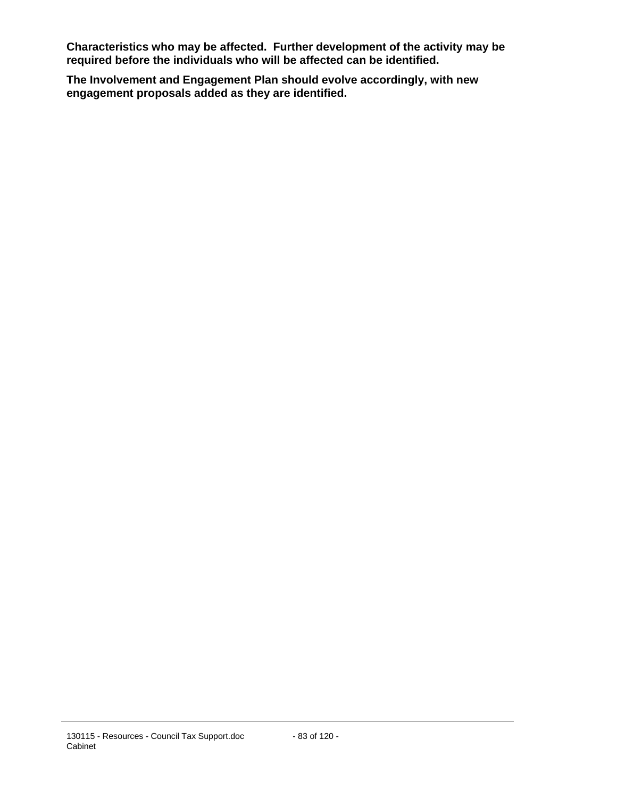**Characteristics who may be affected. Further development of the activity may be required before the individuals who will be affected can be identified.** 

**The Involvement and Engagement Plan should evolve accordingly, with new engagement proposals added as they are identified.**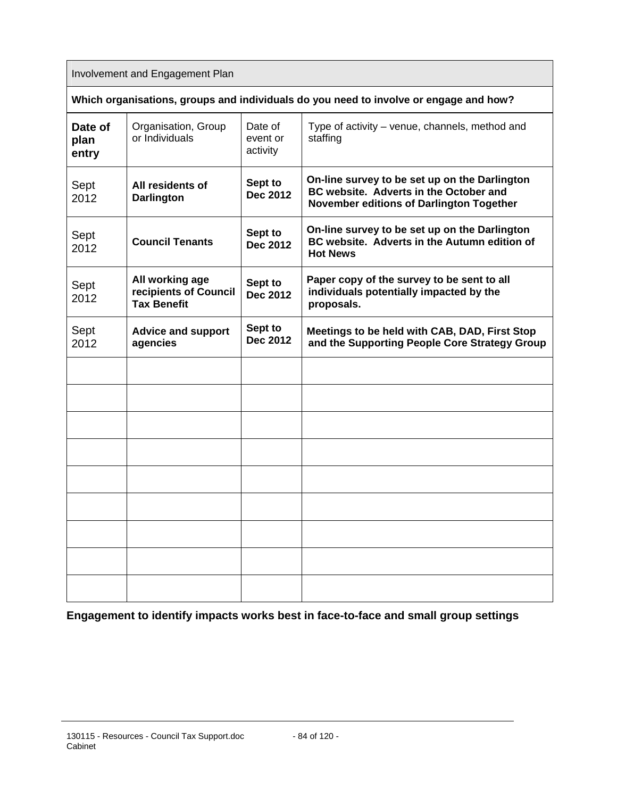Involvement and Engagement Plan

| Which organisations, groups and individuals do you need to involve or engage and how? |
|---------------------------------------------------------------------------------------|
|---------------------------------------------------------------------------------------|

| Date of<br>plan<br>entry | Organisation, Group<br>or Individuals                          | Date of<br>event or<br>activity | Type of activity – venue, channels, method and<br>staffing                                                                          |
|--------------------------|----------------------------------------------------------------|---------------------------------|-------------------------------------------------------------------------------------------------------------------------------------|
| Sept<br>2012             | All residents of<br><b>Darlington</b>                          | Sept to<br><b>Dec 2012</b>      | On-line survey to be set up on the Darlington<br>BC website. Adverts in the October and<br>November editions of Darlington Together |
| Sept<br>2012             | <b>Council Tenants</b>                                         | Sept to<br><b>Dec 2012</b>      | On-line survey to be set up on the Darlington<br>BC website. Adverts in the Autumn edition of<br><b>Hot News</b>                    |
| Sept<br>2012             | All working age<br>recipients of Council<br><b>Tax Benefit</b> | Sept to<br><b>Dec 2012</b>      | Paper copy of the survey to be sent to all<br>individuals potentially impacted by the<br>proposals.                                 |
| Sept<br>2012             | <b>Advice and support</b><br>agencies                          | Sept to<br><b>Dec 2012</b>      | Meetings to be held with CAB, DAD, First Stop<br>and the Supporting People Core Strategy Group                                      |
|                          |                                                                |                                 |                                                                                                                                     |
|                          |                                                                |                                 |                                                                                                                                     |
|                          |                                                                |                                 |                                                                                                                                     |
|                          |                                                                |                                 |                                                                                                                                     |
|                          |                                                                |                                 |                                                                                                                                     |
|                          |                                                                |                                 |                                                                                                                                     |
|                          |                                                                |                                 |                                                                                                                                     |
|                          |                                                                |                                 |                                                                                                                                     |
|                          |                                                                |                                 |                                                                                                                                     |

**Engagement to identify impacts works best in face-to-face and small group settings**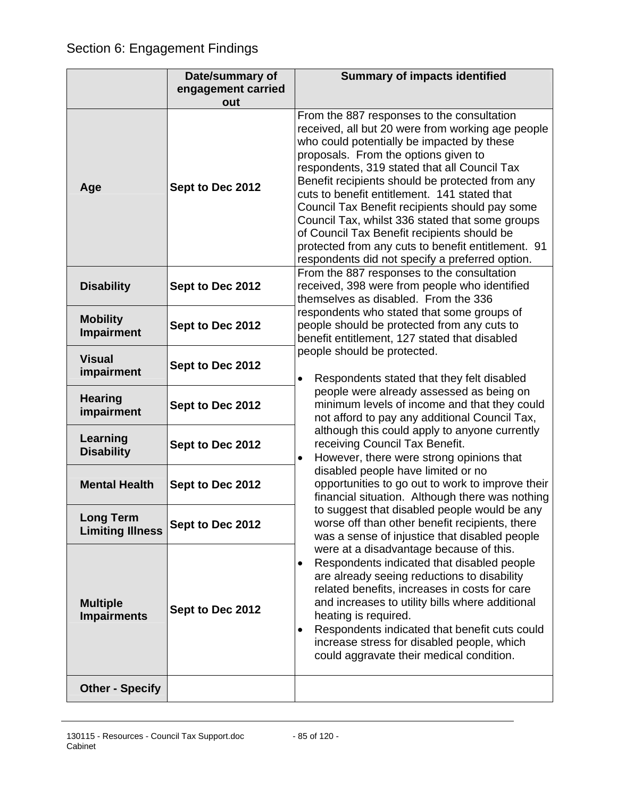|                                       | Date/summary of    | <b>Summary of impacts identified</b>                                                                                                                                                                                                                                                                                                                                                                                                                                                                                                                                                                  |
|---------------------------------------|--------------------|-------------------------------------------------------------------------------------------------------------------------------------------------------------------------------------------------------------------------------------------------------------------------------------------------------------------------------------------------------------------------------------------------------------------------------------------------------------------------------------------------------------------------------------------------------------------------------------------------------|
|                                       | engagement carried |                                                                                                                                                                                                                                                                                                                                                                                                                                                                                                                                                                                                       |
|                                       | out                |                                                                                                                                                                                                                                                                                                                                                                                                                                                                                                                                                                                                       |
| Age                                   | Sept to Dec 2012   | From the 887 responses to the consultation<br>received, all but 20 were from working age people<br>who could potentially be impacted by these<br>proposals. From the options given to<br>respondents, 319 stated that all Council Tax<br>Benefit recipients should be protected from any<br>cuts to benefit entitlement. 141 stated that<br>Council Tax Benefit recipients should pay some<br>Council Tax, whilst 336 stated that some groups<br>of Council Tax Benefit recipients should be<br>protected from any cuts to benefit entitlement. 91<br>respondents did not specify a preferred option. |
| <b>Disability</b>                     | Sept to Dec 2012   | From the 887 responses to the consultation<br>received, 398 were from people who identified<br>themselves as disabled. From the 336                                                                                                                                                                                                                                                                                                                                                                                                                                                                   |
| <b>Mobility</b><br><b>Impairment</b>  | Sept to Dec 2012   | respondents who stated that some groups of<br>people should be protected from any cuts to<br>benefit entitlement, 127 stated that disabled                                                                                                                                                                                                                                                                                                                                                                                                                                                            |
| <b>Visual</b><br>impairment           | Sept to Dec 2012   | people should be protected.<br>Respondents stated that they felt disabled<br>$\bullet$                                                                                                                                                                                                                                                                                                                                                                                                                                                                                                                |
| <b>Hearing</b><br>impairment          | Sept to Dec 2012   | people were already assessed as being on<br>minimum levels of income and that they could<br>not afford to pay any additional Council Tax,                                                                                                                                                                                                                                                                                                                                                                                                                                                             |
| Learning<br><b>Disability</b>         | Sept to Dec 2012   | although this could apply to anyone currently<br>receiving Council Tax Benefit.<br>However, there were strong opinions that<br>$\bullet$                                                                                                                                                                                                                                                                                                                                                                                                                                                              |
| <b>Mental Health</b>                  | Sept to Dec 2012   | disabled people have limited or no<br>opportunities to go out to work to improve their<br>financial situation. Although there was nothing                                                                                                                                                                                                                                                                                                                                                                                                                                                             |
| .ong Term<br><b>Limiting Illness</b>  | Sept to Dec 2012   | to suggest that disabled people would be any<br>worse off than other benefit recipients, there<br>was a sense of injustice that disabled people                                                                                                                                                                                                                                                                                                                                                                                                                                                       |
| <b>Multiple</b><br><b>Impairments</b> | Sept to Dec 2012   | were at a disadvantage because of this.<br>Respondents indicated that disabled people<br>$\bullet$<br>are already seeing reductions to disability<br>related benefits, increases in costs for care<br>and increases to utility bills where additional<br>heating is required.<br>Respondents indicated that benefit cuts could<br>٠<br>increase stress for disabled people, which<br>could aggravate their medical condition.                                                                                                                                                                         |
| <b>Other - Specify</b>                |                    |                                                                                                                                                                                                                                                                                                                                                                                                                                                                                                                                                                                                       |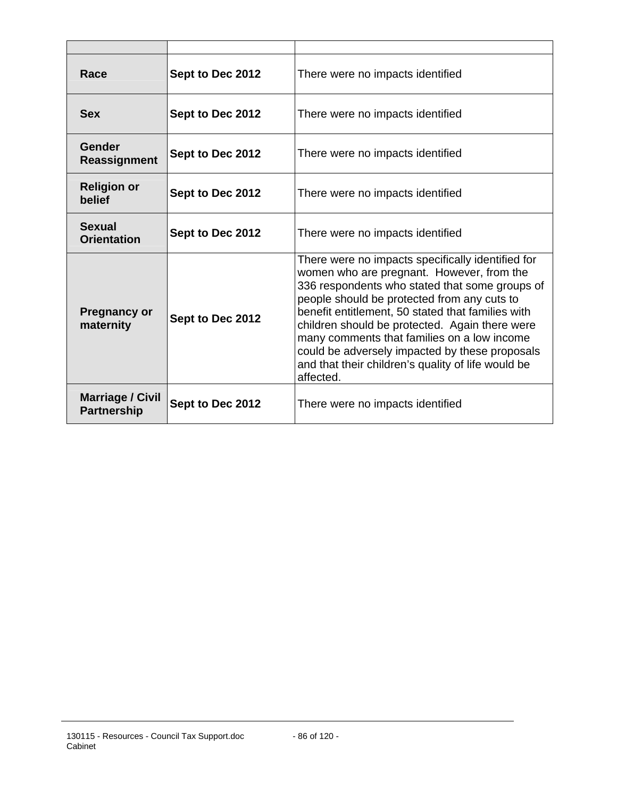| Race                                          | Sept to Dec 2012 | There were no impacts identified                                                                                                                                                                                                                                                                                                                                                                                                                                           |  |
|-----------------------------------------------|------------------|----------------------------------------------------------------------------------------------------------------------------------------------------------------------------------------------------------------------------------------------------------------------------------------------------------------------------------------------------------------------------------------------------------------------------------------------------------------------------|--|
| <b>Sex</b>                                    | Sept to Dec 2012 | There were no impacts identified                                                                                                                                                                                                                                                                                                                                                                                                                                           |  |
| Gender<br><b>Reassignment</b>                 | Sept to Dec 2012 | There were no impacts identified                                                                                                                                                                                                                                                                                                                                                                                                                                           |  |
| <b>Religion or</b><br>belief                  | Sept to Dec 2012 | There were no impacts identified                                                                                                                                                                                                                                                                                                                                                                                                                                           |  |
| Sexual<br><b>Orientation</b>                  | Sept to Dec 2012 | There were no impacts identified                                                                                                                                                                                                                                                                                                                                                                                                                                           |  |
| <b>Pregnancy or</b><br>maternity              | Sept to Dec 2012 | There were no impacts specifically identified for<br>women who are pregnant. However, from the<br>336 respondents who stated that some groups of<br>people should be protected from any cuts to<br>benefit entitlement, 50 stated that families with<br>children should be protected. Again there were<br>many comments that families on a low income<br>could be adversely impacted by these proposals<br>and that their children's quality of life would be<br>affected. |  |
| <b>Marriage / Civil</b><br><b>Partnership</b> | Sept to Dec 2012 | There were no impacts identified                                                                                                                                                                                                                                                                                                                                                                                                                                           |  |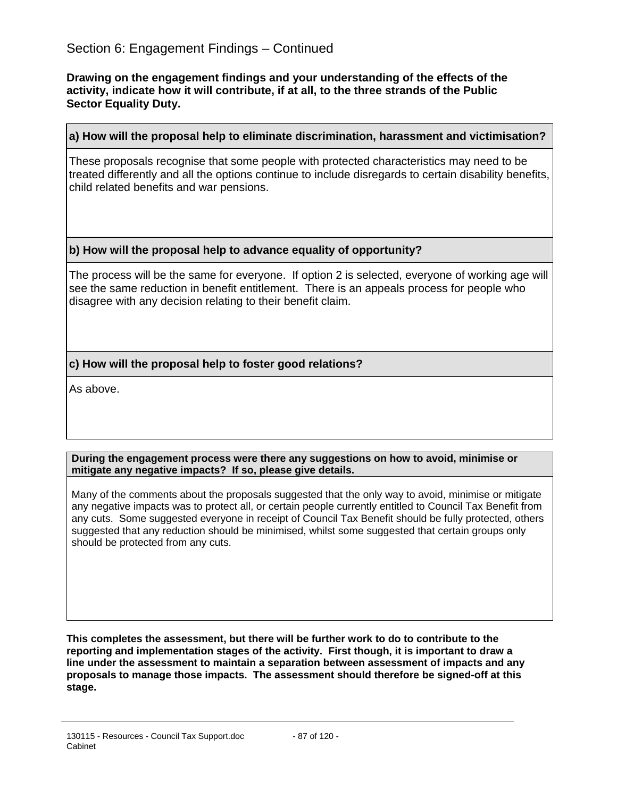**Drawing on the engagement findings and your understanding of the effects of the activity, indicate how it will contribute, if at all, to the three strands of the Public Sector Equality Duty.** 

#### **a) How will the proposal help to eliminate discrimination, harassment and victimisation?**

These proposals recognise that some people with protected characteristics may need to be treated differently and all the options continue to include disregards to certain disability benefits, child related benefits and war pensions.

#### **b) How will the proposal help to advance equality of opportunity?**

The process will be the same for everyone. If option 2 is selected, everyone of working age will see the same reduction in benefit entitlement. There is an appeals process for people who disagree with any decision relating to their benefit claim.

## **c) How will the proposal help to foster good relations?**

As above.

#### **During the engagement process were there any suggestions on how to avoid, minimise or mitigate any negative impacts? If so, please give details.**

Many of the comments about the proposals suggested that the only way to avoid, minimise or mitigate any negative impacts was to protect all, or certain people currently entitled to Council Tax Benefit from any cuts. Some suggested everyone in receipt of Council Tax Benefit should be fully protected, others suggested that any reduction should be minimised, whilst some suggested that certain groups only should be protected from any cuts.

**This completes the assessment, but there will be further work to do to contribute to the reporting and implementation stages of the activity. First though, it is important to draw a line under the assessment to maintain a separation between assessment of impacts and any proposals to manage those impacts. The assessment should therefore be signed-off at this stage.**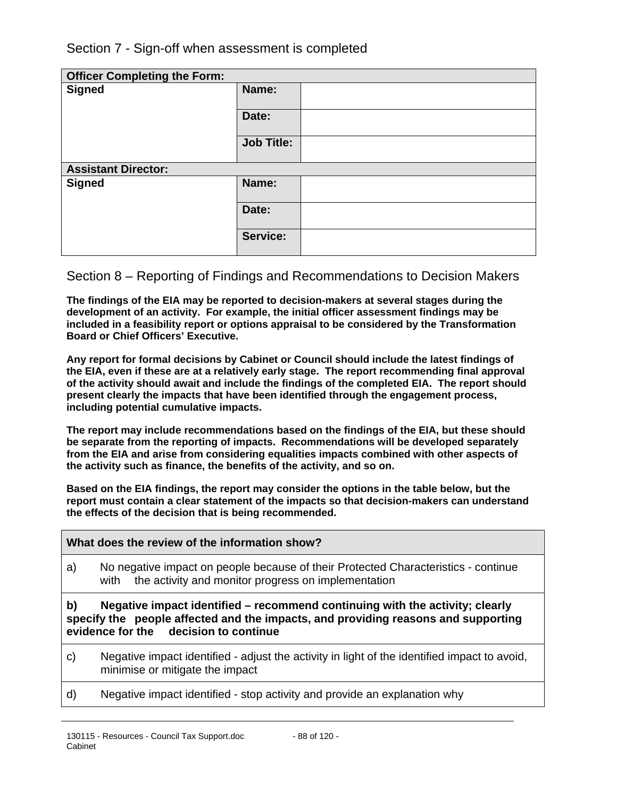Section 7 - Sign-off when assessment is completed

| <b>Officer Completing the Form:</b> |                   |  |
|-------------------------------------|-------------------|--|
| <b>Signed</b>                       | Name:             |  |
|                                     | Date:             |  |
|                                     | <b>Job Title:</b> |  |
| <b>Assistant Director:</b>          |                   |  |
| <b>Signed</b>                       | Name:             |  |
|                                     | Date:             |  |
|                                     | Service:          |  |

## Section 8 – Reporting of Findings and Recommendations to Decision Makers

**The findings of the EIA may be reported to decision-makers at several stages during the development of an activity. For example, the initial officer assessment findings may be included in a feasibility report or options appraisal to be considered by the Transformation Board or Chief Officers' Executive.** 

**Any report for formal decisions by Cabinet or Council should include the latest findings of the EIA, even if these are at a relatively early stage. The report recommending final approval of the activity should await and include the findings of the completed EIA. The report should present clearly the impacts that have been identified through the engagement process, including potential cumulative impacts.** 

**The report may include recommendations based on the findings of the EIA, but these should be separate from the reporting of impacts. Recommendations will be developed separately from the EIA and arise from considering equalities impacts combined with other aspects of the activity such as finance, the benefits of the activity, and so on.** 

**Based on the EIA findings, the report may consider the options in the table below, but the report must contain a clear statement of the impacts so that decision-makers can understand the effects of the decision that is being recommended.** 

#### **What does the review of the information show?**

a) No negative impact on people because of their Protected Characteristics - continue with the activity and monitor progress on implementation

## **b) Negative impact identified – recommend continuing with the activity; clearly specify the people affected and the impacts, and providing reasons and supporting evidence for the decision to continue**

- c) Negative impact identified adjust the activity in light of the identified impact to avoid, minimise or mitigate the impact
- d) Negative impact identified stop activity and provide an explanation why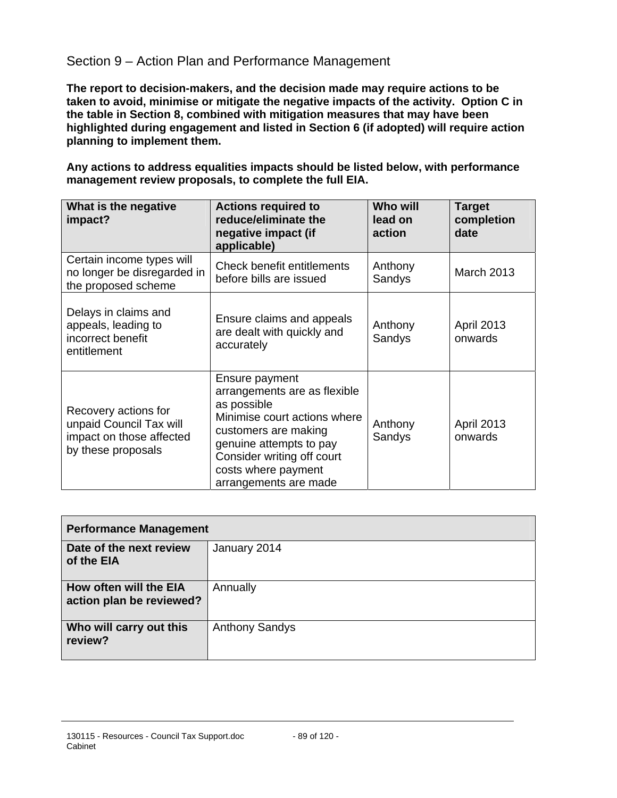# Section 9 – Action Plan and Performance Management

**The report to decision-makers, and the decision made may require actions to be taken to avoid, minimise or mitigate the negative impacts of the activity. Option C in the table in Section 8, combined with mitigation measures that may have been highlighted during engagement and listed in Section 6 (if adopted) will require action planning to implement them.** 

**Any actions to address equalities impacts should be listed below, with performance management review proposals, to complete the full EIA.** 

| What is the negative<br>impact?                                                                   | <b>Actions required to</b><br>reduce/eliminate the<br>negative impact (if<br>applicable)                                                                                                                                       | <b>Who will</b><br>lead on<br>action | <b>Target</b><br>completion<br>date |
|---------------------------------------------------------------------------------------------------|--------------------------------------------------------------------------------------------------------------------------------------------------------------------------------------------------------------------------------|--------------------------------------|-------------------------------------|
| Certain income types will<br>no longer be disregarded in<br>the proposed scheme                   | Check benefit entitlements<br>before bills are issued                                                                                                                                                                          | Anthony<br>Sandys                    | <b>March 2013</b>                   |
| Delays in claims and<br>appeals, leading to<br>incorrect benefit<br>entitlement                   | Ensure claims and appeals<br>are dealt with quickly and<br>accurately                                                                                                                                                          | Anthony<br>Sandys                    | <b>April 2013</b><br>onwards        |
| Recovery actions for<br>unpaid Council Tax will<br>impact on those affected<br>by these proposals | Ensure payment<br>arrangements are as flexible<br>as possible<br>Minimise court actions where<br>customers are making<br>genuine attempts to pay<br>Consider writing off court<br>costs where payment<br>arrangements are made | Anthony<br>Sandys                    | <b>April 2013</b><br>onwards        |

| <b>Performance Management</b>                      |                       |  |
|----------------------------------------------------|-----------------------|--|
| Date of the next review<br>of the EIA              | January 2014          |  |
| How often will the EIA<br>action plan be reviewed? | Annually              |  |
| Who will carry out this<br>review?                 | <b>Anthony Sandys</b> |  |

#### 130115 - Resources - Council Tax Support.doc Cabinet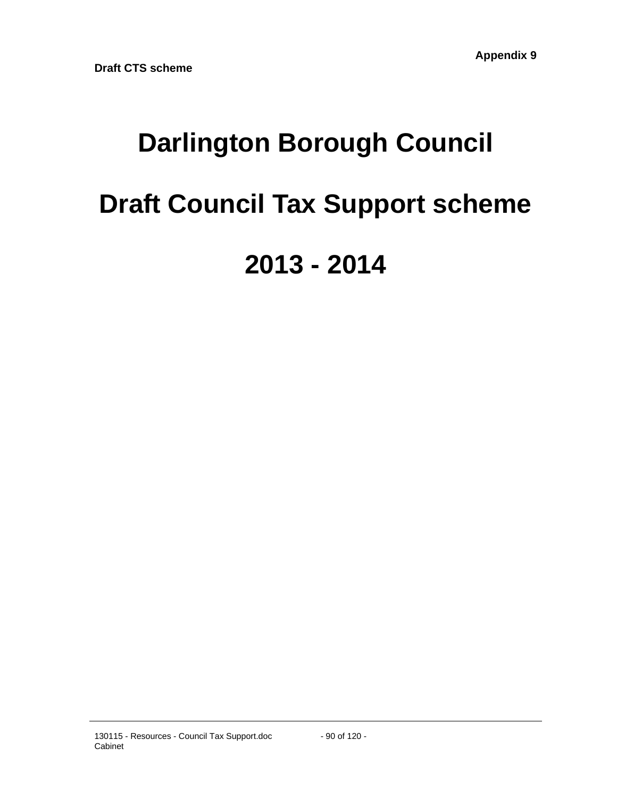# **Darlington Borough Council Draft Council Tax Support scheme 2013 - 2014**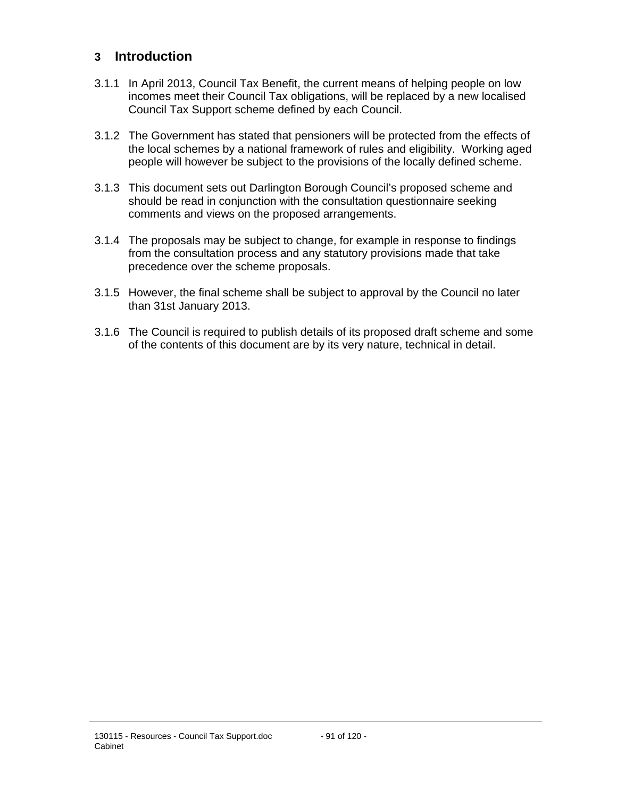# **3 Introduction**

- 3.1.1 In April 2013, Council Tax Benefit, the current means of helping people on low incomes meet their Council Tax obligations, will be replaced by a new localised Council Tax Support scheme defined by each Council.
- 3.1.2 The Government has stated that pensioners will be protected from the effects of the local schemes by a national framework of rules and eligibility. Working aged people will however be subject to the provisions of the locally defined scheme.
- 3.1.3 This document sets out Darlington Borough Council's proposed scheme and should be read in conjunction with the consultation questionnaire seeking comments and views on the proposed arrangements.
- 3.1.4 The proposals may be subject to change, for example in response to findings from the consultation process and any statutory provisions made that take precedence over the scheme proposals.
- 3.1.5 However, the final scheme shall be subject to approval by the Council no later than 31st January 2013.
- 3.1.6 The Council is required to publish details of its proposed draft scheme and some of the contents of this document are by its very nature, technical in detail.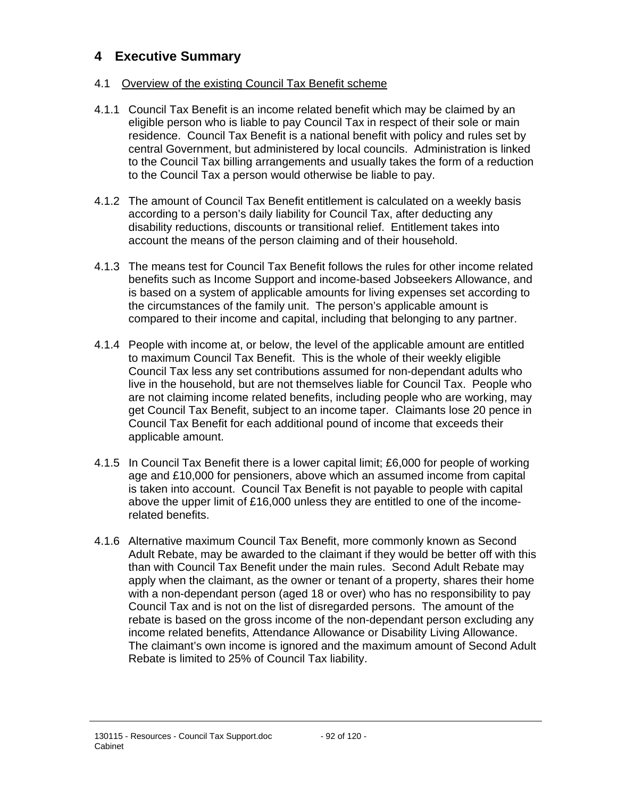# **4 Executive Summary**

## 4.1 Overview of the existing Council Tax Benefit scheme

- 4.1.1 Council Tax Benefit is an income related benefit which may be claimed by an eligible person who is liable to pay Council Tax in respect of their sole or main residence. Council Tax Benefit is a national benefit with policy and rules set by central Government, but administered by local councils. Administration is linked to the Council Tax billing arrangements and usually takes the form of a reduction to the Council Tax a person would otherwise be liable to pay.
- 4.1.2 The amount of Council Tax Benefit entitlement is calculated on a weekly basis according to a person's daily liability for Council Tax, after deducting any disability reductions, discounts or transitional relief. Entitlement takes into account the means of the person claiming and of their household.
- 4.1.3 The means test for Council Tax Benefit follows the rules for other income related benefits such as Income Support and income-based Jobseekers Allowance, and is based on a system of applicable amounts for living expenses set according to the circumstances of the family unit. The person's applicable amount is compared to their income and capital, including that belonging to any partner.
- 4.1.4 People with income at, or below, the level of the applicable amount are entitled to maximum Council Tax Benefit. This is the whole of their weekly eligible Council Tax less any set contributions assumed for non-dependant adults who live in the household, but are not themselves liable for Council Tax. People who are not claiming income related benefits, including people who are working, may get Council Tax Benefit, subject to an income taper. Claimants lose 20 pence in Council Tax Benefit for each additional pound of income that exceeds their applicable amount.
- 4.1.5 In Council Tax Benefit there is a lower capital limit; £6,000 for people of working age and £10,000 for pensioners, above which an assumed income from capital is taken into account. Council Tax Benefit is not payable to people with capital above the upper limit of £16,000 unless they are entitled to one of the incomerelated benefits.
- 4.1.6 Alternative maximum Council Tax Benefit, more commonly known as Second Adult Rebate, may be awarded to the claimant if they would be better off with this than with Council Tax Benefit under the main rules. Second Adult Rebate may apply when the claimant, as the owner or tenant of a property, shares their home with a non-dependant person (aged 18 or over) who has no responsibility to pay Council Tax and is not on the list of disregarded persons. The amount of the rebate is based on the gross income of the non-dependant person excluding any income related benefits, Attendance Allowance or Disability Living Allowance. The claimant's own income is ignored and the maximum amount of Second Adult Rebate is limited to 25% of Council Tax liability.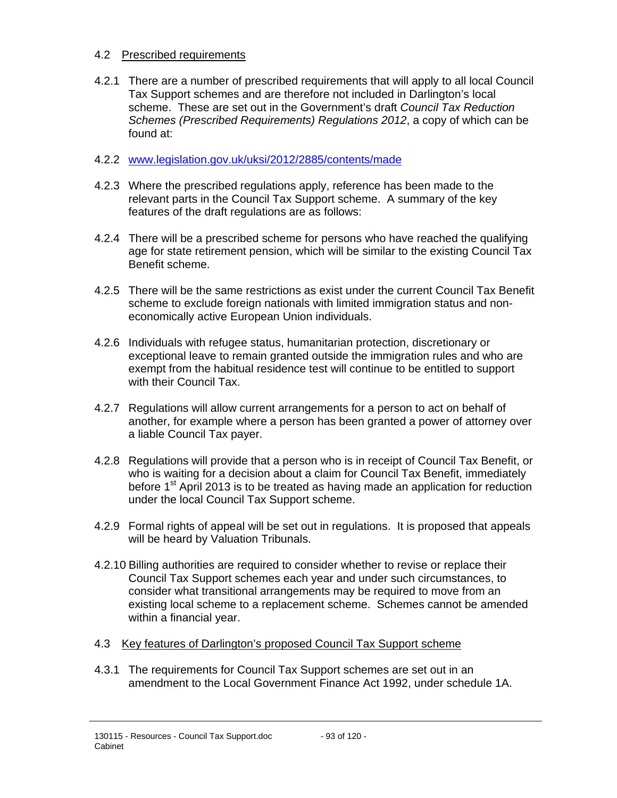## 4.2 Prescribed requirements

4.2.1 There are a number of prescribed requirements that will apply to all local Council Tax Support schemes and are therefore not included in Darlington's local scheme. These are set out in the Government's draft *Council Tax Reduction Schemes (Prescribed Requirements) Regulations 2012*, a copy of which can be found at:

## 4.2.2 www.legislation.gov.uk/uksi/2012/2885/contents/made

- 4.2.3 Where the prescribed regulations apply, reference has been made to the relevant parts in the Council Tax Support scheme. A summary of the key features of the draft regulations are as follows:
- 4.2.4 There will be a prescribed scheme for persons who have reached the qualifying age for state retirement pension, which will be similar to the existing Council Tax Benefit scheme.
- 4.2.5 There will be the same restrictions as exist under the current Council Tax Benefit scheme to exclude foreign nationals with limited immigration status and noneconomically active European Union individuals.
- 4.2.6 Individuals with refugee status, humanitarian protection, discretionary or exceptional leave to remain granted outside the immigration rules and who are exempt from the habitual residence test will continue to be entitled to support with their Council Tax.
- 4.2.7 Regulations will allow current arrangements for a person to act on behalf of another, for example where a person has been granted a power of attorney over a liable Council Tax payer.
- 4.2.8 Regulations will provide that a person who is in receipt of Council Tax Benefit, or who is waiting for a decision about a claim for Council Tax Benefit, immediately before 1<sup>st</sup> April 2013 is to be treated as having made an application for reduction under the local Council Tax Support scheme.
- 4.2.9 Formal rights of appeal will be set out in regulations. It is proposed that appeals will be heard by Valuation Tribunals.
- 4.2.10 Billing authorities are required to consider whether to revise or replace their Council Tax Support schemes each year and under such circumstances, to consider what transitional arrangements may be required to move from an existing local scheme to a replacement scheme. Schemes cannot be amended within a financial year.
- 4.3 Key features of Darlington's proposed Council Tax Support scheme
- 4.3.1 The requirements for Council Tax Support schemes are set out in an amendment to the Local Government Finance Act 1992, under schedule 1A.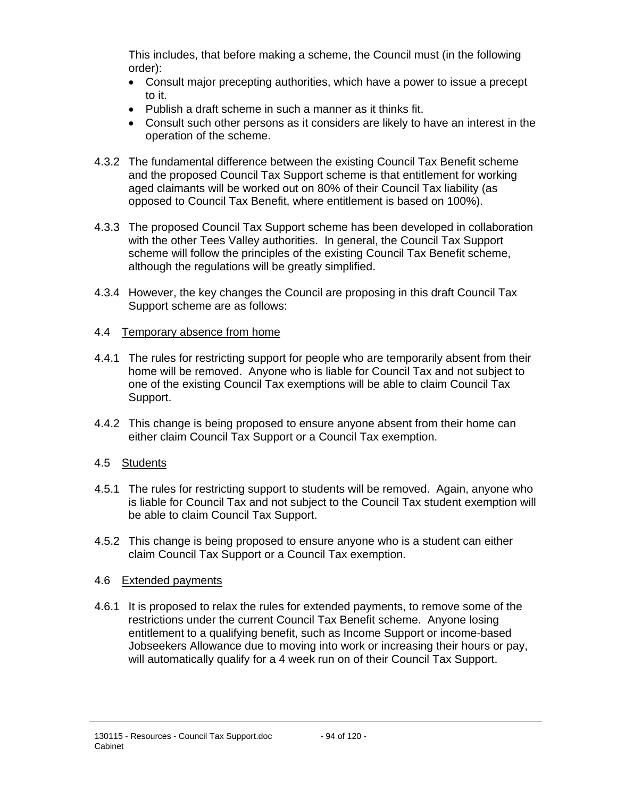This includes, that before making a scheme, the Council must (in the following order):

- Consult major precepting authorities, which have a power to issue a precept to it.
- Publish a draft scheme in such a manner as it thinks fit.
- Consult such other persons as it considers are likely to have an interest in the operation of the scheme.
- 4.3.2 The fundamental difference between the existing Council Tax Benefit scheme and the proposed Council Tax Support scheme is that entitlement for working aged claimants will be worked out on 80% of their Council Tax liability (as opposed to Council Tax Benefit, where entitlement is based on 100%).
- 4.3.3 The proposed Council Tax Support scheme has been developed in collaboration with the other Tees Valley authorities. In general, the Council Tax Support scheme will follow the principles of the existing Council Tax Benefit scheme, although the regulations will be greatly simplified.
- 4.3.4 However, the key changes the Council are proposing in this draft Council Tax Support scheme are as follows:

## 4.4 Temporary absence from home

- 4.4.1 The rules for restricting support for people who are temporarily absent from their home will be removed. Anyone who is liable for Council Tax and not subject to one of the existing Council Tax exemptions will be able to claim Council Tax Support.
- 4.4.2 This change is being proposed to ensure anyone absent from their home can either claim Council Tax Support or a Council Tax exemption.

## 4.5 Students

- 4.5.1 The rules for restricting support to students will be removed. Again, anyone who is liable for Council Tax and not subject to the Council Tax student exemption will be able to claim Council Tax Support.
- 4.5.2 This change is being proposed to ensure anyone who is a student can either claim Council Tax Support or a Council Tax exemption.

## 4.6 Extended payments

4.6.1 It is proposed to relax the rules for extended payments, to remove some of the restrictions under the current Council Tax Benefit scheme. Anyone losing entitlement to a qualifying benefit, such as Income Support or income-based Jobseekers Allowance due to moving into work or increasing their hours or pay, will automatically qualify for a 4 week run on of their Council Tax Support.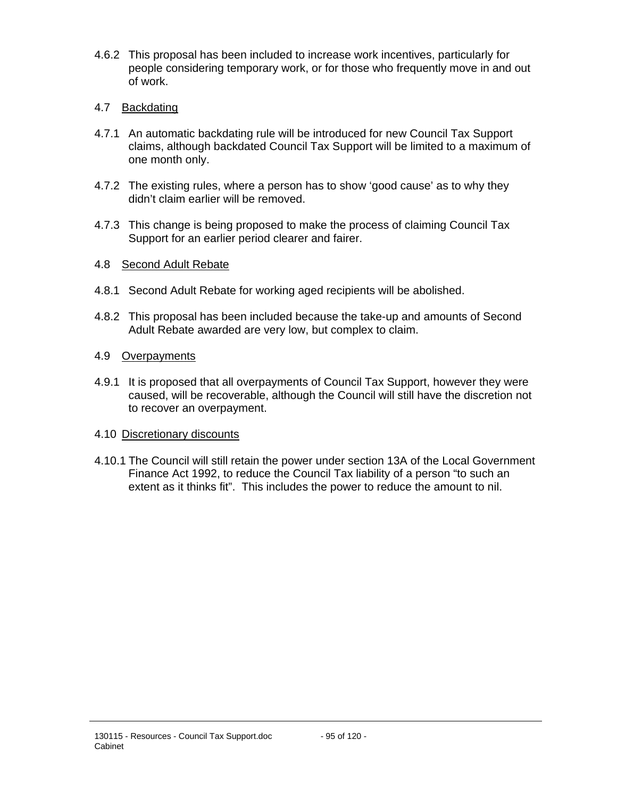4.6.2 This proposal has been included to increase work incentives, particularly for people considering temporary work, or for those who frequently move in and out of work.

## 4.7 Backdating

- 4.7.1 An automatic backdating rule will be introduced for new Council Tax Support claims, although backdated Council Tax Support will be limited to a maximum of one month only.
- 4.7.2 The existing rules, where a person has to show 'good cause' as to why they didn't claim earlier will be removed.
- 4.7.3 This change is being proposed to make the process of claiming Council Tax Support for an earlier period clearer and fairer.

## 4.8 Second Adult Rebate

- 4.8.1 Second Adult Rebate for working aged recipients will be abolished.
- 4.8.2 This proposal has been included because the take-up and amounts of Second Adult Rebate awarded are very low, but complex to claim.

## 4.9 Overpayments

4.9.1 It is proposed that all overpayments of Council Tax Support, however they were caused, will be recoverable, although the Council will still have the discretion not to recover an overpayment.

#### 4.10 Discretionary discounts

4.10.1 The Council will still retain the power under section 13A of the Local Government Finance Act 1992, to reduce the Council Tax liability of a person "to such an extent as it thinks fit". This includes the power to reduce the amount to nil.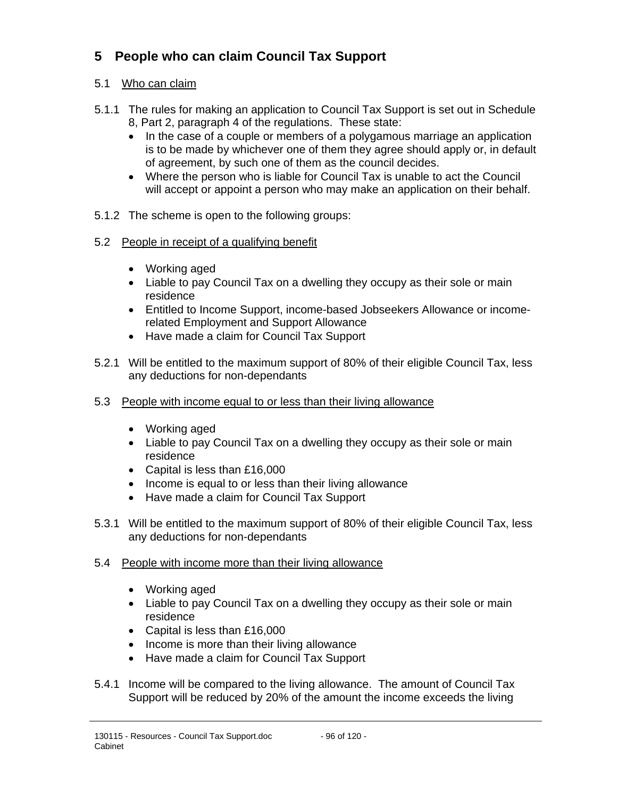# **5 People who can claim Council Tax Support**

## 5.1 Who can claim

- 5.1.1 The rules for making an application to Council Tax Support is set out in Schedule 8, Part 2, paragraph 4 of the regulations. These state:
	- In the case of a couple or members of a polygamous marriage an application is to be made by whichever one of them they agree should apply or, in default of agreement, by such one of them as the council decides.
	- Where the person who is liable for Council Tax is unable to act the Council will accept or appoint a person who may make an application on their behalf.
- 5.1.2 The scheme is open to the following groups:
- 5.2 People in receipt of a qualifying benefit
	- Working aged
	- Liable to pay Council Tax on a dwelling they occupy as their sole or main residence
	- Entitled to Income Support, income-based Jobseekers Allowance or incomerelated Employment and Support Allowance
	- Have made a claim for Council Tax Support
- 5.2.1 Will be entitled to the maximum support of 80% of their eligible Council Tax, less any deductions for non-dependants
- 5.3 People with income equal to or less than their living allowance
	- Working aged
	- Liable to pay Council Tax on a dwelling they occupy as their sole or main residence
	- Capital is less than £16,000
	- Income is equal to or less than their living allowance
	- Have made a claim for Council Tax Support
- 5.3.1 Will be entitled to the maximum support of 80% of their eligible Council Tax, less any deductions for non-dependants
- 5.4 People with income more than their living allowance
	- Working aged
	- Liable to pay Council Tax on a dwelling they occupy as their sole or main residence
	- Capital is less than £16,000
	- Income is more than their living allowance
	- Have made a claim for Council Tax Support
- 5.4.1 Income will be compared to the living allowance. The amount of Council Tax Support will be reduced by 20% of the amount the income exceeds the living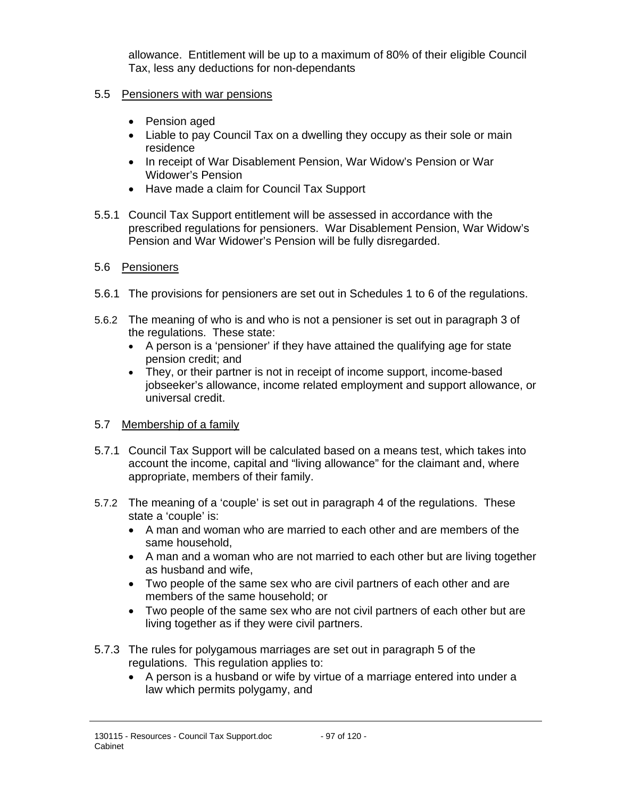allowance. Entitlement will be up to a maximum of 80% of their eligible Council Tax, less any deductions for non-dependants

## 5.5 Pensioners with war pensions

- Pension aged
- Liable to pay Council Tax on a dwelling they occupy as their sole or main residence
- In receipt of War Disablement Pension, War Widow's Pension or War Widower's Pension
- Have made a claim for Council Tax Support
- 5.5.1 Council Tax Support entitlement will be assessed in accordance with the prescribed regulations for pensioners. War Disablement Pension, War Widow's Pension and War Widower's Pension will be fully disregarded.

## 5.6 Pensioners

- 5.6.1 The provisions for pensioners are set out in Schedules 1 to 6 of the regulations.
- 5.6.2 The meaning of who is and who is not a pensioner is set out in paragraph 3 of the regulations. These state:
	- A person is a 'pensioner' if they have attained the qualifying age for state pension credit; and
	- They, or their partner is not in receipt of income support, income-based jobseeker's allowance, income related employment and support allowance, or universal credit.

## 5.7 Membership of a family

- 5.7.1 Council Tax Support will be calculated based on a means test, which takes into account the income, capital and "living allowance" for the claimant and, where appropriate, members of their family.
- 5.7.2 The meaning of a 'couple' is set out in paragraph 4 of the regulations. These state a 'couple' is:
	- A man and woman who are married to each other and are members of the same household,
	- A man and a woman who are not married to each other but are living together as husband and wife,
	- Two people of the same sex who are civil partners of each other and are members of the same household; or
	- Two people of the same sex who are not civil partners of each other but are living together as if they were civil partners.
- 5.7.3 The rules for polygamous marriages are set out in paragraph 5 of the regulations. This regulation applies to:
	- A person is a husband or wife by virtue of a marriage entered into under a law which permits polygamy, and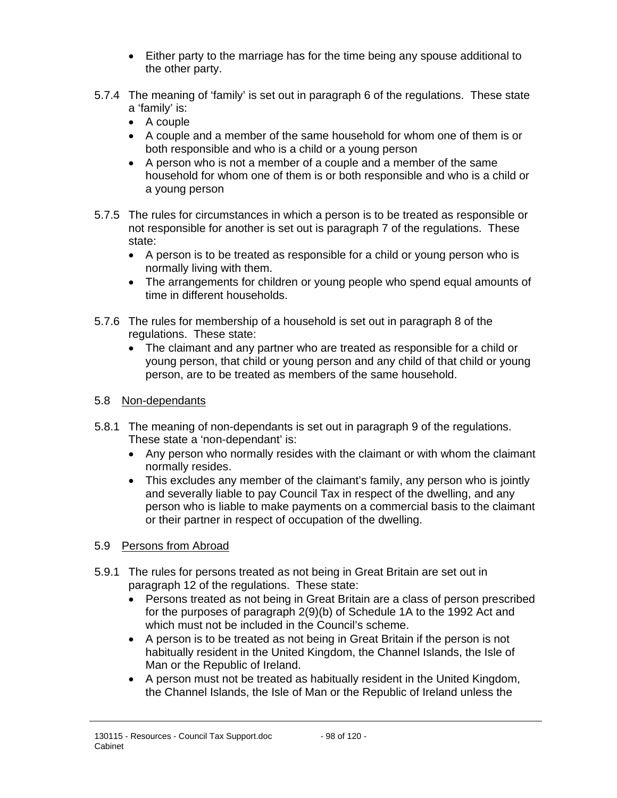- Either party to the marriage has for the time being any spouse additional to the other party.
- 5.7.4 The meaning of 'family' is set out in paragraph 6 of the regulations. These state a 'family' is:
	- A couple
	- A couple and a member of the same household for whom one of them is or both responsible and who is a child or a young person
	- A person who is not a member of a couple and a member of the same household for whom one of them is or both responsible and who is a child or a young person
- 5.7.5 The rules for circumstances in which a person is to be treated as responsible or not responsible for another is set out is paragraph 7 of the regulations. These state:
	- A person is to be treated as responsible for a child or young person who is normally living with them.
	- The arrangements for children or young people who spend equal amounts of time in different households.
- 5.7.6 The rules for membership of a household is set out in paragraph 8 of the regulations. These state:
	- The claimant and any partner who are treated as responsible for a child or young person, that child or young person and any child of that child or young person, are to be treated as members of the same household.

## 5.8 Non-dependants

- 5.8.1 The meaning of non-dependants is set out in paragraph 9 of the regulations. These state a 'non-dependant' is:
	- Any person who normally resides with the claimant or with whom the claimant normally resides.
	- This excludes any member of the claimant's family, any person who is jointly and severally liable to pay Council Tax in respect of the dwelling, and any person who is liable to make payments on a commercial basis to the claimant or their partner in respect of occupation of the dwelling.

# 5.9 Persons from Abroad

- 5.9.1 The rules for persons treated as not being in Great Britain are set out in paragraph 12 of the regulations. These state:
	- Persons treated as not being in Great Britain are a class of person prescribed for the purposes of paragraph 2(9)(b) of Schedule 1A to the 1992 Act and which must not be included in the Council's scheme.
	- A person is to be treated as not being in Great Britain if the person is not habitually resident in the United Kingdom, the Channel Islands, the Isle of Man or the Republic of Ireland.
	- A person must not be treated as habitually resident in the United Kingdom, the Channel Islands, the Isle of Man or the Republic of Ireland unless the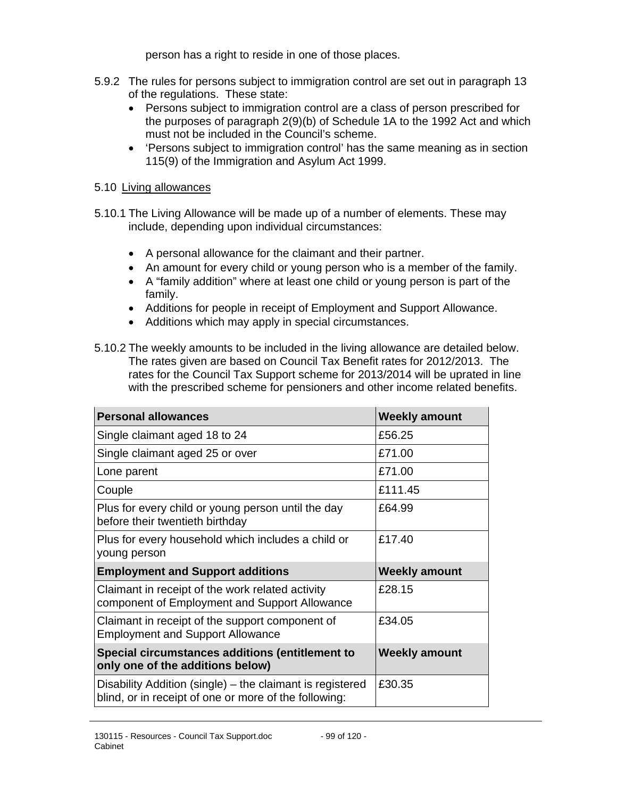person has a right to reside in one of those places.

- 5.9.2 The rules for persons subject to immigration control are set out in paragraph 13 of the regulations. These state:
	- Persons subject to immigration control are a class of person prescribed for the purposes of paragraph 2(9)(b) of Schedule 1A to the 1992 Act and which must not be included in the Council's scheme.
	- 'Persons subject to immigration control' has the same meaning as in section 115(9) of the Immigration and Asylum Act 1999.

## 5.10 Living allowances

- 5.10.1 The Living Allowance will be made up of a number of elements. These may include, depending upon individual circumstances:
	- A personal allowance for the claimant and their partner.
	- An amount for every child or young person who is a member of the family.
	- A "family addition" where at least one child or young person is part of the family.
	- Additions for people in receipt of Employment and Support Allowance.
	- Additions which may apply in special circumstances.
- 5.10.2 The weekly amounts to be included in the living allowance are detailed below. The rates given are based on Council Tax Benefit rates for 2012/2013. The rates for the Council Tax Support scheme for 2013/2014 will be uprated in line with the prescribed scheme for pensioners and other income related benefits.

| <b>Personal allowances</b>                                                                                         | <b>Weekly amount</b> |
|--------------------------------------------------------------------------------------------------------------------|----------------------|
| Single claimant aged 18 to 24                                                                                      | £56.25               |
| Single claimant aged 25 or over                                                                                    | £71.00               |
| Lone parent                                                                                                        | £71.00               |
| Couple                                                                                                             | £111.45              |
| Plus for every child or young person until the day<br>before their twentieth birthday                              | £64.99               |
| Plus for every household which includes a child or<br>young person                                                 | £17.40               |
| <b>Employment and Support additions</b>                                                                            | <b>Weekly amount</b> |
| Claimant in receipt of the work related activity<br>component of Employment and Support Allowance                  | £28.15               |
| Claimant in receipt of the support component of<br><b>Employment and Support Allowance</b>                         | £34.05               |
| Special circumstances additions (entitlement to<br>only one of the additions below)                                | <b>Weekly amount</b> |
| Disability Addition (single) - the claimant is registered<br>blind, or in receipt of one or more of the following: | £30.35               |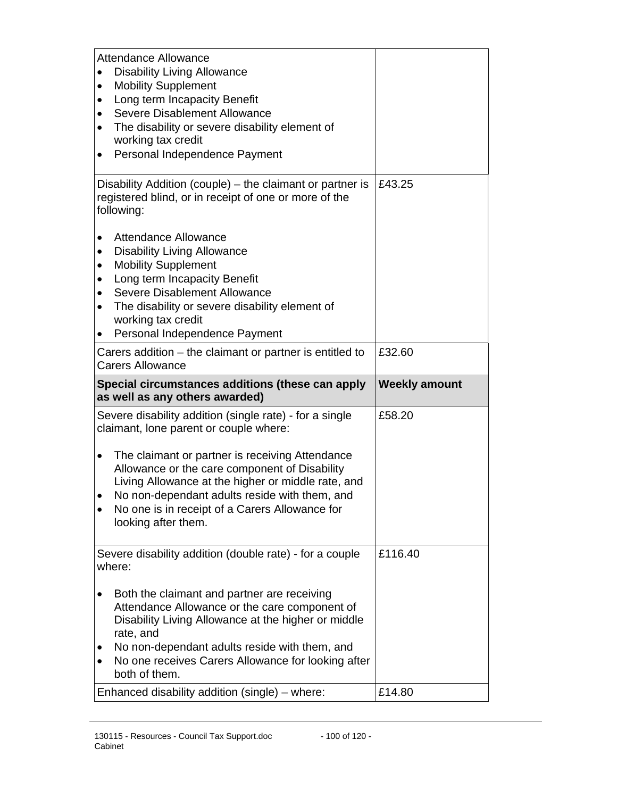| <b>Attendance Allowance</b><br><b>Disability Living Allowance</b><br><b>Mobility Supplement</b><br>٠<br>Long term Incapacity Benefit<br>$\bullet$<br>Severe Disablement Allowance<br>$\bullet$<br>The disability or severe disability element of<br>٠<br>working tax credit<br>Personal Independence Payment<br>$\bullet$         |                      |
|-----------------------------------------------------------------------------------------------------------------------------------------------------------------------------------------------------------------------------------------------------------------------------------------------------------------------------------|----------------------|
| Disability Addition (couple) – the claimant or partner is<br>registered blind, or in receipt of one or more of the<br>following:                                                                                                                                                                                                  | £43.25               |
| <b>Attendance Allowance</b><br>$\bullet$<br><b>Disability Living Allowance</b><br>$\bullet$<br><b>Mobility Supplement</b><br>$\bullet$<br>Long term Incapacity Benefit<br>٠<br>Severe Disablement Allowance<br>$\bullet$<br>The disability or severe disability element of<br>working tax credit<br>Personal Independence Payment |                      |
| Carers addition – the claimant or partner is entitled to<br><b>Carers Allowance</b>                                                                                                                                                                                                                                               | £32.60               |
|                                                                                                                                                                                                                                                                                                                                   |                      |
| Special circumstances additions (these can apply<br>as well as any others awarded)                                                                                                                                                                                                                                                | <b>Weekly amount</b> |
| Severe disability addition (single rate) - for a single<br>claimant, lone parent or couple where:                                                                                                                                                                                                                                 | £58.20               |
| The claimant or partner is receiving Attendance<br>$\bullet$<br>Allowance or the care component of Disability<br>Living Allowance at the higher or middle rate, and<br>No non-dependant adults reside with them, and<br>No one is in receipt of a Carers Allowance for<br>٠<br>looking after them.                                |                      |
| Severe disability addition (double rate) - for a couple<br>where:                                                                                                                                                                                                                                                                 | £116.40              |
| Both the claimant and partner are receiving<br>Attendance Allowance or the care component of<br>Disability Living Allowance at the higher or middle<br>rate, and<br>No non-dependant adults reside with them, and<br>٠<br>No one receives Carers Allowance for looking after<br>$\bullet$<br>both of them.                        |                      |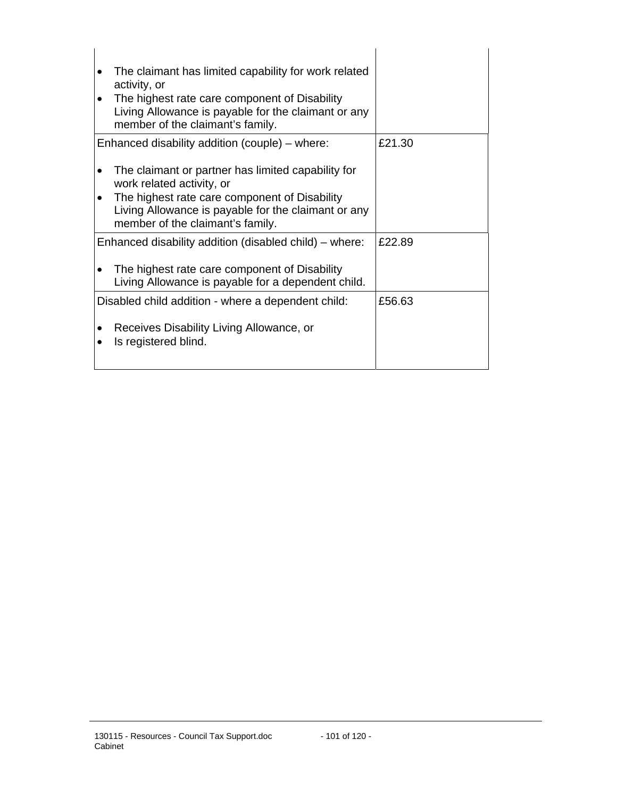| activity, or | The claimant has limited capability for work related                                                                                     |        |
|--------------|------------------------------------------------------------------------------------------------------------------------------------------|--------|
|              | The highest rate care component of Disability<br>Living Allowance is payable for the claimant or any<br>member of the claimant's family. |        |
|              | Enhanced disability addition (couple) - where:                                                                                           | £21.30 |
|              | The claimant or partner has limited capability for<br>work related activity, or                                                          |        |
|              | The highest rate care component of Disability<br>Living Allowance is payable for the claimant or any<br>member of the claimant's family. |        |
|              | Enhanced disability addition (disabled child) – where:                                                                                   | £22.89 |
|              | The highest rate care component of Disability<br>Living Allowance is payable for a dependent child.                                      |        |
|              | Disabled child addition - where a dependent child:                                                                                       | £56.63 |
|              | Receives Disability Living Allowance, or<br>Is registered blind.                                                                         |        |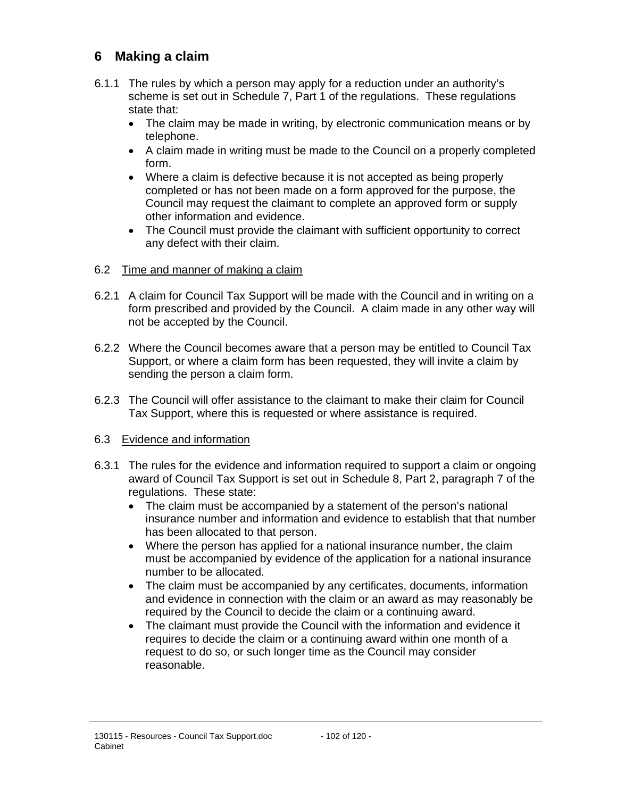# **6 Making a claim**

- 6.1.1 The rules by which a person may apply for a reduction under an authority's scheme is set out in Schedule 7, Part 1 of the regulations. These regulations state that:
	- The claim may be made in writing, by electronic communication means or by telephone.
	- A claim made in writing must be made to the Council on a properly completed form.
	- Where a claim is defective because it is not accepted as being properly completed or has not been made on a form approved for the purpose, the Council may request the claimant to complete an approved form or supply other information and evidence.
	- The Council must provide the claimant with sufficient opportunity to correct any defect with their claim.

## 6.2 Time and manner of making a claim

- 6.2.1 A claim for Council Tax Support will be made with the Council and in writing on a form prescribed and provided by the Council. A claim made in any other way will not be accepted by the Council.
- 6.2.2 Where the Council becomes aware that a person may be entitled to Council Tax Support, or where a claim form has been requested, they will invite a claim by sending the person a claim form.
- 6.2.3 The Council will offer assistance to the claimant to make their claim for Council Tax Support, where this is requested or where assistance is required.

#### 6.3 Evidence and information

- 6.3.1 The rules for the evidence and information required to support a claim or ongoing award of Council Tax Support is set out in Schedule 8, Part 2, paragraph 7 of the regulations. These state:
	- The claim must be accompanied by a statement of the person's national insurance number and information and evidence to establish that that number has been allocated to that person.
	- Where the person has applied for a national insurance number, the claim must be accompanied by evidence of the application for a national insurance number to be allocated.
	- The claim must be accompanied by any certificates, documents, information and evidence in connection with the claim or an award as may reasonably be required by the Council to decide the claim or a continuing award.
	- The claimant must provide the Council with the information and evidence it requires to decide the claim or a continuing award within one month of a request to do so, or such longer time as the Council may consider reasonable.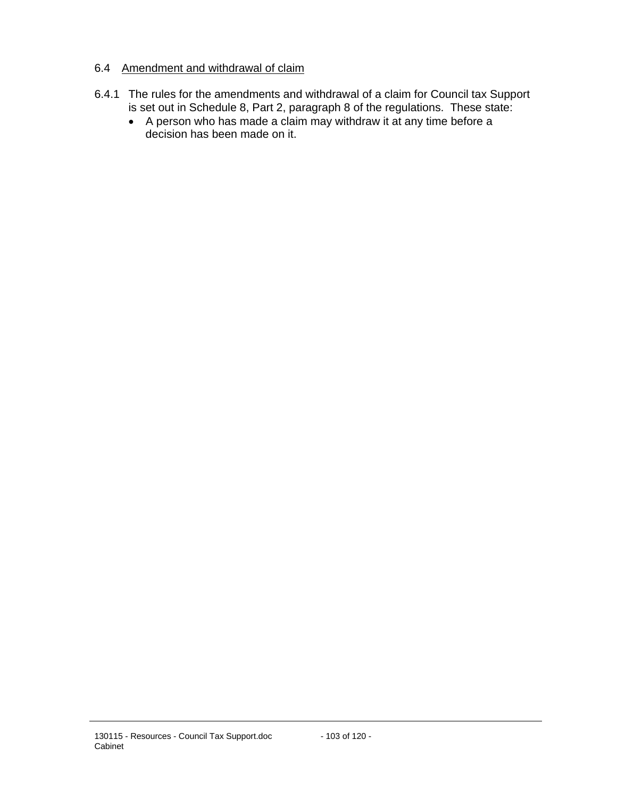## 6.4 Amendment and withdrawal of claim

- 6.4.1 The rules for the amendments and withdrawal of a claim for Council tax Support is set out in Schedule 8, Part 2, paragraph 8 of the regulations. These state:
	- A person who has made a claim may withdraw it at any time before a decision has been made on it.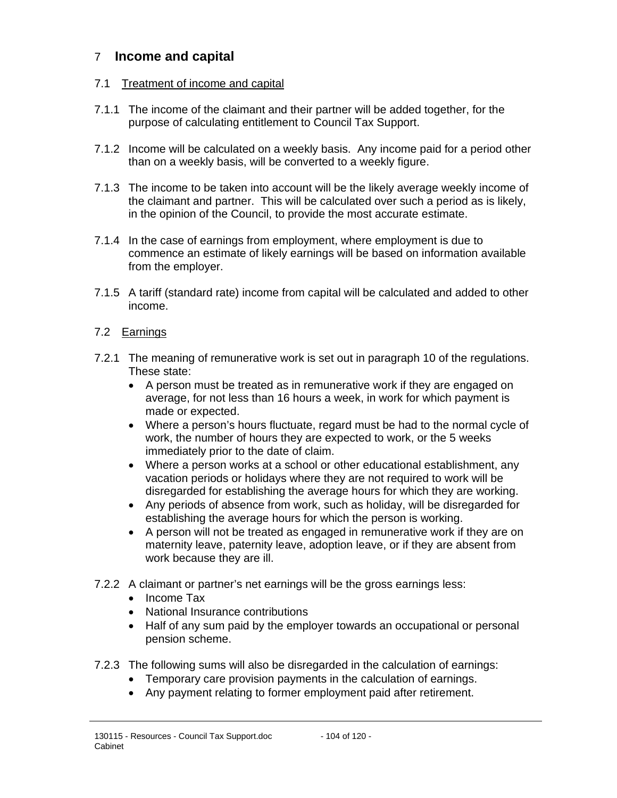# 7 **Income and capital**

## 7.1 Treatment of income and capital

- 7.1.1 The income of the claimant and their partner will be added together, for the purpose of calculating entitlement to Council Tax Support.
- 7.1.2 Income will be calculated on a weekly basis. Any income paid for a period other than on a weekly basis, will be converted to a weekly figure.
- 7.1.3 The income to be taken into account will be the likely average weekly income of the claimant and partner. This will be calculated over such a period as is likely, in the opinion of the Council, to provide the most accurate estimate.
- 7.1.4 In the case of earnings from employment, where employment is due to commence an estimate of likely earnings will be based on information available from the employer.
- 7.1.5 A tariff (standard rate) income from capital will be calculated and added to other income.

## 7.2 Earnings

- 7.2.1 The meaning of remunerative work is set out in paragraph 10 of the regulations. These state:
	- A person must be treated as in remunerative work if they are engaged on average, for not less than 16 hours a week, in work for which payment is made or expected.
	- Where a person's hours fluctuate, regard must be had to the normal cycle of work, the number of hours they are expected to work, or the 5 weeks immediately prior to the date of claim.
	- Where a person works at a school or other educational establishment, any vacation periods or holidays where they are not required to work will be disregarded for establishing the average hours for which they are working.
	- Any periods of absence from work, such as holiday, will be disregarded for establishing the average hours for which the person is working.
	- A person will not be treated as engaged in remunerative work if they are on maternity leave, paternity leave, adoption leave, or if they are absent from work because they are ill.
- 7.2.2 A claimant or partner's net earnings will be the gross earnings less:
	- Income Tax
	- National Insurance contributions
	- Half of any sum paid by the employer towards an occupational or personal pension scheme.
- 7.2.3 The following sums will also be disregarded in the calculation of earnings:
	- Temporary care provision payments in the calculation of earnings.
	- Any payment relating to former employment paid after retirement.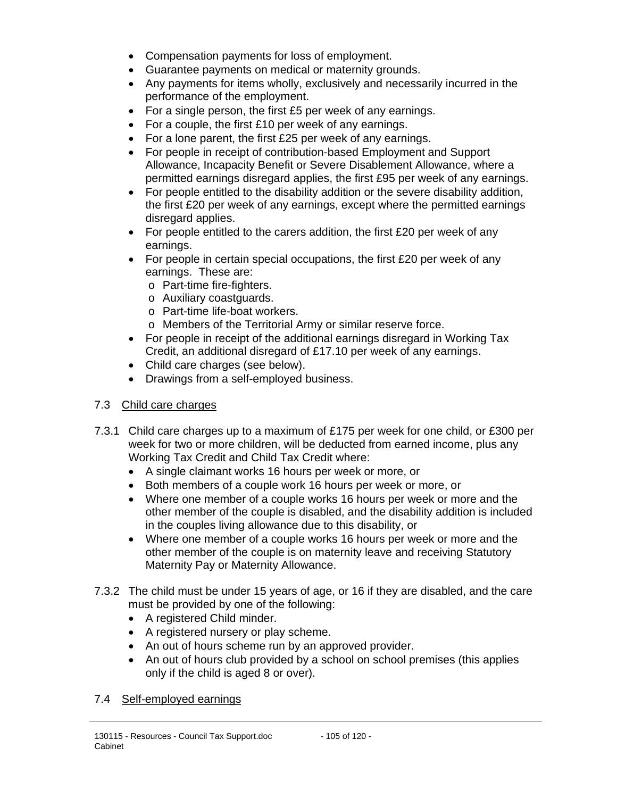- Compensation payments for loss of employment.
- Guarantee payments on medical or maternity grounds.
- Any payments for items wholly, exclusively and necessarily incurred in the performance of the employment.
- For a single person, the first £5 per week of any earnings.
- For a couple, the first £10 per week of any earnings.
- For a lone parent, the first £25 per week of any earnings.
- For people in receipt of contribution-based Employment and Support Allowance, Incapacity Benefit or Severe Disablement Allowance, where a permitted earnings disregard applies, the first £95 per week of any earnings.
- For people entitled to the disability addition or the severe disability addition, the first £20 per week of any earnings, except where the permitted earnings disregard applies.
- For people entitled to the carers addition, the first £20 per week of any earnings.
- For people in certain special occupations, the first £20 per week of any earnings. These are:
	- o Part-time fire-fighters.
	- o Auxiliary coastguards.
	- o Part-time life-boat workers.
	- o Members of the Territorial Army or similar reserve force.
- For people in receipt of the additional earnings disregard in Working Tax Credit, an additional disregard of £17.10 per week of any earnings.
- Child care charges (see below).
- Drawings from a self-employed business.

## 7.3 Child care charges

- 7.3.1 Child care charges up to a maximum of £175 per week for one child, or £300 per week for two or more children, will be deducted from earned income, plus any Working Tax Credit and Child Tax Credit where:
	- A single claimant works 16 hours per week or more, or
	- Both members of a couple work 16 hours per week or more, or
	- Where one member of a couple works 16 hours per week or more and the other member of the couple is disabled, and the disability addition is included in the couples living allowance due to this disability, or
	- Where one member of a couple works 16 hours per week or more and the other member of the couple is on maternity leave and receiving Statutory Maternity Pay or Maternity Allowance.
- 7.3.2 The child must be under 15 years of age, or 16 if they are disabled, and the care must be provided by one of the following:
	- A registered Child minder.
	- A registered nursery or play scheme.
	- An out of hours scheme run by an approved provider.
	- An out of hours club provided by a school on school premises (this applies only if the child is aged 8 or over).

#### 7.4 Self-employed earnings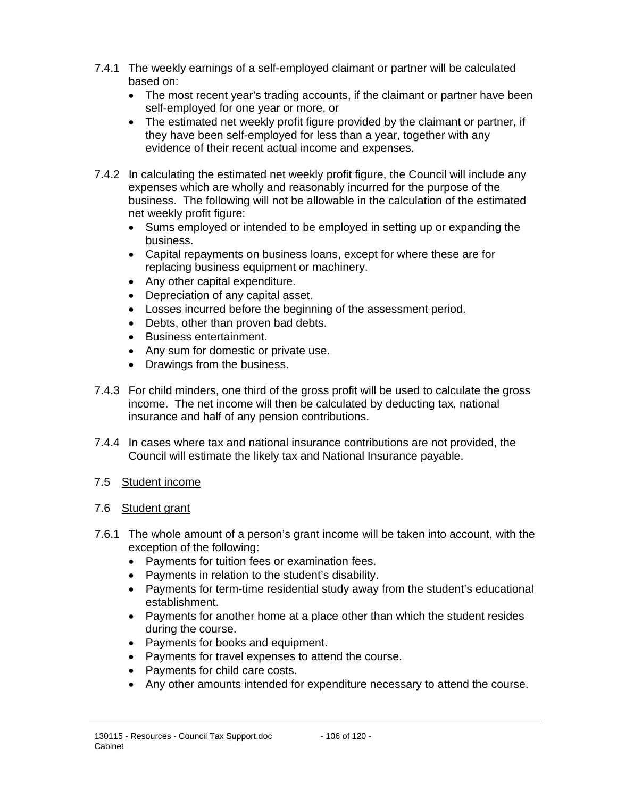- 7.4.1 The weekly earnings of a self-employed claimant or partner will be calculated based on:
	- The most recent year's trading accounts, if the claimant or partner have been self-employed for one year or more, or
	- The estimated net weekly profit figure provided by the claimant or partner, if they have been self-employed for less than a year, together with any evidence of their recent actual income and expenses.
- 7.4.2 In calculating the estimated net weekly profit figure, the Council will include any expenses which are wholly and reasonably incurred for the purpose of the business. The following will not be allowable in the calculation of the estimated net weekly profit figure:
	- Sums employed or intended to be employed in setting up or expanding the business.
	- Capital repayments on business loans, except for where these are for replacing business equipment or machinery.
	- Any other capital expenditure.
	- Depreciation of any capital asset.
	- Losses incurred before the beginning of the assessment period.
	- Debts, other than proven bad debts.
	- Business entertainment.
	- Any sum for domestic or private use.
	- Drawings from the business.
- 7.4.3 For child minders, one third of the gross profit will be used to calculate the gross income. The net income will then be calculated by deducting tax, national insurance and half of any pension contributions.
- 7.4.4 In cases where tax and national insurance contributions are not provided, the Council will estimate the likely tax and National Insurance payable.

## 7.5 Student income

## 7.6 Student grant

- 7.6.1 The whole amount of a person's grant income will be taken into account, with the exception of the following:
	- Payments for tuition fees or examination fees.
	- Payments in relation to the student's disability.
	- Payments for term-time residential study away from the student's educational establishment.
	- Payments for another home at a place other than which the student resides during the course.
	- Payments for books and equipment.
	- Payments for travel expenses to attend the course.
	- Payments for child care costs.
	- Any other amounts intended for expenditure necessary to attend the course.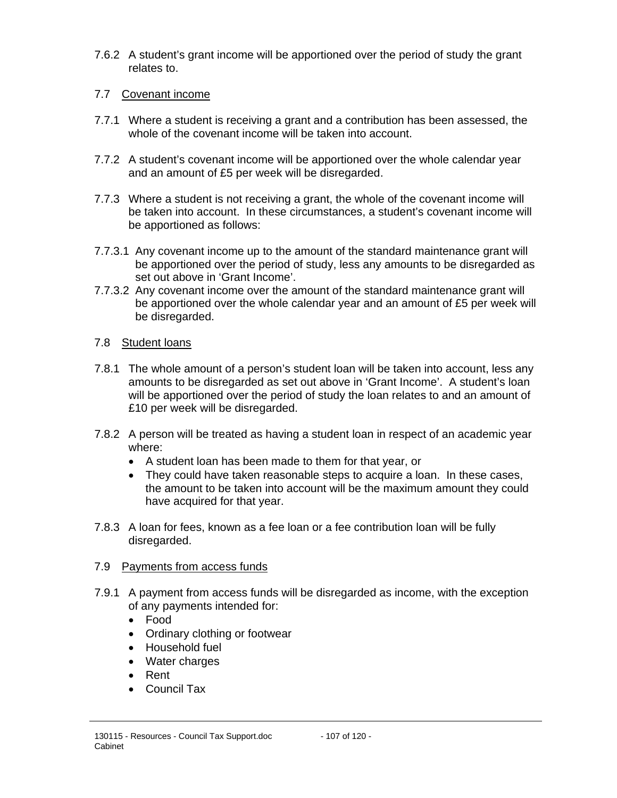7.6.2 A student's grant income will be apportioned over the period of study the grant relates to.

## 7.7 Covenant income

- 7.7.1 Where a student is receiving a grant and a contribution has been assessed, the whole of the covenant income will be taken into account.
- 7.7.2 A student's covenant income will be apportioned over the whole calendar year and an amount of £5 per week will be disregarded.
- 7.7.3 Where a student is not receiving a grant, the whole of the covenant income will be taken into account. In these circumstances, a student's covenant income will be apportioned as follows:
- 7.7.3.1 Any covenant income up to the amount of the standard maintenance grant will be apportioned over the period of study, less any amounts to be disregarded as set out above in 'Grant Income'.
- 7.7.3.2 Any covenant income over the amount of the standard maintenance grant will be apportioned over the whole calendar year and an amount of £5 per week will be disregarded.

## 7.8 Student loans

- 7.8.1 The whole amount of a person's student loan will be taken into account, less any amounts to be disregarded as set out above in 'Grant Income'. A student's loan will be apportioned over the period of study the loan relates to and an amount of £10 per week will be disregarded.
- 7.8.2 A person will be treated as having a student loan in respect of an academic year where:
	- A student loan has been made to them for that year, or
	- They could have taken reasonable steps to acquire a loan. In these cases, the amount to be taken into account will be the maximum amount they could have acquired for that year.
- 7.8.3 A loan for fees, known as a fee loan or a fee contribution loan will be fully disregarded.

## 7.9 Payments from access funds

- 7.9.1 A payment from access funds will be disregarded as income, with the exception of any payments intended for:
	- Food
	- Ordinary clothing or footwear
	- Household fuel
	- Water charges
	- Rent
	- Council Tax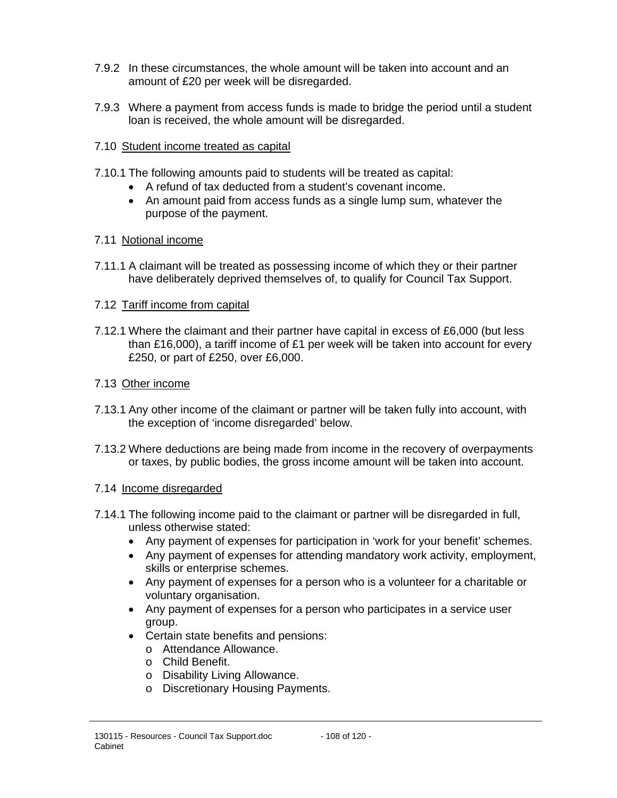- 7.9.2 In these circumstances, the whole amount will be taken into account and an amount of £20 per week will be disregarded.
- 7.9.3 Where a payment from access funds is made to bridge the period until a student loan is received, the whole amount will be disregarded.

## 7.10 Student income treated as capital

- 7.10.1 The following amounts paid to students will be treated as capital:
	- A refund of tax deducted from a student's covenant income.
	- An amount paid from access funds as a single lump sum, whatever the purpose of the payment.

## 7.11 Notional income

7.11.1 A claimant will be treated as possessing income of which they or their partner have deliberately deprived themselves of, to qualify for Council Tax Support.

## 7.12 Tariff income from capital

7.12.1 Where the claimant and their partner have capital in excess of £6,000 (but less than £16,000), a tariff income of £1 per week will be taken into account for every £250, or part of £250, over £6,000.

## 7.13 Other income

- 7.13.1 Any other income of the claimant or partner will be taken fully into account, with the exception of 'income disregarded' below.
- 7.13.2 Where deductions are being made from income in the recovery of overpayments or taxes, by public bodies, the gross income amount will be taken into account.

## 7.14 Income disregarded

- 7.14.1 The following income paid to the claimant or partner will be disregarded in full, unless otherwise stated:
	- Any payment of expenses for participation in 'work for your benefit' schemes.
	- Any payment of expenses for attending mandatory work activity, employment, skills or enterprise schemes.
	- Any payment of expenses for a person who is a volunteer for a charitable or voluntary organisation.
	- Any payment of expenses for a person who participates in a service user group.
	- Certain state benefits and pensions:
		- o Attendance Allowance.
		- o Child Benefit.
		- o Disability Living Allowance.
		- o Discretionary Housing Payments.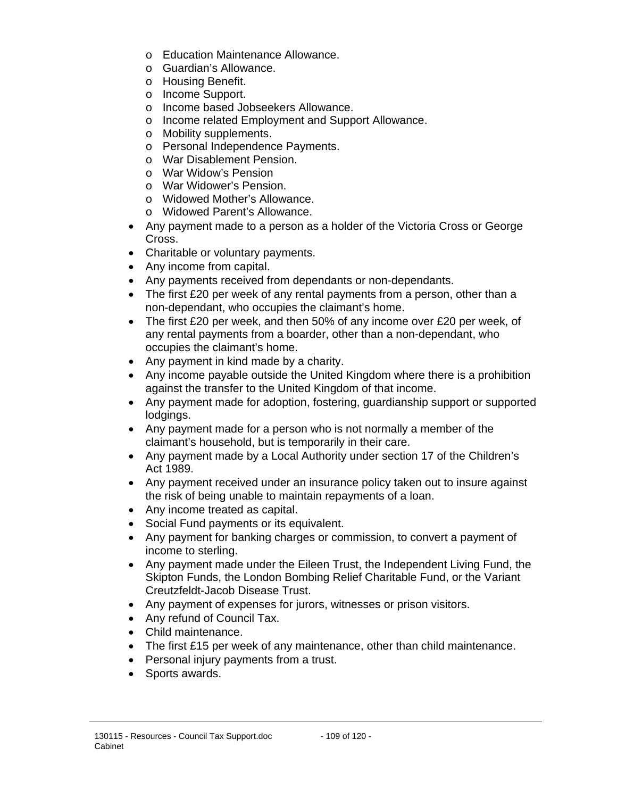- o Education Maintenance Allowance.
- o Guardian's Allowance.
- o Housing Benefit.
- o Income Support.
- o Income based Jobseekers Allowance.
- o Income related Employment and Support Allowance.
- o Mobility supplements.
- o Personal Independence Payments.
- o War Disablement Pension.
- o War Widow's Pension
- o War Widower's Pension.
- o Widowed Mother's Allowance.
- o Widowed Parent's Allowance.
- Any payment made to a person as a holder of the Victoria Cross or George Cross.
- Charitable or voluntary payments.
- Any income from capital.
- Any payments received from dependants or non-dependants.
- The first £20 per week of any rental payments from a person, other than a non-dependant, who occupies the claimant's home.
- The first £20 per week, and then 50% of any income over £20 per week, of any rental payments from a boarder, other than a non-dependant, who occupies the claimant's home.
- Any payment in kind made by a charity.
- Any income payable outside the United Kingdom where there is a prohibition against the transfer to the United Kingdom of that income.
- Any payment made for adoption, fostering, guardianship support or supported lodgings.
- Any payment made for a person who is not normally a member of the claimant's household, but is temporarily in their care.
- Any payment made by a Local Authority under section 17 of the Children's Act 1989.
- Any payment received under an insurance policy taken out to insure against the risk of being unable to maintain repayments of a loan.
- Any income treated as capital.
- Social Fund payments or its equivalent.
- Any payment for banking charges or commission, to convert a payment of income to sterling.
- Any payment made under the Eileen Trust, the Independent Living Fund, the Skipton Funds, the London Bombing Relief Charitable Fund, or the Variant Creutzfeldt-Jacob Disease Trust.
- Any payment of expenses for jurors, witnesses or prison visitors.
- Any refund of Council Tax.
- Child maintenance.
- The first £15 per week of any maintenance, other than child maintenance.
- Personal injury payments from a trust.
- Sports awards.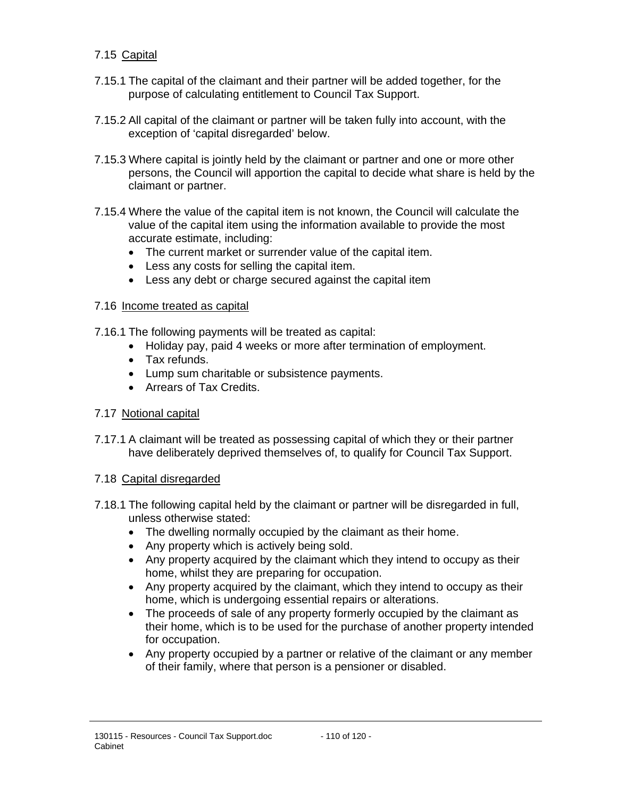### 7.15 Capital

- 7.15.1 The capital of the claimant and their partner will be added together, for the purpose of calculating entitlement to Council Tax Support.
- 7.15.2 All capital of the claimant or partner will be taken fully into account, with the exception of 'capital disregarded' below.
- 7.15.3 Where capital is jointly held by the claimant or partner and one or more other persons, the Council will apportion the capital to decide what share is held by the claimant or partner.
- 7.15.4 Where the value of the capital item is not known, the Council will calculate the value of the capital item using the information available to provide the most accurate estimate, including:
	- The current market or surrender value of the capital item.
	- Less any costs for selling the capital item.
	- Less any debt or charge secured against the capital item

#### 7.16 Income treated as capital

- 7.16.1 The following payments will be treated as capital:
	- Holiday pay, paid 4 weeks or more after termination of employment.
	- Tax refunds.
	- Lump sum charitable or subsistence payments.
	- Arrears of Tax Credits.

## 7.17 Notional capital

7.17.1 A claimant will be treated as possessing capital of which they or their partner have deliberately deprived themselves of, to qualify for Council Tax Support.

#### 7.18 Capital disregarded

- 7.18.1 The following capital held by the claimant or partner will be disregarded in full, unless otherwise stated:
	- The dwelling normally occupied by the claimant as their home.
	- Any property which is actively being sold.
	- Any property acquired by the claimant which they intend to occupy as their home, whilst they are preparing for occupation.
	- Any property acquired by the claimant, which they intend to occupy as their home, which is undergoing essential repairs or alterations.
	- The proceeds of sale of any property formerly occupied by the claimant as their home, which is to be used for the purchase of another property intended for occupation.
	- Any property occupied by a partner or relative of the claimant or any member of their family, where that person is a pensioner or disabled.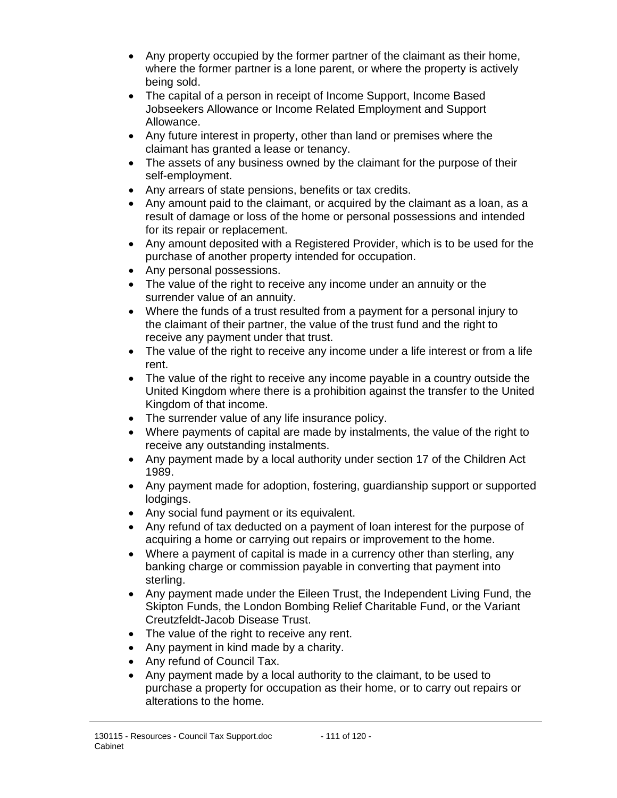- Any property occupied by the former partner of the claimant as their home, where the former partner is a lone parent, or where the property is actively being sold.
- The capital of a person in receipt of Income Support, Income Based Jobseekers Allowance or Income Related Employment and Support Allowance.
- Any future interest in property, other than land or premises where the claimant has granted a lease or tenancy.
- The assets of any business owned by the claimant for the purpose of their self-employment.
- Any arrears of state pensions, benefits or tax credits.
- Any amount paid to the claimant, or acquired by the claimant as a loan, as a result of damage or loss of the home or personal possessions and intended for its repair or replacement.
- Any amount deposited with a Registered Provider, which is to be used for the purchase of another property intended for occupation.
- Any personal possessions.
- The value of the right to receive any income under an annuity or the surrender value of an annuity.
- Where the funds of a trust resulted from a payment for a personal injury to the claimant of their partner, the value of the trust fund and the right to receive any payment under that trust.
- The value of the right to receive any income under a life interest or from a life rent.
- The value of the right to receive any income payable in a country outside the United Kingdom where there is a prohibition against the transfer to the United Kingdom of that income.
- The surrender value of any life insurance policy.
- Where payments of capital are made by instalments, the value of the right to receive any outstanding instalments.
- Any payment made by a local authority under section 17 of the Children Act 1989.
- Any payment made for adoption, fostering, guardianship support or supported lodgings.
- Any social fund payment or its equivalent.
- Any refund of tax deducted on a payment of loan interest for the purpose of acquiring a home or carrying out repairs or improvement to the home.
- Where a payment of capital is made in a currency other than sterling, any banking charge or commission payable in converting that payment into sterling.
- Any payment made under the Eileen Trust, the Independent Living Fund, the Skipton Funds, the London Bombing Relief Charitable Fund, or the Variant Creutzfeldt-Jacob Disease Trust.
- The value of the right to receive any rent.
- Any payment in kind made by a charity.
- Any refund of Council Tax.
- Any payment made by a local authority to the claimant, to be used to purchase a property for occupation as their home, or to carry out repairs or alterations to the home.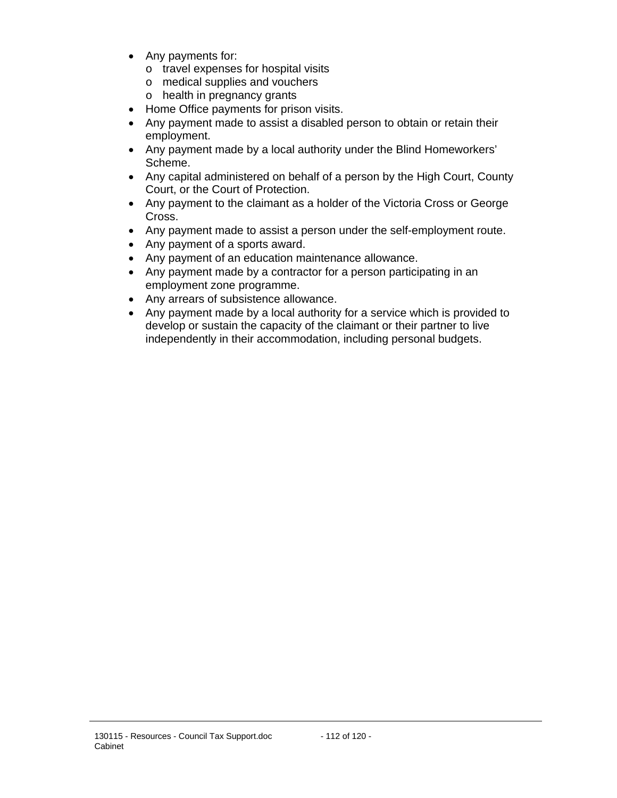- Any payments for:
	- o travel expenses for hospital visits
	- o medical supplies and vouchers
	- o health in pregnancy grants
- Home Office payments for prison visits.
- Any payment made to assist a disabled person to obtain or retain their employment.
- Any payment made by a local authority under the Blind Homeworkers' Scheme.
- Any capital administered on behalf of a person by the High Court, County Court, or the Court of Protection.
- Any payment to the claimant as a holder of the Victoria Cross or George Cross.
- Any payment made to assist a person under the self-employment route.
- Any payment of a sports award.
- Any payment of an education maintenance allowance.
- Any payment made by a contractor for a person participating in an employment zone programme.
- Any arrears of subsistence allowance.
- Any payment made by a local authority for a service which is provided to develop or sustain the capacity of the claimant or their partner to live independently in their accommodation, including personal budgets.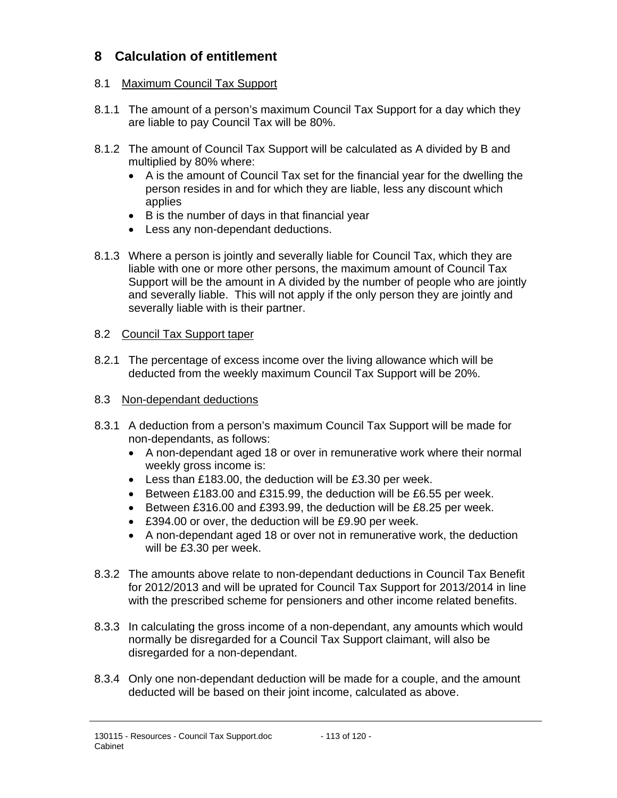# **8 Calculation of entitlement**

#### 8.1 Maximum Council Tax Support

- 8.1.1 The amount of a person's maximum Council Tax Support for a day which they are liable to pay Council Tax will be 80%.
- 8.1.2 The amount of Council Tax Support will be calculated as A divided by B and multiplied by 80% where:
	- A is the amount of Council Tax set for the financial year for the dwelling the person resides in and for which they are liable, less any discount which applies
	- B is the number of days in that financial year
	- Less any non-dependant deductions.
- 8.1.3 Where a person is jointly and severally liable for Council Tax, which they are liable with one or more other persons, the maximum amount of Council Tax Support will be the amount in A divided by the number of people who are jointly and severally liable. This will not apply if the only person they are jointly and severally liable with is their partner.

#### 8.2 Council Tax Support taper

- 8.2.1 The percentage of excess income over the living allowance which will be deducted from the weekly maximum Council Tax Support will be 20%.
- 8.3 Non-dependant deductions
- 8.3.1 A deduction from a person's maximum Council Tax Support will be made for non-dependants, as follows:
	- A non-dependant aged 18 or over in remunerative work where their normal weekly gross income is:
	- Less than £183.00, the deduction will be £3.30 per week.
	- Between £183.00 and £315.99, the deduction will be £6.55 per week.
	- Between £316.00 and £393.99, the deduction will be £8.25 per week.
	- £394.00 or over, the deduction will be £9.90 per week.
	- A non-dependant aged 18 or over not in remunerative work, the deduction will be £3.30 per week.
- 8.3.2 The amounts above relate to non-dependant deductions in Council Tax Benefit for 2012/2013 and will be uprated for Council Tax Support for 2013/2014 in line with the prescribed scheme for pensioners and other income related benefits.
- 8.3.3 In calculating the gross income of a non-dependant, any amounts which would normally be disregarded for a Council Tax Support claimant, will also be disregarded for a non-dependant.
- 8.3.4 Only one non-dependant deduction will be made for a couple, and the amount deducted will be based on their joint income, calculated as above.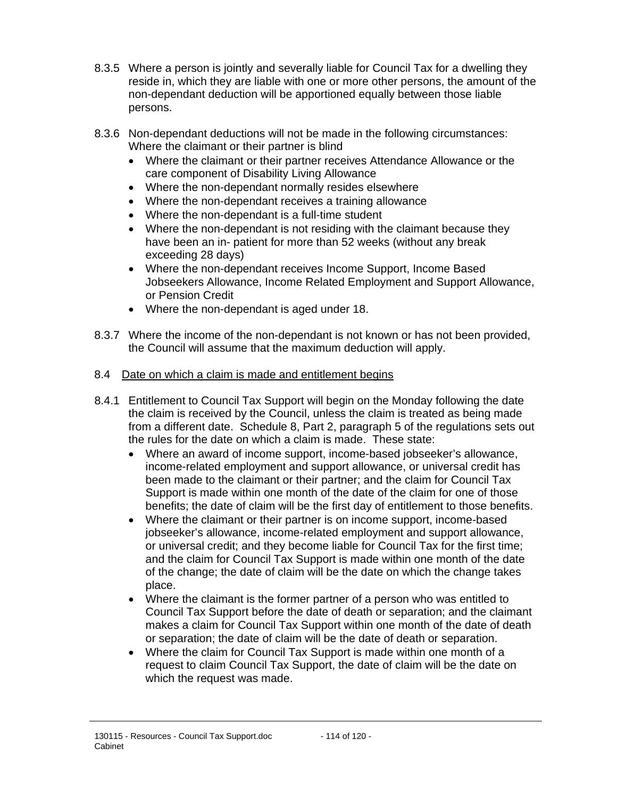- 8.3.5 Where a person is jointly and severally liable for Council Tax for a dwelling they reside in, which they are liable with one or more other persons, the amount of the non-dependant deduction will be apportioned equally between those liable persons.
- 8.3.6 Non-dependant deductions will not be made in the following circumstances: Where the claimant or their partner is blind
	- Where the claimant or their partner receives Attendance Allowance or the care component of Disability Living Allowance
	- Where the non-dependant normally resides elsewhere
	- Where the non-dependant receives a training allowance
	- Where the non-dependant is a full-time student
	- Where the non-dependant is not residing with the claimant because they have been an in- patient for more than 52 weeks (without any break exceeding 28 days)
	- Where the non-dependant receives Income Support, Income Based Jobseekers Allowance, Income Related Employment and Support Allowance, or Pension Credit
	- Where the non-dependant is aged under 18.
- 8.3.7 Where the income of the non-dependant is not known or has not been provided, the Council will assume that the maximum deduction will apply.
- 8.4 Date on which a claim is made and entitlement begins
- 8.4.1 Entitlement to Council Tax Support will begin on the Monday following the date the claim is received by the Council, unless the claim is treated as being made from a different date. Schedule 8, Part 2, paragraph 5 of the regulations sets out the rules for the date on which a claim is made. These state:
	- Where an award of income support, income-based jobseeker's allowance, income-related employment and support allowance, or universal credit has been made to the claimant or their partner; and the claim for Council Tax Support is made within one month of the date of the claim for one of those benefits; the date of claim will be the first day of entitlement to those benefits.
	- Where the claimant or their partner is on income support, income-based jobseeker's allowance, income-related employment and support allowance, or universal credit; and they become liable for Council Tax for the first time; and the claim for Council Tax Support is made within one month of the date of the change; the date of claim will be the date on which the change takes place.
	- Where the claimant is the former partner of a person who was entitled to Council Tax Support before the date of death or separation; and the claimant makes a claim for Council Tax Support within one month of the date of death or separation; the date of claim will be the date of death or separation.
	- Where the claim for Council Tax Support is made within one month of a request to claim Council Tax Support, the date of claim will be the date on which the request was made.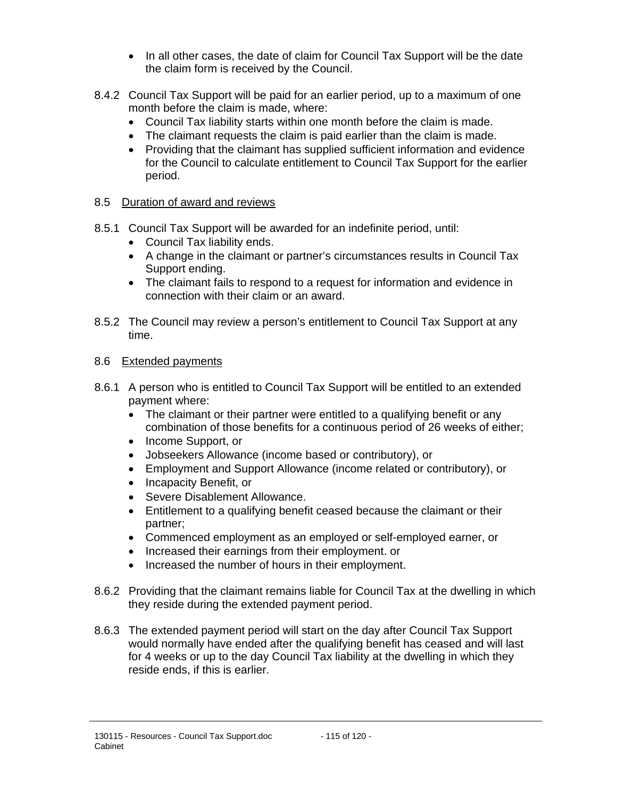- In all other cases, the date of claim for Council Tax Support will be the date the claim form is received by the Council.
- 8.4.2 Council Tax Support will be paid for an earlier period, up to a maximum of one month before the claim is made, where:
	- Council Tax liability starts within one month before the claim is made.
	- The claimant requests the claim is paid earlier than the claim is made.
	- Providing that the claimant has supplied sufficient information and evidence for the Council to calculate entitlement to Council Tax Support for the earlier period.

## 8.5 Duration of award and reviews

- 8.5.1 Council Tax Support will be awarded for an indefinite period, until:
	- Council Tax liability ends.
	- A change in the claimant or partner's circumstances results in Council Tax Support ending.
	- The claimant fails to respond to a request for information and evidence in connection with their claim or an award.
- 8.5.2 The Council may review a person's entitlement to Council Tax Support at any time.

#### 8.6 Extended payments

- 8.6.1 A person who is entitled to Council Tax Support will be entitled to an extended payment where:
	- The claimant or their partner were entitled to a qualifying benefit or any combination of those benefits for a continuous period of 26 weeks of either;
	- Income Support, or
	- Jobseekers Allowance (income based or contributory), or
	- Employment and Support Allowance (income related or contributory), or
	- Incapacity Benefit, or
	- Severe Disablement Allowance.
	- Entitlement to a qualifying benefit ceased because the claimant or their partner;
	- Commenced employment as an employed or self-employed earner, or
	- Increased their earnings from their employment. or
	- Increased the number of hours in their employment.
- 8.6.2 Providing that the claimant remains liable for Council Tax at the dwelling in which they reside during the extended payment period.
- 8.6.3 The extended payment period will start on the day after Council Tax Support would normally have ended after the qualifying benefit has ceased and will last for 4 weeks or up to the day Council Tax liability at the dwelling in which they reside ends, if this is earlier.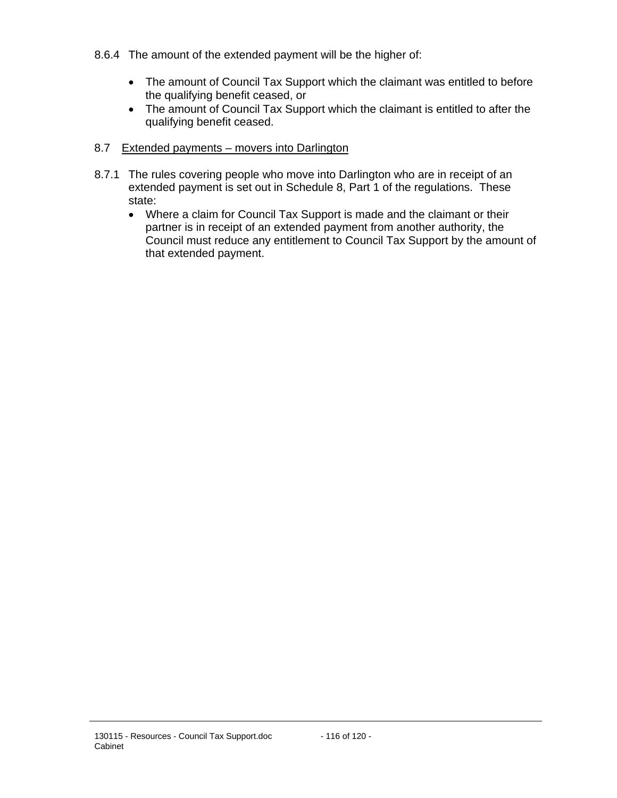- 8.6.4 The amount of the extended payment will be the higher of:
	- The amount of Council Tax Support which the claimant was entitled to before the qualifying benefit ceased, or
	- The amount of Council Tax Support which the claimant is entitled to after the qualifying benefit ceased.
- 8.7 Extended payments movers into Darlington
- 8.7.1 The rules covering people who move into Darlington who are in receipt of an extended payment is set out in Schedule 8, Part 1 of the regulations. These state:
	- Where a claim for Council Tax Support is made and the claimant or their partner is in receipt of an extended payment from another authority, the Council must reduce any entitlement to Council Tax Support by the amount of that extended payment.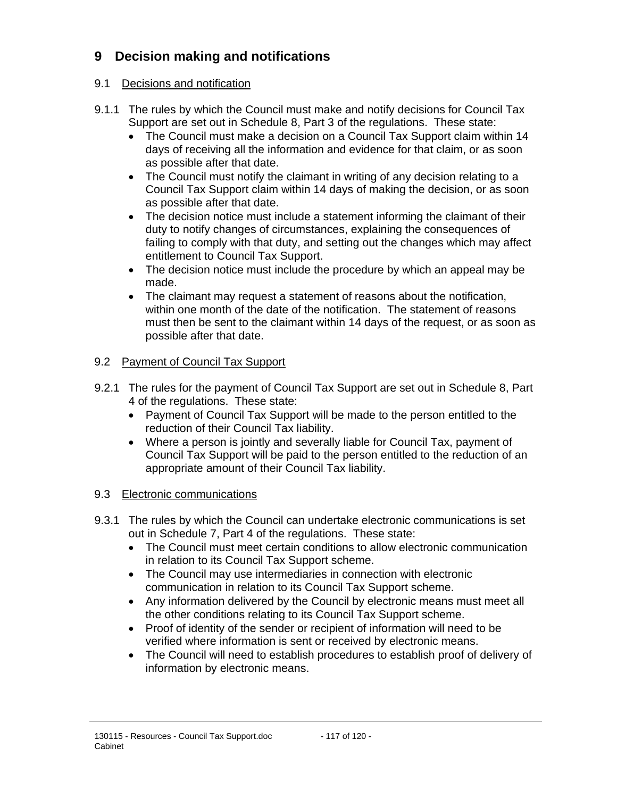# **9 Decision making and notifications**

### 9.1 Decisions and notification

- 9.1.1 The rules by which the Council must make and notify decisions for Council Tax Support are set out in Schedule 8, Part 3 of the regulations. These state:
	- The Council must make a decision on a Council Tax Support claim within 14 days of receiving all the information and evidence for that claim, or as soon as possible after that date.
	- The Council must notify the claimant in writing of any decision relating to a Council Tax Support claim within 14 days of making the decision, or as soon as possible after that date.
	- The decision notice must include a statement informing the claimant of their duty to notify changes of circumstances, explaining the consequences of failing to comply with that duty, and setting out the changes which may affect entitlement to Council Tax Support.
	- The decision notice must include the procedure by which an appeal may be made.
	- The claimant may request a statement of reasons about the notification, within one month of the date of the notification. The statement of reasons must then be sent to the claimant within 14 days of the request, or as soon as possible after that date.

### 9.2 Payment of Council Tax Support

- 9.2.1 The rules for the payment of Council Tax Support are set out in Schedule 8, Part 4 of the regulations. These state:
	- Payment of Council Tax Support will be made to the person entitled to the reduction of their Council Tax liability.
	- Where a person is jointly and severally liable for Council Tax, payment of Council Tax Support will be paid to the person entitled to the reduction of an appropriate amount of their Council Tax liability.

#### 9.3 Electronic communications

- 9.3.1 The rules by which the Council can undertake electronic communications is set out in Schedule 7, Part 4 of the regulations. These state:
	- The Council must meet certain conditions to allow electronic communication in relation to its Council Tax Support scheme.
	- The Council may use intermediaries in connection with electronic communication in relation to its Council Tax Support scheme.
	- Any information delivered by the Council by electronic means must meet all the other conditions relating to its Council Tax Support scheme.
	- Proof of identity of the sender or recipient of information will need to be verified where information is sent or received by electronic means.
	- The Council will need to establish procedures to establish proof of delivery of information by electronic means.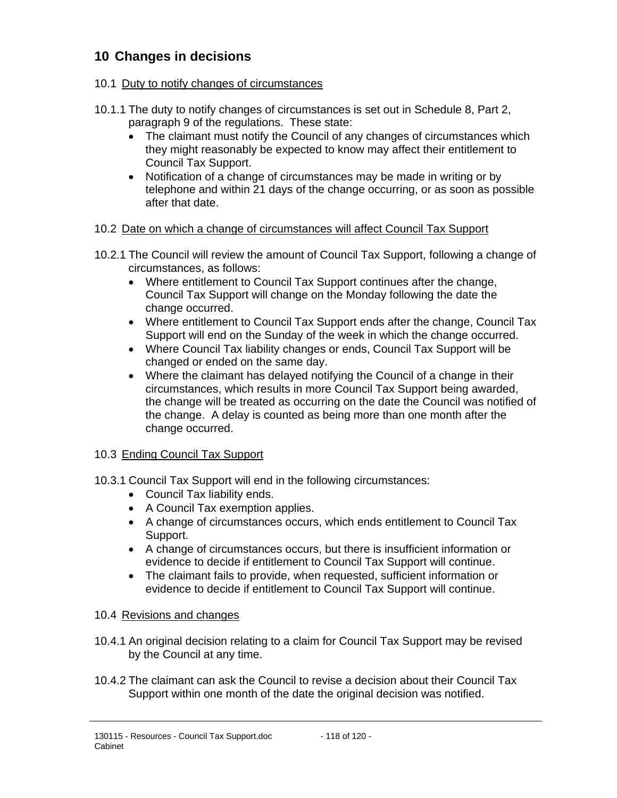# **10 Changes in decisions**

#### 10.1 Duty to notify changes of circumstances

- 10.1.1 The duty to notify changes of circumstances is set out in Schedule 8, Part 2, paragraph 9 of the regulations. These state:
	- The claimant must notify the Council of any changes of circumstances which they might reasonably be expected to know may affect their entitlement to Council Tax Support.
	- Notification of a change of circumstances may be made in writing or by telephone and within 21 days of the change occurring, or as soon as possible after that date.

#### 10.2 Date on which a change of circumstances will affect Council Tax Support

- 10.2.1 The Council will review the amount of Council Tax Support, following a change of circumstances, as follows:
	- Where entitlement to Council Tax Support continues after the change, Council Tax Support will change on the Monday following the date the change occurred.
	- Where entitlement to Council Tax Support ends after the change, Council Tax Support will end on the Sunday of the week in which the change occurred.
	- Where Council Tax liability changes or ends, Council Tax Support will be changed or ended on the same day.
	- Where the claimant has delayed notifying the Council of a change in their circumstances, which results in more Council Tax Support being awarded, the change will be treated as occurring on the date the Council was notified of the change. A delay is counted as being more than one month after the change occurred.

## 10.3 Ending Council Tax Support

- 10.3.1 Council Tax Support will end in the following circumstances:
	- Council Tax liability ends.
	- A Council Tax exemption applies.
	- A change of circumstances occurs, which ends entitlement to Council Tax Support.
	- A change of circumstances occurs, but there is insufficient information or evidence to decide if entitlement to Council Tax Support will continue.
	- The claimant fails to provide, when requested, sufficient information or evidence to decide if entitlement to Council Tax Support will continue.

#### 10.4 Revisions and changes

- 10.4.1 An original decision relating to a claim for Council Tax Support may be revised by the Council at any time.
- 10.4.2 The claimant can ask the Council to revise a decision about their Council Tax Support within one month of the date the original decision was notified.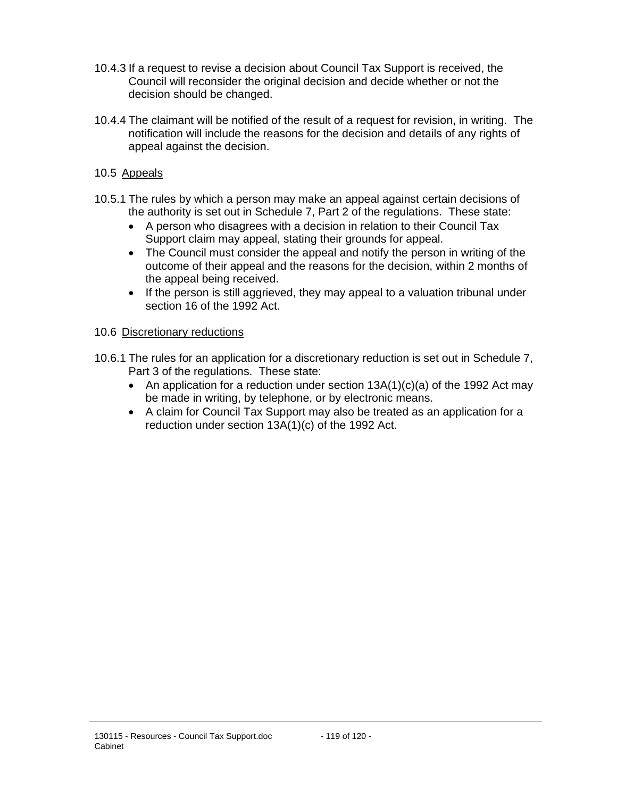- 10.4.3 If a request to revise a decision about Council Tax Support is received, the Council will reconsider the original decision and decide whether or not the decision should be changed.
- 10.4.4 The claimant will be notified of the result of a request for revision, in writing. The notification will include the reasons for the decision and details of any rights of appeal against the decision.
- 10.5 Appeals
- 10.5.1 The rules by which a person may make an appeal against certain decisions of the authority is set out in Schedule 7, Part 2 of the regulations. These state:
	- A person who disagrees with a decision in relation to their Council Tax Support claim may appeal, stating their grounds for appeal.
	- The Council must consider the appeal and notify the person in writing of the outcome of their appeal and the reasons for the decision, within 2 months of the appeal being received.
	- If the person is still aggrieved, they may appeal to a valuation tribunal under section 16 of the 1992 Act.

#### 10.6 Discretionary reductions

- 10.6.1 The rules for an application for a discretionary reduction is set out in Schedule 7, Part 3 of the regulations. These state:
	- An application for a reduction under section  $13A(1)(c)(a)$  of the 1992 Act may be made in writing, by telephone, or by electronic means.
	- A claim for Council Tax Support may also be treated as an application for a reduction under section 13A(1)(c) of the 1992 Act.